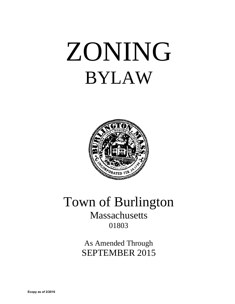# ZONING BYLAW



# Town of Burlington Massachusetts 01803

As Amended Through SEPTEMBER 2015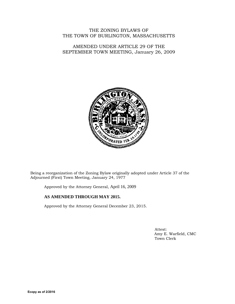THE ZONING BYLAWS OF THE TOWN OF BURLINGTON, MASSACHUSETTS

AMENDED UNDER ARTICLE 29 OF THE SEPTEMBER TOWN MEETING, January 26, 2009



Being a reorganization of the Zoning Bylaw originally adopted under Article 37 of the Adjourned (First) Town Meeting, January 24, 1977

Approved by the Attorney General, April 16, 2009

# **AS AMENDED THROUGH MAY 2015.**

Approved by the Attorney General December 23, 2015.

 Attest: Amy E. Warfield, CMC Town Clerk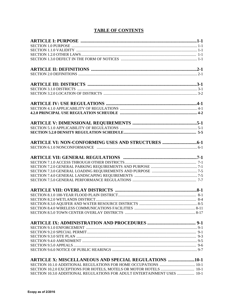# **TABLE OF CONTENTS**

| <b>ARTICLE X: MISCELLANEOUS AND SPECIAL REGULATIONS 10-1</b>             |  |
|--------------------------------------------------------------------------|--|
|                                                                          |  |
|                                                                          |  |
| SECTION 10.3.0 ADDITIONAL REGULATIONS FOR ADULT ENTERTAINMENT USES  10-1 |  |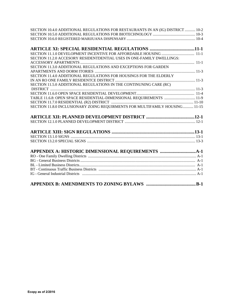| SECTION 10.4.0 ADDITIONAL REGULATIONS FOR RESTAURANTS IN AN (IG) DISTRICT  10-2 |  |
|---------------------------------------------------------------------------------|--|
|                                                                                 |  |
|                                                                                 |  |
|                                                                                 |  |
|                                                                                 |  |
|                                                                                 |  |
| SECTION 11.2.0 ACCESORY RESIDENTDENTIAL USES IN ONE-FAMILY DWELLINGS:           |  |
|                                                                                 |  |
| SECTION 11.3.0 ADDITIONAL REGULATIONS AND EXCEPTIONS FOR GARDEN                 |  |
|                                                                                 |  |
| SECTION 11.4.0 ADDITIONAL REGULATIONS FOR HOUSINGS FOR THE ELDERLY              |  |
|                                                                                 |  |
| SECTION 11.5.0 ADDITIONAL REGULATIONS IN THE CONTINUNING CARE (RC)              |  |
|                                                                                 |  |
|                                                                                 |  |
| TABLE 11.6.8: OPEN SPACE RESIDENTIAL-DIMENSIONAL REQUIREMENTS  11-9             |  |
|                                                                                 |  |
| SECTION 11.8.0 INCLUSIONARY ZOING REQUIRMENTS FOR MULTIFAMILY HOUSING 11-15     |  |
|                                                                                 |  |
|                                                                                 |  |
|                                                                                 |  |
|                                                                                 |  |
|                                                                                 |  |
|                                                                                 |  |
|                                                                                 |  |
|                                                                                 |  |
|                                                                                 |  |
|                                                                                 |  |
|                                                                                 |  |
|                                                                                 |  |
|                                                                                 |  |
|                                                                                 |  |
|                                                                                 |  |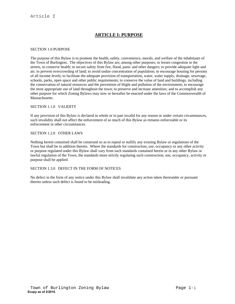# **ARTICLE I: PURPOSE**

#### SECTION 1.0 PURPOSE

The purpose of this Bylaw is to promote the health, safety, convenience, morals, and welfare of the inhabitants of the Town of Burlington. The objectives of this Bylaw are, among other purposes, to lessen congestion in the streets, to conserve health; to secure safety from fire, flood, panic and other dangers; to provide adequate light and air; to prevent overcrowding of land; to avoid undue concentration of population; to encourage housing for persons of all income levels; to facilitate the adequate provision of transportation, water, water supply, drainage, sewerage, schools, parks, open space and other public requirements; to conserve the value of land and buildings, including the conservation of natural resources and the prevention of blight and pollution of the environment; to encourage the most appropriate use of land throughout the town; to preserve and increase amenities; and to accomplish any other purpose for which Zoning Bylaws may now or hereafter be enacted under the laws of the Commonwealth of Massachusetts.

#### SECTION 1.1.0 VALIDITY

If any provision of this Bylaw is declared in whole or in part invalid for any reason or under certain circumstances, such invalidity shall not affect the enforcement of so much of this Bylaw as remains enforceable or its enforcement in other circumstances.

#### SECTION 1.2.0 OTHER LAWS

Nothing herein contained shall be construed so as to repeal or nullify any existing Bylaw or regulations of the Town but shall be in addition thereto. Where the standards for construction, use, occupancy or any other activity or purpose regulated under this Bylaw shall vary from such standards contained herein or in any other Bylaw or lawful regulation of the Town, the standards more strictly regulating such construction, use, occupancy, activity or purpose shall be applied.

#### SECTION 1.3.0 DEFECT IN THE FORM OF NOTICES

No defect in the form of any notice under this Bylaw shall invalidate any action taken thereunder or pursuant thereto unless such defect is found to be misleading.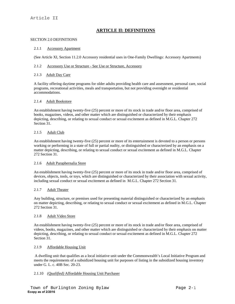# **ARTICLE II: DEFINITIONS**

#### SECTION 2.0 DEFINITIONS

#### 2.1.1 Accessory Apartment

(See Article XI, Section 11.2.0 Accessory residential uses in One-Family Dwellings: Accessory Apartments)

#### 2.1.2 Accessory Use or Structure - See Use or Structure, Accessory

#### 2.1.3 Adult Day Care

A facility offering daytime programs for older adults providing health care and assessment, personal care, social programs, recreational activities, meals and transportation, but not providing overnight or residential accommodations.

#### 2.1.4 Adult Bookstore

An establishment having twenty-five (25) percent or more of its stock in trade and/or floor area, comprised of books, magazines, videos, and other matter which are distinguished or characterized by their emphasis depicting, describing, or relating to sexual conduct or sexual excitement as defined in M.G.L. Chapter 272 Section 31.

#### 2.1.5 Adult Club

An establishment having twenty-five (25) percent or more of its entertainment is devoted to a person or persons working or performing in a state of full or partial nudity, or distinguished or characterized by an emphasis on a matter depicting, describing, or relating to sexual conduct or sexual excitement as defined in M.G.L. Chapter 272 Section 31.

#### 2.1.6 Adult Paraphernalia Store

An establishment having twenty-five (25) percent or more of its stock in trade and/or floor area, comprised of devices, objects, tools, or toys, which are distinguished or characterized by their association with sexual activity, including sexual conduct or sexual excitement as defined in M.G.L. Chapter 272 Section 31.

#### 2.1.7 Adult Theater

Any building, structure, or premises used for presenting material distinguished or characterized by an emphasis on matter depicting, describing, or relating to sexual conduct or sexual excitement as defined in M.G.L. Chapter 272 Section 31.

#### 2.1.8 Adult Video Store

An establishment having twenty-five (25) percent or more of its stock in trade and/or floor area, comprised of videos, books, magazines, and other matter which are distinguished or characterized by their emphasis on matter depicting, describing, or relating to sexual conduct or sexual excitement as defined in M.G.L. Chapter 272 Section 31.

#### 2.1.9 Affordable Housing Unit

 A dwelling unit that qualifies as a local initiative unit under the Commonwealth's Local Initiative Program and meets the requirements of a subsidized housing unit for purposes of listing in the subsidized housing inventory under G. L. c. 40B Sec. 20-23.

#### 2.1.10 *(Qualified)* Affordable Housing Unit Purchaser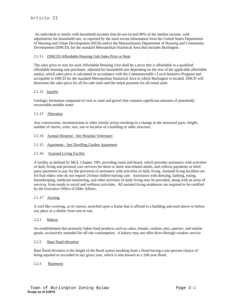An individual or family with household incomes that do not exceed 80% of the median income, with adjustments for household size, as reported by the most recent information from the United States Department of Housing and Urban Development (HUD) and/or the Massachusetts Department of Housing and Community Development (DHCD), for the standard Metropolitan Statistical Area that includes Burlington.

#### 2.1.11 *(DHCD)* Affordable Housing Unit Sales Price or Rent

The sales price or rent for each Affordable Housing Unit shall be a price that is affordable to a qualified affordable housing unit purchaser, adjusted for household size depending on the size of the applicable affordable unit(s), which sales price is calculated in accordance with the Commonwealth's Local Initiative Program and acceptable to DHCD for the standard Metropolitan Statistical Area in which Burlington is located. DHCD will determine the sales price for all for-sale units and the rental payment for all rental units.

#### 2.1.12 Aquifer

Geologic formation composed of rock or sand and gravel that contains significant amounts of potentially recoverable potable water.

#### 2.1.13 Alteration

Any construction, reconstruction or other similar action resulting in a change in the structural parts, height, number of stories, exits, size, use or location of a building or other structure.

- 2.1.14 Animal Hospital See Hospital Veterinary
- 2.1.15 Apartment See Dwelling Garden Apartment

#### 2.1.16 Assisted Living Facility

A facility as defined by MGL Chapter 19D, providing room and board, which provides assistance with activities of daily living and personal care services for three or more non-related adults, and collects payments or third party payments to pay for the provision of assistance with activities of daily living. Assisted living facilities are for frail elders who do not require 24-hour skilled nursing care. Assistance with dressing, bathing, eating, housekeeping, medicine monitoring, and other activities of daily living may be provided, along with an array of services, from meals to social and wellness activities. All assisted living residences are required to be certified by the Executive Office of Elder Affairs.

#### 2.1.17 Awning

A roof like covering, as of canvas, stretched upon a frame that is affixed to a building and used above or before any place as a shelter from rain or sun.

#### 2.2.1 Bakery

An establishment that primarily bakes food products such as cakes, breads, cookies, pies, pastries, and similar goods, exclusively intended for off site consumption. A bakery may not offer drive-through window service.

#### 2.2.2 Base flood elevation

Base flood elevation is the height of the flood waters resulting from a flood having a one percent chance of being equaled or exceeded in any given year, which is also known as a 100-year flood.

#### 2.2.3 Basement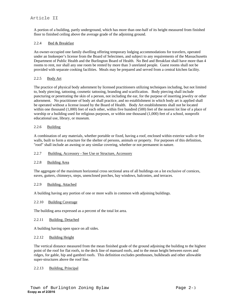A portion of a building, partly underground, which has more than one-half of its height measured from finished floor to finished ceiling above the average grade of the adjoining ground.

#### 2.2.4 Bed & Breakfast

An owner-occupied one family dwelling offering temporary lodging accommodations for travelers, operated under an Innkeeper's license from the Board of Selectmen, and subject to any requirements of the Massachusetts Department of Public Health and the Burlington Board of Health. No Bed and Breakfast shall have more than 4 rooms to rent, nor shall any one room be rented by more than 3 unrelated people. Guest rooms shall not be provided with separate cooking facilities. Meals may be prepared and served from a central kitchen facility.

#### 2.2.5 Body Art

The practice of physical body adornment by licensed practitioners utilizing techniques including, but not limited to, body piercing, tattooing, cosmetic tattooing, branding and scarification. Body piercing shall include puncturing or penetrating the skin of a person, not including the ear, for the purpose of inserting jewelry or other adornment. No practitioner of body art shall practice, and no establishment in which body art is applied shall be operated without a license issued by the Board of Health. Body Art establishments shall not be located within one thousand (1,000) feet of each other, within five hundred (500) feet of the nearest lot line of a place of worship or a building used for religious purposes, or within one thousand (1,000) feet of a school, nonprofit educational use, library, or museum.

#### 2.2.6 Building

A combination of any materials, whether portable or fixed, having a roof, enclosed within exterior walls or fire walls, built to form a structure for the shelter of persons, animals or property. For purposes of this definition, "roof" shall include an awning or any similar covering, whether or not permanent in nature.

#### 2.2.7 Building, Accessory - See Use or Structure, Accessory

#### 2.2.8 Building Area

The aggregate of the maximum horizontal cross sectional area of all buildings on a lot exclusive of cornices, eaves, gutters, chimneys, steps, unenclosed porches, bay windows, balconies, and terraces.

#### 2.2.9 Building, Attached

A building having any portion of one or more walls in common with adjoining buildings.

#### 2.2.10 Building Coverage

The building area expressed as a percent of the total lot area.

#### 2.2.11 Building, Detached

A building having open space on all sides.

#### 2.2.12 Building Height

The vertical distance measured from the mean finished grade of the ground adjoining the building to the highest point of the roof for flat roofs, to the deck line of mansard roofs, and to the mean height between eaves and ridges, for gable, hip and gambrel roofs. This definition excludes penthouses, bulkheads and other allowable super-structures above the roof line.

#### 2.2.13 Building, Principal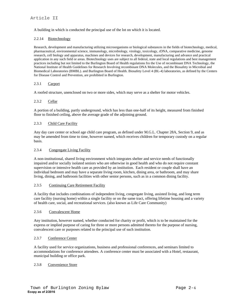A building in which is conducted the principal use of the lot on which it is located.

#### 2.2.14 Biotechnology

Research, development and manufacturing utilizing microorganisms or biological substances in the fields of biotechnology, medical, pharmaceutical, environmental science, immunology, microbiology, virology, toxicology, rDNA, comparative medicine, genome research, cell biology and apparatus, machines and devices for research, development, manufacturing and advance and practical application in any such field or areas. Biotechnology uses are subject to all federal, state and local regulations and best management practices including but not limited to the Burlington Board of Health regulations fro the Use of recombinant DNA Technology, the National Institute of Health Guidelines for Research Involving recombinant DNA Molecules, and the Biosafety in Microbial and Biomedical Laboratories (BMBL). and Burlington Board of Health. Biosafety Level 4 (BL-4) laboratories, as defined by the Centers for Disease Control and Prevention, are prohibited in Burlington.

#### 2.3.1 Carport

A roofed structure, unenclosed on two or more sides, which may serve as a shelter for motor vehicles.

#### 2.3.2 Cellar

A portion of a building, partly underground, which has less than one-half of its height, measured from finished floor to finished ceiling, above the average grade of the adjoining ground.

#### 2.3.3 Child Care Facility

Any day care center or school age child care program, as defined under M.G.L. Chapter 28A, Section 9, and as may be amended from time to time, however named, which receives children for temporary custody on a regular basis.

#### 2.3.4 Congregate Living Facility

A non-institutional, shared living environment which integrates shelter and service needs of functionally impaired and/or socially isolated seniors who are otherwise in good health and who do not require constant supervision or intensive health care as provided by an institution. Each resident or couple shall have an individual bedroom and may have a separate living room, kitchen, dining area, or bathroom, and may share living, dining, and bathroom facilities with other senior persons, such as in a common dining facility.

#### 2.3.5 Continuing Care Retirement Facility

A facility that includes combinations of independent living, congregate living, assisted living, and long term care facility (nursing home) within a single facility or on the same tract, offering lifetime housing and a variety of health care, social, and recreational services. (also known as Life Care Community)

#### 2.3.6 Convalescent Home

Any institution, however named, whether conducted for charity or profit, which is to be maintained for the express or implied purpose of caring for three or more persons admitted thereto for the purpose of nursing, convalescent care or purposes related to the principal use of such institution.

#### 2.3.7 Conference Center

A facility used for service organizations, business and professional conferences, and seminars limited to accommodations for conference attendees. A conference center must be associated with a Hotel, restaurant, municipal building or office park.

#### 2.3.8 Convenience Store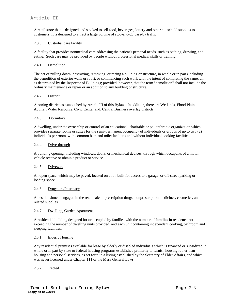A retail store that is designed and stocked to sell food, beverages, lottery and other household supplies to customers. It is designed to attract a large volume of stop-and-go pass-by traffic.

#### 2.3.9 Custodial care facility

A facility that provides nonmedical care addressing the patient's personal needs, such as bathing, dressing, and eating. Such care may be provided by people without professional medical skills or training.

#### 2.4.1 Demolition

The act of pulling down, destroying, removing, or razing a building or structure, in whole or in part (including the demolition of exterior walls or roof), or commencing such work with the intent of completing the same, all as determined by the Inspector of Buildings; provided, however, that the term "demolition" shall not include the ordinary maintenance or repair or an addition to any building or structure.

#### 2.4.2 District

A zoning district as established by Article III of this Bylaw. In addition, there are Wetlands, Flood Plain, Aquifer, Water Resource, Civic Center and, Central Business overlay districts.

#### 2.4.3 Dormitory

A dwelling, under the ownership or control of an educational, charitable or philanthropic organization which provides separate rooms or suites for the semi-permanent occupancy of individuals or groups of up to two (2) individuals per room, with common bath and toilet facilities and without individual cooking facilities.

#### 2.4.4 Drive-through

A building opening, including windows, doors, or mechanical devices, through which occupants of a motor vehicle receive or obtain a product or service

#### 2.4.5 Driveway

An open space, which may be paved, located on a lot, built for access to a garage, or off-street parking or loading space.

#### 2.4.6 Drugstore/Pharmacy

An establishment engaged in the retail sale of prescription drugs, nonprescription medicines, cosmetics, and related supplies.

#### 2.4.7 Dwelling, Garden Apartments

A residential building designed for or occupied by families with the number of families in residence not exceeding the number of dwelling units provided, and each unit containing independent cooking, bathroom and sleeping facilities.

#### 2.5.1 Elderly Housing

Any residential premises available for lease by elderly or disabled individuals which is financed or subsidized in whole or in part by state or federal housing programs established primarily to furnish housing rather than housing and personal services, as set forth in a listing established by the Secretary of Elder Affairs, and which was never licensed under Chapter 111 of the Mass General Laws.

#### 2.5.2 Erected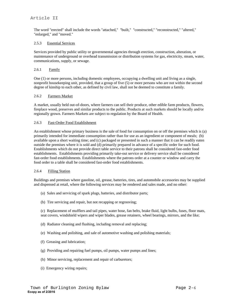The word "erected" shall include the words "attached," "built," "constructed," "reconstructed," "altered," "enlarged," and "moved."

#### 2.5.3 Essential Services

Services provided by public utility or governmental agencies through erection, construction, alteration, or maintenance of underground or overhead transmission or distribution systems for gas, electricity, steam, water, communications, supply, or sewage.

#### 2.6.1 Family

One (1) or more persons, including domestic employees, occupying a dwelling unit and living as a single, nonprofit housekeeping unit, provided, that a group of five (5) or more persons who are not within the second degree of kinship to each other, as defined by civil law, shall not be deemed to constitute a family.

#### 2.6.2 Farmers Market

A market, usually held out-of-doors, where farmers can sell their produce, other edible farm products, flowers, fireplace wood, preserves and similar products to the public. Products at such markets should be locally and/or regionally grown. Farmers Markets are subject to regulation by the Board of Health.

#### 2.6.3 Fast-Order Food Establishment

An establishment whose primary business is the sale of food for consumption on or off the premises which is (a) primarily intended for immediate consumption rather than for use as an ingredient or component of meals; (b) available upon a short waiting time; and (c) packaged or presented in such a manner that it can be readily eaten outside the premises where it is sold and (d) primarily prepared in advance of a specific order for such food. Establishments which do not provide direct table service to their patrons shall be considered fast-order food establishments. Establishments providing primarily take-out service or delivery service shall be considered fast-order food establishments. Establishments where the patrons order at a counter or window and carry the food order to a table shall be considered fast-order food establishments.

#### 2.6.4 Filling Station

Buildings and premises where gasoline, oil, grease, batteries, tires, and automobile accessories may be supplied and dispensed at retail, where the following services may be rendered and sales made, and no other:

- (a) Sales and servicing of spark plugs, batteries, and distributor parts;
- (b) Tire servicing and repair, but not recapping or regrooving;

(c) Replacement of mufflers and tail pipes, water hose, fan belts, brake fluid, light bulbs, fuses, floor mats, seat covers, windshield wipers and wiper blades, grease retainers, wheel bearings, mirrors, and the like;

- (d) Radiator cleaning and flushing, including removal and replacing;
- (e) Washing and polishing, and sale of automotive washing and polishing materials;
- (f) Greasing and lubrication;
- (g) Providing and repairing fuel pumps, oil pumps, water pumps and lines;
- (h) Minor servicing, replacement and repair of carburetors;
- (i) Emergency wiring repairs;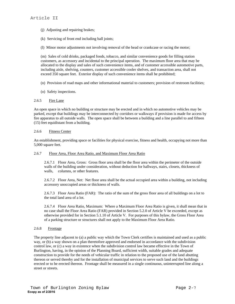- (j) Adjusting and repairing brakes;
- (k) Servicing of front end including ball joints;
- (l) Minor motor adjustments not involving removal of the head or crankcase or racing the motor;

(m) Sales of cold drinks, packaged foods, tobacco, and similar convenience goods for filling station customers, as accessory and incidental to the principal operation. The maximum floor area that may be allocated to the display and sales of such convenience items, and of customer accessible automotive parts, including aisle, shelving, counters, customer accessible cooler shelves, and transaction area, shall not exceed 350 square feet. Exterior display of such convenience items shall be prohibited;

- (n) Provision of road maps and other informational material to customers; provision of restroom facilities;
- (o) Safety inspections.

#### 2.6.5 Fire Lane

An open space in which no building or structure may be erected and in which no automotive vehicles may be parked, except that buildings may be interconnected by corridors or walkways if provision is made for access by fire apparatus to all outside walls. The open space shall be between a building and a line parallel to and fifteen (15) feet equidistant from a building.

#### 2.6.6 Fitness Center

An establishment, providing space or facilities for physical exercise, fitness and health, occupying not more than 5,000 square feet.

#### 2.6.7 Floor Area, Floor Area Ratio, and Maximum Floor Area Ratio

 2.6.7.1 Floor Area, Gross: Gross floor area shall be the floor area within the perimeter of the outside walls of the building under consideration, without deduction for hallways, stairs, closets, thickness of walls, columns, or other features.

 2.6.7.2 Floor Area, Net: Net floor area shall be the actual occupied area within a building, not including accessory unoccupied areas or thickness of walls.

 2.6.7.3 Floor Area Ratio (FAR): The ratio of the sum of the gross floor area of all buildings on a lot to the total land area of a lot.

 2.6.7.4 Floor Area Ratio, Maximum: Where a Maximum Floor Area Ratio is given, it shall mean that in no case shall the Floor Area Ratio (FAR) provided in Section 5.2.0 of Article V be exceeded, except as otherwise provided for in Section 5.1.10 of Article V. For purposes of this bylaw, the Gross Floor Area of a parking structure or structures shall not apply to the Maximum Floor Area Ratio.

#### 2.6.8 Frontage

The property line adjacent to (a) a public way which the Town Clerk certifies is maintained and used as a public way, or (b) a way shown on a plan theretofore approved and endorsed in accordance with the subdivision control law, or (c) a way in existence when the subdivision control law became effective in the Town of Burlington, having, in the opinion of the Planning Board, sufficient width, suitable grades and adequate construction to provide for the needs of vehicular traffic in relation to the proposed use of the land abutting thereon or served thereby and for the installation of municipal services to serve such land and the buildings erected or to be erected thereon. Frontage shall be measured in a single continuous, uninterrupted line along a street or streets.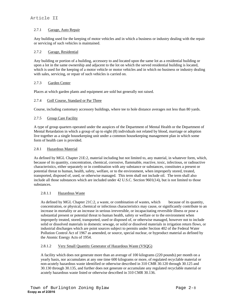#### 2.7.1 Garage, Auto Repair

Any building used for the keeping of motor vehicles and in which a business or industry dealing with the repair or servicing of such vehicles is maintained.

#### 2.7.2 Garage, Residential

Any building or portion of a building, accessory to and located upon the same lot as a residential building or upon a lot in the same ownership and adjacent to the lot on which the served residential building is located, which is used for the keeping of a motor vehicle or motor vehicles and in which no business or industry dealing with sales, servicing, or repair of such vehicles is carried on.

#### 2.7.3 Garden Center

Places at which garden plants and equipment are sold but generally not raised.

#### 2.7.4 Golf Course, Standard or Par Three

Course, including customary accessory buildings, where tee to hole distance averages not less than 80 yards.

#### 2.7.5 Group Care Facility

A type of group quarters operated under the auspices of the Department of Mental Health or the Department of Mental Retardation in which a group of up to eight (8) individuals not related by blood, marriage or adoption live together as a single housekeeping unit under a common housekeeping management plan in which some form of health care is provided.

#### 2.8.1 Hazardous Material

As defined by MGL Chapter 21E:2, material including but not limited to, any material, in whatever form, which, because of its quantity, concentration, chemical, corrosive, flammable, reactive, toxic, infectious, or radioactive characteristics, either separately or in combination with any substance or substances, constitutes a present or potential threat to human, health, safety, welfare, or to the environment, when improperly stored, treated, transported, disposed of, used, or otherwise managed. This term shall not include oil. The term shall also include all those substances which are included under 42 U.S.C. Section 9601(14), but is not limited to those substances.

#### 2.8.1.1 Hazardous Waste

As defined by MGL Chapter 21C:2, a waste, or combination of wastes, which because of its quantity, concentration, or physical, chemical or infectious characteristics may cause, or significantly contribute to an increase in mortality or an increase in serious irreversible, or incapacitating reversible illness or pose a substantial present or potential threat to human health, safety or welfare or to the environment when improperly treated, stored, transported, used or disposed of, or otherwise managed, however not to include solid or dissolved materials in domestic sewage, or solid or dissolved materials in irrigation return flows, or industrial discharges which are point sources subject to permits under Section 402 of the Federal Water Pollution Control Act of 1967 as amended, or source, special nuclear, or byproduct material as defined by the Atomic Energy Acts of 1954.

#### 2.8.1.2 Very Small Quantity Generator of Hazardous Waste (VSQG)

A facility which does not generate more than an average of 100 kilograms (220 pounds) per month on a yearly basis, nor accumulates at any one time 600 kilograms or more, of regulated recyclable material or non-acutely hazardous waste identified or otherwise described in 310 CMR 30.120 through 30.125 and 30.130 through 30.135, and further does not generate or accumulate any regulated recyclable material or acutely hazardous waste listed or otherwise described in 310 CMR 30.136.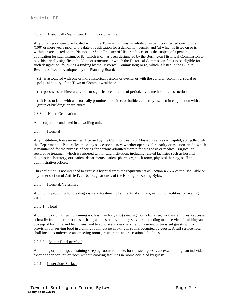#### 2.8.2 Historically Significant Building or Structure

Any building or structure located within the Town which was, in whole or in part, constructed one hundred (100) or more years prior to the date of application for a demolition permit, and (a) which is listed on or is within an area listed on the National or State Register of Historic Places or is the subject of a pending application for such listing; or (b) which is or has been designated by the Burlington Historical Commission to be a historically significant building or structure, or which the Historical Commission finds to be eligible for such designation, following a finding by the Historical Commission; or (c) which is listed in the Cultural Resources Inventory adopted by the Planning Board:

(i) is associated with one or more historical persons or events, or with the cultural, economic, social or political history of the Town or Commonwealth; or

(ii) possesses architectural value or significance in terms of period, style, method of construction, or

(iii) is associated with a historically prominent architect or builder, either by itself or in conjunction with a group of buildings or structures.

#### 2.8.3 Home Occupation

An occupation conducted in a dwelling unit.

#### 2.8.4 Hospital

Any institution, however named, licensed by the Commonwealth of Massachusetts as a hospital, acting through the Department of Public Health or any successor agency, whether operated for charity or as a non-profit, which is maintained for the purpose of caring for persons admitted thereto for diagnosis or medical, surgical or restorative treatment which is rendered within said institution, including related facilities such as hospital diagnostic laboratory, out-patient departments, patient pharmacy, stock room, physical therapy, staff and administrative offices.

This definition is not intended to excuse a hospital from the requirements of Section 4.2.7.4 of the Use Table or any other section of Article IV, "Use Regulations", of the Burlington Zoning Bylaw.

#### 2.8.5 Hospital, Veterinary

A building providing for the diagnosis and treatment of ailments of animals, including facilities for overnight care.

#### 2.8.6.1 Hotel

A building or buildings containing not less than forty (40) sleeping rooms for a fee, for transient guests accessed primarily from interior lobbies or halls, and customary lodging services, including maid service, furnishing and upkeep of furniture and bed linens, and telephone and desk service for resident or transient guests with a provision for serving food in a dining room, but no cooking in rooms occupied by guests. A full service hotel shall include conference and meeting rooms, restaurants and recreational facilities.

#### 2.8.6.2 Motor Hotel or Motel

A building or buildings containing sleeping rooms for a fee, for transient guests, accessed through an individual exterior door per unit or room without cooking facilities in rooms occupied by guests.

#### 2.9.1 Impervious Surface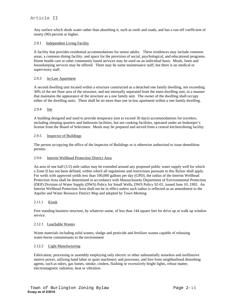Any surface which sheds water rather than absorbing it, such as roofs and roads, and has a run-off coefficient of ninety (90) percent or higher.

#### 2.9.1 Independent Living Facility

A facility that provides residential accommodations for senior adults. These residences may include common areas, a common dining facility, and space for the provision of social, psychological, and educational programs. Home health care or other community based services may be used on an individual basis. Meals, linen and housekeeping services may be offered. There may be some maintenance staff, but there is no medical or supervisory staff.

#### 2.9.3 In-Law Apartment

A second dwelling unit located within a structure constructed as a detached one family dwelling, not exceeding 30% of the net floor area of the structure, and not internally separated from the main dwelling unit, in a manner that maintains the appearance of the structure as a one family unit. The owner of the dwelling shall occupy either of the dwelling units. There shall be no more than one in-law apartment within a one family dwelling.

#### 2.9.4 Inn

A building designed and used to provide temporary (not to exceed 30 days) accommodations for travelers, including sleeping quarters and bathroom facilities, but not cooking facilities, operated under an Innkeeper's license from the Board of Selectmen. Meals may be prepared and served from a central kitchen/dining facility.

#### 2.9.5 Inspector of Buildings

The person occupying the office of the Inspector of Buildings or is otherwise authorized to issue demolition permits.

#### 2.9.6 Interim Wellhead Protection District Area

An area of one half (1/2) mile radius may be extended around any proposed public water supply well for which a Zone II has not been defined, within which all regulations and restrictions pursuant to this Bylaw shall apply. For wells with approved yields less than 100,000 gallons per day (GPD), the radius of the Interim Wellhead Protection Area shall be determined in accordance with Massachusetts Department of Environmental Protection (DEP) Division of Water Supply (DWS) Policy for Small Wells, DWS Policy 92-01, issued June 10, 1992. An Interim Wellhead Protection Area shall not be in effect unless such radius is reflected as an amendment to the Aquifer and Water Resource District Map and adopted by Town Meeting.

#### 2.11.1 Kiosk

Free standing business structure, by whatever name, of less than 144 square feet for drive up or walk up window service.

#### 2.12.1 Leachable Wastes

Waste materials including solid wastes, sludge and pesticide and fertilizer wastes capable of releasing water-borne contaminants to the environment

#### 2.12.2 Light Manufacturing

Fabrication, processing or assembly employing only electric or other substantially noiseless and inoffensive motive power, utilizing hand labor or quiet machinery and processes, and free from neighborhood disturbing agents, such as odors, gas fumes, smoke, cinders, flashing or excessively bright lights, refuse matter, electromagnetic radiation, heat or vibration.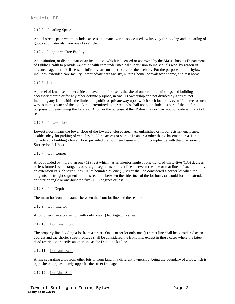#### 2.12.3 Loading Space

An off-street space which includes access and maneuvering space used exclusively for loading and unloading of goods and materials from one (1) vehicle.

#### 2.12.4 Long-term Care Facility

An institution, or distinct part of an institution, which is licensed or approved by the Massachusetts Department of Public Health to provide 24-hour health care under medical supervision to individuals who, by reason of advanced age, chronic illness, or infirmity, are unable to care for themselves. For the purposes of this bylaw, it includes: extended care facility, intermediate care facility, nursing home, convalescent home, and rest home.

#### 2.12.5 Lot

A parcel of land used or set aside and available for use as the site of one or more buildings and buildings accessory thereto or for any other definite purpose, in one (1) ownership and not divided by a street, not including any land within the limits of a public or private way upon which such lot abuts, even if the fee to such way is in the owner of the lot. Land determined to be wetlands shall not be included as part of the lot for purposes of determining the lot area. A lot for the purpose of this Bylaw may or may not coincide with a lot of record.

#### 2.12.6 Lowest floor

Lowest floor means the lower floor of the lowest enclosed area. An unfinished or flood resistant enclosure, usable solely for parking of vehicles, building access or storage in an area other than a basement area, is not considered a building's lower floor, provided that such enclosure is built in compliance with the provisions of Subsection 8.1.6(4).

#### 2.12.7 Lot, Corner

A lot bounded by more than one (1) street which has an interior angle of one-hundred thirty-five (135) degrees or less formed by the tangents or straight segments of street lines between the side or rear lines of such lot or by an extension of such street lines. A lot bounded by one (1) street shall be considered a corner lot when the tangents or straight segments of the street line between the side lines of the lot form, or would form if extended, an interior angle or one-hundred five (105) degrees or less.

#### 2.12.8 Lot Depth

The mean horizontal distance between the front lot line and the rear lot line.

#### 2.12.9 Lot, Interior

A lot, other than a corner lot, with only one (1) frontage on a street.

#### 2.12.10 Lot Line, Front

The property line dividing a lot from a street. On a corner lot only one (1) street line shall be considered as an address and the shorter street frontage shall be considered the front line, except in those cases where the latest deed restrictions specify another line as the front line lot line.

#### 2.12.11 Lot Line, Rear

A line separating a lot from other lots or from land in a different ownership, being the boundary of a lot which is opposite or approximately opposite the street frontage.

#### 2.12.12 Lot Line, Side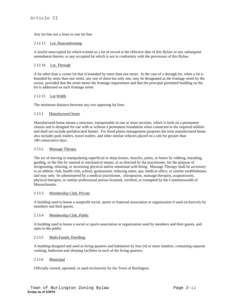Any lot line not a front or rear lot line.

#### 2.12.13 Lot, Nonconforming

A lawful unoccupied lot which existed as a lot of record at the effective date of this Bylaw or any subsequent amendment thereto, or any occupied lot which is not in conformity with the provisions of this Bylaw.

#### 2.12.14 Lot, Through

A lot other than a corner lot that is bounded by more than one street. In the case of a through lot, when a lot is bounded by more than one street, any one of them but only one, may be designated as the frontage street by the owner, provided that the street meets the frontage requirement and that the principal permitted building on the lot is addressed on such frontage street.

#### 2.12.15 Lot Width

The minimum distance between any two opposing lot lines

#### 2.13.1 Manufactured home

Manufactured home means a structure, transportable in one or more sections, which is built on a permanent chassis and is designed for use with or without a permanent foundation when connected to the required utilities and shall not include prefabricated homes. For flood plains management purposes the term manufactured home also includes park trailers, travel trailers, and other similar vehicles placed on a site for greater than 180 consecutive days.

#### 2.13.2 Massage Therapy

The act of moving or manipulating superficial or deep tissues, muscles, joints, or bones by rubbing, kneading, guiding, or the like by manual or mechanical means, or as directed by the practitioner, for the purpose of invigorating, relaxing, or increasing physical and/or emotional well-being. Massage Therapy shall be accessory to an athletic club, health club, school, gymnasium, reducing salon, spa, medical office, or similar establishment, and may only be administered by a medical practitioner, chiropractor, massage therapist, acupuncturist, physical therapist, or similar professional person licensed, certified, or exempted by the Commonwealth of Massachusetts.

#### 2.13.3 Membership Club, Private

A building used to house a nonprofit social, sports or fraternal association or organization if used exclusively by members and their guests.

#### 2.13.4 Membership Club, Public

A building used to house a social or sports association or organization used by members and their guests, and open to the public.

#### 2.13.5 Multi-Family Dwelling

A building designed and used as living quarters and habitation by four (4) or more families, containing separate cooking, bathroom and sleeping facilities in each of the living quarters.

#### 2.13.6 Municipal

Officially owned, operated, or used exclusively by the Town of Burlington.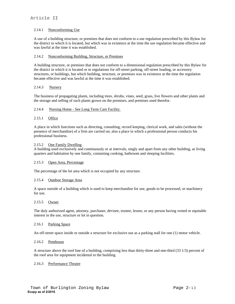#### 2.14.1 Nonconforming Use

A use of a building structure, or premises that does not conform to a use regulation prescribed by this Bylaw for the district in which it is located, but which was in existence at the time the use regulation became effective and was lawful at the time it was established.

#### 2.14.2 Nonconforming Building, Structure, or Premises

A building structure, or premises that does not conform to a dimensional regulation prescribed by this Bylaw for the district in which it is located or to regulations for off-street parking, off-street loading, or accessory structures, or buildings, but which building, structure, or premises was in existence at the time the regulation became effective and was lawful at the time it was established.

#### 2.14.3 Nursery

The business of propagating plants, including trees, shrubs, vines, seed, grass, live flowers and other plants and the storage and selling of such plants grown on the premises, and premises used therefor.

#### 2.14.4 Nursing Home - See Long Term Care Facility.

#### 2.15.1 Office

A place in which functions such as directing, consulting, record keeping, clerical work, and sales (without the presence of merchandise) of a firm are carried on; also a place in which a professional person conducts his professional business.

#### 2.15.2 One Family Dwelling

A building used exclusively and continuously or at intervals, singly and apart from any other building, as living quarters and habitation by one family, containing cooking, bathroom and sleeping facilities.

#### 2.15.3 Open Area, Percentage

The percentage of the lot area which is not occupied by any structure.

#### 2.15.4 Outdoor Storage Area

A space outside of a building which is used to keep merchandise for use, goods to be processed, or machinery for use.

#### 2.15.5 Owner

The duly authorized agent, attorney, purchaser, devisee, trustee, lessee, or any person having vested or equitable interest in the use, structure or lot in question.

#### 2.16.1 Parking Space

An off-street space inside or outside a structure for exclusive use as a parking stall for one (1) motor vehicle.

#### 2.16.2 Penthouse

A structure above the roof line of a building, comprising less than thirty-three and one-third (33 1/3) percent of the roof area for equipment incidental to the building.

#### 2.16.3 Performance Theater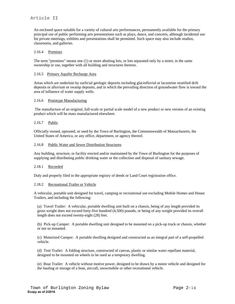An enclosed space suitable for a variety of cultural arts performances, permanently available for the primary principal use of public performing arts presentations such as plays, dance, and concerts, although incidental use for private meetings, exhibits and presentations shall be permitted. Such space may also include studios, classrooms, and galleries.

#### 2.16.4 Premises

The term "premises" means one (1) or more abutting lots, or lots separated only by a street, in the same ownership or use, together with all building and structures thereon.

#### 2.16.5 Primary Aquifer Recharge Area

Areas which are underlain by surficial geologic deposits including glaciofluvial or lacustrine stratified drift deposits or alluvium or swamp deposits, and in which the prevailing direction of groundwater flow is toward the area of influence of water supply wells.

#### 2.16.6 Prototype Manufacturing

 The manufacture of an original, full-scale or partial scale model of a new product or new version of an existing product which will be mass manufactured elsewhere.

#### 2.16.7 Public

Officially owned, operated, or used by the Town of Burlington, the Commonwealth of Massachusetts, the United States of America, or any office, department, or agency thereof.

#### 2.16.8 Public Water and Sewer Distribution Structures

Any building, structure, or facility erected and/or maintained by the Town of Burlington for the purposes of supplying and distributing public drinking water or the collection and disposal of sanitary sewage.

#### 2.18.1 Recorded

Duly and properly filed in the appropriate registry of deeds or Land Court registration office.

#### 2.18.2 Recreational Trailer or Vehicle

A vehicular, portable unit designed for travel, camping or recreational use excluding Mobile Homes and House Trailers, and including the following:

(a) Travel Trailer: A vehicular, portable dwelling unit built on a chassis, being of any length provided its gross weight does not exceed forty-five hundred (4,500) pounds, or being of any weight provided its overall length does not exceed twenty-eight (28) feet.

(b) Pick-up Camper: A portable dwelling unit designed to be mounted on a pick-up truck or chassis, whether or not so mounted.

(c) Motorized Camper: A portable dwelling designed and constructed as an integral part of a self-propelled vehicle.

(d) Tent Trailer: A folding structure, constructed of canvas, plastic or similar water repellant material, designed to be mounted on wheels to be used as a temporary dwelling.

(e) Boat Trailer: A vehicle without motive power, designed to be drawn by a motor vehicle and designed for the hauling or storage of a boat, aircraft, snowmobile or other recreational vehicle.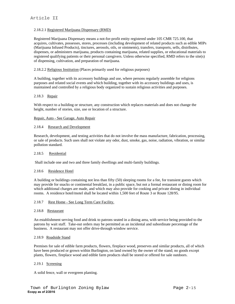#### 2.18.2.1 Registered Marijuana Dispensary (RMD)

Registered Marijuana Dispensary means a not-for-profit entity registered under 105 CMR 725.100, that acquires, cultivates, possesses, stores, processes (including development of related products such as edible MIPs (Marijuana Infused Products), tinctures, aerosols, oils, or ointments), transfers, transports, sells, distributes, dispenses, or administers marijuana, products containing marijuana, related supplies, or educational materials to registered qualifying patients or their personal caregivers. Unless otherwise specified, RMD refers to the site(s) of dispensing, cultivation, and preparation of marijuana.

#### 2.18.2.2 Religious Institution (Places primarily used for religious purposes)

A building, together with its accessory buildings and use, where persons regularly assemble for religions purposes and related social events and which building, together with its accessory buildings and uses, is maintained and controlled by a religious body organized to sustain religious activities and purposes.

#### 2.18.3 Repair

With respect to a building or structure, any construction which replaces materials and does not change the height, number of stories, size, use or location of a structure.

#### Repair, Auto - See Garage, Auto Repair

#### 2.18.4 Research and Development

Research, development, and testing activities that do not involve the mass manufacture, fabrication, processing, or sale of products. Such uses shall not violate any odor, dust, smoke, gas, noise, radiation, vibration, or similar pollution standard.

#### 2.18.5 Residential

Shall include one and two and three family dwellings and multi-family buildings.

#### 2.18.6 Residence Hotel

A building or buildings containing not less than fifty (50) sleeping rooms for a fee, for transient guests which may provide for snacks or continental breakfast, in a public space, but not a formal restaurant or dining room for which additional charges are made, and which may also provide for cooking and private dining in individual rooms. A residence hotel/motel shall be located within 1,500 feet of Route 3 or Route 128/95.

#### 2.18.7 Rest Home - See Long Term Care Facility.

#### 2.18.8 Restaurant

An establishment serving food and drink to patrons seated in a dining area, with service being provided to the patrons by wait staff. Take-out orders may be permitted as an incidental and subordinate percentage of the business. A restaurant may not offer drive-through window service.

#### 2.18.9 Roadside Stand

Premises for sale of edible farm products, flowers, fireplace wood, preserves and similar products, all of which have been produced or grown within Burlington, on land owned by the owner of the stand; no goods except plants, flowers, fireplace wood and edible farm products shall be stored or offered for sale outdoors.

#### 2.19.1 Screening

A solid fence, wall or evergreen planting.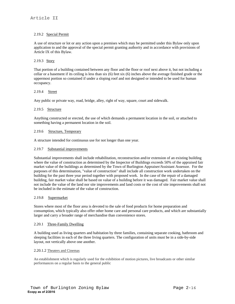#### 2.19.2 Special Permit

A use of structure or lot or any action upon a premises which may be permitted under this Bylaw only upon application to and the approval of the special permit granting authority and in accordance with provisions of Article IX of this Bylaw.

#### 2.19.3 Story

That portion of a building contained between any floor and the floor or roof next above it, but not including a cellar or a basement if its ceiling is less than six (6) feet six (6) inches above the average finished grade or the uppermost portion so contained if under a sloping roof and not designed or intended to be used for human occupancy.

#### 2.19.4 Street

Any public or private way, road, bridge, alley, right of way, square, court and sidewalk.

#### 2.19.5 Structure

Anything constructed or erected, the use of which demands a permanent location in the soil, or attached to something having a permanent location in the soil.

#### 2.19.6 Structure, Temporary

A structure intended for continuous use for not longer than one year.

#### 2.19.7 Substantial improvements

Substantial improvements shall include rehabilitation, reconstruction and/or extension of an existing building where the value of construction as determined by the Inspector of Buildings exceeds 50% of the appraised fair market value of the buildings as determined by the Town of Burlington Appraiser/Assistant Assessor. For the purposes of this determination, "value of construction" shall include all construction work undertaken on the building for the past three year period together with proposed work. In the case of the repair of a damaged building, fair market value shall be based on value of a building before it was damaged. Fair market value shall not include the value of the land nor site improvements and land costs or the cost of site improvements shall not be included in the estimate of the value of construction.

#### 2.19.8 Supermarket

Stores where most of the floor area is devoted to the sale of food products for home preparation and consumption, which typically also offer other home care and personal care products, and which are substantially larger and carry a broader range of merchandise than convenience stores.

#### 2.20.1 Three-Family Dwelling

A building used as living quarters and habitation by three families, containing separate cooking, bathroom and sleeping facilities in each of the three living quarters. The configuration of units must be in a side-by-side layout, not vertically above one another.

#### 2.20.1.2 Theaters and Cinemas

An establishment which is regularly used for the exhibition of motion pictures, live broadcasts or other similar performances on a regular basis to the general public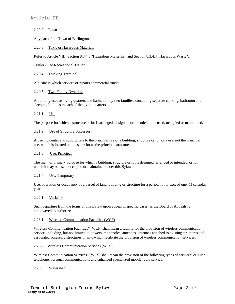#### 2.20.2 Town

Any part of the Town of Burlington.

#### 2.20.3 Toxic or Hazardous Materials

Refer to Article VIII, Section 8.3.4.3 "Hazardous Materials" and Section 8.3.4.4 "Hazardous Waste".

Trailer - See Recreational Trailer

#### 2.20.4 Trucking Terminal

A business which services or repairs commercial trucks.

#### 2.20.5 Two-Family Dwelling

A building used as living quarters and habitation by two families, containing separate cooking, bathroom and sleeping facilities in each of the living quarters.

#### 2.21.1 Use

The purpose for which a structure or lot is arranged, designed, or intended to be used, occupied or maintained.

#### 2.21.2 Use of Structure, Accessory

A use incidental and subordinate to the principal use of a building, structure or lot, or a use, not the principal use, which is located on the same lot as the principal structure.

#### 2.21.3 Use, Principal

The main or primary purpose for which a building, structure or lot is designed, arranged or intended, or for which it may be used, occupied or maintained under this Bylaw.

#### 2.21.4 Use, Temporary

Use, operation or occupancy of a parcel of land, building or structure for a period not to exceed one (1) calendar year.

#### 2.22.1 Variance

Such departure from the terms of this Bylaw upon appeal in specific cases, as the Board of Appeals is empowered to authorize.

#### 2.23.1 Wireless Communication Facilities (WCF)

Wireless Communication Facilities" (WCF) shall mean a facility for the provision of wireless communication service, including, but not limited to, towers, monopoles, antennas, antennas attached to existing structures and associated accessory structures, if any, which facilitate the provision of wireless communication services.

#### 2.23.2 Wireless Communication Services (WCS)

Wireless Communication Services" (WCS) shall mean the provision of the following types of services: cellular telephone, personal communications and enhanced specialized mobile radio service.

#### 2.23.3 Watershed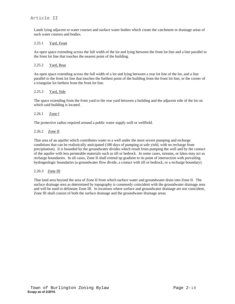Lands lying adjacent to water courses and surface water bodies which create the catchment or drainage areas of such water courses and bodies.

#### 2.25.1 Yard, Front

An open space extending across the full width of the lot and lying between the front lot line and a line parallel to the front lot line that touches the nearest point of the building.

#### 2.25.2 Yard, Rear

An open space extending across the full width of a lot and lying between a rear lot line of the lot, and a line parallel to the front lot line that touches the furthest point of the building from the front lot line, or the corner of a triangular lot farthest from the front lot line.

#### 2.25.3 Yard, Side

The space extending from the front yard to the rear yard between a building and the adjacent side of the lot on which said building is located.

#### 2.26.1 Zone I

The protective radius required around a public water supply well or wellfield.

#### 2.26.2 Zone II

That area of an aquifer which contributes water to a well under the most severe pumping and recharge conditions that can be realistically anticipated (180 days of pumping at safe yield, with no recharge from precipitation). It is bounded by the groundwater divides which result from pumping the well and by the contact of the aquifer with less permeable materials such as till or bedrock. In some cases, streams, or lakes may act as recharge boundaries. In all cases, Zone II shall extend up gradient to its point of intersection with prevailing hydrogeologic boundaries (a groundwater flow divide, a contact with till or bedrock, or a recharge boundary).

#### 2.26.3 Zone III

That land area beyond the area of Zone II from which surface water and groundwater drain into Zone II. The surface drainage area as determined by topography is commonly coincident with the groundwater drainage area and will be used to delineate Zone III. In locations where surface and groundwater drainage are not coincident, Zone III shall consist of both the surface drainage and the groundwater drainage areas.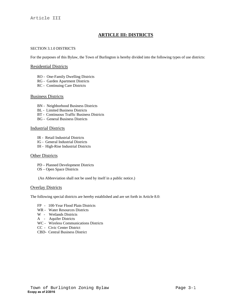# **ARTICLE III: DISTRICTS**

#### SECTION 3.1.0 DISTRICTS

For the purposes of this Bylaw, the Town of Burlington is hereby divided into the following types of use districts:

#### Residential Districts

- RO One-Family Dwelling Districts
- RG Garden Apartment Districts
- RC Continuing Care Districts

#### Business Districts

- BN Neighborhood Business Districts
- BL Limited Business Districts
- BT Continuous Traffic Business Districts
- BG General Business Districts

#### Industrial Districts

- IR Retail Industrial Districts
- IG General Industrial Districts
- IH High-Rise Industrial Districts

#### Other Districts

- PD Planned Development Districts
- OS Open Space Districts

(An Abbreviation shall not be used by itself in a public notice.)

#### **Overlay Districts**

The following special districts are hereby established and are set forth in Article 8.0:

- FP 100-Year Flood Plain Districts
- WR Water Resources Districts
- W Wetlands Districts
- A Aquifer Districts
- WC Wireless Communications Districts
- CC Civic Center District
- CBD- Central Business District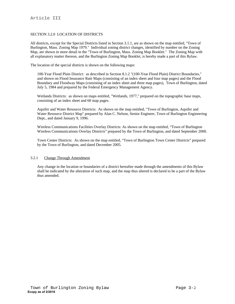#### SECTION 3.2.0 LOCATION OF DISTRICTS

All districts, except for the Special Districts listed in Section 3.1.1, are as shown on the map entitled, "Town of Burlington, Mass. Zoning Map 1979." Individual zoning district changes, identified by number on the Zoning Map, are shown in more detail in the "Town of Burlington, Mass. Zoning Map Booklet." The Zoning Map with all explanatory matter thereon, and the Burlington Zoning Map Booklet, is hereby made a part of this Bylaw.

The location of the special districts is shown on the following maps:

100-Year Flood Plain District: as described in Section 8.1.2 "(100-Year Flood Plain) District Boundaries," and shown on Flood Insurance Rate Maps (consisting of an index sheet and four map pages) and the Flood Boundary and Floodway Maps (consisting of an index sheet and three map pages), Town of Burlington, dated July 5, 1984 and prepared by the Federal Emergency Management Agency.

Wetlands Districts: as shown on maps entitled, "Wetlands, 1977," prepared on the topographic base maps, consisting of an index sheet and 60 map pages.

Aquifer and Water Resource Districts: As shown on the map entitled, "Town of Burlington, Aquifer and Water Resource District Map" prepared by Alan C. Nelson, Senior Engineer, Town of Burlington Engineering Dept., and dated January 9, 1996.

Wireless Communications Facilities Overlay Districts: As shown on the map entitled, "Town of Burlington Wireless Communications Overlay Districts" prepared by the Town of Burlington, and dated September 2000.

Town Center Districts: As shown on the map entitled, "Town of Burlington Town Center Districts" prepared by the Town of Burlington, and dated December 2005.

#### 3.2.1 Change Through Amendment

Any change in the location or boundaries of a district hereafter made through the amendments of this Bylaw shall be indicated by the alteration of such map, and the map thus altered is declared to be a part of the Bylaw thus amended.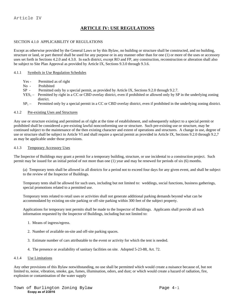# **ARTICLE IV: USE REGULATIONS**

#### SECTION 4.1.0 APPLICABILITY OF REGULATIONS

Except as otherwise provided by the General Laws or by this Bylaw, no building or structure shall be constructed, and no building, structure or land, or part thereof shall be used for any purpose or in any manner other than for one (1) or more of the uses or accessory uses set forth in Sections 4.2.0 and 4.3.0. In each district, except RO and FP, any construction, reconstruction or alteration shall also be subject to Site Plan Approval as provided by Article IX, Sections 9.3.0 through 9.3.6.

#### 4.1.1 Symbols in Use Regulation Schedules

- Yes Permitted as of right
- No Prohibited
- SP Permitted only by a special permit, as provided by Article IX, Sections 9.2.0 through 9.2.7.
- $YES<sub>1</sub>$  Permitted by right in a CC or CBD overlay district, even if prohibited or allowed only by SP in the underlying zoning district.
- $SP<sub>1</sub>$  Permitted only by a special permit in a CC or CBD overlay district, even if prohibited in the underlying zoning district.

#### 4.1.2 Pre-existing Uses and Structures

Any use or structure existing and permitted as of right at the time of establishment, and subsequently subject to a special permit or prohibited shall be considered a pre-existing lawful nonconforming use or structure. Such pre-existing use or structure, may be continued subject to the maintenance of the then existing character and extent of operations and structures. A change in use, degree of use or structure shall be subject to Article VI and shall require a special permit as provided in Article IX, Sections 9.2.0 through 9.2,7 as may be applicable under those provisions.

#### 4.1.3 Temporary Accessory Uses

The Inspector of Buildings may grant a permit for a temporary building, structure, or use incidental to a construction project. Such permit may be issued for an initial period of not more than one (1) year and may be renewed for periods of six (6) months.

(a) Temporary tents shall be allowed in all districts for a period not to exceed four days for any given event, and shall be subject to the review of the Inspector of Buildings.

Temporary tents shall be allowed for such uses, including but not limited to: weddings, social functions, business gatherings, special promotions related to a permitted use.

Temporary tents related to retail uses or activities shall not generate additional parking demands beyond what can be accommodated by existing on-site parking or off-site parking within 300 feet of the subject property.

Applications for temporary tent permits shall be made to the Inspector of Buildings. Applicants shall provide all such information requested by the Inspector of Buildings, including but not limited to:

- 1. Means of ingress/egress.
- 2. Number of available on-site and off-site parking spaces.
- 3. Estimate number of cars attributable to the event or activity for which the tent is needed.
- 4. The presence or availability of sanitary facilities on site. Adopted 5-23-88, Art. 72.

#### 4.1.4 Use Limitations

Any other provisions of this Bylaw notwithstanding, no use shall be permitted which would create a nuisance because of, but not limited to, noise, vibration, smoke, gas, fumes, illumination, odors, and dust; or which would create a hazard of radiation, fire, explosion or contamination of the water supply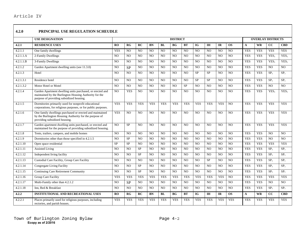#### **4.2.0 PRINCIPAL USE REGULATION SCHEUDLE**

|                       | <b>USE DESIGNATION</b>                                                                                                                                          | <b>DISTRICT</b><br><b>OVERLAY DISTRICTS</b> |                |                 |                |                |                |                |                |                |                |                 |              |            |                  |                  |
|-----------------------|-----------------------------------------------------------------------------------------------------------------------------------------------------------------|---------------------------------------------|----------------|-----------------|----------------|----------------|----------------|----------------|----------------|----------------|----------------|-----------------|--------------|------------|------------------|------------------|
| 4.2.1                 | <b>RESIDENCE USES</b>                                                                                                                                           | RO.                                         | RG             | RC              | <b>BN</b>      | BL             | <b>BG</b>      | <b>BT</b>      | IG             | IH             | <b>IR</b>      | <b>OS</b>       | $\mathbf{A}$ | <b>WR</b>  | cc               | <b>CBD</b>       |
| 4.2.1.1               | One family dwellings                                                                                                                                            | <b>YES</b>                                  | NO.            | N <sub>O</sub>  | N <sub>O</sub> | NO.            | NO.            | N <sub>O</sub> | N <sub>O</sub> | N <sub>O</sub> | N <sub>O</sub> | NO.             | <b>YES</b>   | <b>YES</b> | <b>YES</b>       | <b>YES</b>       |
| 4.2.1.1.A             | 2-Family Dwellings                                                                                                                                              | N <sub>O</sub>                              | NO.            | NO              | N <sub>O</sub> | N <sub>O</sub> | NO.            | N <sub>O</sub> | N <sub>O</sub> | N <sub>O</sub> | N <sub>O</sub> | NO              | <b>YES</b>   | <b>YES</b> | YES <sub>1</sub> | YES <sub>1</sub> |
| 4.2.1.1.B             | 3-Family Dwellings                                                                                                                                              | N <sub>O</sub>                              | NO.            | NO              | N <sub>O</sub> | N <sub>O</sub> | N <sub>O</sub> | N <sub>O</sub> | N <sub>O</sub> | N <sub>O</sub> | N <sub>O</sub> | N <sub>O</sub>  | <b>YES</b>   | <b>YES</b> | YES <sub>1</sub> | YES <sub>1</sub> |
| 4.2.1.2               | Garden Apartment dwelling units (see 11.3.0)                                                                                                                    | N <sub>O</sub>                              | <b>SP</b>      | NO              | N <sub>O</sub> | NO.            | N <sub>O</sub> | N <sub>O</sub> | N <sub>O</sub> | N <sub>O</sub> | N <sub>O</sub> | N <sub>O</sub>  | <b>YES</b>   | <b>YES</b> | N <sub>O</sub>   | NO.              |
| 4.2.1.3               | Hotel                                                                                                                                                           | N <sub>O</sub>                              | NO.            | NO.             | N <sub>O</sub> | N <sub>O</sub> | NO.            | N <sub>O</sub> | $\rm SP$       | <b>SP</b>      | N <sub>O</sub> | N <sub>O</sub>  | <b>YES</b>   | <b>YES</b> | SP <sub>1</sub>  | SP <sub>1</sub>  |
| 4.2.1.3.1             | Residence hotel                                                                                                                                                 | N <sub>O</sub>                              | N <sub>O</sub> | NO              | N <sub>O</sub> | NO.            | N <sub>O</sub> | N <sub>O</sub> | <b>SP</b>      | <b>SP</b>      | N <sub>O</sub> | N <sub>O</sub>  | <b>YES</b>   | <b>YES</b> | SP <sub>1</sub>  | SP <sub>1</sub>  |
| 4.2.1.3.2             | Motor Hotel or Motel                                                                                                                                            | N <sub>O</sub>                              | N <sub>O</sub> | NO              | N <sub>O</sub> | N <sub>O</sub> | N <sub>O</sub> | <b>SP</b>      | N <sub>O</sub> | N <sub>O</sub> | N <sub>O</sub> | NO              | <b>YES</b>   | <b>YES</b> | NO.              | N <sub>O</sub>   |
| $4.\overline{2.1.4}$  | Garden Apartment dwelling units purchased, or erected and<br>maintained by the Burlington Housing Authority for the<br>purpose of providing subsidized housing. | N <sub>O</sub>                              | <b>YES</b>     | $\overline{NO}$ | N <sub>O</sub> | NO.            | N <sub>O</sub> | N <sub>O</sub> | N <sub>O</sub> | NO             | N <sub>O</sub> | $\overline{NO}$ | <b>YES</b>   | <b>YES</b> | YES <sub>1</sub> | YES <sub>1</sub> |
| 4.2.1.5               | Dormitories primarily used for nonprofit educational<br>corporations, for religious purposes, or for public purposes.                                           | <b>YES</b>                                  | <b>YES</b>     | <b>YES</b>      | <b>YES</b>     | <b>YES</b>     | <b>YES</b>     | <b>YES</b>     | <b>YES</b>     | <b>YES</b>     | <b>YES</b>     | NO              | <b>YES</b>   | <b>YES</b> | <b>YES</b>       | <b>YES</b>       |
| 4.2.1.6               | One family dwellings purchased or erected and maintained<br>by the Burlington Housing Authority for the purpose of<br>providing subsidized housing.             | <b>YES</b>                                  | NO             | NO.             | N <sub>O</sub> | N <sub>O</sub> | N <sub>O</sub> | N <sub>O</sub> | N <sub>O</sub> | N <sub>O</sub> | N <sub>O</sub> | N <sub>O</sub>  | <b>YES</b>   | <b>YES</b> | <b>YES</b>       | <b>YES</b>       |
| 4.2.1.7               | Garden apartment dwelling units purchased, or erected and<br>maintained for the purpose of providing subsidized housing.                                        | N <sub>O</sub>                              | <b>SP</b>      | NO              | N <sub>O</sub> | N <sub>O</sub> | N <sub>O</sub> | N <sub>O</sub> | N <sub>O</sub> | N <sub>O</sub> | N <sub>O</sub> | N <sub>O</sub>  | <b>YES</b>   | <b>YES</b> | <b>YES</b>       | <b>YES</b>       |
| 4.2.1.8               | Tents, trailers, campers, and mobile homes                                                                                                                      | N <sub>O</sub>                              | N <sub>O</sub> | NO.             | N <sub>O</sub> | NO.            | NO.            | N <sub>O</sub> | N <sub>O</sub> | N <sub>O</sub> | N <sub>O</sub> | N <sub>O</sub>  | <b>YES</b>   | <b>YES</b> | NO.              | N <sub>O</sub>   |
| 4.2.1.9               | Dormitories other than those specified in 4.2.1.5                                                                                                               | N <sub>O</sub>                              | <b>SP</b>      | NO              | N <sub>O</sub> | NO             | NO.            | N <sub>O</sub> | NO             | N <sub>O</sub> | N <sub>O</sub> | NO              | <b>YES</b>   | <b>YES</b> | NO               | NO               |
| $4.\overline{2.1.10}$ | Open space residential                                                                                                                                          | <b>SP</b>                                   | <b>SP</b>      | N <sub>O</sub>  | N <sub>O</sub> | <b>NO</b>      | N <sub>O</sub> | N <sub>O</sub> | N <sub>O</sub> | N <sub>O</sub> | N <sub>O</sub> | NO              | <b>YES</b>   | <b>YES</b> | <b>YES</b>       | <b>YES</b>       |
| 4.2.1.11              | <b>Assisted Living</b>                                                                                                                                          | NO.                                         | N <sub>O</sub> | SP              | N <sub>O</sub> | N <sub>O</sub> | NO.            | N <sub>O</sub> | N <sub>O</sub> | N <sub>O</sub> | N <sub>O</sub> | NO.             | <b>YES</b>   | <b>YES</b> | SP <sub>1</sub>  | SP <sub>1</sub>  |
| 4.2.1.12              | Independent living facility                                                                                                                                     | N <sub>O</sub>                              | NO.            | SP              | N <sub>O</sub> | N <sub>O</sub> | NO.            | N <sub>O</sub> | N <sub>O</sub> | NO             | N <sub>O</sub> | NO.             | <b>YES</b>   | <b>YES</b> | SP <sub>1</sub>  | SP <sub>1</sub>  |
| 4.2.1.13              | Custodial Care Facility, Group Care Facility                                                                                                                    | N <sub>O</sub>                              | N <sub>O</sub> | NO.             | N <sub>O</sub> | NO.            | NO.            | N <sub>O</sub> | N <sub>O</sub> | <b>SP</b>      | N <sub>O</sub> | NO.             | <b>YES</b>   | <b>YES</b> | SP <sub>1</sub>  | SP <sub>1</sub>  |
| 4.2.1.14              | <b>Congregate Living Facility</b>                                                                                                                               | N <sub>O</sub>                              | NO.            | $\rm SP$        | N <sub>O</sub> | NO             | NO.            | N <sub>O</sub> | NO             | NO             | N <sub>O</sub> | NO              | <b>YES</b>   | <b>YES</b> | SP <sub>1</sub>  | SP <sub>1</sub>  |
| 4.2.1.15              | <b>Continuing Care Retirement Community</b>                                                                                                                     | N <sub>O</sub>                              | N <sub>O</sub> | SP              | N <sub>O</sub> | N <sub>O</sub> | NO.            | N <sub>O</sub> | N <sub>O</sub> | NO             | N <sub>O</sub> | N <sub>O</sub>  | <b>YES</b>   | <b>YES</b> | SP <sub>1</sub>  | SP <sub>1</sub>  |
| 4.2.1.16              | <b>Group Care Facility</b>                                                                                                                                      | <b>YES</b>                                  | <b>YES</b>     | <b>YES</b>      | <b>YES</b>     | <b>YES</b>     | <b>YES</b>     | <b>YES</b>     | <b>YES</b>     | <b>YES</b>     | <b>YES</b>     | NO.             | <b>YES</b>   | <b>YES</b> | <b>YES</b>       | <b>YES</b>       |
| 4.2.1.17              | Multi-Family other than 4.2.1.2                                                                                                                                 | N <sub>O</sub>                              | <b>SP</b>      | NO              | N <sub>O</sub> | N <sub>O</sub> | N <sub>O</sub> | N <sub>O</sub> | N <sub>O</sub> | NO             | N <sub>O</sub> | N <sub>O</sub>  | <b>YES</b>   | <b>YES</b> | N <sub>O</sub>   | NO.              |
| 4.2.1.18              | Inn, Bed & Breakfast                                                                                                                                            | N <sub>O</sub>                              | N <sub>O</sub> | N <sub>O</sub>  | N <sub>O</sub> | <b>NO</b>      | N <sub>O</sub> | NO.            | N <sub>O</sub> | N <sub>O</sub> | N <sub>O</sub> | N <sub>O</sub>  | <b>YES</b>   | <b>YES</b> | SP <sub>1</sub>  | SP <sub>1</sub>  |
| 4.2.2                 | <b>INSTITUTIONAL AND RECREATIONAL USES</b>                                                                                                                      | RO                                          | RG             | RC              | <b>BN</b>      | <b>BL</b>      | <b>BG</b>      | <b>BT</b>      | IG             | <b>IH</b>      | <b>IR</b>      | <b>OS</b>       | $\mathbf{A}$ | <b>WR</b>  | cc               | <b>CBD</b>       |
| 4.2.2.1               | Places primarily used for religious purposes, including<br>rectories, and parish houses.                                                                        | <b>YES</b>                                  | <b>YES</b>     | <b>YES</b>      | <b>YES</b>     | <b>YES</b>     | <b>YES</b>     | <b>YES</b>     | <b>YES</b>     | <b>YES</b>     | <b>YES</b>     | <b>YES</b>      | <b>YES</b>   | <b>YES</b> | <b>YES</b>       | <b>YES</b>       |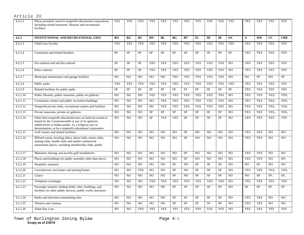| 4.2.2.2  | Places primarily used for nonprofit educational corporations,<br>including related museums, libraries and recreational<br>facilities.                                                                                                 | <b>YES</b>     | <b>YES</b>     | <b>YES</b>     | <b>YES</b>     | <b>YES</b>     | <b>YES</b>      | <b>YES</b>     | <b>YES</b>     | <b>YES</b>     | <b>YES</b>     | <b>YES</b>     | <b>YES</b> | <b>YES</b> | <b>YES</b>       | <b>YES</b>       |
|----------|---------------------------------------------------------------------------------------------------------------------------------------------------------------------------------------------------------------------------------------|----------------|----------------|----------------|----------------|----------------|-----------------|----------------|----------------|----------------|----------------|----------------|------------|------------|------------------|------------------|
| 4.2.2    | INSTITUTIONAL AND RECREATIONAL USES                                                                                                                                                                                                   | RO             | RG             | RC             | <b>BN</b>      | BL             | BG <sub>r</sub> | <b>BT</b>      | <b>IG</b>      | IH             | IR             | <b>OS</b>      | A          | <b>WR</b>  | cc               | <b>CBD</b>       |
| 4.2.2.3  | Child Care Facility                                                                                                                                                                                                                   | <b>YES</b>     | <b>YES</b>     | <b>YES</b>     | <b>YES</b>     | <b>YES</b>     | <b>YES</b>      | <b>YES</b>     | <b>YES</b>     | <b>YES</b>     | <b>YES</b>     | <b>YES</b>     | <b>YES</b> | <b>YES</b> | <b>YES</b>       | <b>YES</b>       |
| 4.2.2.4  | Cemeteries and related facilities                                                                                                                                                                                                     | <b>SP</b>      | <b>SP</b>      | <b>SP</b>      | <b>SP</b>      | <b>SP</b>      | <b>SP</b>       | <b>SP</b>      | <b>SP</b>      | <b>SP</b>      | <b>SP</b>      | <b>SP</b>      | <b>YES</b> | <b>YES</b> | <b>YES</b>       | <b>YES</b>       |
| 4.2.2.5  | Fire stations and sub-fire stations                                                                                                                                                                                                   | <b>SP</b>      | <b>SP</b>      | <b>SP</b>      | <b>YES</b>     | <b>YES</b>     | <b>YES</b>      | <b>YES</b>     | <b>YES</b>     | <b>YES</b>     | <b>YES</b>     | N <sub>O</sub> | <b>YES</b> | <b>YES</b> | <b>YES</b>       | <b>YES</b>       |
| 4.2.2.6  | Police stations                                                                                                                                                                                                                       | <b>SP</b>      | <b>SP</b>      | <b>SP</b>      | <b>YES</b>     | <b>YES</b>     | <b>YES</b>      | <b>YES</b>     | <b>YES</b>     | <b>YES</b>     | <b>YES</b>     | N <sub>O</sub> | <b>YES</b> | <b>YES</b> | <b>YES</b>       | <b>YES</b>       |
| 4.2.2.7  | Municipal maintenance and garage facilities                                                                                                                                                                                           | N <sub>O</sub> | N <sub>O</sub> | N <sub>O</sub> | N <sub>O</sub> | N <sub>O</sub> | <b>YES</b>      | <b>YES</b>     | <b>YES</b>     | <b>YES</b>     | <b>YES</b>     | N <sub>O</sub> | NO         | <b>SP</b>  | NO.              | <b>SP</b>        |
| 4.2.2.8  | Public parks                                                                                                                                                                                                                          | <b>YES</b>     | <b>YES</b>     | <b>YES</b>     | <b>YES</b>     | <b>YES</b>     | <b>YES</b>      | <b>YES</b>     | <b>YES</b>     | <b>YES</b>     | <b>YES</b>     | <b>YES</b>     | <b>YES</b> | <b>YES</b> | <b>YES</b>       | <b>YES</b>       |
| 4.2.2.9  | Related facilities for public parks                                                                                                                                                                                                   | SP             | $\rm SP$       | SP             | SP             | ${\rm SP}$     | SP              | SP             | ${\rm SP}$     | $\rm SP$       | <b>SP</b>      | SP             | <b>YES</b> | <b>YES</b> | <b>YES</b>       | <b>YES</b>       |
| 4.2.2.10 | Public libraries, public museums, public art galleries                                                                                                                                                                                | N <sub>O</sub> | N <sub>O</sub> | N <sub>O</sub> | <b>YES</b>     | <b>YES</b>     | <b>YES</b>      | <b>YES</b>     | <b>YES</b>     | <b>YES</b>     | <b>YES</b>     | N <sub>O</sub> | <b>YES</b> | <b>YES</b> | YES <sub>1</sub> | YES <sub>1</sub> |
| 4.2.2.11 | Community centers and public recreation buildings                                                                                                                                                                                     | NO             | N <sub>O</sub> | N <sub>O</sub> | NO.            | <b>YES</b>     | <b>YES</b>      | <b>YES</b>     | <b>YES</b>     | <b>YES</b>     | <b>YES</b>     | N <sub>O</sub> | <b>YES</b> | <b>YES</b> | YES <sub>1</sub> | YES <sub>1</sub> |
| 4.2.2.12 | Nonprofit private clubs, recreational centers and facilities                                                                                                                                                                          | NO             | NO             | NO             | NO             | <b>YES</b>     | <b>YES</b>      | <b>YES</b>     | <b>YES</b>     | <b>YES</b>     | <b>YES</b>     | N <sub>O</sub> | <b>YES</b> | <b>YES</b> | YES <sub>1</sub> | YES <sub>1</sub> |
| 4.2.2.13 | Private museums, private art galleries                                                                                                                                                                                                | N <sub>O</sub> | N <sub>O</sub> | N <sub>O</sub> | <b>SP</b>      | ${\rm SP}$     | <b>SP</b>       | ${\rm SP}$     | <b>SP</b>      | ${\rm SP}$     | <b>SP</b>      | N <sub>O</sub> | <b>YES</b> | <b>YES</b> | YES <sub>1</sub> | YES <sub>1</sub> |
| 4.2.2.14 | Other than nonprofit educational uses on land not owned or<br>leased by the Commonwealth or any of its agencies,<br>subdivisions or bodies politic, by a religious sect or<br>denomination, or by a nonprofit educational corporation | N <sub>O</sub> | N <sub>O</sub> | N <sub>O</sub> | <b>SP</b>      | <b>YES</b>     | <b>YES</b>      | <b>SP</b>      | SP             | <b>SP</b>      | <b>SP</b>      | N <sub>O</sub> | <b>YES</b> | <b>YES</b> | <b>YES</b>       | <b>YES</b>       |
| 4.2.2.15 | Golf courses and related facilities                                                                                                                                                                                                   | NO             | N <sub>O</sub> | N <sub>O</sub> | N <sub>O</sub> | N <sub>O</sub> | N <sub>O</sub>  | <b>SP</b>      | NO             | N <sub>O</sub> | N <sub>O</sub> | N <sub>O</sub> | <b>YES</b> | <b>YES</b> | N <sub>O</sub>   | NO               |
| 4.2.2.16 | Billiard rooms, bowling alleys, dance halls, tennis clubs,<br>skating rinks, health clubs and similar commercial<br>amusement places, including membership clubs, public                                                              | N <sub>O</sub> | N <sub>O</sub> | N <sub>O</sub> | N <sub>O</sub> | N <sub>O</sub> | N <sub>O</sub>  | <b>SP</b>      | NO.            | N <sub>O</sub> | N <sub>O</sub> | N <sub>O</sub> | <b>YES</b> | <b>YES</b> | N <sub>O</sub>   | NO               |
| 4.2.2.17 | Miniature, driving, and novelty golf installations                                                                                                                                                                                    | NO             | N <sub>O</sub> | N <sub>O</sub> | N <sub>O</sub> | N <sub>O</sub> | N <sub>O</sub>  | <b>SP</b>      | NO.            | N <sub>O</sub> | N <sub>O</sub> | N <sub>O</sub> | <b>YES</b> | <b>YES</b> | N <sub>O</sub>   | NO               |
| 4.2.2.18 | Places and buildings for public assembly other than above                                                                                                                                                                             | NO             | N <sub>O</sub> | N <sub>O</sub> | N <sub>O</sub> | NO             | N <sub>O</sub>  | <b>SP</b>      | N <sub>O</sub> | N <sub>O</sub> | N <sub>O</sub> | N <sub>O</sub> | <b>YES</b> | <b>YES</b> | N <sub>O</sub>   | NO.              |
| 4.2.2.19 | Hospitals, sanatoria                                                                                                                                                                                                                  | NO.            | NO             | NO             | NO.            | N <sub>O</sub> | <b>SP</b>       | N <sub>O</sub> | <b>SP</b>      | <b>SP</b>      | <b>SP</b>      | N <sub>O</sub> | NO.        | <b>SP</b>  | NO               | NO               |
| 4.2.2.20 | Convalescent, rest homes and nursing homes                                                                                                                                                                                            | N <sub>O</sub> | NO             | <b>YES</b>     | NO             | NO             | <b>SP</b>       | NO             | <b>SP</b>      | <b>SP</b>      | <b>SP</b>      | N <sub>O</sub> | <b>YES</b> | <b>YES</b> | YES <sub>1</sub> | YES <sub>1</sub> |
| 4.2.2.21 | Clinics                                                                                                                                                                                                                               | N <sub>O</sub> | NO             | NO             | NO             | NO             | <b>SP</b>       | NO             | <b>SP</b>      | $\rm SP$       | <b>SP</b>      | N <sub>O</sub> | NO         | SP         | SP <sub>1</sub>  | SP <sub>1</sub>  |
| 4.2.2.22 | Telephone exchanges                                                                                                                                                                                                                   | N <sub>O</sub> | N <sub>O</sub> | N <sub>O</sub> | <b>YES</b>     | <b>YES</b>     | <b>YES</b>      | <b>YES</b>     | <b>YES</b>     | <b>YES</b>     | <b>YES</b>     | N <sub>O</sub> | <b>YES</b> | <b>YES</b> | <b>YES</b>       | <b>YES</b>       |
| 4.2.2.23 | Passenger stations; landing fields; sites, buildings, and<br>facilities for other public services; public works structures                                                                                                            | N <sub>O</sub> | N <sub>O</sub> | N <sub>O</sub> | NO.            | N <sub>O</sub> | <b>SP</b>       | <b>SP</b>      | <b>SP</b>      | <b>SP</b>      | <b>SP</b>      | N <sub>O</sub> | <b>SP</b>  | <b>SP</b>  | <b>SP</b>        | <b>SP</b>        |
| 4.2.2.24 | Radio and television transmitting sites                                                                                                                                                                                               | NO.            | N <sub>O</sub> | N <sub>O</sub> | N <sub>O</sub> | N <sub>O</sub> | <b>SP</b>       | <b>SP</b>      | <b>SP</b>      | <b>SP</b>      | <b>SP</b>      | N <sub>O</sub> | <b>YES</b> | <b>YES</b> | N <sub>O</sub>   | N <sub>O</sub>   |
| 4.2.2.25 | Theaters and cinemas                                                                                                                                                                                                                  | N <sub>O</sub> | N <sub>O</sub> | N <sub>O</sub> | NO             | N <sub>O</sub> | <b>SP</b>       | <b>SP</b>      | <b>SP</b>      | <b>SP</b>      | <b>SP</b>      | N <sub>O</sub> | <b>YES</b> | <b>YES</b> | N <sub>O</sub>   | NO               |
| 4.2.2.26 | <b>Adult Day Care</b>                                                                                                                                                                                                                 | NO             | NO             | <b>YES</b>     | <b>YES</b>     | <b>YES</b>     | <b>YES</b>      | <b>YES</b>     | <b>YES</b>     | <b>YES</b>     | <b>YES</b>     | N <sub>O</sub> | <b>YES</b> | <b>YES</b> | <b>YES</b>       | <b>YES</b>       |

#### Town of Burlington Zoning Bylaw Page 4-3 **Ecopy as of 2/2016**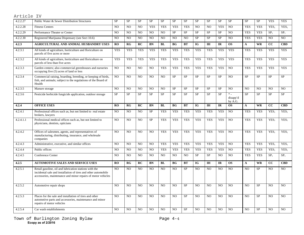| 4.2.2.27  | Public Water & Sewer Distribution Structures                                                                                                                                             | <b>SP</b>      | <b>SP</b>      | <b>SP</b>      | <b>SP</b>      | <b>SP</b>      | <b>SP</b>      | <b>SP</b>  | <b>SP</b>      | <b>SP</b>      | <b>SP</b>      | <b>SP</b>                       | <b>SP</b>       | $\rm SP$       | <b>YES</b>       | <b>YES</b>                |
|-----------|------------------------------------------------------------------------------------------------------------------------------------------------------------------------------------------|----------------|----------------|----------------|----------------|----------------|----------------|------------|----------------|----------------|----------------|---------------------------------|-----------------|----------------|------------------|---------------------------|
| 4.2.2.28  | <b>Fitness Centers</b>                                                                                                                                                                   | N <sub>O</sub> | N <sub>O</sub> | N <sub>O</sub> | <b>YES</b>     | <b>YES</b>     | <b>YES</b>     | <b>YES</b> | N <sub>O</sub> | N <sub>O</sub> | <b>YES</b>     | N <sub>O</sub>                  | <b>YES</b>      | <b>YES</b>     | YES <sub>1</sub> | YES <sub>1</sub>          |
| 4.2.2.29  | Performance Theater or Center                                                                                                                                                            | N <sub>O</sub> | NO             | N <sub>O</sub> | NO             | N <sub>O</sub> | <b>SP</b>      | <b>SP</b>  | <b>SP</b>      | <b>SP</b>      | <b>SP</b>      | N <sub>O</sub>                  | <b>YES</b>      | <b>YES</b>     | SP <sub>1</sub>  | SP <sub>1</sub>           |
| 4.2.2.30  | Registered Marijuana Dispensary (see Sect 10.6)                                                                                                                                          | NO             | N <sub>O</sub> | N <sub>O</sub> | NO.            | N <sub>O</sub> | N <sub>O</sub> | NO.        | <b>SP</b>      | <b>SP</b>      | <b>SP</b>      | N <sub>O</sub>                  | <b>YES</b>      | <b>YES</b>     | N <sub>O</sub>   | N <sub>O</sub>            |
| 4.2.3     | AGRICULTURAL AND ANIMAL HUSBANDRY USES                                                                                                                                                   | RO             | RG             | RC             | <b>BN</b>      | BL             | <b>BG</b>      | <b>BT</b>  | <b>IG</b>      | <b>IH</b>      | IR             | <b>OS</b>                       | $\mathbf{A}$    | <b>WR</b>      | cc               | <b>CBD</b>                |
| 4.2.3.1   | All kinds of agriculture, horticulture and floriculture on<br>parcels of five acres or more                                                                                              | <b>YES</b>     | <b>YES</b>     | <b>YES</b>     | <b>YES</b>     | <b>YES</b>     | <b>YES</b>     | <b>YES</b> | <b>YES</b>     | <b>YES</b>     | <b>YES</b>     | <b>YES</b>                      | <b>YES</b>      | <b>YES</b>     | <b>YES</b>       | <b>YES</b>                |
| 4.2.3.2   | All kinds of agriculture, horticulture and floriculture on<br>parcels of less than five acres                                                                                            | <b>YES</b>     | <b>YES</b>     | <b>YES</b>     | <b>YES</b>     | <b>YES</b>     | <b>YES</b>     | <b>YES</b> | <b>YES</b>     | <b>YES</b>     | <b>YES</b>     | <b>YES</b>                      | <b>YES</b>      | <b>YES</b>     | <b>YES</b>       | <b>YES</b>                |
| 4.2.3.3   | Garden centers; also commercial greenhouses and nurseries<br>occupying five (5) acres of land or less                                                                                    | N <sub>O</sub> | N <sub>O</sub> | N <sub>O</sub> | N <sub>O</sub> | <b>YES</b>     | <b>YES</b>     | <b>YES</b> | <b>YES</b>     | <b>YES</b>     | <b>YES</b>     | N <sub>O</sub>                  | <b>YES</b>      | <b>YES</b>     | <b>YES</b>       | <b>YES</b>                |
| 4.2.3.4   | Commercial raising, boarding, breeding, or keeping of birds,<br>fish, and animals; subject to the regulations of the Board of<br>Health                                                  | NO             | NO             | N <sub>O</sub> | NO             | N <sub>O</sub> | <b>SP</b>      | SP         | <b>SP</b>      | SP             | <b>SP</b>      | N <sub>O</sub>                  | SP              | <b>SP</b>      | <b>SP</b>        | <b>SP</b>                 |
| 4.2.3.5   | Manure storage                                                                                                                                                                           | N <sub>O</sub> | N <sub>O</sub> | N <sub>O</sub> | N <sub>O</sub> | N <sub>O</sub> | <b>SP</b>      | <b>SP</b>  | <b>SP</b>      | <b>SP</b>      | <b>SP</b>      | N <sub>O</sub>                  | N <sub>O</sub>  | N <sub>O</sub> | N <sub>O</sub>   | N <sub>O</sub>            |
| 4.2.3.6   | Pesticide herbicide fungicide application, outdoor storage                                                                                                                               | <b>SP</b>      | <b>SP</b>      | <b>SP</b>      | <b>SP</b>      | <b>SP</b>      | <b>SP</b>      | <b>SP</b>  | <b>SP</b>      | <b>SP</b>      | <b>SP</b>      | $\ast$ .<br>disapp'd<br>by A.G. | <b>SP</b>       | <b>SP</b>      | <b>SP</b>        | <b>SP</b>                 |
| 4.2.4     | <b>OFFICE USES</b>                                                                                                                                                                       | RO             | RG             | RC             | BN             | BL             | <b>BG</b>      | <b>BT</b>  | <b>IG</b>      | <b>IH</b>      | IR             | <b>OS</b>                       | $\mathbf{A}$    | <b>WR</b>      | cc               | <b>CBD</b>                |
| 4.2.4.1   | Professional offices such as, but not limited to real estate<br>brokers, lawyers                                                                                                         | N <sub>O</sub> | N <sub>O</sub> | N <sub>O</sub> | SP             | <b>YES</b>     | <b>YES</b>     | <b>YES</b> | <b>YES</b>     | <b>YES</b>     | <b>YES</b>     | N <sub>O</sub>                  | <b>YES</b>      | <b>YES</b>     | YES <sub>1</sub> | $\overline{\text{YES}}_1$ |
| 4.2.4.1.1 | Professional medical offices such as, but not limited to<br>physicians, dentists, opticians                                                                                              | NO             | N <sub>O</sub> | N <sub>O</sub> | <b>SP</b>      | <b>YES</b>     | <b>YES</b>     | <b>YES</b> | <b>YES</b>     | <b>YES</b>     | <b>YES</b>     | N <sub>O</sub>                  | <b>YES</b>      | <b>YES</b>     | YES <sub>1</sub> | YES <sub>1</sub>          |
| 4.2.4.2   | Offices of salesmen, agents, and representatives of<br>manufacturing, distributing, insurance, and wholesale<br>companies                                                                | N <sub>O</sub> | N <sub>O</sub> | N <sub>O</sub> | N <sub>O</sub> | <b>YES</b>     | <b>YES</b>     | <b>YES</b> | <b>YES</b>     | <b>YES</b>     | <b>YES</b>     | N <sub>O</sub>                  | <b>YES</b>      | <b>YES</b>     | YES <sub>1</sub> | YES <sub>1</sub>          |
| 4.2.4.3   | Administrative, executive, and similar offices                                                                                                                                           | N <sub>O</sub> | N <sub>O</sub> | N <sub>O</sub> | N <sub>O</sub> | <b>YES</b>     | <b>YES</b>     | <b>YES</b> | <b>YES</b>     | <b>YES</b>     | <b>YES</b>     | N <sub>O</sub>                  | <b>YES</b>      | <b>YES</b>     | YES <sub>1</sub> | YES <sub>1</sub>          |
| 4.2.4.4   | Public offices                                                                                                                                                                           | N <sub>O</sub> | N <sub>O</sub> | N <sub>O</sub> | N <sub>O</sub> | <b>YES</b>     | <b>YES</b>     | <b>YES</b> | <b>YES</b>     | <b>YES</b>     | <b>YES</b>     | N <sub>O</sub>                  | <b>YES</b>      | <b>YES</b>     | YES <sub>1</sub> | YES <sub>1</sub>          |
| 4.2.4.5   | Conference Center                                                                                                                                                                        | N <sub>O</sub> | N <sub>O</sub> | N <sub>O</sub> | N <sub>O</sub> | NO             | N <sub>O</sub> | NO         | <b>SP</b>      | <b>SP</b>      | N <sub>O</sub> | N <sub>O</sub>                  | <b>YES</b>      | <b>YES</b>     | SP <sub>1</sub>  | SP <sub>1</sub>           |
| 4.2.5     | <b>AUTOMOTIVE SALES AND SERVICE USES</b>                                                                                                                                                 | RO             | RG             | RC             | <b>BN</b>      | <b>BL</b>      | <b>BG</b>      | <b>BT</b>  | <b>IG</b>      | <b>IH</b>      | IR             | <b>OS</b>                       | $\mathbf{A}$    | <b>WR</b>      | cc               | <b>CBD</b>                |
| 4.2.5.1   | Retail gasoline, oil and lubrication stations with the<br>incidental sale and installation of tires and other automobile<br>accessories, maintenance and minor repairs of motor vehicles | N <sub>O</sub> | N <sub>O</sub> | NO.            | NO.            | NO             | N <sub>O</sub> | SP         | N <sub>O</sub> | NO             | NO             | NO                              | NO              | <b>SP</b>      | NO.              | NO.                       |
| 4.2.5.2   | Automotive repair shops                                                                                                                                                                  | NO             | N <sub>O</sub> | N <sub>O</sub> | NO             | N <sub>O</sub> | N <sub>O</sub> | $\rm SP$   | NO             | N <sub>O</sub> | N <sub>O</sub> | N <sub>O</sub>                  | NO              | <b>SP</b>      | N <sub>O</sub>   | NO                        |
| 4.2.5.3   | Places for the sale and installation of tires and other<br>automotive parts and accessories, maintenance and minor<br>repairs of motor vehicles                                          | N <sub>O</sub> | N <sub>O</sub> | N <sub>O</sub> | NO             | N <sub>O</sub> | N <sub>O</sub> | <b>SP</b>  | N <sub>O</sub> | NO             | N <sub>O</sub> | N <sub>O</sub>                  | $\overline{NO}$ | <b>SP</b>      | N <sub>O</sub>   | NO                        |
| 4.2.5.4   | Car wash establishments                                                                                                                                                                  | NO.            | NO             | N <sub>O</sub> | N <sub>O</sub> | N <sub>O</sub> | N <sub>O</sub> | $\rm SP$   | N <sub>O</sub> | NO             | N <sub>O</sub> | N <sub>O</sub>                  | N <sub>O</sub>  | $\rm SP$       | N <sub>O</sub>   | N <sub>O</sub>            |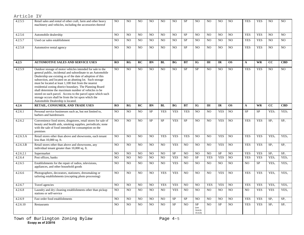| 4.2.5.5   | Retail sales and rental of other craft, farm and other heavy<br>machinery and vehicles, including the accessories thereof                                                                                                                                                                                                                                                                                                                                                                                                                                                                  | N <sub>O</sub> | N <sub>O</sub> | N <sub>O</sub> | N <sub>O</sub> | N <sub>O</sub> | N <sub>O</sub> | <b>SP</b>      | N <sub>O</sub>                          | N <sub>O</sub> | NO.            | N <sub>O</sub> | <b>YES</b>     | <b>YES</b> | N <sub>O</sub>   | N <sub>O</sub>   |
|-----------|--------------------------------------------------------------------------------------------------------------------------------------------------------------------------------------------------------------------------------------------------------------------------------------------------------------------------------------------------------------------------------------------------------------------------------------------------------------------------------------------------------------------------------------------------------------------------------------------|----------------|----------------|----------------|----------------|----------------|----------------|----------------|-----------------------------------------|----------------|----------------|----------------|----------------|------------|------------------|------------------|
| 4.2.5.6   | Automobile dealership                                                                                                                                                                                                                                                                                                                                                                                                                                                                                                                                                                      | N <sub>O</sub> | N <sub>O</sub> | N <sub>O</sub> | N <sub>O</sub> | N <sub>O</sub> | N <sub>O</sub> | <b>SP</b>      | N <sub>O</sub>                          | N <sub>O</sub> | N <sub>O</sub> | N <sub>O</sub> | <b>YES</b>     | <b>YES</b> | N <sub>O</sub>   | N <sub>O</sub>   |
| 4.2.5.7   | Used car sales establishment                                                                                                                                                                                                                                                                                                                                                                                                                                                                                                                                                               | N <sub>O</sub> | N <sub>O</sub> | N <sub>O</sub> | N <sub>O</sub> | N <sub>O</sub> | N <sub>O</sub> | <b>SP</b>      | N <sub>O</sub>                          | N <sub>O</sub> | NO.            | N <sub>O</sub> | <b>YES</b>     | <b>YES</b> | N <sub>O</sub>   | N <sub>O</sub>   |
| 4.2.5.8   | Automotive rental agency                                                                                                                                                                                                                                                                                                                                                                                                                                                                                                                                                                   | N <sub>O</sub> | N <sub>O</sub> | NO             | NO.            | NO             | N <sub>O</sub> | <b>SP</b>      | N <sub>O</sub>                          | N <sub>O</sub> | NO             | N <sub>O</sub> | <b>YES</b>     | <b>YES</b> | NO.              | NO.              |
| 4.2.5     | <b>AUTOMOTIVE SALES AND SERVICE USES</b>                                                                                                                                                                                                                                                                                                                                                                                                                                                                                                                                                   | RO             | RG             | RC             | <b>BN</b>      | BL             | <b>BG</b>      | <b>BT</b>      | <b>IG</b>                               | IH             | IR             | <b>OS</b>      | $\mathbf{A}$   | <b>WR</b>  | cc               | <b>CBD</b>       |
| 4.2.5.9   | Outdoor storage of motor vehicles intended for sale to the<br>general public, incidental and subordinate to an Automobile<br>Dealership use existing as of the date of adoption of this<br>subsection, and located on an abutting lot. Such storage<br>must be located at least 1,100 feet from the nearest<br>residential zoning district boundary. The Planning Board<br>shall determine the maximum number of vehicles to be<br>stored on such parcel. Access to the parcel upon which such<br>storage occurs shall be from the lot upon which the<br>Automobile Dealership is located. | N <sub>O</sub> | N <sub>O</sub> | N <sub>O</sub> | N <sub>O</sub> | N <sub>O</sub> | NO.            | SP             | SP                                      | N <sub>O</sub> | N <sub>O</sub> | N <sub>O</sub> | <b>YES</b>     | <b>YES</b> | N <sub>O</sub>   | NO.              |
| 4.2.6     | RETAIL, CONSUMER, AND TRADE USES                                                                                                                                                                                                                                                                                                                                                                                                                                                                                                                                                           | RO             | R <sub>G</sub> | RC             | <b>BN</b>      | BL             | <b>BG</b>      | <b>BT</b>      | <b>IG</b>                               | <b>IH</b>      | <b>IR</b>      | <b>OS</b>      | $\mathbf{A}$   | <b>WR</b>  | cc               | <b>CBD</b>       |
| 4.2.6.1   | Personal service businesses such as, but not limited to,<br>barbers and hairdressers                                                                                                                                                                                                                                                                                                                                                                                                                                                                                                       | N <sub>O</sub> | NO             | NO             | <b>SP</b>      | <b>YES</b>     | <b>YES</b>     | <b>YES</b>     | NO                                      | NO             | <b>YES</b>     | NO             | <b>SP</b>      | SP         | YES <sub>1</sub> | YES <sub>1</sub> |
| 4.2.6.2   | Convenience food stores, drugstores, retail stores for sale of<br>beauty and health aids, smoking supplies, periodicals; none<br>with the sale of food intended for consumption on the<br>premises                                                                                                                                                                                                                                                                                                                                                                                         | NO.            | N <sub>O</sub> | N <sub>O</sub> | <b>SP</b>      | <b>SP</b>      | <b>YES</b>     | <b>SP</b>      | N <sub>O</sub>                          | N <sub>O</sub> | <b>YES</b>     | N <sub>O</sub> | <b>YES</b>     | <b>YES</b> | SP <sub>1</sub>  | SP <sub>1</sub>  |
| 4.2.6.3.A | Retail stores other than above and showrooms, each tenant<br>less than $10,000$ sq. ft.                                                                                                                                                                                                                                                                                                                                                                                                                                                                                                    | N <sub>O</sub> | N <sub>O</sub> | N <sub>O</sub> | N <sub>O</sub> | <b>YES</b>     | <b>YES</b>     | <b>YES</b>     | N <sub>O</sub>                          | N <sub>O</sub> | <b>YES</b>     | N <sub>O</sub> | <b>YES</b>     | <b>YES</b> | YES <sub>1</sub> | YES <sub>1</sub> |
| 4.2.6.3.B | Retail stores other than above and showrooms, any<br>individual tenant greater than 10,000 sq. ft.                                                                                                                                                                                                                                                                                                                                                                                                                                                                                         | N <sub>O</sub> | NO             | N <sub>O</sub> | N <sub>O</sub> | NO             | <b>YES</b>     | NO             | NO                                      | NO.            | <b>YES</b>     | NO             | <b>YES</b>     | <b>YES</b> | SP <sub>1</sub>  | SP <sub>1</sub>  |
| 4.2.6.2.1 | Supermarket                                                                                                                                                                                                                                                                                                                                                                                                                                                                                                                                                                                | NO.            | N <sub>O</sub> | NO             | N <sub>O</sub> | NO             | <b>SP</b>      | N <sub>O</sub> | NO                                      | NO.            | <b>SP</b>      | N <sub>O</sub> | <b>YES</b>     | <b>YES</b> | SP <sub>1</sub>  | SP <sub>1</sub>  |
| 4.2.6.4   | Post offices, banks                                                                                                                                                                                                                                                                                                                                                                                                                                                                                                                                                                        | N <sub>O</sub> | N <sub>O</sub> | NO             | N <sub>O</sub> | N <sub>O</sub> | <b>YES</b>     | N <sub>O</sub> | <b>SP</b>                               | <b>YES</b>     | <b>YES</b>     | N <sub>O</sub> | <b>YES</b>     | <b>YES</b> | YES <sub>1</sub> | YES <sub>1</sub> |
| 4.2.6.5   | Establishments for the repair of radios, televisions,<br>appliances, and other household goods                                                                                                                                                                                                                                                                                                                                                                                                                                                                                             | N <sub>O</sub> | NO             | NO             | N <sub>O</sub> | NO             | <b>YES</b>     | NO             | NO                                      | NO             | NO             | NO             | N <sub>O</sub> | SP         | YES <sub>1</sub> | YES <sub>1</sub> |
| 4.2.6.6   | Photographers, decorators, stationers, dressmaking or<br>tailoring establishments (excepting photo processing)                                                                                                                                                                                                                                                                                                                                                                                                                                                                             | N <sub>O</sub> | NO             | NO             | N <sub>O</sub> | <b>YES</b>     | <b>YES</b>     | NO             | N <sub>O</sub>                          | NO             | <b>YES</b>     | N <sub>O</sub> | <b>YES</b>     | <b>YES</b> | YES <sub>1</sub> | YES <sub>1</sub> |
| 4.2.6.7   | Travel agencies                                                                                                                                                                                                                                                                                                                                                                                                                                                                                                                                                                            | <b>NO</b>      | N <sub>O</sub> | N <sub>O</sub> | NO             | <b>YES</b>     | <b>YES</b>     | N <sub>O</sub> | NO                                      | <b>YES</b>     | <b>YES</b>     | NO             | <b>YES</b>     | <b>YES</b> | YES <sub>1</sub> | YES <sub>1</sub> |
| 4.2.6.8   | Laundry and dry cleaning establishments other than pickup<br>stations or self-service                                                                                                                                                                                                                                                                                                                                                                                                                                                                                                      | NO.            | NO             | NO             | N <sub>O</sub> | NO             | <b>YES</b>     | NO             | NO                                      | NO             | NO             | NO             | N <sub>O</sub> | <b>YES</b> | <b>YES</b>       | YES <sub>1</sub> |
| 4.2.6.9   | Fast order food establishments                                                                                                                                                                                                                                                                                                                                                                                                                                                                                                                                                             | NO.            | NO             | NO             | NO             | NO             | <b>SP</b>      | <b>SP</b>      | N <sub>O</sub>                          | NO             | NO             | NO             | <b>YES</b>     | <b>YES</b> | SP <sub>1</sub>  | SP <sub>1</sub>  |
| 4.2.6.10  | Restaurants                                                                                                                                                                                                                                                                                                                                                                                                                                                                                                                                                                                | N <sub>O</sub> | N <sub>O</sub> | N <sub>O</sub> | N <sub>O</sub> | N <sub>O</sub> | <b>SP</b>      | N <sub>O</sub> | ${\rm SP}$<br>(see<br>Article<br>10.4.0 | N <sub>O</sub> | SP             | NO             | <b>YES</b>     | <b>YES</b> | SP <sub>1</sub>  | SP <sub>1</sub>  |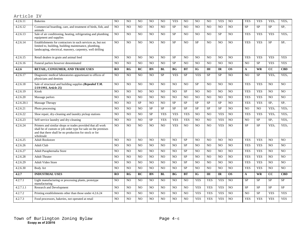| 4.2.6.11   | <b>Bakeries</b>                                                                                                                                                                                     | N <sub>O</sub> | N <sub>O</sub> | N <sub>O</sub> | N <sub>O</sub> | N <sub>O</sub> | <b>YES</b>     | N <sub>O</sub> | N <sub>O</sub> | N <sub>O</sub> | <b>YES</b>     | NO              | <b>YES</b>      | <b>YES</b>      | YES <sub>1</sub> | YES <sub>1</sub> |
|------------|-----------------------------------------------------------------------------------------------------------------------------------------------------------------------------------------------------|----------------|----------------|----------------|----------------|----------------|----------------|----------------|----------------|----------------|----------------|-----------------|-----------------|-----------------|------------------|------------------|
| 4.2.6.12   | Commercial boarding, care, and treatment of birds, fish, and<br>animals                                                                                                                             | N <sub>O</sub> | N <sub>O</sub> | N <sub>O</sub> | NO.            | N <sub>O</sub> | <b>SP</b>      | N <sub>O</sub> | NO.            | N <sub>O</sub> | N <sub>O</sub> | N <sub>O</sub>  | <b>SP</b>       | <b>SP</b>       | <b>SP</b>        | SP <sub>1</sub>  |
| 4.2.6.13   | Sale of air conditioning, heating, refrigerating and plumbing<br>equipment and supplies                                                                                                             | N <sub>O</sub> | N <sub>O</sub> | N <sub>O</sub> | N <sub>O</sub> | NO             | <b>SP</b>      | N <sub>O</sub> | NO.            | N <sub>O</sub> | SP             | $\overline{NO}$ | <b>YES</b>      | <b>YES</b>      | <b>YES</b>       | YES <sub>1</sub> |
| 4.2.6.14   | Establishments for contractors in such services as, but not<br>limited to, building, building maintenance, plumbing,<br>landscaping, electrical, masonry, carpentry, well drilling                  | N <sub>O</sub> | N <sub>O</sub> | N <sub>O</sub> | NO             | N <sub>O</sub> | <b>SP</b>      | N <sub>O</sub> | <b>SP</b>      | N <sub>O</sub> | N <sub>O</sub> | N <sub>O</sub>  | <b>YES</b>      | <b>YES</b>      | <b>SP</b>        | SP <sub>1</sub>  |
| 4.2.6.15   | Retail dealers in grain and animal feed                                                                                                                                                             | NO             | N <sub>O</sub> | NO             | NO             | NO             | <b>SP</b>      | N <sub>O</sub> | NO             | N <sub>O</sub> | NO             | NO              | <b>YES</b>      | <b>YES</b>      | <b>YES</b>       | <b>YES</b>       |
| 4.2.6.16   | Funeral parlors however denominated                                                                                                                                                                 | N <sub>O</sub> | N <sub>O</sub> | N <sub>O</sub> | N <sub>O</sub> | NO             | <b>SP</b>      | N <sub>O</sub> | N <sub>O</sub> | N <sub>O</sub> | N <sub>O</sub> | N <sub>O</sub>  | NO.             | SP              | <b>YES</b>       | <b>YES</b>       |
| 4.2.6      | RETAIL, CONSUMER, AND TRADE USES                                                                                                                                                                    | <b>RO</b>      | RG             | RC             | BN             | BL             | <b>BG</b>      | BT             | <b>IG</b>      | IH             | IR             | <b>OS</b>       | $\mathbf{A}$    | <b>WR</b>       | cc               | <b>CBD</b>       |
| 4.2.6.17   | Diagnostic medical laboratories appurtenant to offices of<br>physicians and dentists                                                                                                                | N <sub>O</sub> | N <sub>O</sub> | N <sub>O</sub> | NO.            | <b>SP</b>      | <b>YES</b>     | <b>SP</b>      | <b>YES</b>     | <b>SP</b>      | <b>SP</b>      | N <sub>O</sub>  | N <sub>O</sub>  | SP              | YES <sub>1</sub> | YES <sub>1</sub> |
| 4.2.6.18   | Sale of structural and building supplies (Repealed T.M.<br>5/19/1993. Article 25)                                                                                                                   | N <sub>O</sub> | NO             | N <sub>O</sub> | NO             | NO             | N <sub>O</sub> | N <sub>O</sub> | SP             | N <sub>O</sub> | N <sub>O</sub> | N <sub>O</sub>  | <b>YES</b>      | <b>YES</b>      | NO               | NO.              |
| 4.2.6.19   | Kiosk                                                                                                                                                                                               | N <sub>O</sub> | N <sub>O</sub> | NO             | NO.            | NO             | N <sub>O</sub> | SP             | N <sub>O</sub> | NO             | N <sub>O</sub> | N <sub>O</sub>  | <b>YES</b>      | <b>YES</b>      | N <sub>O</sub>   | N <sub>O</sub>   |
| 4.2.6.20   | Massage parlors                                                                                                                                                                                     | N <sub>O</sub> | N <sub>O</sub> | N <sub>O</sub> | N <sub>O</sub> | N <sub>O</sub> | N <sub>O</sub> | N <sub>O</sub> | N <sub>O</sub> | N <sub>O</sub> | N <sub>O</sub> | N <sub>O</sub>  | <b>YES</b>      | <b>YES</b>      | N <sub>O</sub>   | N <sub>O</sub>   |
| 4.2.6.20.1 | Massage Therapy                                                                                                                                                                                     | N <sub>O</sub> | NO             | $\rm SP$       | NO             | NO             | <b>SP</b>      | SP             | ${\rm SP}$     | $\rm SP$       | <b>SP</b>      | NO              | <b>YES</b>      | <b>YES</b>      | SP <sub>1</sub>  | SP <sub>1</sub>  |
| 4.2.6.21   | Photo processing                                                                                                                                                                                    | N <sub>O</sub> | N <sub>O</sub> | N <sub>O</sub> | <b>SP</b>      | SP             | SP             | SP             | <b>SP</b>      | <b>SP</b>      | SP             | N <sub>O</sub>  | $\overline{NO}$ | $\overline{NO}$ | YES <sub>1</sub> | YES <sub>1</sub> |
| 4.2.6.22   | Shoe repair, dry-cleaning and laundry pickup stations                                                                                                                                               | N <sub>O</sub> | N <sub>O</sub> | N <sub>O</sub> | <b>SP</b>      | <b>YES</b>     | <b>YES</b>     | <b>YES</b>     | NO.            | NO             | <b>YES</b>     | N <sub>O</sub>  | <b>YES</b>      | <b>YES</b>      | YES <sub>1</sub> | YES <sub>1</sub> |
| 4.2.6.23   | Self-service laundry and dry-cleaning                                                                                                                                                               | N <sub>O</sub> | N <sub>O</sub> | N <sub>O</sub> | <b>SP</b>      | <b>YES</b>     | <b>YES</b>     | <b>YES</b>     | N <sub>O</sub> | N <sub>O</sub> | <b>YES</b>     | N <sub>O</sub>  | N <sub>O</sub>  | SP              | SP <sub>1</sub>  | YES <sub>1</sub> |
| 4.2.6.24   | Printers and similar shops or trades provided that all work<br>shall be of custom or job order type for sale on the premises<br>and that there shall be no production for stock or for<br>wholesale | N <sub>O</sub> | N <sub>O</sub> | N <sub>O</sub> | N <sub>O</sub> | N <sub>O</sub> | <b>YES</b>     | N <sub>O</sub> | N <sub>O</sub> | N <sub>O</sub> | <b>YES</b>     | N <sub>O</sub>  | <b>SP</b>       | <b>SP</b>       | YES <sub>1</sub> | YES <sub>1</sub> |
| 4.2.6.25   | <b>Adult Bookstore</b>                                                                                                                                                                              | N <sub>O</sub> | N <sub>O</sub> | N <sub>O</sub> | N <sub>O</sub> | N <sub>O</sub> | N <sub>O</sub> | <b>SP</b>      | NO.            | N <sub>O</sub> | N <sub>O</sub> | N <sub>O</sub>  | <b>YES</b>      | <b>YES</b>      | N <sub>O</sub>   | NO.              |
| 4.2.6.26   | <b>Adult Club</b>                                                                                                                                                                                   | N <sub>O</sub> | N <sub>O</sub> | N <sub>O</sub> | N <sub>O</sub> | NO             | N <sub>O</sub> | <b>SP</b>      | NO             | N <sub>O</sub> | N <sub>O</sub> | N <sub>O</sub>  | <b>YES</b>      | <b>YES</b>      | N <sub>O</sub>   | N <sub>O</sub>   |
| 4.2.6.27   | Adult Paraphernalia Store                                                                                                                                                                           | N <sub>O</sub> | N <sub>O</sub> | N <sub>O</sub> | N <sub>O</sub> | N <sub>O</sub> | N <sub>O</sub> | <b>SP</b>      | NO             | N <sub>O</sub> | N <sub>O</sub> | N <sub>O</sub>  | <b>YES</b>      | <b>YES</b>      | N <sub>O</sub>   | N <sub>O</sub>   |
| 4.2.6.28   | <b>Adult Theater</b>                                                                                                                                                                                | N <sub>O</sub> | NO             | N <sub>O</sub> | NO.            | NO             | N <sub>O</sub> | SP             | NO             | N <sub>O</sub> | N <sub>O</sub> | N <sub>O</sub>  | <b>YES</b>      | <b>YES</b>      | N <sub>O</sub>   | N <sub>O</sub>   |
| 4.2.6.29   | Adult Video Store                                                                                                                                                                                   | N <sub>O</sub> | N <sub>O</sub> | N <sub>O</sub> | N <sub>O</sub> | NO             | N <sub>O</sub> | <b>SP</b>      | NO             | N <sub>O</sub> | N <sub>O</sub> | N <sub>O</sub>  | <b>YES</b>      | <b>YES</b>      | N <sub>O</sub>   | N <sub>O</sub>   |
| 4.2.6.30   | <b>Body Art</b>                                                                                                                                                                                     | N <sub>O</sub> | NO             | N <sub>O</sub> | NO             | NO             | N <sub>O</sub> | <b>SP</b>      | N <sub>O</sub> | N <sub>O</sub> | N <sub>O</sub> | N <sub>O</sub>  | <b>YES</b>      | <b>YES</b>      | NO               | N <sub>O</sub>   |
| 4.2.7      | <b>INDUSTRIAL USES</b>                                                                                                                                                                              | RO             | RG             | RC             | <b>BN</b>      | BL             | <b>BG</b>      | <b>BT</b>      | IG             | IH             | IR             | $\overline{OS}$ | $\mathbf{A}$    | <b>WR</b>       | cc               | <b>CBD</b>       |
| 4.2.7.1    | Light manufacturing or processing plants, prototype<br>manufacturing                                                                                                                                | N <sub>O</sub> | N <sub>O</sub> | N <sub>O</sub> | N <sub>O</sub> | N <sub>O</sub> | N <sub>O</sub> | N <sub>O</sub> | <b>YES</b>     | <b>YES</b>     | <b>YES</b>     | N <sub>O</sub>  | <b>SP</b>       | <b>SP</b>       | <b>SP</b>        | <b>SP</b>        |
| 4.2.7.1.1  | Research and Development                                                                                                                                                                            | N <sub>O</sub> | N <sub>O</sub> | N <sub>O</sub> | NO             | N <sub>O</sub> | N <sub>O</sub> | N <sub>O</sub> | <b>YES</b>     | <b>YES</b>     | <b>YES</b>     | N <sub>O</sub>  | <b>SP</b>       | <b>SP</b>       | <b>SP</b>        | <b>SP</b>        |
| 4.2.7.2    | Printing establishments other than those under 4.2.6.24                                                                                                                                             | N <sub>O</sub> | N <sub>O</sub> | N <sub>O</sub> | N <sub>O</sub> | N <sub>O</sub> | N <sub>O</sub> | N <sub>O</sub> | <b>YES</b>     | <b>YES</b>     | <b>YES</b>     | N <sub>O</sub>  | NO.             | <b>SP</b>       | <b>YES</b>       | <b>YES</b>       |
| 4.2.7.3    | Food processors, bakeries, not operated at retail                                                                                                                                                   | N <sub>O</sub> | N <sub>O</sub> | N <sub>O</sub> | N <sub>O</sub> | NO             | N <sub>O</sub> | N <sub>O</sub> | <b>YES</b>     | <b>YES</b>     | <b>YES</b>     | N <sub>O</sub>  | <b>YES</b>      | <b>YES</b>      | <b>YES</b>       | <b>YES</b>       |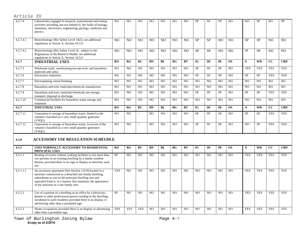| Article IV           |                                                                                                                                                                                                                                                                                        |                |                |                          |                |                |                |                |                |                |                |                |                |                |                 |                |
|----------------------|----------------------------------------------------------------------------------------------------------------------------------------------------------------------------------------------------------------------------------------------------------------------------------------|----------------|----------------|--------------------------|----------------|----------------|----------------|----------------|----------------|----------------|----------------|----------------|----------------|----------------|-----------------|----------------|
| 4.2.7.4              | Laboratories engaged in research, experimental and testing<br>activities including, but not limited to, the fields of biology,<br>chemistry, electronics, engineering, geology, medicine and<br>physics                                                                                | N <sub>O</sub> | N <sub>O</sub> | NO                       | N <sub>O</sub> | N <sub>O</sub> | N <sub>O</sub> | NO             | <b>SP</b>      | <b>SP</b>      | <b>SP</b>      | NO             | N <sub>O</sub> | <b>SP</b>      | NO              | <b>SP</b>      |
| 4.2.7.4.1            | Biotechnology (Bio Safety Level 1&2), see additional<br>regulations in Article X, Section 10.5.0                                                                                                                                                                                       | N <sub>O</sub> | N <sub>O</sub> | NO                       | N <sub>O</sub> | N <sub>O</sub> | N <sub>O</sub> | N <sub>O</sub> | <b>SP</b>      | <b>SP</b>      | N <sub>O</sub> | N <sub>O</sub> | <b>SP</b>      | <b>SP</b>      | N <sub>O</sub>  | N <sub>O</sub> |
| 4.2.7.4.2            | Biotechnology (Bio Safety Level 3), subject to the<br>Regulations of the Board of Health, see additional<br>regulations in Article X, Section 10.5.0                                                                                                                                   | N <sub>O</sub> | N <sub>O</sub> | N <sub>O</sub>           | N <sub>O</sub> | N <sub>O</sub> | N <sub>O</sub> | N <sub>O</sub> | <b>SP</b>      | <b>SP</b>      | N <sub>O</sub> | N <sub>O</sub> | <b>SP</b>      | <b>SP</b>      | N <sub>O</sub>  | N <sub>O</sub> |
| 4.2.7                | <b>INDUSTRIAL USES</b>                                                                                                                                                                                                                                                                 | <b>RO</b>      | RG             | RC                       | <b>BN</b>      | BL             | <b>BG</b>      | <b>BT</b>      | <b>IG</b>      | <b>IH</b>      | <b>IR</b>      | <b>OS</b>      | $\mathbf{A}$   | <b>WR</b>      | $\overline{cc}$ | <b>CBD</b>     |
| 4.2.7.5              | Wholesale trade, warehousing (except toxic and hazardous<br>materials and salts)                                                                                                                                                                                                       | N <sub>O</sub> | N <sub>O</sub> | NO.                      | NO.            | NO             | N <sub>O</sub> | NO.            | $\rm SP$       | SP             | <b>SP</b>      | N <sub>O</sub> | <b>YES</b>     | <b>YES</b>     | <b>YES</b>      | <b>YES</b>     |
| $4.\overline{2.7.6}$ | Electronics industries                                                                                                                                                                                                                                                                 | N <sub>O</sub> | N <sub>O</sub> | NO                       | NO.            | N <sub>O</sub> | N <sub>O</sub> | NO.            | <b>SP</b>      | <b>SP</b>      | <b>SP</b>      | NO             | <b>SP</b>      | SP             | <b>YES</b>      | <b>YES</b>     |
| 4.2.7.7              | Electroplating, metal finishing                                                                                                                                                                                                                                                        | N <sub>O</sub> | N <sub>O</sub> | N <sub>O</sub>           | NO.            | N <sub>O</sub> | N <sub>O</sub> | NO             | N <sub>O</sub> | N <sub>O</sub> | N <sub>O</sub> | N <sub>O</sub> | N <sub>O</sub> | N <sub>O</sub> | NO              | NO.            |
| 4.2.7.8              | Hazardous and toxic materials/chemicals manufacture                                                                                                                                                                                                                                    | NO             | NO             | NO                       | NO             | NO             | N <sub>O</sub> | NO.            | NO             | N <sub>O</sub> | N <sub>O</sub> | NO             | N <sub>O</sub> | NO             | NO              | NO             |
| 4.2.7.9              | Hazardous and toxic materials/chemicals use storage,<br>transport, disposal or discharge                                                                                                                                                                                               | N <sub>O</sub> | N <sub>O</sub> | NO.                      | NO.            | NO             | N <sub>O</sub> | NO.            | <b>SP</b>      | <b>SP</b>      | <b>SP</b>      | NO             | <b>SP</b>      | <b>SP</b>      | <b>YES</b>      | <b>YES</b>     |
| 4.2.7.10             | Commercial facilities for hazardous waste storage and<br>treatment                                                                                                                                                                                                                     | N <sub>O</sub> | N <sub>O</sub> | N <sub>O</sub>           | N <sub>O</sub> | N <sub>O</sub> | N <sub>O</sub> | N <sub>O</sub> | N <sub>O</sub> | N <sub>O</sub> | N <sub>O</sub> | N <sub>O</sub> | N <sub>O</sub> | N <sub>O</sub> | N <sub>O</sub>  | NO.            |
| 4.2.7                | <b>INDUSTRIAL USES</b>                                                                                                                                                                                                                                                                 | RO             | RG             | RC                       | BN             | BL             | <b>BG</b>      | <b>BT</b>      | IG             | <b>IH</b>      | <b>IR</b>      | <b>OS</b>      | $\mathbf{A}$   | <b>WR</b>      | cc              | <b>CBD</b>     |
| 4.2.7.11             | Generation or storage of hazardous waste, limited to the<br>volumes classified as a very small quantity generator<br>(VSOG)                                                                                                                                                            | N <sub>O</sub> | N <sub>O</sub> | $\overline{a}$           | NO.            | N <sub>O</sub> | N <sub>O</sub> | N <sub>O</sub> | <b>SP</b>      | <b>SP</b>      | <b>SP</b>      | N <sub>O</sub> | <b>SP</b>      | SP             | <b>YES</b>      | <b>YES</b>     |
| 4.2.7.12             | Generation or storage of hazardous waste, in excess of the<br>volumes classified as a very small quantity generator<br>(VSQG)                                                                                                                                                          | N <sub>O</sub> | NO             | $\overline{\phantom{a}}$ | N <sub>O</sub> | NO             | N <sub>O</sub> | NO             | SP             | <b>SP</b>      | <b>SP</b>      | N <sub>O</sub> | NO             | <b>SP</b>      | <b>YES</b>      | <b>YES</b>     |
| 4.3.0                | <b>ACCESSORY USE REGULATION SCHEUDLE</b>                                                                                                                                                                                                                                               |                |                |                          |                |                |                |                |                |                |                |                |                |                |                 |                |
| 4.3.1                | USES NORMALLY ACCESSORY TO RESIDENTIAL<br>PRINCIPAL USES                                                                                                                                                                                                                               | RO             | RG             | RC                       | BN             | BL             | <b>BG</b>      | <b>BT</b>      | <b>IG</b>      | IH             | IR             | <b>OS</b>      | $\mathbf{A}$   | <b>WR</b>      | cc              | <b>CBD</b>     |
| 4.3.1.1              | Renting of rooms without cooking facilities to not more than<br>two persons in an existing dwelling by a family resident<br>therein; provided there is no sign or display to advertise such<br>use                                                                                     | <b>SP</b>      | N <sub>O</sub> | NO.                      | NO.            | N <sub>O</sub> | N <sub>O</sub> | NO.            | N <sub>O</sub> | N <sub>O</sub> | N <sub>O</sub> | N <sub>O</sub> | <b>YES</b>     | <b>YES</b>     | <b>YES</b>      | <b>YES</b>     |
| 4.3.1.1.1            | An accessory apartment (See Section 112.0) located in a<br>structure constructed as a detached one family dwelling,<br>subordinate in size to the principal dwelling unit and<br>separated from it, in a manner that maintains the appearance<br>of the structure as a one family unit | <b>YES</b>     | N <sub>O</sub> | N <sub>O</sub>           | NO             | NO             | NO             | NO             | NO             | NO             | N <sub>O</sub> | NO             | <b>YES</b>     | <b>YES</b>     | <b>YES</b>      | <b>YES</b>     |
| 4.3.1.2              | Use of a portion of a dwelling as an office by a physician,<br>dentist or other professional person residing in the dwelling,<br>incidental to such residence provided there is no display or<br>advertising other than a permitted sign                                               | <b>SP</b>      | N <sub>O</sub> | N <sub>O</sub>           | N <sub>O</sub> | NO             | N <sub>O</sub> | N <sub>O</sub> | N <sub>O</sub> | N <sub>O</sub> | N <sub>O</sub> | N <sub>O</sub> | <b>YES</b>     | <b>YES</b>     | <b>YES</b>      | <b>YES</b>     |
| 4.3.1.3              | Home occupations provided there is no display or advertising<br>other than a permitted sign                                                                                                                                                                                            | <b>YES</b>     | <b>YES</b>     | <b>YES</b>               | N <sub>O</sub> | N <sub>O</sub> | N <sub>O</sub> | N <sub>O</sub> | N <sub>O</sub> | N <sub>O</sub> | N <sub>O</sub> | N <sub>O</sub> | <b>YES</b>     | <b>YES</b>     | <b>YES</b>      | <b>YES</b>     |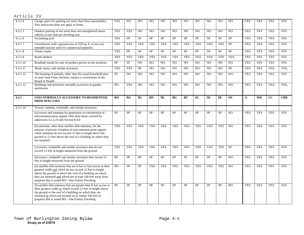| z. | ٦ |  |  |
|----|---|--|--|

| 4.3.1.4  | Garage space for parking not more than three automobiles.<br>This subsection does not apply to farms                                                                                                                                                                                                          | <b>YES</b> | NO.        | N <sub>O</sub> | N <sub>O</sub> | N <sub>O</sub> | N <sub>O</sub> | N <sub>O</sub> | N <sub>O</sub> | NO             | NO             | N <sub>O</sub> | <b>YES</b>   | <b>YES</b> | <b>YES</b>       | <b>YES</b>       |
|----------|---------------------------------------------------------------------------------------------------------------------------------------------------------------------------------------------------------------------------------------------------------------------------------------------------------------|------------|------------|----------------|----------------|----------------|----------------|----------------|----------------|----------------|----------------|----------------|--------------|------------|------------------|------------------|
| 4.3.1.5  | Outdoor parking of not more than one unregistered motor<br>vehicle or one boat per dwelling unit                                                                                                                                                                                                              | <b>YES</b> | <b>YES</b> | NO             | NO             | N <sub>O</sub> | N <sub>O</sub> | NO             | N <sub>O</sub> | NO             | NO             | NO             | <b>YES</b>   | <b>YES</b> | <b>YES</b>       | <b>YES</b>       |
| 4.3.1.6  | Swimming pool                                                                                                                                                                                                                                                                                                 | <b>YES</b> | SP         | ${\rm SP}$     | SP             | SP             | <b>SP</b>      | SP             | $\rm SP$       | SP             | <b>SP</b>      | SP             | <b>YES</b>   | <b>YES</b> | <b>YES</b>       | <b>YES</b>       |
| 4.3.1.7  | Greenhouses with a ground area of 250 sq. ft. or less not<br>intended and not used for commercial purposes                                                                                                                                                                                                    | <b>YES</b> | <b>YES</b> | <b>YES</b>     | <b>YES</b>     | <b>YES</b>     | <b>YES</b>     | <b>YES</b>     | <b>YES</b>     | <b>YES</b>     | <b>YES</b>     | SP             | <b>YES</b>   | <b>YES</b> | <b>YES</b>       | <b>YES</b>       |
| 4.3.1.8  | Tennis courts                                                                                                                                                                                                                                                                                                 | <b>YES</b> | <b>SP</b>  | SP             | <b>SP</b>      | <b>SP</b>      | <b>SP</b>      | <b>SP</b>      | <b>SP</b>      | <b>SP</b>      | <b>SP</b>      | <b>SP</b>      | <b>YES</b>   | <b>YES</b> | <b>YES</b>       | <b>YES</b>       |
| 4.3.1.9  | <b>Bomb</b> shelters                                                                                                                                                                                                                                                                                          | <b>YES</b> | <b>YES</b> | <b>YES</b>     | <b>YES</b>     | <b>YES</b>     | <b>YES</b>     | <b>YES</b>     | <b>YES</b>     | <b>YES</b>     | <b>YES</b>     | <b>YES</b>     | <b>YES</b>   | <b>YES</b> | <b>YES</b>       | <b>YES</b>       |
| 4.3.1.10 | Roadside stands for sale of produce grown on the premises                                                                                                                                                                                                                                                     | <b>SP</b>  | <b>SP</b>  | NO             | N <sub>O</sub> | N <sub>O</sub> | N <sub>O</sub> | N <sub>O</sub> | N <sub>O</sub> | N <sub>O</sub> | NO             | N <sub>O</sub> | <b>YES</b>   | <b>YES</b> | <b>YES</b>       | <b>YES</b>       |
| 4.3.1.11 | Sheds, barns, and similar structures                                                                                                                                                                                                                                                                          | <b>YES</b> | <b>YES</b> | ${\rm SP}$     | N <sub>O</sub> | NO             | NO             | NO             | N <sub>O</sub> | NO.            | NO             | <b>SP</b>      | <b>YES</b>   | <b>YES</b> | YES <sub>1</sub> | YES <sub>1</sub> |
| 4.3.1.12 | The keeping of animals, other than the usual household pets<br>or more than 6 hen chickens; subject to restrictions of the<br>Board of Health                                                                                                                                                                 | <b>SP</b>  | NO.        | N <sub>O</sub> | N <sub>O</sub> | N <sub>O</sub> | N <sub>O</sub> | N <sub>O</sub> | N <sub>O</sub> | N <sub>O</sub> | NO             | N <sub>O</sub> | <b>YES</b>   | <b>YES</b> | <b>YES</b>       | <b>YES</b>       |
| 4.3.1.13 | Buildings and structures normally accessory to garden<br>apartments                                                                                                                                                                                                                                           | NO.        | <b>YES</b> | NO             | N <sub>O</sub> | N <sub>O</sub> | N <sub>O</sub> | N <sub>O</sub> | N <sub>O</sub> | NO             | N <sub>O</sub> | N <sub>O</sub> | <b>YES</b>   | <b>YES</b> | YES <sub>1</sub> | YES <sub>1</sub> |
| 4.3.1    | USES NORMALLY ACCESSORY TO RESIDENTIAL<br>PRINCIPAL USES                                                                                                                                                                                                                                                      | RO         | RG         | RC             | <b>BN</b>      | <b>BL</b>      | <b>BG</b>      | <b>BT</b>      | IG             | <b>IH</b>      | <b>IR</b>      | <b>OS</b>      | $\mathbf{A}$ | <b>WR</b>  | cc               | <b>CBD</b>       |
| 4.3.1.14 | Towers, antenna, windmills, and similar structures:                                                                                                                                                                                                                                                           |            |            |                |                |                |                |                |                |                |                |                |              |            |                  |                  |
|          | (a) towers and antennas for generation or transmission of<br>telecommunication signals other than those covered by<br>subsection 4.2.2.24 and Section 8.4.0                                                                                                                                                   | <b>SP</b>  | SP         | SP             | <b>SP</b>      | SP             | <b>SP</b>      | $\rm SP$       | <b>SP</b>      | SP             | <b>SP</b>      | NO             | <b>YES</b>   | <b>YES</b> | <b>YES</b>       | <b>YES</b>       |
|          | (b) antennas, other than satellite dish antennas, for the<br>purpose of private reception of telecommunication signals,<br>which antennas do not exceed 12 feet in height above the<br>ground or 12 feet above the roof of a building on which they<br>are mounted                                            | <b>YES</b> | <b>YES</b> | <b>YES</b>     | <b>YES</b>     | <b>YES</b>     | <b>YES</b>     | <b>YES</b>     | <b>YES</b>     | <b>YES</b>     | <b>YES</b>     | NO             | <b>YES</b>   | <b>YES</b> | <b>YES</b>       | <b>YES</b>       |
|          | (c) towers, windmills and similar structures that do not<br>exceed 12 feet in height measured from the ground                                                                                                                                                                                                 | <b>YES</b> | <b>YES</b> | <b>YES</b>     | <b>YES</b>     | <b>YES</b>     | <b>YES</b>     | <b>YES</b>     | <b>YES</b>     | <b>YES</b>     | <b>YES</b>     | <b>SP</b>      | <b>YES</b>   | <b>YES</b> | <b>YES</b>       | <b>YES</b>       |
|          | (d) towers, windmills and similar structures that exceed 12<br>feet in height measured from the ground                                                                                                                                                                                                        | <b>SP</b>  | <b>SP</b>  | <b>SP</b>      | <b>SP</b>      | <b>SP</b>      | <b>SP</b>      | <b>SP</b>      | <b>SP</b>      | <b>SP</b>      | <b>SP</b>      | N <sub>O</sub> | <b>YES</b>   | <b>YES</b> | <b>YES</b>       | <b>YES</b>       |
|          | (e) satellite dish antennas that are 8 feet or less across at their<br>greatest width and which do not exceed 12 feet in height<br>above the ground or above the roof of a building on which<br>they are mounted and which are at least 100 feet away from<br>property that is zoned RO - One Family Dwelling | NO.        | <b>SP</b>  | SP             | <b>YES</b>     | <b>YES</b>     | <b>YES</b>     | <b>YES</b>     | <b>YES</b>     | <b>YES</b>     | <b>YES</b>     | NO             | <b>YES</b>   | <b>YES</b> | <b>YES</b>       | <b>YES</b>       |
|          | (f) satellite dish antennas that are greater than 8 feet across at<br>their greatest width or which exceed 12 feet in height above<br>the ground or the roof of a building on which they are<br>mounted or which are located on or within 100 feet of<br>property that is zoned RO - One Family Dwelling      | <b>SP</b>  | SP         | <b>SP</b>      | <b>SP</b>      | <b>SP</b>      | <b>SP</b>      | <b>SP</b>      | <b>SP</b>      | ${\rm SP}$     | <b>SP</b>      | NO             | <b>YES</b>   | <b>YES</b> | <b>YES</b>       | <b>YES</b>       |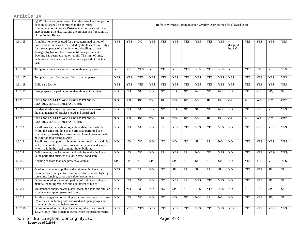|                       | (g) Wireless Communications Facilities which are subject to<br>Section 8.4.0 shall be permitted in the Wireless<br>Communications Overlay Districts in accordance with the<br>map depicting the districts and the provisions of Section 1.0<br>of the Zoning Bylaw                                                                                                        |            |            |                |                |                |                |                |                |                |                | (refer to Wireless Communication Overlay Districts map for allowed uses) |              |            |                  |                  |
|-----------------------|---------------------------------------------------------------------------------------------------------------------------------------------------------------------------------------------------------------------------------------------------------------------------------------------------------------------------------------------------------------------------|------------|------------|----------------|----------------|----------------|----------------|----------------|----------------|----------------|----------------|--------------------------------------------------------------------------|--------------|------------|------------------|------------------|
| 4.3.1.15              | A mobile home to be used for a predetermined period of<br>time, which time may be extended by the Inspector of Bldgs.<br>for the occupancy of a family whose dwelling has been<br>damaged by fire or other cause until their permanent<br>dwelling has been repaired or rebuilt. The limit of time,<br>including extensions, shall not exceed a period of one (1)<br>year | <b>YES</b> | <b>YES</b> | NO             | <b>YES</b>     | <b>YES</b>     | <b>YES</b>     | <b>YES</b>     | <b>YES</b>     | <b>YES</b>     | <b>YES</b>     | $*$<br>disapp'd<br>by A.G.                                               | <b>YES</b>   | <b>YES</b> | <b>YES</b>       | <b>YES</b>       |
| 4.3.1.16              | Temporary tents for groups of more than ten persons                                                                                                                                                                                                                                                                                                                       | <b>YES</b> | <b>YES</b> | <b>YES</b>     | <b>YES</b>     | <b>YES</b>     | <b>YES</b>     | <b>YES</b>     | <b>YES</b>     | <b>YES</b>     | <b>YES</b>     | <b>YES</b>                                                               | <b>YES</b>   | <b>YES</b> | <b>YES</b>       | <b>YES</b>       |
| $4.\overline{3.1.17}$ | Temporary tents for groups of less than ten persons                                                                                                                                                                                                                                                                                                                       | <b>YES</b> | <b>YES</b> | <b>YES</b>     | <b>YES</b>     | <b>YES</b>     | <b>YES</b>     | <b>YES</b>     | <b>YES</b>     | <b>YES</b>     | <b>YES</b>     | <b>YES</b>                                                               | <b>YES</b>   | <b>YES</b> | <b>YES</b>       | <b>YES</b>       |
| 4.3.1.18              | Child care facility                                                                                                                                                                                                                                                                                                                                                       | <b>YES</b> | <b>YES</b> | <b>YES</b>     | <b>YES</b>     | <b>YES</b>     | <b>YES</b>     | <b>YES</b>     | <b>YES</b>     | <b>YES</b>     | <b>YES</b>     | <b>YES</b>                                                               | <b>YES</b>   | <b>YES</b> | <b>YES</b>       | <b>YES</b>       |
| 4.3.1.19              | Garage space for parking more than three automobiles                                                                                                                                                                                                                                                                                                                      | NO.        | NO         | NO             | N <sub>O</sub> | NO             | NO             | NO             | NO             | N <sub>O</sub> | N <sub>O</sub> | NO                                                                       | <b>YES</b>   | <b>YES</b> | SP <sub>1</sub>  | SP <sub>1</sub>  |
| 4.3.2                 | USES NORMALLY ACCESSORY TO NON-<br><b>RESIDENTIAL PRINCIPAL USES</b>                                                                                                                                                                                                                                                                                                      | RO         | RG         | RC             | <b>BN</b>      | BL             | <b>BG</b>      | <b>BT</b>      | IG <sub></sub> | <b>IH</b>      | <b>IR</b>      | <b>OS</b>                                                                | $\mathbf{A}$ | <b>WR</b>  | cc               | <b>CBD</b>       |
| 4.3.2.1               | Incidental sale at retail of parts or components necessary for<br>the maintenance of articles stored and distributed                                                                                                                                                                                                                                                      | NO         | NO         | N <sub>O</sub> | NO             | N <sub>O</sub> | NO.            | NO             | SP             | N <sub>O</sub> | NO.            | NO                                                                       | <b>YES</b>   | <b>YES</b> | <b>YES</b>       | <b>YES</b>       |
| 4.3.2                 | USES NORMALLY ACCESSORY TO NON-<br><b>RESIDENTIAL PRINCIPAL USES</b>                                                                                                                                                                                                                                                                                                      | RO         | RG         | RC             | BN             | BL             | <b>BG</b>      | BT             | IG <sub></sub> | IH             | IR             | <b>OS</b>                                                                | A            | <b>WR</b>  | cc               | <b>CBD</b>       |
| 4.3.2.2               | Retail uses such as cafeterias, soda or dairy bars, wholly<br>within the same building as the principal permitted use,<br>conducted primarily for convenience of employees and with<br>no exterior advertising display                                                                                                                                                    | NO.        | NO.        | NO             | NO             | <b>SP</b>      | <b>YES</b>     | <b>YES</b>     | <b>YES</b>     | <b>YES</b>     | <b>YES</b>     | NO                                                                       | <b>YES</b>   | <b>YES</b> | <b>YES</b>       | <b>YES</b>       |
| 4.3.2.3               | Retail uses in support of a hotel or motor hotel such as dining<br>halls, restaurants, cafeterias, soda or dairy bars, and shops<br>wholly within the hotel or motor hotel building                                                                                                                                                                                       | NO.        | NO         | N <sub>O</sub> | N <sub>O</sub> | N <sub>O</sub> | N <sub>O</sub> | N <sub>O</sub> | <b>SP</b>      | <b>SP</b>      | N <sub>O</sub> | N <sub>O</sub>                                                           | <b>YES</b>   | <b>YES</b> | YES <sub>1</sub> | YES <sub>1</sub> |
| 4.3.2.4               | Delicatessens, lunch counters and soda fountains incidental<br>to the permitted business of a drug store, food store                                                                                                                                                                                                                                                      | NO.        | NO.        | NO             | NO             | <b>SP</b>      | <b>YES</b>     | <b>SP</b>      | N <sub>O</sub> | N <sub>O</sub> | <b>YES</b>     | N <sub>O</sub>                                                           | <b>YES</b>   | <b>YES</b> | YES <sub>1</sub> | YES <sub>1</sub> |
| 4.3.2.5               | Keeping of more than one protective animal                                                                                                                                                                                                                                                                                                                                | <b>SP</b>  | SP         | SP             | SP             | <b>SP</b>      | SP             | <b>SP</b>      | <b>SP</b>      | <b>SP</b>      | <b>SP</b>      | NO                                                                       | <b>YES</b>   | <b>YES</b> | <b>YES</b>       | <b>YES</b>       |
| 4.3.2.6               | Outdoor storage of supplies and equipment incidental to<br>permitted uses, subject to requirements for location, lighting,<br>screening, fencing, cover and safety precautions                                                                                                                                                                                            | <b>YES</b> | NO.        | <b>SP</b>      | N <sub>O</sub> | N <sub>O</sub> | <b>SP</b>      | SP             | <b>SP</b>      | <b>SP</b>      | <b>SP</b>      | N <sub>O</sub>                                                           | <b>YES</b>   | <b>YES</b> | <b>SP</b>        | <b>SP</b>        |
| 4.3.2.7               | Off-street outdoor overnight parking of freight-carrying or<br>material-handling vehicles and equipment or buses                                                                                                                                                                                                                                                          | NO.        | NO.        | NO.            | N <sub>O</sub> | NO             | <b>YES</b>     | SP             | <b>YES</b>     | <b>YES</b>     | <b>YES</b>     | NO                                                                       | <b>YES</b>   | <b>YES</b> | <b>SP</b>        | <b>SP</b>        |
| 4.3.2.8               | Maintenance shops, power plants, machine shops and similar<br>structures to support permitted uses                                                                                                                                                                                                                                                                        | NO.        | NO         | NO             | N <sub>O</sub> | N <sub>O</sub> | <b>SP</b>      | ${\rm SP}$     | <b>YES</b>     | <b>YES</b>     | <b>YES</b>     | NO.                                                                      | <b>SP</b>    | <b>SP</b>  | <b>SP</b>        | <b>SP</b>        |
| 4.3.2.9               | Parking garages and/or parking structures for more than three<br>(3) vehicles, including both enclosed and open garages and<br>structures, above and below ground                                                                                                                                                                                                         | NO.        | NO.        | NO.            | NO.            | N <sub>O</sub> | NO.            | NO.            | $NO*$          | <b>SP</b>      | NO.            | NO                                                                       | <b>YES</b>   | <b>YES</b> | SP <sub>1</sub>  | SP <sub>1</sub>  |
| 4.3.2.10              | Off-street outdoor parking of vehicles, other than those in<br>4.3.2.7, only if the principal use to which the parking relates                                                                                                                                                                                                                                            | <b>YES</b> | <b>YES</b> | <b>YES</b>     | <b>YES</b>     | <b>YES</b>     | <b>YES</b>     | <b>YES</b>     | <b>YES</b>     | <b>YES</b>     | <b>YES</b>     | <b>YES</b>                                                               | <b>YES</b>   | <b>YES</b> | <b>YES</b>       | <b>YES</b>       |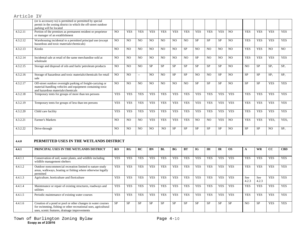#### (or is accessory to) is permitted or permitted by special permit in the zoning district in which the off-street outdoor parking will be located 4.3.2.11 Portion of the premises as permanent resident or proprietor or manager of an establishment NO YES YES YES YES YES YES YES YES YES NO YES YES YES YES 4.3.2.12 Warehousing incidental to a permitted principal use (except hazardous and toxic materials/chemicals) NO NO NO NO NO NO NO SP SP SP NO YES YES YES YES 4.3.2.13 Kiosks NO NO NO NO NO NO SP NO NO NO NO YES YES NO NO 4.3.2.14 Incidental sale at retail of the same merchandise sold at wholesale NO NO NO NO NO NO NO SP NO NO NO YES YES YES YES 4.3.2.15 Storage and disposal of oils and fuels/ petroleum products NO NO NO SP SP SP SP SP SP SP SP NO NO SP SP<sub>1</sub> SP<sub>1</sub> 4.3.2.16 Storage of hazardous and toxic materials/chemicals for retail sale NO NO -- NO NO SP SP NO NO SP NO SP SP SP1 SP14.3.2.17 Off-street outdoor overnight parking of freight-carrying or material-handling vehicles and equipment containing toxic and hazardous materials/chemicals NO NO NO NO NO NO NO SP SP SP NO SP SP YES YES 4.3.2.18 Temporary tents for groups of more than ten persons | YES | YES | YES | YES | YES | YES | YES | YES | YES | YES | YES | YES | YES | YES | YES | YES | YES | YES | YES | YES | YES | YES | YES | YES | YES | YES | YES 4.3.2.19 Temporary tents for groups of less than ten persons YES YES YES YES YES YES YES YES YES YES YES YES YES YES YES 4.3.2.20 Child care facility YES YES YES YES YES YES YES YES YES YES YES YES YES YES YES 4.3.2.21 Farmer's Markets Native States Note in the NO NO NO NO YES YES YES NO NO YES NO YES NO YES YES YES YES 4.3.2.22 Drive-through NO NO NO NO NO NO NO SP SP SP SP SP NO SP SP NO SP<sub>1</sub> **4.4.0 PERMITTED USES IN THE WETLANDS DISTRICT4.4.1 PRINCIPAL USES IN THE WETLANDS DISTRICT RO RG RC BN BL BG BT IG IH IR OS A WR CC CBD** 4.4.1.1 Conservation of soil, water plants, and wildlife including wildlife management shelters YES YES YES YES YES YES YES YES YES YES YES YES YES YES YES 4.4.1.2 Outdoor noncommercial recreation limited to nature study areas, walkways, boating or fishing where otherwise legally permitted YES YES YES YES YES YES YES YES YES YES YES YES YES YES YES 4.4.1.3 Agriculture, horticulture and floriculture YES YES YES YES YES YES YES YES YES YES YES See 4.2.3 See 4.2.3 YES **YES** 4.4.1.4 Maintenance or repair of existing structures, roadways and utilities YES YES YES YES YES YES YES YES YES YES YES YES YES YES YES 4.4.1.5 Periodic maintenance of existing water courses YES YES YES YES YES YES YES YES YES YES YES YES YES YES YES 4.4.1.6 Creation of a pond or pool or other changes in water courses for swimming, fishing or other recreational uses, agricultural SP SP SP SP SP SP SP SP SP SP SP NO SP YES YES

uses, scenic features, drainage improvements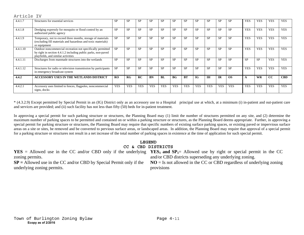#### 4.4.1.7 Structures for essential services SP SP SP SP SP SP SP SP SP SP SP YES YES YES YES 4.4.1.8 Dredging expressly for mosquito or flood control by an authorized public agency SP SP SP SP SP SP SP SP SP SP SP YES YES YES YES 4.4.1.9 Temporary, not to exceed three months, storage of materials (excluding fill materials and hazardous and toxic materials) or equipment SP SP SP SP SP SP SP SP SP SP SP YES YES YES YES 4.4.1.10 Outdoor noncommercial recreation not specifically permitted by right in section 4.4.1.2 including public parks, non-paved playfields, and similar activities SP SP SP SP SP SP SP SP SP SP SP YES YES YES YES 4.4.1.11 Discharges from manmade structures into the wetlands SP SP SP SP SP SP SP SP SP SP SP SP SP YES YES 4.4.1.12 Structures for radio or television transmission by participants in emergency broadcast system SP SP SP SP SP SP SP SP SP SP SP YES YES YES YES **4.4.2 ACCESSORY USES IN THE WETLANDS DISTRICT RO RG RC BN BL BG BT IG IH IR OS A WR CC CBD** 4.4.2.1 Accessory uses limited to fences, flagpoles, noncommercial signs, docks YES YES YES YES YES YES YES YES YES YES YES YES YES YES YES

\* (4.3.2.9) Except permitted by Special Permit in an (IG) District only as an accessory use to a Hospital principal use at which, at a minimum (i) in-patient and out-patient care and services are provided; and (ii) such facility has not less than fifty (50) beds for in-patient treatment.

In approving a special permit for such parking structure or structures, the Planning Board may (1) limit the number of structures permitted on any site, and (2) determine the maximum number of parking spaces to be permitted and contained on or within a parking structure or structures, as the Planning Board deems appropriate. Further, in approving a special permit for parking structure or structures, the Planning Board may require that specific numbers of existing surface parking spaces, or existing paved or impervious surface areas on a site or sites, be removed and be converted to pervious surface areas, or landscaped areas. In addition, the Planning Board may require that approval of a special permit for a parking structure or structures not result in a net increase of the total number of parking spaces in existence at the time of application for such special permit.

# **LEGEND CC & CBD DISTRICTS**

**YES** = Allowed use in the CC and/or CBD only if the underlying **YES**<sub>1</sub> and  $SP_1$ = Allowed use by right or special permit in the CC zoning permits.

**SP =** Allowed use in the CC and/or CBD by Special Permit only if the underlying zoning permits.

and/or CBD districts superseding any underlying zoning.

**NO** = Is not allowed in the CC or CBD regardless of underlying zoning provisions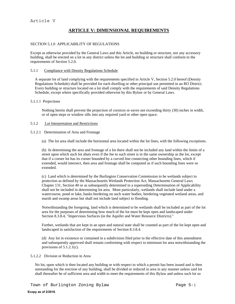# **ARTICLE V: DIMENSIONAL REQUIREMENTS**

### SECTION 5.1.0 APPLICABILITY OF REGULATIONS

Except as otherwise provided by the General Laws and this Article, no building or structure, nor any accessory building, shall be erected on a lot in any district unless the lot and building or structure shall conform to the requirements of Section 5.2.0.

#### 5.1.1 Compliance with Density Regulations Schedule

A separate lot of land complying with the requirements specified in Article V, Section 5.2.0 hereof (Density Regulations Schedule) shall be provided for each dwelling or other principal use permitted in an RO District. Every building or structure located on a lot shall comply with the requirements of said Density Regulations Schedule, except where specifically provided otherwise by this Bylaw or by General Laws.

#### 5.1.1.1 Projections

Nothing herein shall prevent the projection of cornices or eaves not exceeding thirty (30) inches in width, or of open steps or window sills into any required yard or other open space.

### 5.1.2 Lot Interpretation and Restrictions

5.1.2.1 Determination of Area and Frontage

(a) The lot area shall include the horizontal area located within the lot lines, with the following exceptions.

(b) In determining the area and frontage of a lot there shall not be included any land within the limits of a street upon which such lot abuts even if the fee to such street is in the same ownership as the lot, except that if a corner lot has its corner bounded by a curved line connecting other bounding lines, which if extended, would intersect, then area and frontage shall be computed as if such bounding lines were so extended.

(c) Land which is determined by the Burlington Conservation Commission to be wetlands subject to protection as defined by the Massachusetts Wetlands Protection Act, Massachusetts General Laws Chapter 131, Section 40 or as subsequently determined in a superseding Determination of Applicability shall not be included in determining lot area. More particularly, wetlands shall include land under a watercourse, pond or lake, banks bordering on such water bodies, bordering vegetated wetland areas, and marsh and swamp areas but shall not include land subject to flooding.

Notwithstanding the foregoing, land which is determined to be wetlands shall be included as part of the lot area for the purposes of determining how much of the lot must be kept open and landscaped under Section 8.3.8.4, "Impervious Surfaces (in the Aquifer and Water Resource Districts)."

Further, wetlands that are kept in an open and natural state shall be counted as part of the lot kept open and landscaped in satisfaction of the requirements of Section 8.3.8.4.

(d) Any lot in existence or contained in a subdivision filed prior to the effective date of this amendment and subsequently approved shall remain conforming with respect to minimum lot area notwithstanding the provisions of 5.1.2.1(c).

5.1.2.2 Division or Reduction in Area

No lot, upon which is then located any building or with respect to which a permit has been issued and is then outstanding for the erection of any building, shall be divided or reduced in area in any manner unless said lot shall thereafter be of sufficient area and width to meet the requirements of this Bylaw and unless such lot so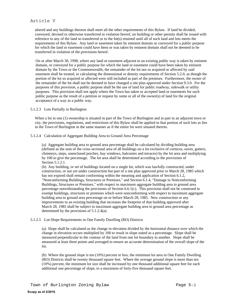# Article V

altered and any buildings thereon shall meet all the other requirements of this Bylaw. If land be divided, conveyed, devised or otherwise transferred in violation hereof, no building or other permits shall be issued with reference to any of the land so transferred or to the lot(s) retained until all of such land and lots meets the requirements of this Bylaw. Any land or easement taken by eminent domain or conveyed for a public purpose for which the land or easement could have been or was taken by eminent domain shall not be deemed to be transferred in violation of the provisions hereof.

On or after March 30, 1998, where any land or easement adjacent to an existing public way is taken by eminent domain, or conveyed for a public purpose for which the land or easement could have been taken by eminent domain by the Town or the Commonwealth, the remainder of the lot not so acquired or affected by said easement shall be treated, in calculating the dimensional or density requirements of Section 5.2.0, as though the portion of the lot so acquired or affected were still included as part of the premises. Furthermore, the owner of the remainder of the lot shall not be deemed to have changed a site plan approved under Section 9.3.0. For the purposes of this provision, a public purpose shall be the use of land for public roadway, sidewalk or utility purposes. This provision shall not apply where the Town has taken or accepted land or easements for such public purpose as the result of a petition or request by some or all of the owner(s) of land for the original acceptance of a way as a public way.

#### 5.1.2.3 Lots Partially in Burlington

When a lot in one (1) ownership is situated in part of the Town of Burlington and in part in an adjacent town or city, the provisions, regulations, and restrictions of this Bylaw shall be applied to that portion of such lots as lies in the Town of Burlington in the same manner as if the entire lot were situated therein.

### 5.1.2.4 Calculation of Aggregate Building Area to Ground Area Percentage

(a) Aggregate building area to ground area percentage shall be calculated by dividing building area (defined as the sum of the cross sectional area of all buildings on a lot exclusive of cornices, eaves, gutters, chimneys, steps, unenclosed porches, bay windows, balconies and terraces) by the lot area and multiplying by 100 to give the percentage. The lot area shall be determined according to the provisions of Section 5.1.2.1.

(b) Any building, or set of buildings located on a single lot, which was lawfully constructed, under construction, or not yet under construction but part of a site plan approved prior to March 28, 1985 which has not expired shall remain conforming within the meaning and application of Section 6.1.2, "Nonconforming Buildings, Structures or Premises," and Section 6.1.4, "Damage to Nonconforming Buildings, Structures or Premises," with respect to maximum aggregate building area to ground area percentage notwithstanding the provisions of Section 6.6.1(c). This provision shall not be construed to exempt buildings, structures or premises which were nonconforming with respect to maximum aggregate building area to ground area percentage on or before March 28, 1985. New construction or any improvements to an existing building that increases the footprint of that building approved after March 28, 1985 shall be subject to maximum aggregate building area to ground area percentage as determined by the provisions of 5.1.2.4(a).

#### 5.1.2.5 Lot-Slope Requirements in One Family Dwelling (RO) Districts

(a) Slope shall be calculated as the change in elevation divided by the horizontal distance over which the change in elevation occurs multiplied by 100 to result in slope stated as a percentage. Slope shall be measured perpendicular to the contour of the land from one lot boundary to another. Slope shall be measured at least three points and averaged to ensure an accurate determination of the overall slope of the lot.

(b) Where the ground slope is ten (10%) percent or less, the minimum lot area in One Family Dwelling (RO) Districts shall be twenty thousand square feet. Where the average ground slope is more than ten (10%) percent, the minimum lot size shall be increased by one thousand additional square feet for each additional one percentage of slope, to a maximum of forty-five thousand square feet.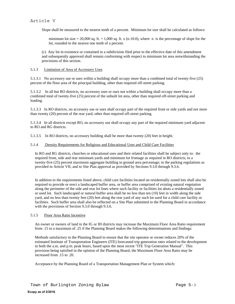Slope shall be measured to the nearest tenth of a percent. Minimum lot size shall be calculated as follows:

minimum lot size = 20,000 sq. ft. + 1,000 sq. ft. x (n-10.0), where n is the percentage of slope for the lot, rounded to the nearest one tenth of a percent.

(c) Any lot in existence or contained in a subdivision filed prior to the effective date of this amendment and subsequently approved shall remain conforming with respect to minimum lot area notwithstanding the provisions of this section.

### 5.1.3 Limitation of Area of Accessory Uses

5.1.3.1 No accessory use or uses within a building shall occupy more than a combined total of twenty-five (25) percent of the floor area of the principal building, other than required off-street parking.

5.1.3.2 In all but RO districts, no accessory uses or uses not within a building shall occupy more than a combined total of twenty-five (25) percent of the unbuilt lot area, other than required off-street parking and loading.

5.1.3.3 In RO districts, no accessory use or uses shall occupy part of the required front or side yards and not more than twenty (20) percent of the rear yard, other than required off-street parking.

5.1.3.4 In all districts except RO, no accessory use shall occupy any part of the required minimum yard adjacent to RO and RG districts.

5.1.3.5 In RO districts, no accessory building shall be more than twenty (20) feet in height.

### 5.1.4 Density Requirements for Religious and Educational Uses and Child Care Facilities

In RO and RG districts, churches or educational uses and their related facilities shall be subject only to: the required front, side and rear minimum yards and minimum lot frontage as required in RO districts; to a twenty-five (25) percent maximum aggregate building to ground area percentage; to the parking regulations as provided in Article VII; and to Site Plan approval as provided by Sections 9.3.0 through 9.3.6.

In addition to the requirements listed above, child care facilities located on residentially zoned lots shall also be required to provide or erect a landscaped buffer area, or buffer area comprised of existing natural vegetation along the perimeter of the side and rear lot lines where such facility or facilities lot abuts a residentially zoned or used lot. Such landscaped or natural buffer area shall be no less than ten (10) feet in width along the side yard, and no less than twenty feet (20) feet along the rear yard of any such lot used for a child care facility or facilities. Such buffer area shall also be reflected on a Site Plan submitted to the Planning Board in accordance with the provisions of Section 9.3.0 through 9.3.6.

#### 5.1.5 Floor Area Ratio Incentive

An owner or owners of land in the IG or IH districts may increase the Maximum Floor Area Ratio requirement from .15 to a maximum of .25 if the Planning Board makes the following determinations and findings:

Methods satisfactory to the Planning Board to ensure that the site operator or owner reduces 20% of the estimated Institute of Transportation Engineers (ITE) forecasted trip generation rates related to the development in both the a.m. and p.m. peak hours, based upon the most recent "ITE Trip Generation Manual". This provision being satisfied in the opinion of the Planning Board, the Maximum Floor Area Ratio may be increased from .15 to .20.

Acceptance by the Planning Board of a Transportation Management Plan or System which: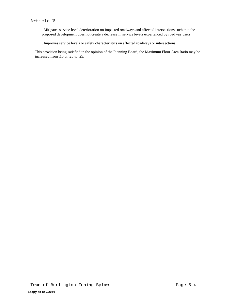. Mitigates service level deterioration on impacted roadways and affected intersections such that the proposed development does not create a decrease in service levels experienced by roadway users.

. Improves service levels or safety characteristics on affected roadways or intersections.

This provision being satisfied in the opinion of the Planning Board, the Maximum Floor Area Ratio may be increased from .15 or .20 to .25.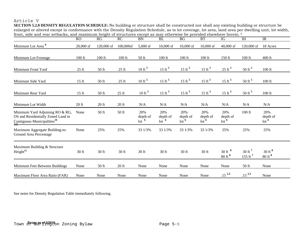# Article V

 **SECTION 5.2.0 DENSITY REGULATION SCHEDULE:** No building or structure shall be constructed nor shall any existing building or structure be enlarged or altered except in conformance with the Density Regulation Schedule, as to lot coverage, lot area, land area per dwelling unit, lot width, front, side and rear setbacks, and maximum height of structures except as may otherwise be provided elsewhere herein. 4

|                                                                                                                        | RO        | RG         | RC        | BN                                    | <b>BL</b>                             | BG                                          | BT                         | IG                                                | $\overline{I}$                             | IR                                             |
|------------------------------------------------------------------------------------------------------------------------|-----------|------------|-----------|---------------------------------------|---------------------------------------|---------------------------------------------|----------------------------|---------------------------------------------------|--------------------------------------------|------------------------------------------------|
| Minimum Lot Area <sup>9</sup>                                                                                          | 20,000 sf | 120,000 sf | 100,000sf | $5,000$ sf                            | $10,000$ sf                           | $10,000$ sf                                 | $10,000$ sf                | $40,000$ sf                                       | 120,000 sf                                 | 18 Acres                                       |
| Minimum Lot Frontage                                                                                                   | $100$ ft  | $100$ ft   | $100$ ft  | 50 ft                                 | $100$ ft                              | $100$ ft                                    | 100 ft                     | 150 ft                                            | $100$ ft                                   | 400 ft                                         |
| Minimum Front Yard                                                                                                     | $25$ ft   | 50 ft      | $25$ ft   | $10 \text{ ft}^5$                     | 15 ft $5$                             | 15 ft $5$                                   | $15 \text{ ft}^5$          | $25 \text{ ft}^5$                                 | 50 ft $5$                                  | 100 ft                                         |
| Minimum Side Yard                                                                                                      | $15$ ft   | 50 ft      | $25$ ft   | $10 \text{ ft}^5$                     | 15 ft $5$                             | $15 \text{ ft}^5$                           | $15 \text{ ft}^5$          | $15 \text{ ft}^5$                                 | 50 ft $5$                                  | $100$ ft                                       |
| Minimum Rear Yard                                                                                                      | $15$ ft   | 50 ft      | $25$ ft   | $10 \text{ ft}^5$                     | 15 ft $5$                             | $15 \text{ ft}^5$                           | 15 ft $5$                  | 15 ft $5$                                         | 50 ft $5$                                  | $100$ ft                                       |
| Minimum Lot Width                                                                                                      | $20$ ft   | $20$ ft    | $20$ ft   | N/A                                   | N/A                                   | N/A                                         | N/A                        | N/A                                               | N/A                                        | N/A                                            |
| Minimum Yard Adjoining RO & RG,<br>OS and Residentially Zoned Land in<br>Contiguous Municipalities <sup>10</sup><br>10 | None      | 50 ft      | 50 ft     | 20%<br>depth of<br>$10t$ <sup>6</sup> | 20%<br>depth of<br>$10t$ <sup>6</sup> | 20%<br>depth of<br>$\int$ lot $\frac{6}{1}$ | 20%<br>depth of<br>$10t^6$ | 20%<br>depth of<br>$10t$ <sup>6</sup>             | $100$ ft                                   | 20%<br>depth of<br>$\overline{\mathrm{lot}}^6$ |
| Maximum Aggregate Building-to-<br>Ground Area Percentage                                                               | None      | 25%        | 25%       | 33 1/3%                               | 33 1/3%                               | 33 1/3%                                     | 33 1/3%                    | 25%                                               | 25%                                        | 25%                                            |
| Maximum Building & Structure<br>Height <sup>11</sup>                                                                   | 30 ft     | 30 ft      | 30 ft     | 30 ft                                 | 30 ft                                 | $30$ ft                                     | 30 ft                      | $30 \text{ ft}$ $\text{ }^8$<br>$80 \text{ ft}^8$ | $30 \text{ ft}^7$<br>$155$ ft <sup>7</sup> | $30 \text{ ft}^8$<br>$80 \text{ ft}^8$         |
| Minimum Feet Between Buildings                                                                                         | None      | 50 ft      | $20$ ft   | None                                  | None                                  | None                                        | None                       | None                                              | 50 ft                                      | None                                           |
| Maximum Floor Area Ratio (FAR)                                                                                         | None      | None       | None      | None                                  | None                                  | None                                        | None                       | $.15^{2,3}$                                       | $.15^{2,3}$                                | None                                           |

See notes for Density Regulation Table immediately following.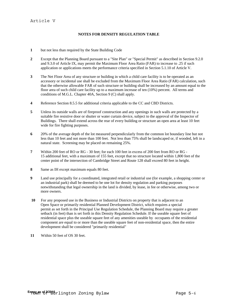# **NOTES FOR DENSITY REGULATION TABLE**

- **1** but not less than required by the State Building Code
- **2** Except that the Planning Board pursuant to a "Site Plan" or "Special Permit" as described in Section 9.2.0 and 9.3.0 of Article IX, may permit the Maximum Floor Area Ratio (FAR) to increase to .25 if such application or applications meets the performance criteria specified in Section 5.1.10 of Article V.
- **3** The Net Floor Area of any structure or building in which a child care facility is to be operated as an accessory or incidental use shall be excluded from the Maximum Floor Area Ratio (FAR) calculation, such that the otherwise allowable FAR of such structure or building shall be increased by an amount equal to the floor area of such child care facility up to a maximum increase of ten (10%) percent. All terms and conditions of M.G.L. Chapter 40A, Section 9 (C) shall apply.
- **4** Reference Section 8.5.5 for additional criteria applicable to the CC and CBD Districts.
- **5** Unless its outside walls are of fireproof construction and any openings in such walls are protected by a suitable fire resistive door or shutter or water curtain device, subject to the approval of the Inspector of Buildings. There shall extend across the rear of every building or structure an open area at least 10 feet wide for fire fighting purposes.
- **6** 20% of the average depth of the lot measured perpendicularly from the common lot boundary line but not less than 10 feet and not more than 100 feet. Not less than 75% shall be landscaped or, if wooded, left in a natural state. Screening may be placed on remaining 25%.
- **7** Within 200 feet of RO or RG 30 feet; for each 100 feet in excess of 200 feet from RO or RG 15 additional feet, with a maximum of 155 feet, except that no structure located within 1,800 feet of the center point of the intersection of Cambridge Street and Route 128 shall exceed 80 feet in height.
- **8** Same as IH except maximum equals 80 feet.
- **9** Land use principally for a coordinated, integrated retail or industrial use (for example, a shopping center or an industrial park) shall be deemed to be one lot for density regulation and parking purposes notwithstanding that legal ownership in the land is divided, by lease, in fee or otherwise, among two or more owners.
- **10** For any proposed use in the Business or Industrial Districts on property that is adjacent to an Open Space or primarily residential Planned Development District, which requires a special permit as set forth in the Principal Use Regulation Schedule, the Planning Board may require a greater setback (in feet) than is set forth in this Density Regulation Schedule. If the useable square feet of residential space plus the useable square feet of any amenities useable by occupants of the residential component are equal to or more than the useable square feet of non-residential space, then the entire development shall be considered "primarily residential"
- **11** Within 50 feet of OS 30 feet.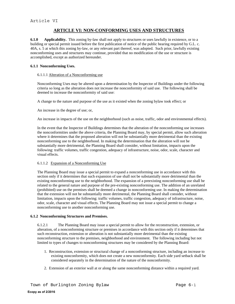# **ARTICLE VI: NON-CONFORMING USES AND STRUCTURES**

**6.1.0 Applicability.** This zoning by-law shall not apply to structures or uses lawfully in existence, or to a building or special permit issued before the first publication of notice of the public hearing required by G.L. c. 40A, s. 5 at which this zoning by-law, or any relevant part thereof, was adopted. Such prior, lawfully existing nonconforming uses and structures may continue, provided that no modification of the use or structure is accomplished, except as authorized hereunder.

# **6.1.1 Nonconforming Uses.**

### 6.1.1.1 Alteration of a Nonconforming use

Nonconforming Uses may be altered upon a determination by the Inspector of Buildings under the following criteria so long as the alteration does not increase the nonconformity of said use. The following shall be deemed to increase the nonconformity of said use:

A change to the nature and purpose of the use as it existed when the zoning bylaw took effect; or

An increase in the degree of use; or,

An increase in impacts of the use on the neighborhood (such as noise, traffic, odor and environmental effects).

In the event that the Inspector of Buildings determines that the alteration of the nonconforming use increases the nonconformities under the above criteria, the Planning Board may, by special permit, allow such alteration where it determines that the proposed alteration will not be substantially more detrimental than the existing nonconforming use to the neighborhood. In making the determination that the alteration will not be substantially more detrimental, the Planning Board shall consider, without limitation, impacts upon the following: traffic volumes, traffic congestion, adequacy of infrastructure, noise, odor, scale, character and visual effects.

# 6.1.1.2 Expansion of a Nonconforming Use

The Planning Board may issue a special permit to expand a nonconforming use in accordance with this section only if it determines that such expansion of use shall not be substantially more detrimental than the existing nonconforming use to the neighborhood*.* The expansion of a preexisting nonconforming use shall be related to the general nature and purpose of the pre-existing nonconforming use. The addition of an unrelated (prohibited) use on the premises shall be deemed a change in nonconforming use. In making the determination that the extension will not be substantially more detrimental, the Planning Board shall consider, without limitation, impacts upon the following: traffic volumes, traffic congestion, adequacy of infrastructure, noise, odor, scale, character and visual effects. The Planning Board may not issue a special permit to change a nonconforming use to another nonconforming use.

#### **6.1.2 Nonconforming Structures and Premises.**

6.1.2.1 The Planning Board may issue a special permit to allow for the reconstruction, extension, or alteration, of a nonconforming structure or premises in accordance with this section only if it determines that such reconstruction, extension or alteration is not substantially more detrimental than the existing nonconforming structure to the premises, neighborhood and environment. The following including but not limited to types of changes to nonconforming structures may be considered by the Planning Board:

- 1. Reconstruction, extension or structural change of a nonconforming structure, including an increase to existing nonconformity, which does not create a new nonconformity. Each side yard setback shall be considered separately in the determination of the nature of the nonconformity.
- 2. Extension of an exterior wall at or along the same nonconforming distance within a required yard.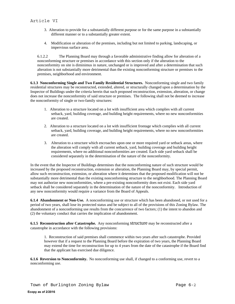- 3. Alteration to provide for a substantially different purpose or for the same purpose in a substantially different manner or to a substantially greater extent.
- 4. Modification or alteration of the premises, including but not limited to parking, landscaping, or impervious surface area.

6.1.2.2 The Planning Board may through a favorable administrative finding allow for alteration of a nonconforming structure or premises in accordance with this section only if the alteration to the nonconformity on site is diminimus in nature, unchanged or is improved and after a determination that such alteration is not substantially more detrimental than the existing nonconforming structure or premises to the premises, neighborhood and environment.

**6.1.3 Nonconforming Single and Two Family Residential Structures.** Nonconforming single and two family residential structures may be reconstructed, extended, altered, or structurally changed upon a determination by the Inspector of Buildings under the criteria herein that such proposed reconstruction, extension, alteration, or change does not increase the nonconformity of said structure or premises. The following shall not be deemed to increase the nonconformity of single or two-family structures:

- 1. Alteration to a structure located on a lot with insufficient area which complies with all current setback, yard, building coverage, and building height requirements, where no new nonconformities are created.
- 2. Alteration to a structure located on a lot with insufficient frontage which complies with all current setback, yard, building coverage, and building height requirements, where no new nonconformities are created.
- 3. Alteration to a structure which encroaches upon one or more required yard or setback areas, where the alteration will comply with all current setback, yard, building coverage and building height requirements, where no additional nonconformities are created. Each side yard setback shall be considered separately in the determination of the nature of the nonconformity.

In the event that the Inspector of Buildings determines that the nonconforming nature of such structure would be increased by the proposed reconstruction, extension or alteration, the Planning Board may, by special permit, allow such reconstruction, extension, or alteration where it determines that the proposed modification will not be substantially more detrimental than the existing nonconforming structure to the neighborhood. The Planning Board may not authorize new nonconformities, where a pre-existing nonconformity does not exist. Each side yard setback shall be considered separately in the determination of the nature of the nonconformity. Introduction of any new nonconformity would require a variance from the Board of Appeals.

**6.1.4 Abandonment or Non-Use.** A nonconforming use or structure which has been abandoned, or not used for a period of two years, shall lose its protected status and be subject to all of the provisions of this Zoning Bylaw. The abandonment of a nonconforming use results from the concurrence of two factors; (1) the intent to abandon and (2) the voluntary conduct that carries the implication of abandonment.

**6.1.5 Reconstruction after Catastrophe.** Any nonconforming structure may be reconstructed after a catastrophe in accordance with the following provisions:

1. Reconstruction of said premises shall commence within two years after such catastrophe. Provided however that if a request to the Planning Board before the expiration of two years, the Planning Board may extend the time for reconstruction for up to 4 years from the date of the catastrophe if the Board find that the applicant has exercised due diligence.

**6.1.6 Reversion to Nonconformity.** No nonconforming use shall, if changed to a conforming use, revert to a nonconforming use.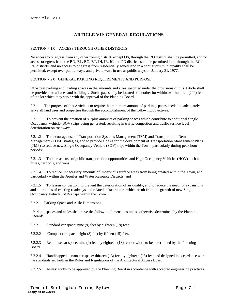# **ARTICLE VII: GENERAL REGULATIONS**

# SECTION 7.1.0 ACCESS THROUGH OTHER DISTRICTS

No access to or egress from any other zoning district, except OS, through the RO district shall be permitted, and no access or egress from the BN, BL, BG, BT, IH, IR, IG and PD districts shall be permitted in or through the RG or RC districts, and no access to or egress from residentially zoned land in a contiguous municipality shall be permitted, except over public ways, and private ways in use as public ways on January 31, 1977. .

# SECTION 7.2.0 GENERAL PARKING REQUIREMENTS AND PURPOSE

Off-street parking and loading spaces in the amounts and sizes specified under the provisions of this Article shall be provided for all uses and buildings. Such spaces may be located on another lot within two-hundred (200) feet of the lot which they serve with the approval of the Planning Board.

7.2.1 The purpose of this Article is to require the minimum amount of parking spaces needed to adequately serve all land uses and properties through the accomplishment of the following objectives:

7.2.1.1 To prevent the creation of surplus amounts of parking spaces which contribute to additional Single Occupancy Vehicle (SOV) trips being generated, resulting in traffic congestion and traffic service level deterioration on roadways;

7.2.1.2 To encourage use of Transportation Systems Management (TSM) and Transportation Demand Management (TDM) strategies, and to provide a basis for the development of Transportation Management Plans (TMP) to reduce new Single Occupancy Vehicle (SOV) trips within the Town, particularly during peak hour periods;

7.2.1.3 To increase use of public transportation opportunities and High Occupancy Vehicles (HOV) such as buses, carpools, and vans;

7.2.1.4 To reduce unnecessary amounts of impervious surface areas from being created within the Town, and particularly within the Aquifer and Water Resource Districts; and

7.2.1.5 To lessen congestion, to prevent the deterioration of air quality, and to reduce the need for expansions and alterations of existing roadways and related infrastructure which result from the growth of new Single Occupancy Vehicle (SOV) trips within the Town.

7.2.2 Parking Space and Aisle Dimensions

Parking spaces and aisles shall have the following dimensions unless otherwise determined by the Planning Board:

7.2.2.1 Standard car space: nine (9) feet by eighteen (18) feet.

7.2.2.2 Compact car space: eight (8) feet by fifteen (15) feet.

7.2.2.3 Retail use car space: nine (9) feet by eighteen (18) feet or width to be determined by the Planning Board.

7.2.2.4 Handicapped person car space: thirteen (13) feet by eighteen (18) feet and designed in accordance with the standards set forth in the Rules and Regulations of the Architectural Access Board.

7.2.2.5 Aisles: width to be approved by the Planning Board in accordance with accepted engineering practices.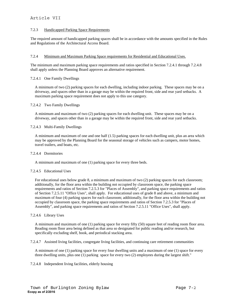# Article VII

### 7.2.3 Handicapped Parking Space Requirements

The required amount of handicapped parking spaces shall be in accordance with the amounts specified in the Rules and Regulations of the Architectural Access Board.

#### 7.2.4 Minimum and Maximum Parking Space requirements for Residential and Educational Uses.

The minimum and maximum parking space requirements and ratios specified in Section 7.2.4.1 through 7.2.4.8 shall apply unless the Planning Board approves an alternative requirement.

### 7.2.4.1 One Family Dwellings

A minimum of two (2) parking spaces for each dwelling, including indoor parking. These spaces may be on a driveway, and spaces other than in a garage may be within the required front, side and rear yard setbacks. A maximum parking space requirement does not apply to this use category.

### 7.2.4.2 Two Family Dwellings

A minimum and maximum of two (2) parking spaces for each dwelling unit. These spaces may be on a driveway, and spaces other than in a garage may be within the required front, side and rear yard setbacks.

### 7.2.4.3 Multi-Family Dwellings

A minimum and maximum of one and one half (1.5) parking spaces for each dwelling unit, plus an area which may be approved by the Planning Board for the seasonal storage of vehicles such as campers, motor homes, travel trailers, and boats, etc.

#### 7.2.4.4 Dormitories

A minimum and maximum of one (1) parking space for every three beds.

# 7.2.4.5 Educational Uses

For educational uses below grade 8, a minimum and maximum of two (2) parking spaces for each classroom; additionally, for the floor area within the building not occupied by classroom space, the parking space requirements and ratios of Section 7.2.5.3 for "Places of Assembly", and parking space requirements and ratios of Section 7.2.5.11 "Office Uses", shall apply. For educational uses of grade 8 and above, a minimum and maximum of four (4) parking spaces for each classroom; additionally, for the floor area within the building not occupied by classroom space, the parking space requirements and ratios of Section 7.2.5.3 for "Places of Assembly", and parking space requirements and ratios of Section 7.2.5.11 "Office Uses", shall apply.

# 7.2.4.6 Library Uses

A minimum and maximum of one (1) parking space for every fifty (50) square feet of reading room floor area. Reading room floor area being defined as that area so designated for public reading and/or research, but specifically excluding shelf, book, and periodical stacking area.

7.2.4.7 Assisted living facilities, congregate living facilities, and continuing care retirement communities

A minimum of one (1) parking space for every four dwelling units and a maximum of one (1) space for every three dwelling units, plus one (1) parking space for every two (2) employees during the largest shift."

7.2.4.8 Independent living facilities, elderly housing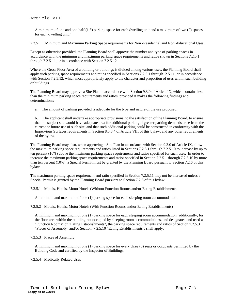A minimum of one and one-half (1.5) parking space for each dwelling unit and a maximum of two (2) spaces for each dwelling unit."

### 7.2.5 Minimum and Maximum Parking Space requirements for Non -Residential and Non -Educational Uses.

Except as otherwise provided, the Planning Board shall approve the number and type of parking spaces in accordance with the minimum and maximum parking space requirements and ratios shown in Sections 7.2.5.1 through 7.2.5.11, or in accordance with Section 7.2.5.12.

Where the Gross Floor Area of a building or buildings is divided among various uses, the Planning Board shall apply such parking space requirements and ratios specified in Sections 7.2.5.1 through .2.5.11, or in accordance with Section 7.2.5.12, which most appropriately apply to the character and proportion of uses within such building or buildings.

The Planning Board may approve a Site Plan in accordance with Section 9.3.0 of Article IX, which contains less than the minimum parking space requirements and ratios, provided it makes the following findings and determinations:

a. The amount of parking provided is adequate for the type and nature of the use proposed.

b. The applicant shall undertake appropriate provisions, to the satisfaction of the Planning Board, to ensure that the subject site would have adequate area for additional parking if greater parking demands arise from the current or future use of such site, and that such additional parking could be constructed in conformity with the Impervious Surfaces requirements in Section 8.3.8.4 of Article VIII of this bylaw, and any other requirements of the bylaw.

The Planning Board may also, when approving a Site Plan in accordance with Section 9.3.0 of Article IX, allow the maximum parking space requirements and ratios listed in Sections 7.2.5.1 through 7.2.5.10 to increase by up to ten percent (10%) above the maximum parking space requirements and ratios specified for such uses. In order to increase the maximum parking space requirements and ratios specified in Section 7.2.5.1 through 7.2.5.10 by more than ten percent (10%), a Special Permit must be granted by the Planning Board pursuant to Section 7.2.6 of this bylaw.

The maximum parking space requirement and ratio specified in Section 7.2.5.11 may not be increased unless a Special Permit is granted by the Planning Board pursuant to Section 7.2.6 of this bylaw.

7.2.5.1 Motels, Hotels, Motor Hotels (Without Function Rooms and/or Eating Establishments

A minimum and maximum of one (1) parking space for each sleeping room accommodation.

7.2.5.2 Motels, Hotels, Motor Hotels (With Function Rooms and/or Eating Establishments)

A minimum and maximum of one (1) parking space for each sleeping room accommodation; additionally, for the floor area within the building not occupied by sleeping room accommodations, and designated and used as "Function Rooms" or "Eating Establishments", the parking space requirements and ratios of Section 7.2.5.3 "Places of Assembly" and/or Section 7.2.5.10 "Eating Establishments", shall apply.

7.2.5.3 Places of Assembly

A minimum and maximum of one (1) parking space for every three (3) seats or occupants permitted by the Building Code and certified by the Inspector of Buildings.

7.2.5.4 Medically Related Uses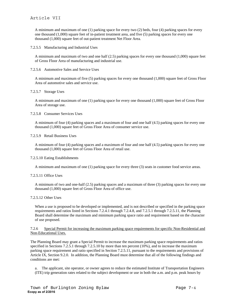# Article VII

A minimum and maximum of one (1) parking space for every two (2) beds, four (4) parking spaces for every one thousand (1,000) square feet of in-patient treatment area, and five (5) parking spaces for every one thousand (1,000) square feet of out-patient treatment Net Floor Area.

7.2.5.5 Manufacturing and Industrial Uses

A minimum and maximum of two and one half (2.5) parking spaces for every one thousand (1,000) square feet of Gross Floor Area of manufacturing and industrial use.

7.2.5.6 Automotive Sales and Service Uses

A minimum and maximum of five (5) parking spaces for every one thousand (1,000) square feet of Gross Floor Area of automotive sales and service use.

7.2.5.7 Storage Uses

A minimum and maximum of one (1) parking space for every one thousand (1,000) square feet of Gross Floor Area of storage use.

### 7.2.5.8 Consumer Services Uses

A minimum of four (4) parking spaces and a maximum of four and one half (4.5) parking spaces for every one thousand (1,000) square feet of Gross Floor Area of consumer service use.

### 7.2.5.9 Retail Business Uses

A minimum of four (4) parking spaces and a maximum of four and one half (4.5) parking spaces for every one thousand (1,000) square feet of Gross Floor Area of retail use.

#### 7.2.5.10 Eating Establishments

A minimum and maximum of one (1) parking space for every three (3) seats in customer food service areas.

# 7.2.5.11 Office Uses

A minimum of two and one-half (2.5) parking spaces and a maximum of three (3) parking spaces for every one thousand (1,000) square feet of Gross Floor Area of office use.

# 7.2.5.12 Other Uses

When a use is proposed to be developed or implemented, and is not described or specified in the parking space requirements and ratios listed in Sections 7.2.4.1 through 7.2.4.8, and 7.2.5.1 through 7.2.5.11, the Planning Board shall determine the maximum and minimum parking space ratio and requirement based on the character of use proposed.

### 7.2.6 Special Permit for increasing the maximum parking space requirements for specific Non-Residential and Non-Educational Uses.

The Planning Board may grant a Special Permit to increase the maximum parking space requirements and ratios specified in Sections 7.2.5.1 through 7.2.5.10 by more than ten percent (10%), and to increase the maximum parking space requirement and ratio specified in Section 7.2.5.11, pursuant to the requirements and provisions of Article IX, Section 9.2.0. In addition, the Planning Board must determine that all of the following findings and conditions are met:

a. The applicant, site operator, or owner agrees to reduce the estimated Institute of Transportation Engineers (ITE) trip generation rates related to the subject development or use in both the a.m. and p.m. peak hours by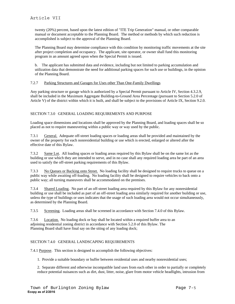twenty (20%) percent, based upon the latest edition of "ITE Trip Generation" manual, or other comparable manual or document acceptable to the Planning Board. The method or methods by which such reduction is accomplished is subject to the approval of the Planning Board.

The Planning Board may determine compliance with this condition by monitoring traffic movements at the site after project completion and occupancy. The applicant, site operator, or owner shall fund this monitoring program in an amount agreed upon when the Special Permit is issued.

b. The applicant has submitted data and evidence, including but not limited to parking accumulation and utilization data that demonstrate the need for additional parking spaces for such use or buildings, in the opinion of the Planning Board.

# 7.2.7 Parking Structures and Garages for Uses other Than One-Family Dwellings

Any parking structure or garage which is authorized by a Special Permit pursuant to Article IV, Section 4.3.2.9, shall be included in the Maximum Aggregate Building-to-Ground Area Percentage (pursuant to Section 5.2.0 of Article V) of the district within which it is built, and shall be subject to the provisions of Article IX, Section 9.2.0.

# SECTION 7.3.0 GENERAL LOADING REQUIREMENTS AND PURPOSE

Loading space dimensions and locations shall be approved by the Planning Board, and loading spaces shall be so placed as not to require maneuvering within a public way or way used by the public.

7.3.1 General. Adequate off-street loading spaces or loading areas shall be provided and maintained by the owner of the property for each nonresidential building or use which is erected, enlarged or altered after the effective date of this Bylaw.

7.3.2 Same Lot. All loading spaces or loading areas required by this Bylaw shall be on the same lot as the building or use which they are intended to serve, and in no case shall any required loading area be part of an area used to satisfy the off-street parking requirements of this Bylaw.

7.3.3 No Queues or Backing onto Street. No loading facility shall be designed to require trucks to queue on a public way while awaiting off-loading. No loading facility shall be designed to require vehicles to back onto a public way; all turning maneuvers shall be accommodated on the premises.

7.3.4 Shared Loading. No part of an off-street loading area required by this Bylaw for any nonresidential building or use shall be included as part of an off-street loading area similarly required for another building or use, unless the type of buildings or uses indicates that the usage of such loading area would not occur simultaneously, as determined by the Planning Board.

7.3.5 Screening. Loading areas shall be screened in accordance with Section 7.4.0 of this Bylaw.

7.3.6 Location. No loading dock or bay shall be located within a required buffer area to an adjoining residential zoning district in accordance with Section 5.2.0 of this Bylaw. The Planning Board shall have final say on the siting of any loading dock;

# SECTION 7.4.0 GENERAL LANDSCAPING REQUIREMENTS

7.4.1 Purpose. This section is designed to accomplish the following objectives:

1. Provide a suitable boundary or buffer between residential uses and nearby nonresidential uses;

2. Separate different and otherwise incompatible land uses from each other in order to partially or completely reduce potential nuisances such as dirt, dust, litter, noise, glare from motor vehicle headlights, intrusion from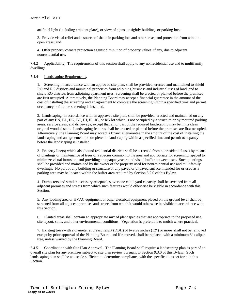artificial light (including ambient glare), or view of signs, unsightly buildings or parking lots;

3. Provide visual relief and a source of shade in parking lots and other areas, and protection from wind in open areas; and

4. Offer property owners protection against diminution of property values, if any, due to adjacent nonresidential use.

7.4.2 Applicability. The requirements of this section shall apply to any nonresidential use and to multifamily dwellings.

### 7.4.4 Landscaping Requirements.

1. Screening, in accordance with an approved site plan, shall be provided, erected and maintained to shield RO and RG districts and municipal properties from adjoining business and industrial uses of land, and to shield RO districts from adjoining apartment uses. Screening shall be erected or planted before the premises are first occupied. Alternatively, the Planning Board may accept a financial guarantee in the amount of the cost of installing the screening and an agreement to complete the screening within a specified time and permit occupancy before the screening is installed.

2. Landscaping, in accordance with an approved site plan, shall be provided, erected and maintained on any part of any BN, BL, BG, BT, IH, IR, IG, or RG lot which is not occupied by a structure or by required parking areas, service areas, and driveways; except that all or part of the required landscaping may be in its clean original wooded state. Landscaping features shall be erected or planted before the premises are first occupied. Alternatively, the Planning Board may accept a financial guarantee in the amount of the cost of installing the landscaping and an agreement to complete the landscaping within a specified time and permit occupancy before the landscaping is installed.

3. Property line(s) which also bound residential districts shall be screened from nonresidential uses by means of plantings or maintenance of trees of a species common to the area and appropriate for screening, spaced to minimize visual intrusion, and providing an opaque year-round visual buffer between uses. Such plantings shall be provided and maintained by the owner of the property used for nonresidential use and multifamily dwellings. No part of any building or structure or any paved or unpaved surface intended for or used as a parking area may be located within the buffer area required by Section 5.2.0 of this Bylaw.

4. Dumpsters and similar accessory receptacles over one cubic yard capacity shall be screened from all adjacent premises and streets from which such features would otherwise be visible in accordance with this Section.

5. Any loading area or HVAC equipment or other electrical equipment placed on the ground level shall be screened from all adjacent premises and streets from which it would otherwise be visible in accordance with this Section.

6. Planted areas shall contain an appropriate mix of plant species that are appropriate to the proposed use, site layout, soils, and other environmental conditions. Vegetation is preferable to mulch where practical.

7. Existing trees with a diameter at breast height (DBH) of twelve inches (12") or more shall not be removed except by prior approval of the Planning Board, and if removed, shall be replaced with a minimum 3" caliper tree, unless waived by the Planning Board.

7.4.5 Coordination with Site Plan Approval. The Planning Board shall require a landscaping plan as part of an overall site plan for any premises subject to site plan review pursuant to Section 9.3.0 of this Bylaw. Such landscaping plan shall be at a scale sufficient to determine compliance with the specifications set forth in this Section.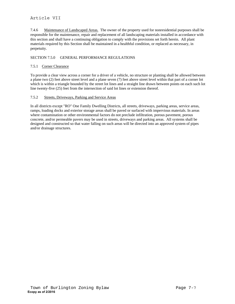# Article VII

7.4.6 Maintenance of Landscaped Areas. The owner of the property used for nonresidential purposes shall be responsible for the maintenance, repair and replacement of all landscaping materials installed in accordance with this section and shall have a continuing obligation to comply with the provisions set forth herein. All plant materials required by this Section shall be maintained in a healthful condition, or replaced as necessary, in perpetuity.

# SECTION 7.5.0 GENERAL PERFORMANCE REGULATIONS

# 7.5.1 Corner Clearance

To provide a clear view across a corner for a driver of a vehicle, no structure or planting shall be allowed between a plane two (2) feet above street level and a plane seven (7) feet above street level within that part of a corner lot which is within a triangle bounded by the street lot lines and a straight line drawn between points on each such lot line twenty-five (25) feet from the intersection of said lot lines or extension thereof.

# 7.5.2 Streets, Driveways, Parking and Service Areas

In all districts except "RO" One Family Dwelling Districts, all streets, driveways, parking areas, service areas, ramps, loading docks and exterior storage areas shall be paved or surfaced with impervious materials. In areas where contamination or other environmental factors do not preclude infiltration, porous pavement, porous concrete, and/or permeable pavers may be used in streets, driveways and parking areas. All systems shall be designed and constructed so that water falling on such areas will be directed into an approved system of pipes and/or drainage structures.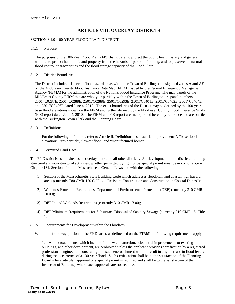# **ARTICLE VIII: OVERLAY DISTRICTS**

#### SECTION 8.1.0 100-YEAR FLOOD PLAIN DISTRICT

#### 8.1.1 Purpose

The purposes of the 100-Year Flood Plain (FP) District are: to protect the public health, safety and general welfare, to protect human life and property from the hazards of periodic flooding, and to preserve the natural flood control characteristics and the flood storage capacity of the Flood Plain.

### 8.1.2 District Boundaries

The District includes all special flood hazard areas within the Town of Burlington designated zones A and AE on the Middlesex County Flood Insurance Rate Map (FIRM) issued by the Federal Emergency Management Agency (FEMA) for the administration of the National Flood Insurance Program. The map panels of the Middlesex County FIRM that are wholly or partially within the Town of Burlington are panel numbers 25017C0287E, 25017C0288E, 25017C0289E, 25017C0293E, 25017C0401E, 25017C0402E, 25017C0404E, and 25017C0406E dated June 4, 2010. The exact boundaries of the District may be defined by the 100 year base flood elevations shown on the FIRM and further defined by the Middlesex County Flood Insurance Study (FIS) report dated June 4, 2010. The FIRM and FIS report are incorporated herein by reference and are on file with the Burlington Town Clerk and the Planning Board.

### 8.1.3 Definitions

For the following definitions refer to Article II: Definitions, "substantial improvements", "base flood elevation", "residential", "lowest floor" and "manufactured home".

#### 8.1.4 Permitted Land Uses

The FP District is established as an overlay district to all other districts. All development in the district, including structural and non-structural activities, whether permitted by right or by special permit must be in compliance with Chapter 131, Section 40 of the Massachusetts General Laws and with the following:

- 1) Section of the Massachusetts State Building Code which addresses floodplain and coastal high hazard areas (currently 780 CMR 120.G "Flood Resistant Construction and Construction in Coastal Dunes");
- 2) Wetlands Protection Regulations, Department of Environmental Protection (DEP) (currently 310 CMR 10.00);
- 3) DEP Inland Wetlands Restrictions (currently 310 CMR 13.00);
- 4) DEP Minimum Requirements for Subsurface Disposal of Sanitary Sewage (currently 310 CMR 15, Title 5).

#### 8.1.5 Requirements for Development within the Floodway

Within the floodway portion of the FP District, as delineated on the **FIRM** the following requirements apply:

1. All encroachments, which include fill, new construction, substantial improvements to existing buildings, and other development, are prohibited unless the applicant provides certification by a registered professional engineer demonstrating that such encroachment will not result in any increase in flood levels during the occurrence of a 100-year flood. Such certification shall be to the satisfaction of the Planning Board where site plan approval or a special permit is required and shall be to the satisfaction of the Inspector of Buildings where such approvals are not required.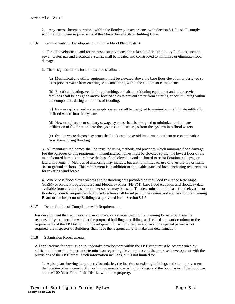2. Any encroachment permitted within the floodway in accordance with Section 8.1.5.1 shall comply with the flood plain requirements of the Massachusetts State Building Code.

# 8.1.6 Requirements for Development within the Flood Plain District

1. For all development, and for proposed subdivisions, the related utilities and utility facilities, such as sewer, water, gas and electrical systems, shall be located and constructed to minimize or eliminate flood damage.

2. The design standards for utilities are as follows:

(a) Mechanical and utility equipment must be elevated above the base floor elevation or designed so as to prevent water from entering or accumulating within the equipment components.

(b) Electrical, heating, ventilation, plumbing, and air-conditioning equipment and other service facilities shall be designed and/or located so as to prevent water from entering or accumulating within the components during conditions of flooding.

(c) New or replacement water supply systems shall be designed to minimize, or eliminate infiltration of flood waters into the systems.

(d) New or replacement sanitary sewage systems shall be designed to minimize or eliminate infiltration of flood waters into the systems and discharges from the systems into flood waters.

(e) On-site waste disposal systems shall be located to avoid impairment to them or contamination from them during flooding.

3. All manufactured homes shall be installed using methods and practices which minimize flood damage. For the purposes of this requirement, manufactured homes must be elevated so that the lowest floor of the manufactured home is at or above the base flood elevation and anchored to resist flotation, collapse, or lateral movement. Methods of anchoring may include, but are not limited to, use of over-the-top or frame ties to ground anchors. This requirement is in addition to applicable state and local anchoring requirements for resisting wind forces.

4. Where base flood elevation data and/or flooding data provided on the Flood Insurance Rate Maps (FIRM) or on the Flood Boundary and Floodway Maps (FB FM), base flood elevation and floodway data available from a federal, state or other source may be used. The determination of a base flood elevation or floodway boundaries pursuant to this subsection shall be subject to the review and approval of the Planning Board or the Inspector of Buildings, as provided for in Section 8.1.7.

# 8.1.7 Determination of Compliance with Requirements

For development that requires site plan approval or a special permit, the Planning Board shall have the responsibility to determine whether the proposed building or buildings and related site work conform to the requirements of the FP District. For development for which site plan approval or a special permit is not required, the Inspector of Buildings shall have the responsibility to make this determination.

#### 8.1.8 Submission Requirements

All applications for permission to undertake development within the FP District must be accompanied by sufficient information to permit determination regarding the compliance of the proposed development with the provisions of the FP District. Such information includes, but is not limited to:

1. A plot plan showing the property boundaries, the location of existing buildings and site improvements, the location of new construction or improvements to existing buildings and the boundaries of the floodway and the 100-Year Flood Plain District within the property.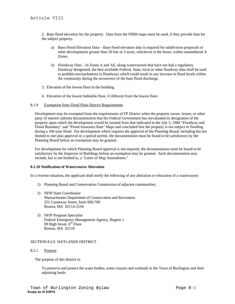2. Base flood elevation for the property. Data from the FIRM maps must be used, if they provide data for the subject property.

- a) Base Flood Elevation Data Base flood elevation data is required for subdivision proposals or other developments greater than 50 lots or 5 acres, whichever is the lesser, within unnumbered A Zones.
- b) Floodway Data In Zones A and AE, along watercourses that have not had a regulatory floodway designated, the best available Federal, State, local or other floodway data shall be used to prohibit encroachments in floodways which could result in any increase in flood levels within the community during the occurrence of the base flood discharge.
- 3. Elevation of the lowest floor in the building.
- 4. Elevation of the lowest habitable floor, if different from the lowest floor.

#### 8.1.9 Exemption from Flood Plain District Requirements

Development may be exempted from the requirements of FP District when the property owner, lessee, or other party of interest submits documentation that the Federal Government has reevaluated its designation of the property upon which the development would be located from that indicated in the July 5, 1984 "Floodway and Flood Boundary" and "Flood Insurance Rate" Maps and concluded that the property is not subject to flooding during a 100-year flood. For development which requires the approval of the Planning Board, including but not limited to site plan approval or a special permit, the documentation must be found to be satisfactory by the Planning Board before an exemption may be granted.

For development for which Planning Board approval is not required, the documentation must be found to be satisfactory by the Inspector of Buildings before an exemption may be granted. Such documentation may include, but is not limited to, a "Letter of Map Amendment."

#### **8.1.10 Notification of Watercourse Alteration**

In a riverine situation, the applicant shall notify the following of any alteration or relocation of a watercourse:

- 1) Planning Board and Conservation Commission of adjacent communities;
- 2) NFIP State Coordinator Massachusetts Department of Conservation and Recreation 251 Causeway Street, Suite 600-700 Boston, MA 02114-2104
- 3) NFIP Program Specialist Federal Emergency Management Agency, Region 1 99 High Street,  $6<sup>th</sup>$  Floor Boston, MA 02110

#### SECTION 8.2.0 WETLANDS DISTRICT

#### 8.2.1 Purpose

The purpose of this district is:

To preserve and protect the water bodies, water courses and wetlands in the Town of Burlington and their adjoining lands.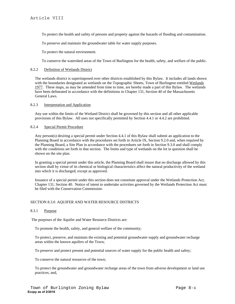To protect the health and safety of persons and property against the hazards of flooding and contamination.

To preserve and maintain the groundwater table for water supply purposes.

To protect the natural environment.

To conserve the watershed areas of the Town of Burlington for the health, safety, and welfare of the public.

### 8.2.2 Definition of Wetlands District

The wetlands district is superimposed over other districts established by this Bylaw. It includes all lands shown with the boundaries designated as wetlands on the Topographic Sheets, Town of Burlington entitled Wetlands 1977. These maps, as may be amended from time to time, are hereby made a part of this Bylaw. The wetlands have been delineated in accordance with the definitions in Chapter 131, Section 40 of the Massachusetts General Laws.

#### 8.2.3 Interpretation and Application

Any use within the limits of the Wetland District shall be governed by this section and all other applicable provisions of this Bylaw. All uses not specifically permitted by Section 4.4.1 or 4.4.2 are prohibited.

### 8.2.4 Special Permit Procedure

Any person(s) desiring a special permit under Section 4.4.1 of this Bylaw shall submit an application to the Planning Board in accordance with the procedures set forth in Article IX, Section 9.2.0 and, when required by the Planning Board, a Site Plan in accordance with the procedures set forth in Section 9.3.0 and shall comply with the conditions set forth in that section. The limits and type of wetlands on the lot in question shall be shown on the site plan.

In granting a special permit under this article, the Planning Board shall insure that no discharge allowed by this section shall by virtue of its chemical or biological characteristics affect the natural productivity of the wetland into which it is discharged, except as approved.

Issuance of a special permit under this section does not constitute approval under the Wetlands Protection Act, Chapter 131, Section 40. Notice of intent to undertake activities governed by the Wetlands Protection Act must be filed with the Conservation Commission.

#### SECTION 8.3.0 AQUIFER AND WATER RESOURCE DISTRICTS

### 8.3.1 Purpose

The purposes of the Aquifer and Water Resource Districts are:

To promote the health, safety, and general welfare of the community;

To protect, preserve, and maintain the existing and potential groundwater supply and groundwater recharge areas within the known aquifers of the Town;

To preserve and protect present and potential sources of water supply for the public health and safety;

To conserve the natural resources of the town;

To protect the groundwater and groundwater recharge areas of the town from adverse development or land use practices; and,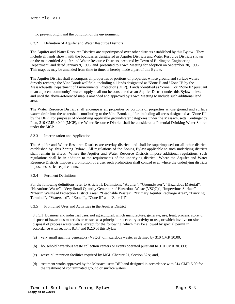To prevent blight and the pollution of the environment.

### 8.3.2 Definition of Aquifer and Water Resource Districts

The Aquifer and Water Resource Districts are superimposed over other districts established by this Bylaw. They include all lands shown with the boundaries designated as Aquifer Districts and Water Resource Districts shown on the map entitled Aquifer and Water Resource Districts, prepared by Town of Burlington Engineering Department, and dated January 9, 1996, and presented to Town Meeting for adoption on September 30, 1996. This map, as may be amended from time to time, is hereby made a part of this Bylaw.

The Aquifer District shall encompass all properties or portions of properties whose ground and surface waters directly recharge the Vine Brook wellfield, including all lands designated as "Zone I" and "Zone II" by the Massachusetts Department of Environmental Protection (DEP). Lands identified as "Zone I" or "Zone II" pursuant to an adjacent community's water supply shall not be considered as an Aquifer District under this Bylaw unless and until the above-referenced map is amended and approved by Town Meeting to include such additional land area.

The Water Resource District shall encompass all properties or portions of properties whose ground and surface waters drain into the watershed contributing to the Vine Brook aquifer, including all areas designated as "Zone III" by the DEP. For purposes of identifying applicable groundwater categories under the Massachusetts Contingency Plan, 310 CMR 40.00 (MCP), the Water Resource District shall be considered a Potential Drinking Water Source under the MCP.

### 8.3.3 Interpretation and Application

The Aquifer and Water Resource Districts are overlay districts and shall be superimposed on all other districts established by this Zoning Bylaw. All regulations of the Zoning Bylaw applicable to such underlying districts shall remain in effect. Where the Aquifer and Water Resource Districts impose additional regulations, such regulations shall be in addition to the requirements of the underlying district. Where the Aquifer and Water Resource Districts impose a prohibition of a use, such prohibition shall control even where the underlying districts impose less strict requirements.

#### 8.3.4 Pertinent Definitions

For the following definitions refer to Article II: Definitions, "Aquifer", "Groundwater", "Hazardous Material", "Hazardous Waste", "Very Small Quantity Generator of Hazardous Waste (VSQG)", "Impervious Surface" "Interim Wellhead Protection District Area", "Leachable Wastes", "Primary Aquifer Recharge Area", "Trucking Terminal", "Watershed", "Zone I",, "Zone II" and "Zone III"

#### 8.3.5 Prohibited Uses and Activities in the Aquifer District

8.3.5.1 Business and industrial uses, not agricultural, which manufacture, generate, use, treat, process, store, or dispose of hazardous materials or wastes as a principal or accessory activity or use, or which involve on-site disposal of process waste waters, except for the following, which may be allowed by special permit in accordance with sections 8.3.7 and 9.2.0 of this Bylaw:

- (a) very small quantity generators (VSQG) of hazardous waste, as defined by 310 CMR 30.00;
- (b) household hazardous waste collection centers or events operated pursuant to 310 CMR 30.390;
- (c) waste oil retention facilities required by MGL Chapter 21, Section 52A; and,
- (d) treatment works approved by the Massachusetts DEP and designed in accordance with 314 CMR 5.00 for the treatment of contaminated ground or surface waters.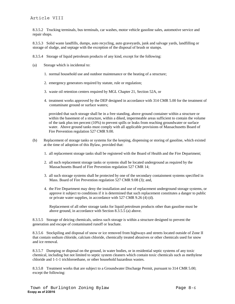8.3.5.2 Trucking terminals, bus terminals, car washes, motor vehicle gasoline sales, automotive service and repair shops.

8.3.5.3 Solid waste landfills, dumps, auto recycling, auto graveyards, junk and salvage yards, landfilling or storage of sludge, and septage with the exception of the disposal of brush or stumps.

8.3.5.4 Storage of liquid petroleum products of any kind, except for the following:

- (a) Storage which is incidental to:
	- 1. normal household use and outdoor maintenance or the heating of a structure;
	- 2. emergency generators required by statute, rule or regulation;
	- 3. waste oil retention centers required by MGL Chapter 21, Section 52A, or
	- 4. treatment works approved by the DEP designed in accordance with 314 CMR 5.00 for the treatment of contaminate ground or surface waters;

provided that such storage shall be in a free standing, above ground container within a structure or within the basement of a structure, within a diked, impermeable areas sufficient to contain the volume of the tank plus ten percent (10%) to prevent spills or leaks from reaching groundwater or surface water. Above ground tanks must comply with all applicable provisions of Massachusetts Board of Fire Prevention regulation 527 CMR 9.00.

- (b) Replacement of storage tanks or systems for the keeping, dispensing or storing of gasoline, which existed at the time of adoption of this Bylaw, provided that:
	- 1. all replacement storage tanks shall be registered with the Board of Health and the Fire Department;
	- 2. all such replacement storage tanks or systems shall be located underground as required by the Massachusetts Board of Fire Prevention regulation 527 CMR 14;
	- 3. all such storage systems shall be protected by one of the secondary containment systems specified in Mass. Board of Fire Prevention regulation 527 CMR 9.08 (3); and,
	- 4. the Fire Department may deny the installation and use of replacement underground storage systems, or approve it subject to conditions if it is determined that such replacement constitutes a danger to public or private water supplies, in accordance with 527 CMR 9.26 (4) (d).

Replacement of all other storage tanks for liquid petroleum products other than gasoline must be above ground, in accordance with Section 8.3.5.5 (a) above.

8.3.5.5 Storage of deicing chemicals, unless such storage is within a structure designed to prevent the generation and escape of contaminated runoff or leachate.

8.3.5.6 Stockpiling and disposal of snow or ice removed from highways and streets located outside of Zone II that contain sodium chloride, calcium chloride, chemically treated abrasives or other chemicals used for snow and ice removal.

8.3.5.7 Dumping or disposal on the ground, in water bodies, or in residential septic systems of any toxic chemical, including but not limited to septic system cleaners which contain toxic chemicals such as methylene chloride and 1-1-1 trichloroethane, or other household hazardous wastes.

8.3.5.8 Treatment works that are subject to a Groundwater Discharge Permit, pursuant to 314 CMR 5.00; except the following: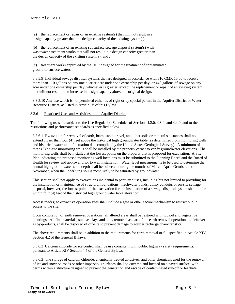(a) the replacement or repair of an existing system(s) that will not result in a design capacity greater than the design capacity of the existing system(s);

(b) the replacement of an existing subsurface sewage disposal system(s) with wastewater treatment works that will not result in a design capacity greater than the design capacity of the existing system(s); and ,

(c) treatment works approved by the DEP designed for the treatment of contaminated ground or surface waters.

8.3.5.9 Individual sewage disposal systems that are designed in accordance with 310 CMR 15.00 to receive more than 110 gallons on any one quarter-acre under one ownership per day, or 440 gallons of sewage on any acre under one ownership per day, whichever is greater, except the replacement or repair of an existing system that will not result in an increase in design capacity above the original design.

8.3.5.10 Any use which is not permitted either as of right or by special permit in the Aquifer District or Water Resource District, as listed in Article IV of this Bylaw.

# 8.3.6 Restricted Uses and Activities in the Aquifer District

The following uses are subject to the Use Regulation Schedules of Sections 4.2.0, 4.3.0, and 4.4.0, and to the restrictions and performance standards as specified below.

8.3.6.1 Excavation for removal of earth, loam, sand, gravel, and other soils or mineral substances shall not extend closer than four (4) feet above the historical high groundwater table (as determined from monitoring wells and historical water table fluctuation data complied by the United States Geological Survey). A minimum of three (3) on-site monitoring wells shall be installed by the property owner to verify groundwater elevations. The monitoring wells shall be installed at the lowest points on the property that is proposed for excavation. A Site Plan indicating the proposed monitoring well locations must be submitted to the Planning Board and the Board of Health for review and approval prior to well installation. Water level measurements to be used to determine the annual high ground water table depth shall be collected during the months of March, April, October, and November, when the underlying soil is most likely to be saturated by groundwater.

This section shall not apply to excavations incidental to permitted uses, including but not limited to providing for the installation or maintenance of structural foundations, freshwater ponds, utility conduits or on-site sewage disposal, however, the lowest point of the excavation for the installation of a sewage disposal system shall not be within four (4) feet of the historical high groundwater table elevation.

Access road(s) to extractive operation sites shall include a gate or other secure mechanism to restrict public access to the site.

Upon completion of earth removal operations, all altered areas shall be restored with topsoil and vegetative plantings. All fine materials, such as clays and silts, removed as part of the earth removal operation and leftover as by-products, shall be disposed of off-site to prevent damage to aquifer recharge characteristics.

The above requirements shall be in addition to the requirements for earth removal or fill specified in Article XIV Section 4.2 of the General Bylaws.

8.3.6.2 Calcium chloride for ice control shall be use consistent with public highway safety requirements, pursuant to Article XIV Section 4.4 of the General Bylaws.

8.3.6.3 The storage of calcium chloride, chemically treated abrasives, and other chemicals used for the removal of ice and snow on roads or other impervious surfaces shall be covered and located on a paved surface, with berms within a structure designed to prevent the generation and escape of contaminated run-off or leachate,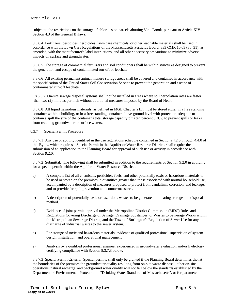subject to the restrictions on the storage of chlorides on parcels abutting Vine Brook, pursuant to Article XIV Section 4.3 of the General Bylaws.

8.3.6.4 Fertilizers, pesticides, herbicides, lawn care chemicals, or other leachable materials shall be used in accordance with the Lawn Care Regulations of the Massachusetts Pesticide Board, 333 CMR 10.03 (30, 31), as amended, with the manufacturer's label instructions, and all other necessary precautions to minimize adverse impacts on surface and groundwater.

8.3.6.5 The storage of commercial fertilizers and soil conditioners shall be within structures designed to prevent the generation and escape of contaminated run-off or leachate.

8.3.6.6 All existing permanent animal manure storage areas shall be covered and contained in accordance with the specification of the Untied States Soil Conservation Service to prevent the generation and escape of contaminated run-off leachate.

 8.3.6.7 On-site sewage disposal systems shall not be installed in areas where soil percolation rates are faster than two (2) minutes per inch without additional measures imposed by the Board of Health.

8.3.6.8 All liquid hazardous materials, as defined in MGL Chapter 21E, must be stored either in a free standing container within a building, or in a free standing container above ground level with protection adequate to contain a spill the size of the container's total storage capacity plus ten percent (10%) to prevent spills or leaks from reaching groundwater or surface waters.

### 8.3.7 Special Permit Procedure

8.3.7.1 Any use or activity identified in the use regulations schedule contained in Sections 4.2.0 through 4.4.0 of this Bylaw which requires a Special Permit in the Aquifer or Water Resource Districts shall require the submission of an application to the Planning Board for approval of such use or activity in accordance with Section 9.2.0.

8.3.7.2 Submittal: The following shall be submitted in addition to the requirements of Section 9.2.0 in applying for a special permit within the Aquifer or Water Resource Districts:

- a) A complete list of all chemicals, pesticides, fuels, and other potentially toxic or hazardous materials to be used or stored on the premises in quantities greater than those associated with normal household use, accompanied by a description of measures proposed to protect from vandalism, corrosion, and leakage, and to provide for spill prevention and countermeasures.
- b) A description of potentially toxic or hazardous wastes to be generated, indicating storage and disposal method.
- c) Evidence of joint permit approval under the Metropolitan District Commission (MDC) Rules and Regulations Covering Discharge of Sewage, Drainage Substances, or Wastes to Sewerage Works within the Metropolitan Sewerage District, and the Town of Burlington's Regulation of Sewer Use for any discharge of industrial wastes to the sewer system.
- d) For storage of toxic and hazardous materials, evidence of qualified professional supervision of system design, installation, and operational management.
- e) Analysis by a qualified professional engineer experienced in groundwater evaluation and/or hydrology certifying compliance with Section 8.3.7.3 below.

8.3.7.3 Special Permit Criteria: Special permits shall only be granted if the Planning Board determines that at the boundaries of the premises the groundwater quality resulting from on-site waste disposal, other on-site operations, natural recharge, and background water quality will not fall below the standards established by the Department of Environmental Protection in "Drinking Water Standards of Massachusetts", or for parameters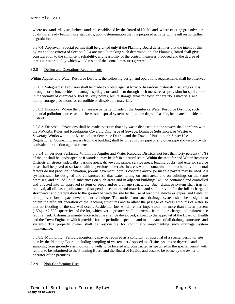where no standard exists, below standards established by the Board of Health and, where existing groundwater quality is already below those standards, upon determination that the proposed activity will result on no further degradation.

8.3.7.4 Approval: Special permit shall be granted only if the Planning Board determines that the intent of this bylaw and the criteria of Section 9.2.4 are met. In making such determination, the Planning Board shall give consideration to the simplicity, reliability, and feasibility of the control measures proposed and the degree of threat to water quality which would result of the control measure(s) were to fail.

## 8.3.8 Design and Operations Requirements

Within Aquifer and Water Resource Districts, the following design and operations requirements shall be observed:

8.3.8.1 Safeguards: Provision shall be made to protect against toxic or hazardous materials discharge or loss through corrosion, accidental damage, spillage, or vandalism through such measures as provision for spill control in the vicinity of chemical or fuel delivery points, secure storage areas for toxic or hazardous materials, and indoor storage provisions for corrodible or dissolvable materials.

8.3.8.2 Location: Where the premises are partially outside of the Aquifer or Water Resource Districts, such potential pollution sources as on-site waste disposal systems shall, to the degree feasible, be located outside the District.

8.3.8.3 Disposal: Provisions shall be made to assure that any waste disposed into the sewers shall conform with the MWRA's Rules and Regulations Covering Discharge of Sewage, Drainage Substances, or Wastes to Sewerage Works within the Metropolitan Sewerage District and the Town of Burlington's Sewer Use Regulations. Connecting sewers from the building shall be vitreous clay pipe or any other pipe shown to provide equivalent protection against corrosion.

8.3.8.4 Impervious Surfaces: Within the Aquifer and Water Resource Districts, not less than forty percent (40%) of the lot shall be landscaped or if wooded, may be left in a natural state. Within the Aquifer and Water Resource Districts all streets, sidewalks, parking areas, driveways, ramps, service areas, loading docks, and exterior service areas shall be paved or surfaced with impervious materials; in areas where contamination or other environmental factors do not preclude infiltration, porous pavement, porous concrete and/or permeable pavers may be used. All systems shall be designed and constructed so that water falling on such areas and on buildings on the same premises, and spilled liquid substances on such areas and in adjacent buildings, will be contained and controlled and directed into an approved system of pipes and/or drainage structures. Such drainage system shall trap for removal, all oil based pollutants and suspended sediment and materials and shall provide for the full recharge of stormwater and precipitation to the ground beneath the site by the use of leaching structures, pipes, and fields, or an approved low impact development technique. The outlet from such drainage system shall be designed to obtain the efficient operation of the leaching structures and to allow the passage of excess amounts of water so that no flooding of the site will occur. Residential lots which render impervious not more than fifteen percent (15%) or 2,500 square feet of the lot, whichever is greater, shall be exempt from this recharge and maintenance requirement. A drainage maintenance schedule shall be developed, subject to the approval of the Board of Health and the Town Engineer, which provides for the periodic inspection and maintenance of all drainage structures and systems. The property owner shall be responsible for continually implementing such drainage system maintenance.

8.3.8.5 Monitoring: Periodic monitoring may be required as a condition of approval of a special permit or site plan by the Planning Board, including sampling of wastewater disposed to off-site systems or drywells and sampling from groundwater monitoring wells to be located and constructed as specified in the special permit with reports to be submitted to the Planning Board and the Board of Health, and costs to be borne by the owner or operator of the premises.

# 8.3.9 Non-Conforming Uses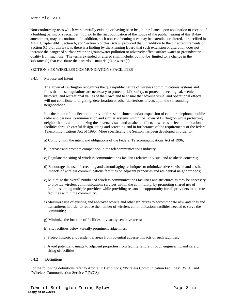# Article VIII

Non-conforming uses which were lawfully existing or having been begun in reliance upon application or receipt of a building permit or special permit prior to the first publication of the notice of the public hearing of this Bylaw amendment, may be continued. In addition, such non-conforming uses may be extended or altered, as specified in MGL Chapter 40A, Section 6, and Section 6 of this Bylaw, provided that, in addition to the other requirements of Section 6.1.0 of this Bylaw, there is a finding by the Planning Board that such extension or alteration does not increase the danger of surface water or groundwater pollution or adversely affect surface water or groundwater quality from such use. The terms extended or altered shall include, but not be limited to, a change in the substance(s) that constitute the hazardous material(s) or waste(s).

# SECTION 8.4.0 WIRELESS COMMUNICATIONS FACILITIES

### 8.4.1 Purpose and Intent

The Town of Burlington recognizes the quasi-public nature of wireless communications systems and finds that these regulations are necessary to protect public safety, to protect the ecological, scenic, historical and recreational values of the Town and to ensure that adverse visual and operational effects will not contribute to blighting, deterioration or other deleterious effects upon the surrounding neighborhood.

It is the intent of this Section to provide for establishment and/or expansion of cellular telephone, mobile radio and personal communication and similar systems within the Town of Burlington while protecting neighborhoods and minimizing the adverse visual and aesthetic effects of wireless telecommunications facilities through careful design, siting and screening and in furtherance of the requirements of the federal Telecommunications Act of 1996. More specifically the Section has been developed in order to:

- a) Comply with the intent and obligations of the Federal Telecommunications Act of 1996;
- b) Increase and promote competition in the telecommunications industry;
- c) Regulate the siting of wireless communications facilities relative to visual and aesthetic concerns;
- d) Encourage the use of screening and camouflaging techniques to minimize adverse visual and aesthetic impacts of wireless communications facilities on adjacent properties and residential neighborhoods;
- e) Minimize the overall number of wireless communications facilities and structures as may be necessary to provide wireless communications services within the community, by promoting shared use of facilities among multiple providers while providing reasonable opportunity for all providers to operate facilities within the community;
- f) Maximize use of existing and approved towers and other structures to accommodate new antennas and transmitters in order to reduce the number of wireless communications facilities needed to serve the community;
- g) Minimize the location of facilities in visually sensitive areas;
- h) Site facilities below visually prominent ridge lines;
- i) Protect historic and residential areas from potential adverse impacts of such facilities;
- j) Avoid potential damage to adjacent properties from facility failure through engineering and careful siting of facilities.

### 8.4.2 Definitions

For the following definitions refer to Article II: Definitions, "Wireless Communication Facilities" (WCF) and "Wireless Communication Services" (WCS).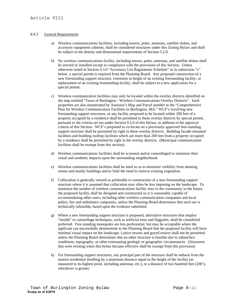# 8.4.3 General Requirements

- a) Wireless communications facilities, including towers, poles, antennas, satellite dishes, and accessory equipment cabinets, shall be considered structures under this Zoning Bylaw and shall be subject to the density and dimensional requirements of Section 5.2.0.
- b) No wireless communications facility, including towers, poles, antennas, and satellite dishes shall be erected or installed except in compliance with the provisions of this Section. Unless otherwise noted in Section 4.3.0 "Accessory Use Regulations Schedule" or in subsection "c" below, a special permit is required from the Planning Board. Any proposed construction of a new freestanding support structure, extension in height of an existing freestanding facility, or replacement of an existing freestanding facility, shall be subject to a new application for a special permit.
- c) Wireless communication facilities may only be located within the overlay districts identified on the map entitled "Town of Burlington - Wireless Communications Overlay Districts". Such properties are also enumerated by Assessor's Map and Parcel number in the "Comprehensive Plan for Wireless Communication Facilities in Burlington, MA." WCF's involving new freestanding support structures, or any facility proposed to be located within 200 feet of a property occupied by a residence shall be permitted in these overlay districts by special permit, pursuant to the criteria set out under Section 9.2.0 of this Bylaw, in addition to the approval criteria of this Section. WCF's proposed to co-locate on a previously approved free-standing support structure shall be permitted by right in these overlay districts. Building facade-mounted facilities and building rooftop facilities which are more than 200 feet from a property occupied by a residence shall be permitted by right in the overlay districts. (Municipal communication facilities shall be exempt from this section).
- d) Wireless communications facilities shall be screened and/or camouflaged to minimize their visual and aesthetic impacts upon the surrounding neighborhood.
- e) Wireless communications facilities shall be sited so as to minimize visibility from abutting streets and nearby buildings and to limit the need to remove existing vegetation.
- f) Collocation is generally viewed as preferable to construction of a new freestanding support structure where it is assumed that collocation may often be less imposing on the landscape. To minimize the number of wireless communications facility sites in the community in the future, the proposed facility shall be designed and constructed so it is reasonably capable of accommodating other users, including other wireless communication companies and local police, fire and ambulance companies, unless the Planning Board determines that such use is technically infeasible, based upon the evidence submitted.
- g) Where a new freestanding support structure is proposed, alternative structures that employ "stealth" or camouflage techniques, such as artificial trees and flagpoles, shall be considered preferred. Free standing monopoles are less preferential, but may be acceptable where the applicant can successfully demonstrate to the Planning Board that the proposed facility will have minimal visual impact on the landscape. Lattice towers and guyed towers shall not be permitted unless the Planning Board determines that no other structure is feasible due to subsurface conditions, topography, or other extenuating geologic or geographic circumstances. (Structures that were existing when this bylaw became effective shall be exempt from this provision)
- h) For freestanding support structures, any principal part of the structure shall be setback from the nearest residential dwelling by a minimum distance equal to the height of the facility (as measured to its highest point, including antennae, etc.), or a distance of two hundred feet (200'), whichever is greater.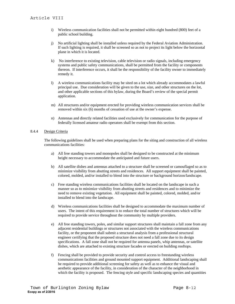- i) Wireless communication facilities shall not be permitted within eight hundred (800) feet of a public school building.
- j) No artificial lighting shall be installed unless required by the Federal Aviation Administration. If such lighting is required, it shall be screened so as not to project its light below the horizontal plane in which it is located.
- k) No interference to existing television, cable television or radio signals, including emergency systems and public safety communications, shall be permitted from the facility or components thereon. If interference occurs, it shall be the responsibility of the facility owner to immediately remedy it.
- l) A wireless communications facility may be sited on a lot which already accommodates a lawful principal use. Due consideration will be given to the use, size, and other structures on the lot, and other applicable sections of this bylaw, during the Board's review of the special permit application.
- m) All structures and/or equipment erected for providing wireless communication services shall be removed within six (6) months of cessation of use at the owner's expense.
- n) Antennas and directly related facilities used exclusively for communication for the purpose of federally licensed amateur radio operators shall be exempt from this section.

# 8.4.4 Design Criteria

The following guidelines shall be used when preparing plans for the siting and construction of all wireless communications facilities:

- a) All free standing towers and monopoles shall be designed to be constructed at the minimum height necessary to accommodate the anticipated and future users.
- b) All satellite dishes and antennas attached to a structure shall be screened or camouflaged so as to minimize visibility from abutting streets and residences. All support equipment shall be painted, colored, molded, and/or installed to blend into the structure or background horizon/landscape.
- c) Free standing wireless communications facilities shall be located on the landscape in such a manner so as to minimize visibility from abutting streets and residences and to minimize the need to remove existing vegetation. All equipment shall be painted, colored, molded, and/or installed to blend into the landscape.
- d) Wireless communications facilities shall be designed to accommodate the maximum number of users. The intent of this requirement is to reduce the total number of structures which will be required to provide service throughout the community by multiple providers.
- e) All free standing towers, poles, and similar support structures shall maintain a fall zone from any adjacent residential buildings or structures not associated with the wireless communications facility, or the proponent shall submit a structural analysis from a professional structural engineer certifying that the proposed structure does not need a fall zone due to its design specifications. A fall zone shall not be required for antenna panels, whip antennas, or satellite dishes, which are attached to existing structure facades or erected on building rooftops.
- f) Fencing shall be provided to provide security and control access to freestanding wireless communications facilities and ground mounted support equipment. Additional landscaping shall be required to provide additional screening for safety as well as to enhance the visual and aesthetic appearance of the facility, in consideration of the character of the neighborhood in which the facility is proposed. The fencing style and specific landscaping species and quantities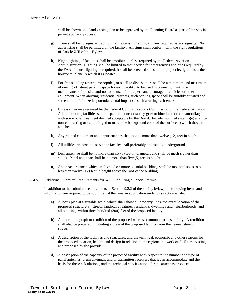shall be shown on a landscaping plan to be approved by the Planning Board as part of the special permit approval process.

- g) There shall be no signs, except for "no trespassing" signs, and any required safety signage. No advertising shall be permitted on the facility. All signs shall conform with the sign regulations of Article XIII of this Bylaw.
- h) Night lighting of facilities shall be prohibited unless required by the Federal Aviation Administration. Lighting shall be limited to that needed for emergencies and/or as required by the FAA. If such lighting is required, it shall be screened so as not to project its light below the horizontal plane in which it is located.
- i) For free standing towers, monopoles, or satellite dishes, there shall be a minimum and maximum of one (1) off street parking space for each facility, to be used in connection with the maintenance of the site, and not to be used for the permanent storage of vehicles or other equipment. When abutting residential districts, such parking space shall be suitably situated and screened to minimize its potential visual impact on such abutting residences.
- j) Unless otherwise required by the Federal Communications Commission or the Federal Aviation Administration, facilities shall be painted noncontrasting gray or blue in color, or camouflaged with some other treatment deemed acceptable by the Board. Facade mounted antenna(e) shall be non-contrasting or camouflaged to match the background color of the surface to which they are attached.
- k) Any related equipment and appurtenances shall not be more than twelve (12) feet in height.
- l) All utilities proposed to serve the facility shall preferably be installed underground.
- m) Dish antennae shall be no more than six (6) feet in diameter, and shall be mesh (rather than solid). Panel antennae shall be no more than five (5) feet in height.
- n) Antennas or panels which are located on nonresidential buildings shall be mounted so as to be less than twelve (12) feet in height above the roof of the building**.**

#### 8.4.5 Additional Submittal Requirements for WCF Requiring a Special Permit

In addition to the submittal requirements of Section 9.2.2 of the zoning bylaw, the following items and information are required to be submitted at the time an application under this section is filed:

- a) A locus plan at a suitable scale, which shall show all property lines, the exact location of the proposed structure(s), streets, landscape features, residential dwellings and neighborhoods, and all buildings within three hundred (300) feet of the proposed facility.
- b) A color photograph or rendition of the proposed wireless communications facility. A rendition shall also be prepared illustrating a view of the proposed facility from the nearest street or streets.
- c) A description of the facilities and structures, and the technical, economic and other reasons for the proposed location, height, and design in relation to the regional network of facilities existing and proposed by the provider.
- d) A description of the capacity of the proposed facility with respect to the number and type of panel antennas, drum antennas, and or transmitter receivers that it can accommodate and the basis for these calculations, and the technical specifications for the antennas proposed.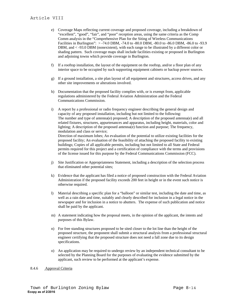- e) Coverage Maps reflecting current coverage and proposed coverage, including a breakdown of "excellent", "good", "fair", and "poor" reception areas, using the same criteria as the Comp Comm analysis in the "Comprehensive Plan for the Siting of Wireless Communications Facilities in Burlington": > -74.0 DBM, -74.0 to -80.0 DBM, -80.0 to -86.0 DBM, -86.0 to -93.9 DBM, and  $\lt$  -93.0 DBM (nonexistent), with each range to be illustrated by a different color or shading pattern. Such coverage maps shall include facilities existing or proposed in Burlington and adjoining towns which provide coverage in Burlington.
- f) If a rooftop installation, the layout of the equipment on the rooftop, and/or a floor plan of any interior space to be occupied by such supporting equipment cabinets or backup power sources.
- g) If a ground installation, a site plan layout of all equipment and structures, access drives, and any other site improvements or alterations involved.
- h) Documentation that the proposed facility complies with, or is exempt from, applicable regulations administered by the Federal Aviation Administration and the Federal Communications Commission.
- i) A report by a professional or radio frequency engineer describing the general design and capacity of any proposed installation, including but not limited to the following: The number and type of antenna(e) proposed; A description of the proposed antenna(e) and all related fixtures, structures, appurtenances and apparatus, including height, materials, color and lighting; A description of the proposed antenna(e) function and purpose; The frequency, modulation and class or service; Direction of maximum lobes; An evaluation of the potential to utilize existing facilities for the proposed facility; An evaluation of the feasibility of attaching the proposed facility to existing buildings; Copies of all applicable permits, including but not limited to all State and Federal permits required for this project and a certification of compliance with the terms and provisions

of the license issued for this purpose by the Federal Communications Commission (FCC).

- j) Site Justification or Appropriateness Statement, including a description of the selection process that eliminated other potential sites;
- k) Evidence that the applicant has filed a notice of proposed construction with the Federal Aviation Administration if the proposed facility exceeds 200 feet in height or in the event such notice is otherwise required.
- l) Material describing a specific plan for a "balloon" or similar test, including the date and time, as well as a rain date and time, suitably and clearly described for inclusion in a legal notice in the newspaper and for inclusion in a notice to abutters. The expense of such publication and notice shall be paid by the applicant.
- m) A statement indicating how the proposal meets, in the opinion of the applicant, the intents and purposes of this Bylaw.
- n) For free standing structures proposed to be sited closer to the lot line than the height of the proposed structure, the proponent shall submit a structural analysis from a professional structural engineer certifying that the proposed structure does not need a fall zone due to its design specifications.
- o) An application may be required to undergo review by an independent technical consultant to be selected by the Planning Board for the purposes of evaluating the evidence submitted by the applicant, such review to be performed at the applicant's expense.

#### 8.4.6 Approval Criteria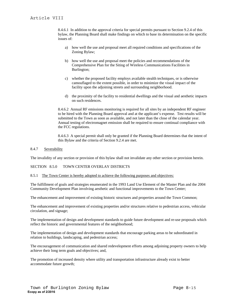8.4.6.1 In addition to the approval criteria for special permits pursuant to Section 9.2.4 of this bylaw, the Planning Board shall make findings on which to base its determination on the specific issues of:

- a) how well the use and proposal meet all required conditions and specifications of the Zoning Bylaw;
- b) how well the use and proposal meet the policies and recommendations of the Comprehensive Plan for the Siting of Wireless Communications Facilities in Burlington;
- c) whether the proposed facility employs available stealth techniques, or is otherwise camouflaged to the extent possible, in order to minimize the visual impact of the facility upon the adjoining streets and surrounding neighborhood.
- d) the proximity of the facility to residential dwellings and the visual and aesthetic impacts on such residences.

8.4.6.2 Annual RF emissions monitoring is required for all sites by an independent RF engineer to be hired with the Planning Board approval and at the applicant's expense. Test results will be submitted to the Town as soon as available, and not later than the close of the calendar year. Annual testing of electromagnet emission shall be required to ensure continual compliance with the FCC regulations.

8.4.6.3 A special permit shall only be granted if the Planning Board determines that the intent of this Bylaw and the criteria of Section 9.2.4 are met.

### 8.4.7 Severability

The invalidity of any section or provision of this bylaw shall not invalidate any other section or provision herein.

# SECTION 8.5.0 TOWN CENTER OVERLAY DISTRICTS

#### 8.5.1 The Town Center is hereby adopted to achieve the following purposes and objectives:

The fulfillment of goals and strategies enumerated in the 1993 Land Use Element of the Master Plan and the 2004 Community Development Plan involving aesthetic and functional improvements to the Town Center;

The enhancement and improvement of existing historic structures and properties around the Town Common;

The enhancement and improvement of existing properties and/or structures relative to pedestrian access, vehicular circulation, and signage;

The implementation of design and development standards to guide future development and re-use proposals which reflect the historic and governmental features of the neighborhood;

The implementation of design and development standards that encourage parking areas to be subordinated in relation to buildings, landscaping, and pedestrian access;

The encouragement of communication and shared redevelopment efforts among adjoining property owners to help achieve their long term goals and objectives; and,

The promotion of increased density where utility and transportation infrastructure already exist to better accommodate future growth;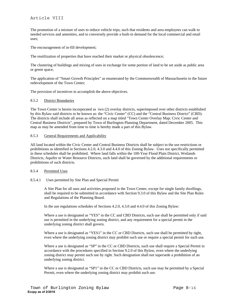# Article VIII

The promotion of a mixture of uses to reduce vehicle trips, such that residents and area employees can walk to needed services and amenities, and to conversely provide a built-in demand for the local commercial and retail uses;

The encouragement of in-fill development;

The reutilization of properties that have reached their market or physical obsolescence;

The clustering of buildings and mixing of uses in exchange for some portion of land to be set aside as public area or green space;

The application of "Smart Growth Principles" as enumerated by the Commonwealth of Massachusetts to the future redevelopment of the Town Center;

The provision of incentives to accomplish the above objectives.

#### 8.5.2 District Boundaries

The Town Center is herein incorporated as two (2) overlay districts, superimposed over other districts established by this Bylaw said districts to be known as: the "Civic Center" (CC) and the "Central Business District" (CBD). The districts shall include all areas as reflected on a map titled "Town Center Overlay Map: Civic Center and Central Business Districts", prepared by Town of Burlington Planning Department, dated December 2005. This map as may be amended from time to time is hereby made a part of this Bylaw.

### 8.5.3 General Requirements and Applicability

All land located within the Civic Center and Central Business Districts shall be subject to the use restrictions or prohibitions as identified in Sections 4.2.0, 4.3.0 and 4.4.0 of this Zoning Bylaw. Uses not specifically permitted in these schedules shall be prohibited. Where land falls within the 100-Year Flood Plain District, Wetlands Districts, Aquifer or Water Resource Districts, such land shall be governed by the additional requirements or prohibitions of such districts.

#### 8.5.4 Permitted Uses

#### 8.5.4.1 Uses permitted by Site Plan and Special Permit

A Site Plan for all uses and activities proposed in the Town Center, except for single family dwellings, shall be required to be submitted in accordance with Section 9.3.0 of this Bylaw and the Site Plan Rules and Regulations of the Planning Board.

In the use regulations schedules of Sections 4.2.0, 4.3.0 and 4.4.0 of this Zoning Bylaw:

Where a use is designated as "YES" in the CC and CBD Districts, such use shall be permitted only if said use is permitted in the underlying zoning district, and any requirement for a special permit in the underlying zoning district shall govern.

Where a use is designated as "YES1" in the CC or CBD Districts, such use shall be permitted by right, even where the underlying zoning district may prohibit such use or require a special permit for such use.

Where a use is designated as "SP" in the CC or CBD Districts, such use shall require a Special Permit in accordance with the procedures specified in Section 9.2.0 of this Bylaw, even where the underlying zoning district may permit such use by right. Such designation shall not supersede a prohibition of an underlying zoning district.

Where a use is designated as "SP1" in the CC or CBD Districts, such use may be permitted by a Special Permit, even where the underlying zoning district may prohibit such use.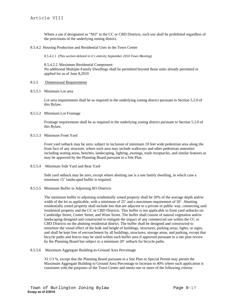Where a use if designated as "NO" in the CC or CBD Districts, such use shall be prohibited regardless of the provisions of the underlying zoning district.

8.5.4.2 Housing Production and Residential Uses in the Town Center

8.5.4.2.1 *(This section deleted in it's entirety September 2010 Town Meeting)*

8.5.4.2.2 Maximum Residential Component: No additional Multiple-Family Dwellings shall be permitted beyond those units already permitted or applied for as of June 8,2010

### 8.5.5 Dimensional Requirements

8.5.5.1 Minimum Lot area

Lot area requirements shall be as required in the underlying zoning district pursuant to Section 5.2.0 of this Bylaw.

8.5.5.2 Minimum Lot Frontage

Frontage requirements shall be as required in the underlying zoning district pursuant to Section 5.2.0 of this Bylaw.

8.5.5.3 Minimum Front Yard

Front yard setback may be zero, subject to inclusion of minimum 10 feet wide pedestrian area along the front face of any structure, where such area may include walkways and other pedestrian amenities including seating areas, benches, landscaping, lighting, awnings, trash receptacles, and similar features as may be approved by the Planning Board pursuant to a Site Plan.

#### 8.5.5.4 Minimum Side Yard and Rear Yard

Side yard setback may be zero, except where abutting use is a one family dwelling, in which case a minimum 15' landscaped buffer is required.

#### 8.5.5.5 Minimum Buffer to Adjoining RO Districts

The minimum buffer to adjoining residentially zoned property shall be 20% of the average depth and/or width of the lot as applicable, with a minimum of 25' and a maximum requirement of 50'. Abutting residentially zoned property shall include lots that are adjacent to a private or public way, connecting said residential property and the CC or CBD Districts. This buffer is not applicable to front yard setbacks on Cambridge Street, Center Street, and Winn Street. The buffer shall consist of natural vegetation and/or landscaping designed and constructed to mitigate the impact of any commercial use within the CC or CBD Districts on the abutting residential district. The buffer shall be designed and constructed to minimize the visual effect of the bulk and height of buildings, structures, parking areas, lights, or signs, and shall be kept free of encroachment by all buildings, structures, storage areas, and parking, except that bicycle paths and fences may be sited within such buffer area if approved pursuant to a site plan review by the Planning Board but subject to a minimum 20' setback for bicycle paths.

#### 8.5.5.6 Maximum Aggregate Building-to-Ground Area Percentage

33 1/3 %, except that the Planning Board pursuant to a Site Plan or Special Permit may permit the Maximum Aggregate Building to Ground Area Percentage to increase to 40% where such application is consistent with the purposes of the Town Center and meets one or more of the following criteria: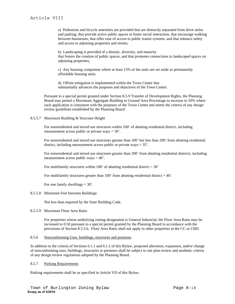a) Pedestrian and bicycle amenities are provided that are distinctly separated from drive aisles and parking, that provide active public spaces to foster social interaction, that encourage walking between businesses, that offer ease of access to public transit systems, and that enhance safety and access to adjoining properties and streets;

b) Landscaping is provided of a density, diversity, and maturity that fosters the creation of public spaces, and that promotes connections to landscaped spaces on adjoining properties;

c) Any housing component where at least 15% of the units are set aside as permanently affordable housing units.

d) Offsite mitigation is implemented within the Town Center that substantially advances the purposes and objectives of the Town Center.

Pursuant to a special permit granted under Section 8.5.9 Transfer of Development Rights, the Planning Board may permit a Maximum Aggregate Building to Ground Area Percentage to increase to 50% where such application is consistent with the purposes of the Town Center and meets the criteria of any design review guidelines established by the Planning Board.

### 8.5.5.7 Maximum Building & Structure Height

For nonresidential and mixed use structures within 100' of abutting residential district, including measurement across public or private ways = 30'.

For nonresidential and mixed use structures greater than 100' but less than 200' from abutting residential district, including measurement across public or private ways = 35'.

For nonresidential and mixed use structures greater than 200' from abutting residential districts, including measurement across public ways  $= 40$ .

For multifamily structures within 100' of abutting residential district  $=$  30'

For multifamily structures greater than 100' from abutting residential district  $= 40'$ .

For one family dwellings  $= 30'$ .

#### 8.5.5.8 Minimum Feet between Buildings

Not less than required by the State Building Code.

# 8.5.5.9 Maximum Floor Area Ratio

For properties whose underlying zoning designation is General Industrial, the Floor Area Ratio may be increased to 0.50 pursuant to a special permit granted by the Planning Board in accordance with the provisions of Section 8.5.5.6. Floor Area Ratio shall not apply to other properties in the CC or CBD.

#### 8.5.6 Nonconforming Uses, buildings, structures and premises

In addition to the criteria of Sections 6.1.1 and 6.1.2 of this Bylaw, proposed alteration, expansion, and/or change of nonconforming uses, buildings, structures or premises shall be subject to site plan review and aesthetic criteria of any design review regulations adopted by the Planning Board.

### 8.5.7 Parking Requirements

Parking requirements shall be as specified in Article VII of this Bylaw.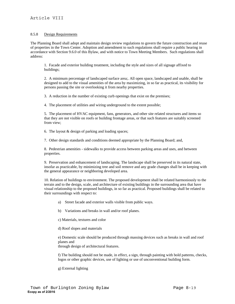# 8.5.8 Design Requirements

The Planning Board shall adopt and maintain design review regulations to govern the future construction and reuse of properties in the Town Center. Adoption and amendment to such regulations shall require a public hearing in accordance with Section 9.6.0 of this Bylaw, and with notice to Town Meeting Members. Such regulations shall address:

1. Facade and exterior building treatment, including the style and sizes of all signage affixed to buildings;

2. A minimum percentage of landscaped surface area;. All open space, landscaped and usable, shall be designed to add to the visual amenities of the area by maximizing, in so far as practical, its visibility for persons passing the site or overlooking it from nearby properties.

3. A reduction in the number of existing curb openings that exist on the premises;

4. The placement of utilities and wiring underground to the extent possible;

5. The placement of HVAC equipment, fans, generators, and other site related structures and items so that they are not visible on roofs or building frontage areas, or that such features are suitably screened from view;

6. The layout & design of parking and loading spaces;

7. Other design standards and conditions deemed appropriate by the Planning Board; and,

8. Pedestrian amenities - sidewalks to provide access between parking areas and uses, and between properties.

9. Preservation and enhancement of landscaping. The landscape shall be preserved in its natural state, insofar as practicable, by minimizing tree and soil remove and any grade changes shall be in keeping with the general appearance or neighboring developed area.

10. Relation of buildings to environment. The proposed development shall be related harmoniously to the terrain and to the design, scale, and architecture of existing buildings in the surrounding area that have visual relationship to the proposed buildings, in so far as practical. Proposed buildings shall be related to their surroundings with respect to:

- a) Street facade and exterior walls visible from public ways.
- b) Variations and breaks in wall and/or roof planes.

c) Materials, textures and color

d) Roof slopes and materials

e) Domestic scale should be produced through massing devices such as breaks in wall and roof planes and through design of architectural features.

f) The building should not be made, in effect, a sign, through painting with bold patterns, checks, logos or other graphic devices, use of lighting or use of unconventional building form.

g) External lighting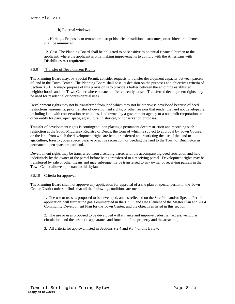# h) External windows

11. Heritage. Proposals to remove or disrupt historic or traditional structures, or architectural elements shall be minimized.

12. Cost. The Planning Board shall be obligated to be sensitive to potential financial burden to the applicant, where the applicant is only making improvements to comply with the Americans with Disabilities Act requirements.

# 8.5.9 Transfer of Development Rights

The Planning Board may, by Special Permit, consider requests to transfer development capacity between parcels of land in the Town Center. The Planning Board shall base its decision on the purposes and objectives criteria of Section 8.5.1. A major purpose of this provision is to provide a buffer between the adjoining established neighborhoods and the Town Center where no such buffer currently exists. Transferred development rights may be used for residential or nonresidential uses.

Development rights may not be transferred from land which may not be otherwise developed because of deed restrictions, easements, prior transfer of development rights, or other reasons that render the land not developable, including land with conservation restrictions, land owned by a government agency or a nonprofit corporation or other entity for park, open space, agricultural, historical, or conservation purposes.

Transfer of development rights is contingent upon placing a permanent deed restriction and recording such restriction at the South Middlesex Registry of Deeds, the form of which is subject to approval by Town Counsel, on the land from which the development rights are being transferred and restricting the use of the land to agriculture, forestry, open space, passive or active recreation, or deeding the land to the Town of Burlington as permanent open space or parkland.

Development rights may be transferred from a sending parcel with the accompanying deed restriction and held indefinitely by the owner of the parcel before being transferred to a receiving parcel. Development rights may be transferred by sale or other means and may subsequently be transferred to any owner of receiving parcels in the Town Center allowed pursuant to this bylaw.

#### 8.5.10 Criteria for approval

The Planning Board shall not approve any application for approval of a site plan or special permit in the Town Center District unless it finds that all the following conditions are met:

1. The use or uses as proposed to be developed, and as reflected on the Site Plan and/or Special Permit application, will further the goals enumerated in the 1993 Land Use Element of the Master Plan and 2004 Community Development Plan for the Town Center, and the objectives listed in this section;

2. The use or uses proposed to be developed will enhance and improve pedestrian access, vehicular circulation, and the aesthetic appearance and function of the property and the area; and,

3. All criteria for approval listed in Sections 9.2.4 and 9.3.4 of this Bylaw.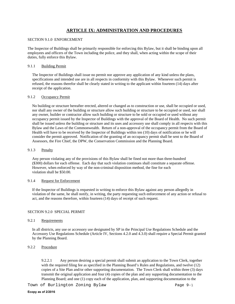# **ARTICLE IX: ADMINISTRATION AND PROCEDURES**

#### SECTION 9.1.0 ENFORCEMENT

The Inspector of Buildings shall be primarily responsible for enforcing this Bylaw, but it shall be binding upon all employees and officers of the Town including the police, and they shall, when acting within the scope of their duties, fully enforce this Bylaw.

### 9.1.1 Building Permit

The Inspector of Buildings shall issue no permit nor approve any application of any kind unless the plans, specifications and intended use are in all respects in conformity with this Bylaw. Whenever such permit is refused, the reasons therefor shall be clearly stated in writing to the applicant within fourteen (14) days after receipt of the application.

### 9.1.2 Occupancy Permit

No building or structure hereafter erected, altered or changed as to construction or use, shall be occupied or used, nor shall any owner of the building or structure allow such building or structure to be occupied or used, nor shall any owner, builder or contractor allow such building or structure to be sold or occupied or used without any occupancy permit issued by the Inspector of Buildings with the approval of the Board of Health. No such permit shall be issued unless the building or structure and its uses and accessory use shall comply in all respects with this Bylaw and the Laws of the Commonwealth. Return of a non-approval of the occupancy permit from the Board of Health will have to be received by the Inspector of Buildings within ten (10) days of notification or he will consider the permit approved. Notification of the granting of an occupancy permit shall be sent to the Board of Assessors, the Fire Chief, the DPW, the Conservation Commission and the Planning Board.

### 9.1.3 Penalty

Any person violating any of the provisions of this Bylaw shall be fined not more than three-hundred (\$300) dollars for each offense. Each day that such violation continues shall constitute a separate offense. However, when enforced by way of the non-criminal disposition method, the fine for each violation shall be \$50.00.

#### 9.1.4 Request for Enforcement

If the Inspector of Buildings is requested in writing to enforce this Bylaw against any person allegedly in violation of the same, he shall notify, in writing, the party requesting such enforcement of any action or refusal to act, and the reasons therefore, within fourteen (14) days of receipt of such request.

# SECTION 9.2.0 SPECIAL PERMIT

#### 9.2.1 Requirements

In all districts, any use or accessory use designated by SP in the Principal Use Regulations Schedule and the Accessory Use Regulations Schedule (Article IV, Sections 4.2.0 and 4.3.0) shall require a Special Permit granted by the Planning Board.

# 9.2.2 Procedure

9.2.2.1 Any person desiring a special permit shall submit an application to the Town Clerk, together with the required filing fee as specified in the Planning Board's Rules and Regulations, and twelve (12) copies of a Site Plan and/or other supporting documentation. The Town Clerk shall within three (3) days transmit the original application and four (4) copies of the plan and any supporting documentation to the Planning Board; and one (1) copy each of the application, plan, and supporting documentation to the

Town of Burlington Zoning Bylaw Page 9-1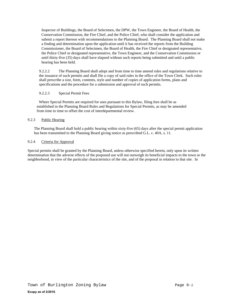Inspector of Buildings, the Board of Selectmen, the DPW, the Town Engineer, the Board of Health, the Conservation Commission, the Fire Chief, and the Police Chief, who shall consider the application and submit a report thereon with recommendations to the Planning Board. The Planning Board shall not make a finding and determination upon the application until it has received the reports from the Building Commissioner, the Board of Selectmen, the Board of Health, the Fire Chief or designated representative, the Police Chief or designated representative, the Town Engineer, and the Conservation Commission or until thirty-five (35) days shall have elapsed without such reports being submitted and until a public hearing has been held.

9.2.2.2 The Planning Board shall adopt and from time to time amend rules and regulations relative to the issuance of such permits and shall file a copy of said rules in the office of the Town Clerk. Such rules shall prescribe a size, form, contents, style and number of copies of application forms, plans and specifications and the procedure for a submission and approval of such permits.

# 9.2.2.3 Special Permit Fees

 Where Special Permits are required for uses pursuant to this Bylaw, filing fees shall be as established in the Planning Board Rules and Regulations for Special Permits, as may be amended from time to time to offset the cost of interdepartmental review.

# 9.2.3 Public Hearing

The Planning Board shall hold a public hearing within sixty-five (65) days after the special permit application has been transmitted to the Planning Board giving notice as prescribed G.L. c. 40A, s. 11.

## 9.2.4 Criteria for Approval

Special permits shall be granted by the Planning Board, unless otherwise specified herein, only upon its written determination that the adverse effects of the proposed use will not outweigh its beneficial impacts to the town or the neighborhood, in view of the particular characteristics of the site, and of the proposal in relation to that site. In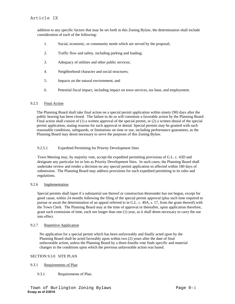addition to any specific factors that may be set forth in this Zoning Bylaw, the determination shall include consideration of each of the following:

- 1. Social, economic, or community needs which are served by the proposal;
- 2. Traffic flow and safety, including parking and loading;
- 3. Adequacy of utilities and other public services;
- 4. Neighborhood character and social structures;
- 5. Impacts on the natural environment; and
- 6. Potential fiscal impact, including impact on town services, tax base, and employment.

# 9.2.5 Final Action

The Planning Board shall take final action on a special permit application within ninety (90) days after the public hearing has been closed. The failure to do so will constitute a favorable action by the Planning Board. Final action shall consist of (1) a written approval of the special permit, or (2) a written denial of the special permit application, stating reasons for such approval or denial. Special permits may be granted with such reasonable conditions, safeguards, or limitations on time or use, including performance guarantees, as the Planning Board may deem necessary to serve the purposes of this Zoning Bylaw.

# 9.2.5.1 Expedited Permitting for Priority Development Sites

Town Meeting may, by majority vote, accept the expedited permitting provisions of G.L. c. 43D and designate any particular lot or lots as Priority Development Sites. In such cases, the Planning Board shall undertake review and render a decision on any special permit application so affected within 180 days of submission. The Planning Board may address provisions for such expedited permitting in its rules and regulations.

# 9.2.6 Implementation

Special permits shall lapse if a substantial use thereof or construction thereunder has not begun, except for good cause, within 24 months following the filing of the special permit approval (plus such time required to pursue or await the determination of an appeal referred to in G.L. c. 40A, s. 17, from the grant thereof) with the Town Clerk. The Planning Board may at the time of approval or thereafter, upon application therefore, grant such extensions of time, each not longer than one (1) year, as it shall deem necessary to carry the use into effect.

# 9.2.7 Repetitive Application

No application for a special permit which has been unfavorably and finally acted upon by the Planning Board shall be acted favorably upon within two (2) years after the date of final unfavorable action, unless the Planning Board by a three-fourths vote finds specific and material changes in the conditions upon which the previous unfavorable action was based.

# SECTION 9.3.0 SITE PLAN

#### 9.3.1 Requirements of Plan

# 9.3.1 Requirements of Plan.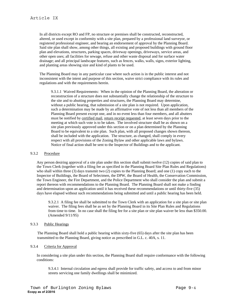In all districts except RO and FP, no structure or premises shall be constructed, reconstructed, altered, or used except in conformity with a site plan, prepared by a professional land surveyor, or registered professional engineer, and bearing an endorsement of approval by the Planning Board. Said site plan shall show, among other things, all existing and proposed buildings with ground floor plan and elevations, structures, parking spaces, driveway openings, driveways, service areas, and other open uses; all facilities for sewage, refuse and other waste disposal and for surface water drainage; and all principal landscape features, such as fences, walks, walls, signs, exterior lighting, and planting areas showing size and kind of plants to be used.

The Planning Board may in any particular case where such action is in the public interest and not inconsistent with the intent and purpose of this section, waive strict compliance with its rules and regulations and with the requirements herein.

9.3.1.1 Waived Requirements: When in the opinion of the Planning Board, the alteration or reconstruction of a structure does not substantially change the relationship of the structure to the site and to abutting properties and structures, the Planning Board may determine, without a public hearing, that submission of a site plan is not required. Upon application, such a determination may be made by an affirmative vote of not less than all members of the Planning Board present except one, and in no event less than four members, and all abutters must be notified by certified mail, return receipt requested, at least seven days prior to the meeting at which such vote is to be taken. The involved structure shall be as shown on a site plan previously approved under this section or on a plan determined by the Planning Board to be equivalent to a site plan. Such plan, with all proposed changes shown thereon, shall be included with the application. The structure, as changed, shall comply in every respect with all provisions of the Zoning Bylaw and other applicable laws and bylaws. Notice of final action shall be sent to the Inspector of Buildings and to the applicant.

#### 9.3.2 Procedure

Any person desiring approval of a site plan under this section shall submit twelve (12) copies of said plan to the Town Clerk (together with a filing fee as specified in the Planning Board Site Plan Rules and Regulations) who shall within three (3) days transmit two (2) copies to the Planning Board; and one (1) copy each to the Inspector of Buildings, the Board of Selectmen, the DPW, the Board of Health, the Conservation Commission, the Town Engineer, the Fire Department, and the Police Department who shall consider the plan and submit a report thereon with recommendations to the Planning Board. The Planning Board shall not make a finding and determination upon an application until it has received these recommendations or until thirty-five (35) days have elapsed without such recommendations being submitted and until a public hearing has been held.

9.3.2.1 A filing fee shall be submitted to the Town Clerk with an application for a site plan or site plan waiver. The filing fees shall be as set by the Planning Board in its Site Plan Rules and Regulations from time to time. In no case shall the filing fee for a site plan or site plan waiver be less than \$350.00. (Amended 9/11/95)

#### 9.3.3 Public Hearings

The Planning Board shall hold a public hearing within sixty-five (65) days after the site plan has been transmitted to the Planning Board, giving notice as prescribed in G.L. c. 40A, s. 11.

## 9.3.4 Criteria for Approval

In considering a site plan under this section, the Planning Board shall require conformance with the following conditions:

9.3.4.1 Internal circulation and egress shall provide for traffic safety, and access to and from minor streets servicing one family dwellings shall be minimized.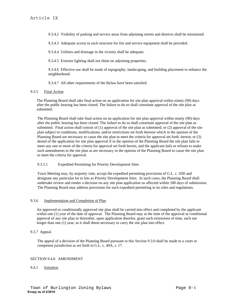9.3.4.2 Visibility of parking and service areas from adjoining streets and districts shall be minimized.

9.3.4.3 Adequate access to each structure for fire and service equipment shall be provided.

9.3.4.4 Utilities and drainage in the vicinity shall be adequate.

9.3.4.5 Exterior lighting shall not shine on adjoining properties.

9.3.4.6 Effective use shall be made of topography, landscaping, and building placement to enhance the neighborhood.

9.3.4.7 All other requirements of the Bylaw have been satisfied.

### 9.3.5 Final Action

The Planning Board shall take final action on an application for site plan approval within ninety (90) days after the public hearing has been closed. The failure to do so shall constitute approval of the site plan as submitted.

The Planning Board shall take final action on an application for site plan approval within ninety (90) days after the public hearing has been closed. The failure to do so shall constitute approval of the site plan as submitted. Final action shall consist of (1) approval of the site plan as submitted; or (2) approval of the site plan subject to conditions, modifications, and/or restrictions set forth thereon which in the opinion of the Planning Board are necessary to cause the site plan to meet the criteria for approval set forth herein; or (3) denial of the application for site plan approval if in the opinion of the Planning Board the site plan fails to meet any one or more of the criteria for approval set forth herein, and the applicant fails or refuses to make such amendments to the site plan as are necessary in the opinion of the Planning Board to cause the site plan to meet the criteria for approval.

# 9.3.5.1 Expedited Permitting for Priority Development Sites

Town Meeting may, by majority vote, accept the expedited permitting provisions of G.L. c. 43D and designate any particular lot or lots as Priority Development Sites. In such cases, the Planning Board shall undertake review and render a decision on any site plan application so affected within 180 days of submission. The Planning Board may address provisions for such expedited permitting in its rules and regulations.

#### 9.3.6 Implementation and Completion of Plan

An approved or conditionally approved site plan shall be carried into effect and completed by the applicant within one (1) year of the date of approval. The Planning Board may at the time of the approval or conditional approval of any site plan or thereafter, upon application therefor, grant such extensions of time, each not longer than one (1) year, as it shall deem necessary to carry the site plan into effect.

# 9.3.7 Appeal.

The appeal of a decision of the Planning Board pursuant to this Section 9.3.0 shall be made to a court or competent jurisdiction as set forth in G.L. c. 40A, s. 17.

#### SECTION 9.4.0 AMENDMENT

#### 9.4.1 Initiation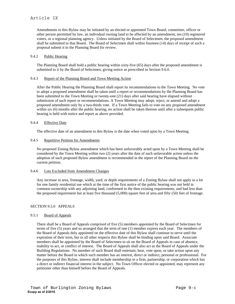Amendments to this Bylaw may be initiated by an elected or appointed Town Board, committee, officer or other person permitted by law, an individual owning land to be affected by an amendment, ten (10) registered voters, or a regional planning agency. Unless initiated by the Board of Selectmen, the proposed amendment shall be submitted to that Board. The Board of Selectmen shall within fourteen (14) days of receipt of such a proposal submit it to the Planning Board for review.

### 9.4.2 Public Hearing

The Planning Board shall hold a public hearing within sixty-five (65) days after the proposed amendment is submitted to it by the Board of Selectmen, giving notice as prescribed in Section 9.6.0.

### 9.4.3 Report of the Planning Board and Town Meeting Action

After the Public Hearing the Planning Board shall report its recommendations to the Town Meeting. No vote to adopt a proposed amendment shall be taken until a report or recommendations by the Planning Board has been submitted to the Town Meeting or twenty-one (21) days after said hearing have elapsed without submission of such report or recommendations. A Town Meeting may adopt, reject, or amend and adopt a proposed amendment only by a two-thirds vote. If a Town Meeting fails to vote on any proposed amendment within six (6) months after the public hearing, no action shall be taken thereon until after a subsequent public hearing is held with notice and report as above provided.

### 9.4.4 Effective Date

The effective date of an amendment to this Bylaw is the date when voted upon by a Town Meeting.

## 9.4.5 Repetitive Petition for Amendments

No proposed Zoning Bylaw amendment which has been unfavorably acted upon by a Town Meeting shall be considered by the Town Meeting within two (2) years after the date of such unfavorable action unless the adoption of such proposed Bylaw amendment is recommended in the report of the Planning Board on the current petition.

# 9.4.6 Lots Excluded from Amendment Changes

Any increase in area, frontage, width, yard, or depth requirements of a Zoning Bylaw shall not apply to a lot for one family residential use which at the time of the first notice of the public hearing was not held in common ownership with any adjoining land, conformed to the then existing requirements, and had less than the proposed requirement but at least five thousand (5,000) square feet of area and fifty (50) feet of frontage.

# SECTION 9.5.0 APPEALS

# 9.5.1 Board of Appeals

There shall be a Board of Appeals comprised of five (5) members appointed by the Board of Selectmen for terms of five (5) years and so arranged that the term of one (1) member expires each year. The members of the Board of Appeals duly appointed on the effective date of this Bylaw shall continue to serve until the expiration of their term, but in all other respects this Bylaw shall be binding upon said Board. Associate members shall be appointed by the Board of Selectmen to sit on the Board of Appeals in case of absence, inability to act, or conflict of interest. The Board of Appeals shall also act as the Board of Appeals under the Building Regulations. No member of such Board shall entertain, hear, vote upon, or take action upon any matter before the Board in which such member has an interest, direct or indirect, personal or professional. For the purposes of this Bylaw, interest shall include membership in a firm, partnership, or corporation which has a direct or indirect financial interest in the subject. No Town Officer elected or appointed, may represent any petitioner other than himself before the Board of Appeals.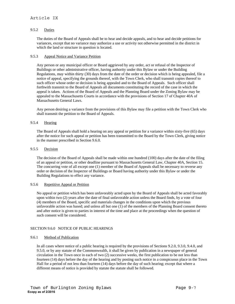# Article IX

# 9.5.2 Duties

The duties of the Board of Appeals shall be to hear and decide appeals, and to hear and decide petitions for variances, except that no variance may authorize a use or activity not otherwise permitted in the district in which the land or structure in question is located.

### 9.5.3 Appeal Notice and Variance Petition

Any person or any municipal officer or Board aggrieved by any order, act or refusal of the Inspector of Buildings or other administrative officer, having authority under this Bylaw or under the Building Regulations, may within thirty (30) days from the date of the order or decision which is being appealed, file a notice of appeal, specifying the grounds thereof, with the Town Clerk, who shall transmit copies thereof to such officer whose order or decision is being appealed and to the Board of Appeals. Such officer shall forthwith transmit to the Board of Appeals all documents constituting the record of the case in which the appeal is taken. Actions of the Board of Appeals and the Planning Board under the Zoning Bylaw may be appealed to the Massachusetts Courts in accordance with the provisions of Section 17 of Chapter 40A of Massachusetts General Laws.

Any person desiring a variance from the provisions of this Bylaw may file a petition with the Town Clerk who shall transmit the petition to the Board of Appeals.

## 9.5.4 Hearing

The Board of Appeals shall hold a hearing on any appeal or petition for a variance within sixty-five (65) days after the notice for such appeal or petition has been transmitted to the Board by the Town Clerk, giving notice in the manner prescribed in Section 9.6.0.

### 9.5.5 Decision

The decision of the Board of Appeals shall be made within one hundred (100) days after the date of the filing of an appeal or petition, or other deadline pursuant to Massachusetts General Law, Chapter 40A, Section 15. The concurring vote of all except one (1) member of the Board of Appeals shall be necessary to reverse any order or decision of the Inspector of Buildings or Board having authority under this Bylaw or under the Building Regulations to effect any variance.

#### 9.5.6 Repetitive Appeal or Petition

No appeal or petition which has been unfavorably acted upon by the Board of Appeals shall be acted favorably upon within two (2) years after the date of final unfavorable action unless the Board finds, by a vote of four (4) members of the Board, specific and materials changes in the conditions upon which the previous unfavorable action was based; and unless all but one (1) of the members of the Planning Board consent thereto and after notice is given to parties in interest of the time and place at the proceedings when the question of such consent will be considered.

#### SECTION 9.6.0 NOTICE OF PUBLIC HEARINGS

# 9.6.1 Method of Publication

In all cases where notice of a public hearing is required by the provisions of Sections 9.2.0, 9.3.0, 9.4.0, and 9.5.0, or by any statute of the Commonwealth, it shall be given by publication in a newspaper of general circulation in the Town once in each of two (2) successive weeks, the first publication to be not less than fourteen (14) days before the day of the hearing and by posting such notice in a conspicuous place in the Town Hall for a period of not less than fourteen (14) days before the day of such hearing; except that where a different means of notice is provided by statute the statute shall be followed.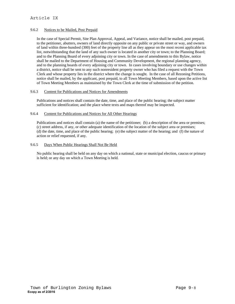# Article IX

## 9.6.2 Notices to be Mailed, Post Prepaid

In the case of Special Permit, Site Plan Approval, Appeal, and Variance, notice shall be mailed, post prepaid, to the petitioner, abutters, owners of land directly opposite on any public or private street or way, and owners of land within three-hundred (300) feet of the property line all as they appear on the most recent applicable tax list, notwithstanding that the land of any such owner is located in another city or town; to the Planning Board; and to the Planning Board of every adjoining city or town. In the case of amendments to this Bylaw, notice shall be mailed to the Department of Housing and Community Development, the regional planning agency, and to the planning boards of every adjoining city or town. In cases involving boundary or use changes within a district, notice shall be sent to any such nonresident property owner who has filed a request with the Town Clerk and whose property lies in the district where the change is sought. In the case of all Rezoning Petitions, notice shall be mailed, by the applicant, post prepaid, to all Town Meeting Members, based upon the active list of Town Meeting Members as maintained by the Town Clerk at the time of submission of the petition.

### 9.6.3 Content for Publications and Notices for Amendments

Publications and notices shall contain the date, time, and place of the public hearing; the subject matter sufficient for identification; and the place where texts and maps thereof may be inspected.

## 9.6.4 Content for Publications and Notices for All Other Hearings

Publications and notices shall contain (a) the name of the petitioner; (b) a description of the area or premises; (c) street address, if any, or other adequate identification of the location of the subject area or premises; (d) the date, time, and place of the public hearing; (e) the subject matter of the hearing; and (f) the nature of action or relief requested, if any.

# 9.6.5 Days When Public Hearings Shall Not Be Held

No public hearing shall be held on any day on which a national, state or municipal election, caucus or primary is held; or any day on which a Town Meeting is held.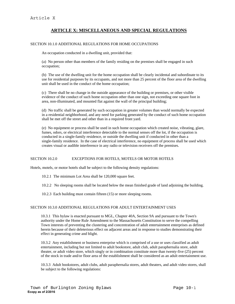# **ARTICLE X: MISCELLANEOUS AND SPECIAL REGULATIONS**

# SECTION 10.1.0 ADDITIONAL REGULATIONS FOR HOME OCCUPATIONS

An occupation conducted in a dwelling unit, provided that:

(a) No person other than members of the family residing on the premises shall be engaged in such occupation;

(b) The use of the dwelling unit for the home occupation shall be clearly incidental and subordinate to its use for residential purposes by its occupants, and not more than 25 percent of the floor area of the dwelling unit shall be used in the conduct of the home occupation;

(c) There shall be no change in the outside appearance of the building or premises, or other visible evidence of the conduct of such home occupation other than one sign, not exceeding one square foot in area, non-illuminated, and mounted flat against the wall of the principal building;

(d) No traffic shall be generated by such occupation in greater volumes than would normally be expected in a residential neighborhood, and any need for parking generated by the conduct of such home occupation shall be met off the street and other than in a required front yard.

(e) No equipment or process shall be used in such home occupation which created noise, vibrating, glare, fumes, odors, or electrical interference detectable to the normal senses off the lot, if the occupation is conducted in a single-family residence, or outside the dwelling unit if conducted in other than a single-family residence. In the case of electrical interference, no equipment of process shall be used which creates visual or audible interference in any radio or television receivers off the premises.

# SECTION 10.2.0 EXCEPTIONS FOR HOTELS, MOTELS OR MOTOR HOTELS

Hotels, motels, or motor hotels shall be subject to the following density regulations:

- 10.2.1 The minimum Lot Area shall be 120,000 square feet.
- 10.2.2 No sleeping rooms shall be located below the mean finished grade of land adjoining the building.
- 10.2.3 Each building must contain fifteen (15) or more sleeping rooms.

# SECTION 10.3.0 ADDITIONAL REGULATIONS FOR ADULT ENTERTAINMENT USES

10.3.1 This bylaw is enacted pursuant to MGL, Chapter 40A, Section 9A and pursuant to the Town's authority under the Home Rule Amendment to the Massachusetts Constitution to serve the compelling Town interests of preventing the clustering and concentration of adult entertainment enterprises as defined herein because of their deleterious effect on adjacent areas and in response to studies demonstrating their effect in generating crime and blight.

10.3.2 Any establishment or business enterprise which is comprised of a use or uses classified as adult entertainment, including but not limited to adult bookstore, adult club, adult paraphernalia store, adult theater, or adult video store, which singly or in combination constitute more than twenty-five (25) percent of the stock in trade and/or floor area of the establishment shall be considered as an adult entertainment use.

10.3.3 Adult bookstores, adult clubs, adult paraphernalia stores, adult theaters, and adult video stores, shall be subject to the following regulations: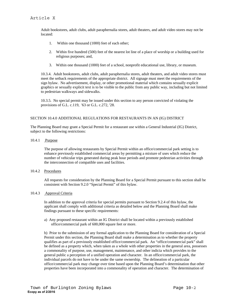Adult bookstores, adult clubs, adult paraphernalia stores, adult theaters, and adult video stores may not be located:

- 1. Within one thousand (1000) feet of each other;
- 2. Within five hundred (500) feet of the nearest lot line of a place of worship or a building used for religious purposes; and,
- 3. Within one thousand (1000) feet of a school, nonprofit educational use, library, or museum.

10.3.4. Adult bookstores, adult clubs, adult paraphernalia stores, adult theaters, and adult video stores must meet the setback requirements of the appropriate district. All signage must meet the requirements of the sign bylaw. No advertisement, display, or other promotional material which contains sexually explicit graphics or sexually explicit text is to be visible to the public from any public way, including but not limited to pedestrian walkways and sidewalks.

10.3.5. No special permit may be issued under this section to any person convicted of violating the provisions of G.L. c.119, '63 or G.L. c.272, '28.

# SECTION 10.4.0 ADDITIONAL REGULATIONS FOR RESTAURANTS IN AN (IG) DISTRICT

The Planning Board may grant a Special Permit for a restaurant use within a General Industrial (IG) District, subject to the following restrictions:

10.4.1 Purpose

The purpose of allowing restaurants by Special Permit within an office/commercial park setting is to enhance previously established commercial areas by permitting a mixture of uses which reduce the number of vehicular trips generated during peak hour periods and promote pedestrian activities through the interconnection of compatible uses and facilities.

#### 10.4.2 Procedures

All requests for consideration by the Planning Board for a Special Permit pursuant to this section shall be consistent with Section 9.2.0 "Special Permit" of this bylaw.

## 10.4.3 Approval Criteria

In addition to the approval criteria for special permits pursuant to Section 9.2.4 of this bylaw, the applicant shall comply with additional criteria as detailed below and the Planning Board shall make findings pursuant to these specific requirements:

a) Any proposed restaurant within an IG District shall be located within a previously established office/commercial park of 600,000 square feet or more.

b) Prior to the submission of any formal application to the Planning Board for consideration of a Special Permit under this section, the Planning Board shall make a determination as to whether the property qualifies as part of a previously established office/commercial park. An "office/commercial park" shall be defined as a property which, when taken as a whole with other properties in the general area, possesses a commonality of purpose, use, management, maintenance, and other indicia which provides to the general public a perception of a unified operation and character. In an office/commercial park, the individual parcels do not have to be under the same ownership. The delineation of a particular office/commercial park may change over time based upon the Planning Board's determination that other properties have been incorporated into a commonality of operation and character. The determination of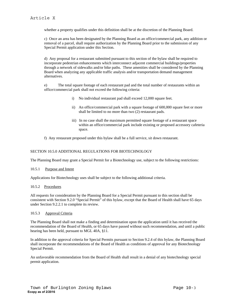whether a property qualifies under this definition shall be at the discretion of the Planning Board.

c) Once an area has been designated by the Planning Board as an office/commercial park, any addition or removal of a parcel, shall require authorization by the Planning Board prior to the submission of any Special Permit application under this Section.

d) Any proposal for a restaurant submitted pursuant to this section of the bylaw shall be required to incorporate pedestrian enhancements which interconnect adjacent commercial buildings/properties through a network of sidewalks and/or bike paths. These amenities shall be considered by the Planning Board when analyzing any applicable traffic analysis and/or transportation demand management alternatives.

e) The total square footage of each restaurant pad and the total number of restaurants within an office/commercial park shall not exceed the following criteria:

- i) No individual restaurant pad shall exceed 12,000 square feet.
- ii) An office/commercial park with a square footage of 600,000 square feet or more shall be limited to no more than two (2) restaurant pads.
- iii) In no case shall the maximum permitted square footage of a restaurant space within an office/commercial park include existing or proposed accessory cafeteria space.
- f) Any restaurant proposed under this bylaw shall be a full service, sit down restaurant.

## SECTION 10.5.0 ADDITIONAL REGULATIONS FOR BIOTECHNOLOGY

The Planning Board may grant a Special Permit for a Biotechnology use, subject to the following restrictions:

#### 10.5.1 Purpose and Intent

Applications for Biotechnology uses shall be subject to the following additional criteria.

#### 10.5.2 Procedures

All requests for consideration by the Planning Board for a Special Permit pursuant to this section shall be consistent with Section 9.2.0 "Special Permit" of this bylaw, except that the Board of Health shall have 65 days under Section 9.2.2.1 to complete its review.

## 10.5.3 Approval Criteria

The Planning Board shall not make a finding and determination upon the application until it has received the recommendation of the Board of Health, or 65 days have passed without such recommendation, and until a public hearing has been held, pursuant to MGL 40A, §11.

In addition to the approval criteria for Special Permits pursuant to Section 9.2.4 of this bylaw, the Planning Board shall incorporate the recommendations of the Board of Health as conditions of approval for any Biotechnology Special Permit.

An unfavorable recommendation from the Board of Health shall result in a denial of any biotechnology special permit application.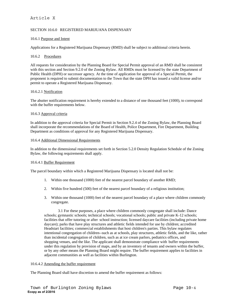# Article X

# SECTION 10.6.0 REGISTERED MARIJUANA DISPENSARY

#### 10.6.1 Purpose and Intent

Applications for a Registered Marijuana Dispensary (RMD) shall be subject to additional criteria herein.

## 10.6.2 Procedures

All requests for consideration by the Planning Board for Special Permit approval of an RMD shall be consistent with this section and Section 9.2.0 of the Zoning Bylaw. All RMDs must be licensed by the state Department of Public Health (DPH) or successor agency. At the time of application for approval of a Special Permit, the proponent is required to submit documentation to the Town that the state DPH has issued a valid license and/or permit to operate a Registered Marijuana Dispensary.

### 10.6.2.1 Notification

The abutter notification requirement is hereby extended to a distance of one thousand feet (1000), to correspond with the buffer requirements below.

### 10.6.3 Approval criteria

In addition to the approval criteria for Special Permit in Section 9.2.4 of the Zoning Bylaw, the Planning Board shall incorporate the recommendations of the Board of Health, Police Department, Fire Department, Building Department as conditions of approval for any Registered Marijuana Dispensary.

#### 10.6.4 Additional Dimensional Requirements

In addition to the dimensional requirements set forth in Section 5.2.0 Density Regulation Schedule of the Zoning Bylaw, the following requirements shall apply.

#### 10.6.4.1 Buffer Requirement

The parcel boundary within which a Registered Marijuana Dispensary is located shall not be:

- 1. Within one thousand (1000) feet of the nearest parcel boundary of another RMD;
- 2. Within five hundred (500) feet of the nearest parcel boundary of a religious institution;
- 3. Within one thousand (1000) feet of the nearest parcel boundary of a place where children commonly congregate.

 3.1 For these purposes, a place where children commonly congregate shall include: Dance schools; gymnastic schools; technical schools; vocational schools; public and private K-12 schools; facilities that offer tutoring or after school instruction; licensed daycare facilities (including private home daycare); parks that have play structures and athletic fields intended for use by children; accredited Headstart facilities; commercial establishments that host children's parties. This bylaw regulates intentional congregation of children--such as at schools, play structures, athletic fields, and the like, rather than incidental congregation of children, such as at ice cream parlors, pediatrics offices, and shopping venues, and the like. The applicant shall demonstrate compliance with buffer requirements under this regulation by provision of maps, and by an inventory of tenants and owners within the buffer, or by any other means the Planning Board might require. The buffer requirement applies to facilities in adjacent communities as well as facilities within Burlington.

## 10.6.4.2 Amending the buffer requirement

The Planning Board shall have discretion to amend the buffer requirement as follows: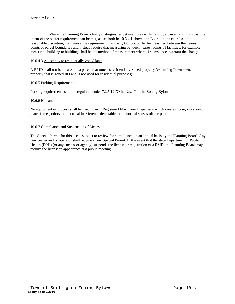1) Where the Planning Board clearly distinguishes between uses within a single parcel, and finds that the intent of the buffer requirement can be met, as set forth in 10.6.4.1 above, the Board, in the exercise of its reasonable discretion, may waive the requirement that the 1,000 foot buffer be measured between the nearest points of parcel boundaries and instead require that measuring between nearest points of facilities, for example, measuring building to building, shall be the method of measurement where circumstances warrant the change.

## 10.6.4.3 Adjacency to residentially zoned land

A RMD shall not be located on a parcel that touches residentially zoned property (excluding Town-owned property that is zoned RO and is not used for residential purposes).

#### 10.6.5 Parking Requirements

Parking requirements shall be regulated under 7.2.5.12 "Other Uses" of the Zoning Bylaw.

#### 10.6.6 Nuisance

No equipment or process shall be used in such Registered Marijuana Dispensary which creates noise, vibration, glare, fumes, odors, or electrical interference detectable to the normal senses off the parcel.

### 10.6.7 Compliance and Suspension of License

The Special Permit for this use is subject to review for compliance on an annual basis by the Planning Board. Any new owner and or operator shall require a new Special Permit. In the event that the state Department of Public Health (DPH) (or any successor agency) suspends the license or registration of a RMD, the Planning Board may require the licensee's appearance at a public meeting.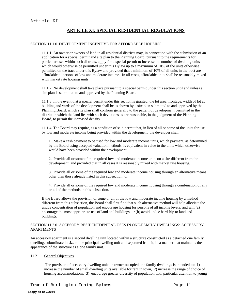# **ARTICLE XI: SPECIAL RESIDENTIAL REGULATIONS**

### SECTION 11.1.0 DEVELOPMENT INCENTIVE FOR AFFORDABLE HOUSING

11.1.1 An owner or owners of land in all residential districts may, in connection with the submission of an application for a special permit and site plan to the Planning Board, pursuant to the requirements for particular uses within such districts, apply for a special permit to increase the number of dwelling units which would otherwise be permitted under this Bylaw up to a maximum of 10% of the units otherwise permitted on the tract under this Bylaw and provided that a minimum of 10% of all units in the tract are affordable to persons of low and moderate income. In all cases, affordable units shall be reasonably mixed with market rate housing units.

11.1.2 No development shall take place pursuant to a special permit under this section until and unless a site plan is submitted to and approved by the Planning Board.

11.1.3 In the event that a special permit under this section is granted, the lot area, frontage, width of lot at building and yards of the development shall be as shown by a site plan submitted to and approved by the Planning Board, which site plan shall conform generally to the pattern of development permitted in the district in which the land lies with such deviations as are reasonable, in the judgment of the Planning Board, to permit the increased density.

11.1.4 The Board may require, as a condition of said permit that, in lieu of all or some of the units for use by low and moderate income being provided within the development, the developer shall:

1. Make a cash payment to be used for low and moderate income units, which payment, as determined by the Board using accepted valuation methods, is equivalent in value to the units which otherwise would have been provided within the development;

2. Provide all or some of the required low and moderate income units on a site different from the development; and provided that in all cases it is reasonably mixed with market rate housing.

3. Provide all or some of the required low and moderate income housing through an alternative means other than those already listed in this subsection; or

4. Provide all or some of the required low and moderate income housing through a combination of any or all of the methods in this subsection.

If the Board allows the provision of some or all of the low and moderate income housing by a method different from this subsection, the Board shall first find that such alternative method will help alleviate the undue concentration of population and encourage housing for persons of all income levels; and will (a) encourage the most appropriate use of land and buildings, or (b) avoid undue hardship to land and buildings.

### SECTION 11.2.0 ACCESORY RESIDENTDENTIAL USES IN ONE-FAMILY DWELLINGS: ACCESSORY APARTMENTS

An accessory apartment is a second dwelling unit located within a structure constructed as a detached one family dwelling, subordinate in size to the principal dwelling unit and separated from it, in a manner that maintains the appearance of the structure as a one family unit.

## 11.2.1 General Objectives

 The provision of accessory dwelling units in owner occupied one family dwellings is intended to: 1) increase the number of small dwelling units available for rent in town, 2) increase the range of choice of housing accommodations, 3) encourage greater diversity of population with particular attention to young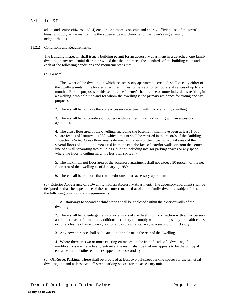# Article XI

adults and senior citizens, and 4) encourage a more economic and energy-efficient use of the town's housing supply while maintaining the appearance and character of the town's single family neighborhoods.

## 11.2.2 Conditions and Requirements:

The Building Inspector shall issue a building permit for an accessory apartment in a detached, one family dwelling in any residential district provided that the unit meets the standards of the building code and each of the following conditions and requirements is met:

(a) General

1. The owner of the dwelling in which the accessory apartment is created, shall occupy either of the dwelling units in the located structure in question, except for temporary absences of up to six months. For the purposes of this section, the "owner" shall be one or more individuals residing in a dwelling, who hold title and for whom the dwelling is the primary residence for voting and tax purposes.

2. There shall be no more than one accessory apartment within a one family dwelling.

3. There shall be no boarders or lodgers within either unit of a dwelling with an accessory apartment.

4. The gross floor area of the dwelling, including the basement, shall have been at least 1,800 square feet as of January 1, 1989, which amount shall be verified in the records of the Building Inspector. (Note: Gross floor area is defined as the sum of the gross horizontal areas of the several floors of a building measured from the exterior face of exterior walls, or from the center line of a wall separating two buildings, but not including interior parking spaces or any space where the floor to ceiling height is less than six feet.)

5. The maximum net floor area of the accessory apartment shall not exceed 30 percent of the net floor area of the dwelling as of January 1, 1989.

6. There shall be no more than two bedrooms in an accessory apartment.

(b) Exterior Appearance of a Dwelling with an Accessory Apartment: The accessory apartment shall be designed so that the appearance of the structure remains that of a one family dwelling, subject further to the following conditions and requirements:

1. All stairways to second or third stories shall be enclosed within the exterior walls of the dwelling.

2. There shall be no enlargements or extensions of the dwelling in connection with any accessory apartment except for minimal additions necessary to comply with building, safety or health codes, or for enclosure of an entryway, or for enclosure of a stairway to a second or third story.

3. Any new entrance shall be located on the side or in the rear of the dwelling.

4. Where there are two or more existing entrances on the front facade of a dwelling, if modifications are made to any entrance, the result shall be that one appears to be the principal entrance and the other entrances appear to be secondary.

(c) Off-Street Parking: There shall be provided at least two off-street parking spaces for the principal dwelling unit and at least two off-street parking spaces for the accessory unit.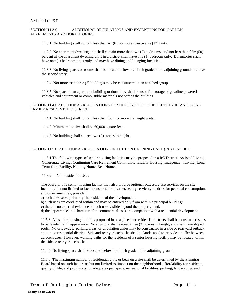# SECTION 11.3.0 ADDITIONAL REGULATIONS AND EXCEPTIONS FOR GARDEN APARTMENTS AND DORM ITORIES

11.3.1 No building shall contain less than six (6) nor more than twelve (12) units.

11.3.2 No apartment dwelling unit shall contain more than two (2) bedrooms, and not less than fifty (50) percent of the apartment dwelling units in a district shall have one (1) bedroom only. Dormitories shall have one (1) bedroom units only and may have dining and lounging facilities.

11.3.3 No living spaces or rooms shall be located below the finish grade of the adjoining ground or above the second story.

11.3.4 Not more than three (3) buildings may be constructed in an attached group.

11.3.5 No space in an apartment building or dormitory shall be used for storage of gasoline powered vehicles and equipment or combustible materials not part of the building.

### SECTION 11.4.0 ADDITIONAL REGULATIONS FOR HOUSINGS FOR THE ELDERLY IN AN RO-ONE FAMILY RESIDENTCE DISTRICT

11.4.1 No building shall contain less than four nor more than eight units.

11.4.2 Minimum lot size shall be 60,000 square feet.

11.4.3 No building shall exceed two (2) stories in height.

# SECTION 11.5.0 ADDITIONAL REGULATIONS IN THE CONTINUNING CARE (RC) DISTRICT

11.5.1 The following types of senior housing facilities may be proposed in a RC District: Assisted Living, Congregate Living, Continuing Care Retirement Community, Elderly Housing, Independent Living, Long Term Care Facility, Nursing Home, Rest Home.

11.5.2 Non-residential Uses

The operator of a senior housing facility may also provide optional accessory use services on the site including but not limited to local transportation, barber/beauty services, sundries for personal consumption, and other amenities, provided:

a) such uses serve primarily the residents of the development;

b) such uses are conducted within and may be entered only from within a principal building;

c) there is no external evidence of such uses visible beyond the property; and,

d) the appearance and character of the commercial uses are compatible with a residential development.

11.5.3 All senior housing facilities proposed in or adjacent to residential districts shall be constructed so as to be residential in appearance. No structure shall exceed three (3) stories in height, and shall have sloped roofs. No driveways, parking areas, or circulation aisles may be constructed in a side or rear yard setback abutting a residential district. Side and rear yard setbacks shall be landscaped to provide a buffer between adjacent uses. However, walking paths for the residents of a senior housing facility may be located within the side or rear yard setbacks.

11.5.4 No living space shall be located below the finish grade of the adjoining ground.

11.5.5 The maximum number of residential units or beds on a site shall be determined by the Planning Board based on such factors as but not limited to, impact on the neighborhood, affordability for residents, quality of life, and provisions for adequate open space, recreational facilities, parking, landscaping, and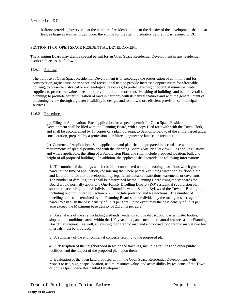# Article XI

buffers: provided, however, that the number of residential units or the density of the development shall be at least as large as was permitted under the zoning for the site immediately before it was rezoned to RC.

## SECTION 11.6.0 OPEN SPACE RESIDENTIAL DEVELOPMENT

The Planning Board may grant a special permit for an Open Space Residential Development in any residential district subject to the following:

#### 11.6.1 Purpose

The purpose of Open Space Residential Development is to encourage the preservation of common land for conservation, agriculture, open space and recreational use; to provide increased opportunities for affordable housing; to preserve historical or archaeological resources; to protect existing or potential municipal water supplies; to protect the value of real property; to promote more sensitive siting of buildings and better overall site planning; to promote better utilization of land in harmony with its natural features and with the general intent of the zoning bylaw through a greater flexibility in design; and to allow more efficient provision of municipal services.

# 11.6.2 Procedures

(a) Filing of Application: Each application for a special permit for Open Space Residential Development shall be filed with the Planning Board, with a copy filed forthwith with the Town Clerk, and shall be accompanied by 10 copies of a plan, pursuant to Section B below, of the entire parcel under consideration, prepared by a professional architect, engineer or landscape architect.

(b) Contents of Application: Said application and plan shall be prepared in accordance with the requirements of special permits and with the Planning Board's Site Plan Review Rules and Regulations, and where applicable, the filing of a Subdivision Plan, and shall include proposed location, bulk and height of all proposed buildings. In addition, the applicant shall provide the following information:

1. The number of dwellings which could be constructed under the zoning provisions which govern the parcel at the time of application, considering the whole parcel, excluding water bodies, flood plain, and land prohibited from development by legally enforceable restrictions, easements or covenants. The number of dwelling units shall be determined by the Planning Board using the standards the Board would normally apply to a One-Family Dwelling District (RO) residential subdivision plan submitted according to the Subdivision Control Law and Zoning Bylaws of the Town of Burlington, including but not limited to Section 6.6.0 Lot Interpretation and Restrictions. The number of dwelling units so determined by the Planning Board shall be divided by the total gross acreage of the parcel to establish the base density of units per acre. In no event may the base density of units per acre exceed the Maximum base density of 2.2 units per acre.

2. An analysis of the site, including wetlands, wetlands zoning district boundaries, water bodies, slopes, soil conditions, areas within the 100-year flood, and such other natural features as the Planning Board may request. As well, an existing topographic map and a proposed topographic map at two feet intervals must be provided.

3. A summary of the environmental concerns relating to the proposed plan.

4. A description of the neighborhood in which the tract lies, including utilities and other public facilities, and the impact of the proposed plan upon them.

5. Evaluation of the open land proposed within the Open Space Residential Development, with respect to use, size, shape, location, natural resource value, and accessibility by residents of the Town or of the Open Space Residential Development.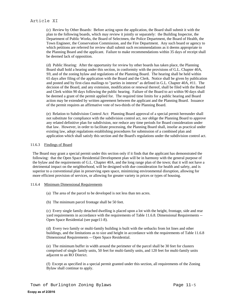(c) Review by Other Boards: Before acting upon the application, the Board shall submit it with the plan to the following boards, which may review it jointly or separately: the Building Inspector, the Department of Public Works, the Board of Selectmen, the Police Department, the Board of Health, the Town Engineer, the Conservation Commission, and the Fire Department. Any such board or agency to which petitions are referred for review shall submit such recommendations as it deems appropriate to the Planning Board and the applicant. Failure to make recommendations within 35 days of receipt shall be deemed lack of opposition.

(d) Public Hearing: After the opportunity for review by other boards has taken place, the Planning Board shall hold a hearing under this section, in conformity with the provisions of G.L. Chapter 40A, S9, and of the zoning bylaw and regulations of the Planning Board. The hearing shall be held within 65 days after filing of the application with the Board and the Clerk. Notice shall be given by publication and posted and by first-class mailings to "parties in interest" as defined in G.L. Chapter 40A, #11. The decision of the Board, and any extension, modification or renewal thereof, shall be filed with the Board and Clerk within 90 days following the public hearing. Failure of the Board to act within 90 days shall be deemed a grant of the permit applied for. The required time limits for a public hearing and Board action may be extended by written agreement between the applicant and the Planning Board. Issuance of the permit requires an affirmative vote of two-thirds of the Planning Board.

(e) Relation to Subdivision Control Act: Planning Board approval of a special permit hereunder shall not substitute for compliance with the subdivision control act, nor oblige the Planning Board to approve any related definitive plan for subdivision, nor reduce any time periods for Board consideration under that law. However, in order to facilitate processing, the Planning Board shall, insofar as practical under existing law, adopt regulations establishing procedures for submission of a combined plan and application which shall satisfy this section and the Board's regulations under the subdivision control act.

### 11.6.3 Findings of Board

The Board may grant a special permit under this section only if it finds that the applicant has demonstrated the following: that the Open Space Residential Development plan will be in harmony with the general purpose of the bylaw and the requirements of G.L. Chapter 40A, and the long range plan of the town; that it will not have a detrimental impact on the neighborhood, will be designed with due consideration for health and safety, and is superior to a conventional plan in preserving open space, minimizing environmental disruption, allowing for more efficient provision of services, or allowing for greater variety in prices or types of housing.

#### 11.6.4 Minimum Dimensional Requirements

- (a) The area of the parcel to be developed is not less than ten acres.
- (b) The minimum parcel frontage shall be 50 feet.

(c) Every single family detached dwelling is placed upon a lot with the height, frontage, side and rear yard requirements in accordance with the requirements of Table 11.6.8. Dimensional Requirements -- Open Space Residential (see page11-8).

(d) Every two family or multi-family building is built with the setbacks from lot lines and other buildings, and the limitations as to size and height in accordance with the requirements of Table 11.6.8 Dimensional Requirements -- Open Space Residential.

(e) The minimum buffer in width around the perimeter of the parcel shall be 30 feet for clusters comprised of single family units, 50 feet for multi-family units, and 120 feet for multi-family units adjacent to an RO District.

(f) Except as specified in a special permit granted under this section, all requirements of the Zoning Bylaw shall continue to apply.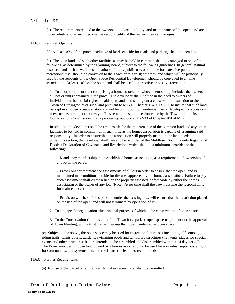(g) The requirements related to the ownership, upkeep, liability, and maintenance of the open land are in perpetuity and as such become the responsibility of the owners' heirs and assigns.

### 11.6.5 Required Open Land

(a) At least 40% of the parcel exclusive of land set aside for roads and parking, shall be open land.

(b) The open land and such other facilities as may be held in common shall be conveyed to one of the following, as determined by the Planning Board, subject to the following guidelines. In general, natural resource land such as wetlands not suitable for any public use, or suitable for extensive public recreational use, should be conveyed to the Town or to a trust; whereas land which will be principally used by the residents of the Open Space Residential Development should be conveyed to a home association. At least 10% of the open land shall be useable for active or passive recreation.

1. To a corporation or trust comprising a home association whose membership includes the owners of all lots or units contained in the parcel. The developer shall include in the deed to owners of individual lots beneficial rights in said open land, and shall grant a conservation restriction to the Town of Burlington over such land pursuant to M.G.L. Chapter 184, S131-33, to insure that such land be kept in an open or natural state and not be built upon for residential use or developed for accessory uses such as parking or roadways. This restriction shall be enforceable by the Town through its Conservation Commission in any proceeding authorized by S33 of Chapter 184 of M.G.L.

In addition, the developer shall be responsible for the maintenance of the common land and any other facilities to be held in common until such time as the homes association is capable of assuming said responsibility. In order to ensure that the association will properly maintain the land deeded to it under this section, the developer shall cause to be recorded at the Middlesex South County Registry of Deeds a Declaration of Covenants and Restrictions which shall, at a minimum, provide for the following:

- Mandatory membership in an established homes association, as a requirement of ownership of any lot in the parcel.

- Provisions for maintenance assessments of all lots in order to ensure that the open land is maintained in a condition suitable for the uses approved by the homes association. Failure to pay such assessment shall create a lien on the property assessed, enforceable by either the homes association or the owner of any lot. (Note: At no time shall the Town assume the responsibility for maintenance.)

- Provision which, so far as possible under the existing law, will ensure that the restriction placed on the use of the open land will not terminate by operation of law.

2. To a nonprofit organization, the principal purpose of which is the conservation of open space.

3. To the Conservation Commission of the Town for a park or open space use, subject to the approval of Town Meeting, with a trust clause insuring that it be maintained as open space.

(c) Subject to the above, the open space may be used for recreational purposes including golf courses, riding trails, tennis courts, gardens, swimming pools and temporary structures (i.e., tents, stages for special events and other structures that are intended to be assembled and disassembled within a 14 day period). The Board may permit open land owned by a homes association to be used for individual septic systems, or for communal septic systems if it, and the Board of Health so recommends.

## 11.6.6 Further Requirements

(a) No use of the parcel other than residential or recreational shall be permitted.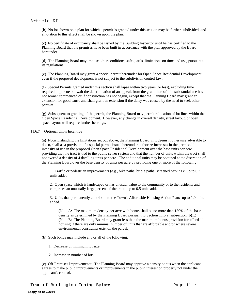(b) No lot shown on a plan for which a permit is granted under this section may be further subdivided, and a notation to this effect shall be shown upon the plan.

(c) No certificate of occupancy shall be issued by the Building Inspector until he has certified to the Planning Board that the premises have been built in accordance with the plan approved by the Board hereunder.

(d) The Planning Board may impose other conditions, safeguards, limitations on time and use, pursuant to its regulations.

(e) The Planning Board may grant a special permit hereunder for Open Space Residential Development even if the proposed development is not subject to the subdivision control law.

(f) Special Permits granted under this section shall lapse within two years (or less), excluding time required to pursue or await the determination of an appeal, from the grant thereof, if a substantial use has not sooner commenced or if construction has not begun, except that the Planning Board may grant an extension for good cause and shall grant an extension if the delay was caused by the need to seek other permits.

(g) Subsequent to granting of the permit, the Planning Board may permit relocation of lot lines within the Open Space Residential Development. However, any change in overall density, street layout, or open space layout will require further hearings.

### 11.6.7 Optional Units Incentive

(a) Notwithstanding the limitations set out above, the Planning Board, if it deems it otherwise advisable to do so, shall as a provision of a special permit issued hereunder authorize increases in the permissible intensity of use in the proposed Open Space Residential Development over the base units per acre providing that the tract is tied to the public sewer system and that the number of units within the tract shall not exceed a density of 4 dwelling units per acre. The additional units may be obtained at the discretion of the Planning Board over the base density of units per acre by providing one or more of the following:

1. Traffic or pedestrian improvements (e.g., bike paths, bridle paths, screened parking): up to 0.3 units added.

2. Open space which is landscaped or has unusual value to the community or to the residents and comprises an unusually large percent of the tract: up to 0.5 units added.

3. Units that permanently contribute to the Town's Affordable Housing Action Plan: up to 1.0 units added.

(Note A: The maximum density per acre with bonus shall be no more than 180% of the base density as determined by the Planning Board pursuant to Section 11.6.2, subsection (b)1.) (Note B: The Planning Board may grant less than the maximum bonus provision for affordable housing if there are only minimal number of units that are affordable and/or where severe environmental constraints exist on the parcel.)

- (b) Such bonus may include any or all of the following:
	- 1. Decrease of minimum lot size.
	- 2. Increase in number of lots.

(c) Off Premises Improvements: The Planning Board may approve a density bonus when the applicant agrees to make public improvements or improvements in the public interest on property not under the applicant's control.

Town of Burlington Zoning Bylaws Page 11-7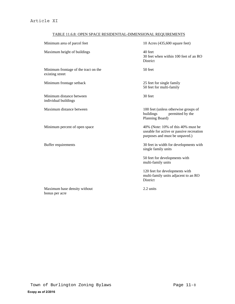# TABLE 11.6.8: OPEN SPACE RESIDENTIAL-DIMENSIONAL REQUIREMENTS

| Minimum area of parcel feet                             | 10 Acres (435,600 square feet)                                                                                   |
|---------------------------------------------------------|------------------------------------------------------------------------------------------------------------------|
| Maximum height of buildings                             | 40 feet<br>30 feet when within 100 feet of an RO<br><b>District</b>                                              |
| Minimum frontage of the tract on the<br>existing street | 50 feet                                                                                                          |
| Minimum frontage setback                                | 25 feet for single family<br>50 feet for multi-family                                                            |
| Minimum distance between<br>individual buildings        | 30 feet                                                                                                          |
| Maximum distance between                                | 100 feet (unless otherwise groups of<br>buildings<br>permitted by the<br>Planning Board)                         |
| Minimum percent of open space                           | 40% (Note: 10% of this 40% must be<br>useable for active or passive recreation<br>purposes and must be unpaved.) |
| Buffer requirements                                     | 30 feet in width for developments with<br>single family units                                                    |
|                                                         | 50 feet for developments with<br>multi-family units                                                              |
|                                                         | 120 feet for developments with<br>multi-family units adjacent to an RO<br><b>District</b>                        |
| Maximum base density without<br>bonus per acre          | 2.2 units                                                                                                        |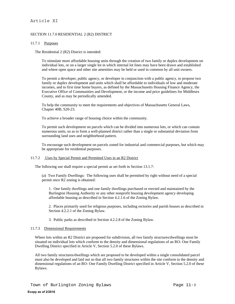# Article XI

# SECTION 11.7.0 RESIDENTIAL 2 (R2) DISTRICT

## 11.7.1 Purposes

The Residential 2 (R2) District is intended:

To stimulate more affordable housing units through the creation of two family or duplex development on individual lots, or on a larger single lot in which internal lot lines may have been drawn and established and where open space and other site amenities may be held or used in common by all unit owners.

To permit a developer, public agency, or developer in conjunction with a public agency, to propose two family or duplex development and units which shall be affordable to individuals of low and moderate incomes, and to first time home buyers, as defined by the Massachusetts Housing Finance Agency, the Executive Office of Communities and Development, or the income and price guidelines for Middlesex County, and as may be periodically amended.

To help the community to meet the requirements and objectives of Massachusetts General Laws, Chapter 40B, S20-23.

To achieve a broader range of housing choice within the community.

To permit such development on parcels which can be divided into numerous lots, or which can contain numerous units, so as to form a well-planned district rather than a single or substantial deviation from surrounding land uses and neighborhood pattern.

To encourage such development on parcels zoned for industrial and commercial purposes, but which may be appropriate for residential purposes.

### 11.7.2 Uses by Special Permit and Permitted Uses in an R2 District

The following use shall require a special permit as set forth in Section 13.1.7:

(a) Two Family Dwellings: The following uses shall be permitted by right without need of a special permit once R2 zoning is obtained:

1. One family dwellings and one family dwellings purchased or erected and maintained by the Burlington Housing Authority or any other nonprofit housing development agency developing affordable housing as described in Section 4.2.1.6 of the Zoning Bylaw.

2. Places primarily used for religious purposes, including rectories and parish houses as described in Section 4.2.2.1 of the Zoning Bylaw.

3. Public parks as described in Section 4.2.2.8 of the Zoning Bylaw.

#### 11.7.3 Dimensional Requirements

Where lots within an R2 District are proposed for subdivision, all two family structures/dwellings must be situated on individual lots which conform to the density and dimensional regulations of an RO- One Family Dwelling District specified in Article V, Section 5.2.0 of these Bylaws.

All two family structures/dwellings which are proposed to be developed within a single consolidated parcel must also be developed and laid out so that all two family structures within the site conform to the density and dimensional regulations of an RO- One Family Dwelling District specified in Article V, Section 5.2.0 of these Bylaws.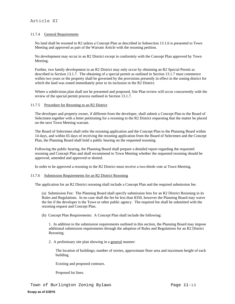# 11.7.4 General Requirements

No land shall be rezoned to R2 unless a Concept Plan as described in Subsection 13.1.6 is presented to Town Meeting and approved as part of the Warrant Article with the rezoning petition.

No development may occur in an R2 District except in conformity with the Concept Plan approved by Town Meeting.

Further, two family development in an R2 District may only occur by obtaining an R2 Special Permit as described in Section 13.1.7. The obtaining of a special permit as outlined in Section 13.1.7 must commence within two years or the property shall be governed by the provisions presently in effect in the zoning district for which the land was zoned immediately prior to its inclusion in the R2 District.

Where a subdivision plan shall not be presented and proposed, Site Plan review will occur concurrently with the review of the special permit process outlined in Section 13.1.7.

### 11.7.5 Procedure for Rezoning to an R2 District

The developer and property owner, if different from the developer, shall submit a Concept Plan to the Board of Selectmen together with a letter petitioning for a rezoning to the R2 District requesting that the matter be placed on the next Town Meeting warrant.

The Board of Selectmen shall refer the rezoning application and the Concept Plan to the Planning Board within 14 days, and within 65 days of receiving the rezoning application from the Board of Selectmen and the Concept Plan, the Planning Board shall hold a public hearing on the requested rezoning.

Following the public hearing, the Planning Board shall prepare a detailed report regarding the requested rezoning and Concept Plan and shall recommend to Town Meeting whether the requested rezoning should be approved, amended and approved or denied.

In order to be approved a rezoning to the R2 District must receive a two-thirds vote at Town Meeting.

#### 11.7.6 Submission Requirements for an R2 District Rezoning

The application for an R2 District rezoning shall include a Concept Plan and the required submission fee.

(a) Submission Fee: The Planning Board shall specify submission fees for an R2 District Rezoning in its Rules and Regulations. In no case shall the fee be less than \$350, however the Planning Board may waive the fee if the developer is the Town or other public agency. The required fee shall be submitted with the rezoning request and Concept Plan.

(b) Concept Plan Requirements: A Concept Plan shall include the following:

1. In addition to the submission requirements outlined in this section, the Planning Board may impose additional submission requirements through the adoption of Rules and Regulations for an R2 District Rezoning.

2. A preliminary site plan showing in a general manner:

The location of buildings; number of stories, approximate floor area and maximum height of each building.

Existing and proposed contours.

Proposed lot lines.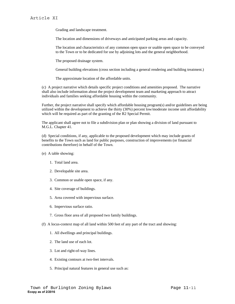Grading and landscape treatment.

The location and dimensions of driveways and anticipated parking areas and capacity.

The location and characteristics of any common open space or usable open space to be conveyed to the Town or to be dedicated for use by adjoining lots and the general neighborhood.

The proposed drainage system.

General building elevations (cross section including a general rendering and building treatment.)

The approximate location of the affordable units.

(c) A project narrative which details specific project conditions and amenities proposed. The narrative shall also include information about the project development team and marketing approach to attract individuals and families seeking affordable housing within the community.

Further, the project narrative shall specify which affordable housing program(s) and/or guidelines are being utilized within the development to achieve the thirty (30%) percent low/moderate income unit affordability which will be required as part of the granting of the R2 Special Permit.

The applicant shall agree not to file a subdivision plan or plan showing a division of land pursuant to M.G.L. Chapter 41.

(d) Special conditions, if any, applicable to the proposed development which may include grants of benefits to the Town such as land for public purposes, construction of improvements (or financial contributions therefore) in behalf of the Town.

- (e) A table showing:
	- 1. Total land area.
	- 2. Developable site area.
	- 3. Common or usable open space, if any.
	- 4. Site coverage of buildings.
	- 5. Area covered with impervious surface.
	- 6. Impervious surface ratio.
	- 7. Gross floor area of all proposed two family buildings.
- (f) A locus-context map of all land within 500 feet of any part of the tract and showing:
	- 1. All dwellings and principal buildings.
	- 2. The land use of each lot.
	- 3. Lot and right-of-way lines.
	- 4. Existing contours at two-feet intervals.
	- 5. Principal natural features in general use such as: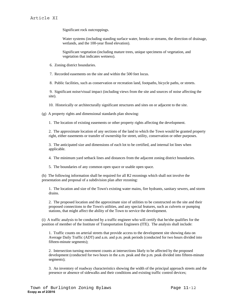Significant rock outcroppings.

Water systems (including standing surface water, brooks or streams, the direction of drainage, wetlands, and the 100-year flood elevation).

Significant vegetation (including mature trees, unique specimens of vegetation, and vegetation that indicates wetness).

6. Zoning district boundaries.

7. Recorded easements on the site and within the 500 feet locus.

8. Public facilities, such as conservation or recreation land, footpaths, bicycle paths, or streets.

 9. Significant noise/visual impact (including views from the site and sources of noise affecting the site).

10. Historically or architecturally significant structures and sites on or adjacent to the site.

(g) A property rights and dimensional standards plan showing:

1. The location of existing easements or other property rights affecting the development.

2. The approximate location of any sections of the land to which the Town would be granted property right, either easements or transfer of ownership for street, utility, conservation or other purposes.

3. The anticipated size and dimensions of each lot to be certified, and internal lot lines when applicable.

4. The minimum yard setback lines and distances from the adjacent zoning district boundaries.

5. The boundaries of any common open space or usable open space.

(h) The following information shall be required for all R2 rezonings which shall not involve the presentation and proposal of a subdivision plan after rezoning:

1. The location and size of the Town's existing water mains, fire hydrants, sanitary sewers, and storm drains.

2. The proposed location and the approximate size of utilities to be constructed on the site and their proposed connections to the Town's utilities, and any special features, such as culverts or pumping stations, that might affect the ability of the Town to service the development.

(i) A traffic analysis to be conducted by a traffic engineer who will certify that he/she qualifies for the position of member of the Institute of Transportation Engineers (ITE). The analysis shall include:

1. Traffic counts on arterial streets that provide access to the development site showing data on Average Daily Traffic (ADT) and a.m. and p.m. peak periods (conducted for two hours divided into fifteen-minute segments);

2. Intersection turning movement counts at intersections likely to be affected by the proposed development (conducted for two hours in the a.m. peak and the p.m. peak divided into fifteen-minute segments);

3. An inventory of roadway characteristics showing the width of the principal approach streets and the presence or absence of sidewalks and their conditions and existing traffic control devices;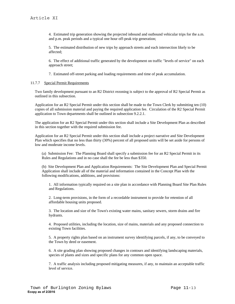4. Estimated trip generation showing the projected inbound and outbound vehicular trips for the a.m. and p.m. peak periods and a typical one hour off-peak trip generation;

5. The estimated distribution of new trips by approach streets and each intersection likely to be affected;

6. The effect of additional traffic generated by the development on traffic "levels of service" on each approach street;

7. Estimated off-street parking and loading requirements and time of peak accumulation.

### 11.7.7 Special Permit Requirements

Two family development pursuant to an R2 District rezoning is subject to the approval of R2 Special Permit as outlined in this subsection.

Application for an R2 Special Permit under this section shall be made to the Town Clerk by submitting ten (10) copies of all submission material and paying the required application fee. Circulation of the R2 Special Permit application to Town departments shall be outlined in subsection 9.2.2.1.

The application for an R2 Special Permit under this section shall include a Site Development Plan as described in this section together with the required submission fee.

Application for an R2 Special Permit under this section shall include a project narrative and Site Development Plan which specifies that no less than thirty (30%) percent of all proposed units will be set aside for persons of low and moderate income levels.

(a) Submission Fee: The Planning Board shall specify a submission fee for an R2 Special Permit in its Rules and Regulations and in no case shall the fee be less than \$350.

(b) Site Development Plan and Application Requirements: The Site Development Plan and Special Permit Application shall include all of the material and information contained in the Concept Plan with the following modifications, additions, and provisions:

1. All information typically required on a site plan in accordance with Planning Board Site Plan Rules and Regulations.

2. Long-term provisions, in the form of a recordable instrument to provide for retention of all affordable housing units proposed.

3. The location and size of the Town's existing water mains, sanitary sewers, storm drains and fire hydrants.

4. Proposed utilities, including the location, size of mains, materials and any proposed connection to existing Town facilities.

5. A property rights plan based on an instrument survey identifying parcels, if any, to be conveyed to the Town by deed or easement.

6. A site grading plan showing proposed changes in contours and identifying landscaping materials, species of plants and sizes and specific plans for any common open space.

7. A traffic analysis including proposed mitigating measures, if any, to maintain an acceptable traffic level of service.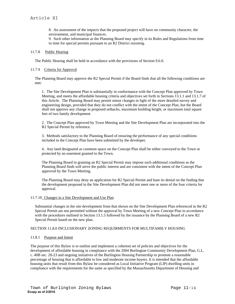8. An assessment of the impacts that the proposed project will have on community character, the environment, and municipal finances.

9. Such other information as the Planning Board may specify in its Rules and Regulations from time to time for special permits pursuant to an R2 District rezoning.

#### 11.7.8 Public Hearing

The Public Hearing shall be held in accordance with the provisions of Section 9.6.0.

## 11.7.9 Criteria for Approval

The Planning Board may approve the R2 Special Permit if the Board finds that all the following conditions are met:

1. The Site Development Plan is substantially in conformance with the Concept Plan approved by Town Meeting, and meets the affordable housing criteria and objectives set forth in Sections 13.1.1 and 13.1.7 of this Article. The Planning Board may permit minor changes in light of the more detailed survey and engineering design, provided that they do not conflict with the intent of the Concept Plan, but the Board shall not approve any change in proposed setbacks, maximum building height, or maximum total square feet of two family development.

2. The Concept Plan approved by Town Meeting and the Site Development Plan are incorporated into the R2 Special Permit by reference.

3. Methods satisfactory to the Planning Board of ensuring the performance of any special conditions included in the Concept Plan have been submitted by the developer.

4. Any land designated as common space on the Concept Plan shall be either conveyed to the Town or protected by an easement granted to the Town.

The Planning Board in granting an R2 Special Permit may impose such additional conditions as the Planning Board finds will serve the public interest and are consistent with the intent of the Concept Plan approved by the Town Meeting.

The Planning Board may deny an application for R2 Special Permit and base its denial on the finding that the development proposed in the Site Development Plan did not meet one or more of the four criteria for approval.

#### 11.7.10 Changes in a Site Development and Use Plan

Substantial changes in the site development from that shown on the Site Development Plan referenced in the R2 Special Permit are not permitted without the approval by Town Meeting of a new Concept Plan in accordance with the procedures outlined in Section 13.1.5 followed by the issuance by the Planning Board of a new R2 Special Permit based on the new plan.

## SECTION 11.8.0 INCLUSIONARY ZONING REQUIRMENTS FOR MULTIFAMILY HOUSING

#### 11.8.1 Purpose and Intent

The purpose of this Bylaw is to outline and implement a coherent set of policies and objectives for the development of affordable housing in compliance with the 2004 Burlington Community Development Plan, G.L. c. 40B sec. 20-23 and ongoing initiatives of the Burlington Housing Partnership to promote a reasonable percentage of housing that is affordable to low and moderate income buyers. It is intended that the affordable housing units that result from this Bylaw be considered as Local Initiative Program (LIP) dwelling units in compliance with the requirements for the same as specified by the Massachusetts Department of Housing and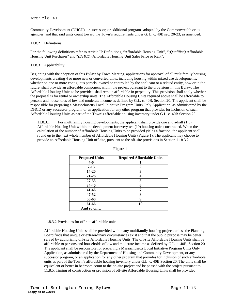# Article XI

Community Development (DHCD), or successor, or additional programs adopted by the Commonwealth or its agencies, and that said units count toward the Town's requirements under G. L. c. 40B sec. 20-23, as amended.

## 11.8.2 Definitions

For the following definitions refer to Article II: Definitions, "Affordable Housing Unit", "*(Qualified)* Affordable Housing Unit Purchaser" and "*(DHCD)* Affordable Housing Unit Sales Price or Rent".

### 11.8.3 Applicability

Beginning with the adoption of this Bylaw by Town Meeting, applications for approval of all multifamily housing developments creating 4 or more new or converted units, including housing within mixed use developments, whether on one or more contiguous parcels, owned or controlled by the applicant or a related entity, now or in the future, shall provide an affordable component within the project pursuant to the provisions in this Bylaw. The Affordable Housing Units to be provided shall remain affordable in perpetuity. This provision shall apply whether the proposal is for rental or ownership units. The Affordable Housing Units required above shall be affordable to persons and households of low and moderate income as defined by G.L. c. 40B, Section 20. The applicant shall be responsible for preparing a Massachusetts Local Initiative Program Units Only Application, as administered by the DHCD or any successor program, or an application for any other program that provides for inclusion of such Affordable Housing Units as part of the Town's affordable housing inventory under G.L. c. 40B Section 20.

11.8.3.1 For multifamily housing developments, the applicant shall provide one and a-half (1.5) Affordable Housing Unit within the development for every ten (10) housing units constructed. When the calculation of the number of Affordable Housing Units to be provided yields a fraction, the applicant shall round up to the next whole number of Affordable Housing Units (Figure 1). The applicant may choose to provide an Affordable Housing Unit off-site, pursuant to the off-site provisions in Section 11.8.3.2.

| <b>Proposed Units</b> | <b>Required Affordable Units</b> |
|-----------------------|----------------------------------|
| $4 - 6$               |                                  |
| $7-13$                | 2                                |
| 14-20                 | 3                                |
| $21 - 26$             | 4                                |
| 27-33                 | 5                                |
| 34-40                 | 6                                |
| 41-46                 | 7                                |
| 47-52                 | 8                                |
| 53-60                 | 9                                |
| 61-66                 | 10                               |
| And so on             |                                  |

#### **Figure 1**

#### 11.8.3.2 Provisions for off-site affordable units

Affordable Housing Units shall be provided within any multifamily housing project, unless the Planning Board finds that unique or extraordinary circumstances exist and that the public purpose may be better served by authorizing off-site Affordable Housing Units. The off-site Affordable Housing Units shall be affordable to persons and households of low and moderate income as defined by G.L. c. 40B, Section 20. The applicant shall be responsible for preparing a Massachusetts Local Initiative Program Units Only Application, as administered by the Department of Housing and Community Development, or any successor program, or an application for any other program that provides for inclusion of such affordable units as part of the Town's affordable housing inventory under G.L. c. 40B Section 20. The units shall be equivalent or better in bedroom count to the on-site project and be phased with the project pursuant to 11.8.5. Timing of construction or provision of off-site Affordable Housing Units shall be provided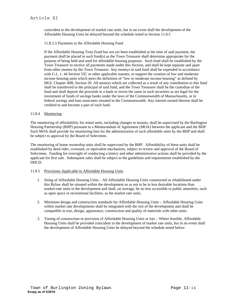coincident to the development of market rate units, but in no event shall the development of the Affordable Housing Units be delayed beyond the schedule noted in Section 11.8.5

11.8.3.3 Payments to the Affordable Housing Fund

If the Affordable Housing Trust Fund has not yet been established at the time of said payment, the payment shall be placed in such fund(s) as the Town Treasurer shall determine appropriate for the purpose of being held and used for affordable housing purposes. Such fund shall be established by the Town Treasurer to receive all payments made under this Section, and shall be kept separate and apart from other monies by the Town Treasurer. Any moneys in said fund shall be expended in accordance with G.L. c. 44 Section 55C or other applicable statutes, to support the creation of low and moderate income housing units which meet the definition of "low or moderate income housing" as defined by MGL Chapter 40B, Section 20. All moneys which are collected as a result of any contribution to this fund shall be transferred to the principal of said fund, and the Town Treasurer shall be the custodian of the fund and shall deposit the proceeds in a bank or invest the same in such securities as are legal for the investment of funds of savings banks under the laws of the Commonwealth of Massachusetts, or in federal savings and loan associates situated in the Commonwealth. Any interest earned thereon shall be credited to and become a part of such fund.

# 11.8.4 Monitoring

The monitoring of affordability for rental units, including changes in tenants, shall be supervised by the Burlington Housing Partnership (BHP) pursuant to a Memorandum of Agreement (MOA) between the applicant and the BHP. Such MOA shall provide for monitoring fees for the administration of such affordable units by the BHP and shall be subject to approval by the Board of Selectmen.

The monitoring of home ownership units shall be supervised by the BHP. Affordability of these units shall be established by deed rider, covenant, or equivalent mechanism, subject to review and approval of the Board of Selectmen. Funding for oversight of conducting a lottery and other administrative actions shall be provided by the applicant for first sale. Subsequent sales shall be subject to the guidelines and requirements established by the DHCD.

# 11.8.5 Provisions Applicable to Affordable Housing Units

- 1. Siting of Affordable Housing Units All Affordable Housing Units constructed or rehabilitated under this Bylaw shall be situated within the development so as not to be in less desirable locations than market-rate units in the development and shall, on average, be no less accessible to public amenities, such as open space or recreational facilities, as the market-rate units.
- 2. Minimum design and construction standards for Affordable Housing Units Affordable Housing Units within market rate developments shall be integrated with the rest of the development and shall be compatible in size, design, appearance, construction and quality of materials with other units.
- 3. Timing of construction or provision of Affordable Housing Units or lots Where feasible, Affordable Housing Units shall be provided coincident to the development of market rate units, but in no event shall the development of Affordable Housing Units be delayed beyond the schedule noted below: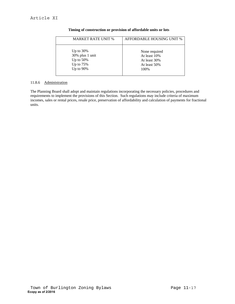| <b>MARKET RATE UNIT %</b> | AFFORDABLE HOUSING UNIT % |
|---------------------------|---------------------------|
| Up to $30\%$              | None required             |
| 30% plus 1 unit           | At least 10%              |
| Up to $50\%$              | At least 30%              |
| Up to $75%$               | At least 50%              |
| Up to 90%                 | 100\%                     |

# **Timing of construction or provision of affordable units or lots**

# 11.8.6 Administration

The Planning Board shall adopt and maintain regulations incorporating the necessary policies, procedures and requirements to implement the provisions of this Section. Such regulations may include criteria of maximum incomes, sales or rental prices, resale price, preservation of affordability and calculation of payments for fractional units.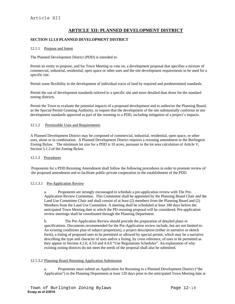# **ARTICLE XII: PLANNED DEVELOPMENT DISTRICT**

## **SECTION 12.1.0 PLANNED DEVELOPMENT DISTRICT**

#### 12.1.1 Purpose and Intent

The Planned Development District (PDD) is intended to:

Permit an entity to propose, and for Town Meeting to vote on, a development proposal that specifies a mixture of commercial, industrial, residential, open space or other uses and the site development requirements to be used for a specific site.

Permit some flexibility in the development of individual tracts of land by required and predetermined standards.

Permit the use of development standards tailored to a specific site and more detailed than those for the standard zoning districts.

Permit the Town to evaluate the potential impacts of a proposed development and to authorize the Planning Board, as the Special Permit Granting Authority, to require that the development of the site substantially conforms to site development standards approved as part of the rezoning to a PDD, including mitigation of a project's impacts.

### 12.1.2 Permissible Uses and Requirements

A Planned Development District may be composed of commercial, industrial, residential, open space, or other uses, alone or in combination. A Planned Development District requires a rezoning amendment to the Burlington Zoning Bylaw. The minimum lot size for a PDD is 10 acres, pursuant to the lot area calculation of Article V, Section 5.1.2.of the Zoning Bylaw.

#### 12.1.3 Procedures

Proponents for a PDD Rezoning Amendment shall follow the following procedures in order to promote review of the proposed amendment and to facilitate public-private cooperation in the establishment of the PDD.

#### 12.1.3.1 Pre-Application Review

a. Proponents are strongly encouraged to schedule a pre-application review with The Pre-Application Review Committee. This Committee shall be appointed by the Planning Board Chair and the Land Use Committee Chair and shall consist of at least (2) members from the Planning Board and (2) Members from the Land Use Committee. A meeting shall be scheduled at least 180 days before the anticipated Town Meeting date at which the PD rezoning proposal will be considered. Pre-application review meetings shall be coordinated through the Planning Department.

b. The Pre-Application Review should precede the preparation of detailed plans or specifications. Documents recommended for the Pre-Application review include, but are not limited to: An existing conditions plan of subject propert(ies), a project description (either in narrative or sketch form), a listing of proposed uses to be permitted or allowed by special permit, which may be a narrative describing the type and character of uses and/or a listing, by cross reference, of uses to be permitted as they appear in Section 4.2.0, 4.3.0 and 4.4.0 "Use Regulations Schedules". An explanation of why existing zoning districts do not meet the needs of the proposal shall also be submitted.

# 12.1.3.2 Planning Board Rezoning Application Submission

a. Proponents must submit an Application for Rezoning to a Planned Development District ("the Application") to the Planning Department at least 120 days prior to the anticipated Town Meeting date at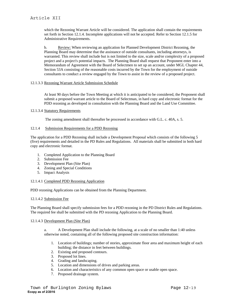which the Rezoning Warrant Article will be considered. The application shall contain the requirements set forth in Section 12.1.4. Incomplete applications will not be accepted. Refer to Section 12.1.5 for Administrative Requirements.

b. Review: When reviewing an application for Planned Development District Rezoning, the Planning Board may determine that the assistance of outside consultants, including attorneys, is warranted. This review shall include but is not limited to the size, scale and/or complexity of a proposed project and a project's potential impacts. The Planning Board shall request that Proponent enter into a Memorandum of Agreement with the Board of Selectmen to set up an account, under MGL Chapter 44, Section 53A consisting of the reasonable costs incurred by the Town for the employment of outside consultants to conduct a review engaged by the Town to assist in the review of a proposed project.

### 12.1.3.3 Rezoning Warrant Article Submission Schedule

At least 90 days before the Town Meeting at which it is anticipated to be considered, the Proponent shall submit a proposed warrant article to the Board of Selectman, in hard copy and electronic format for the PDD rezoning as developed in consultation with the Planning Board and the Land Use Committee.

### 12.1.3.4 Statutory Requirements

The zoning amendment shall thereafter be processed in accordance with G.L. c. 40A, s. 5.

### 12.1.4 Submission Requirements for a PDD Rezoning

The application for a PDD Rezoning shall include a Development Proposal which consists of the following 5 (five) requirements and detailed in the PD Rules and Regulations. All materials shall be submitted in both hard copy and electronic format.

- 1. Completed Application to the Planning Board
- 2. Submission Fee
- 3. Development Plan (Site Plan)
- 4. Zoning and Special Conditions
- 5. Impact Analysis

# 12.1.4.1 Completed PDD Rezoning Application

PDD rezoning Applications can be obtained from the Planning Department.

# 12.1.4.2 Submission Fee

The Planning Board shall specify submission fees for a PDD rezoning in the PD District Rules and Regulations. The required fee shall be submitted with the PD rezoning Application to the Planning Board.

# 12.1.4.3 Development Plan (Site Plan)

a. A Development Plan shall include the following, at a scale of no smaller than 1:40 unless otherwise noted, containing all of the following proposed site construction information:

- 1. Location of buildings; number of stories, approximate floor area and maximum height of each building; the distance in feet between buildings.
- 2. Existing and proposed contours.
- 3. Proposed lot lines.
- 4. Grading and landscaping.
- 5. Location and dimensions of drives and parking areas.
- 6. Location and characteristics of any common open space or usable open space.
- 7. Proposed drainage system.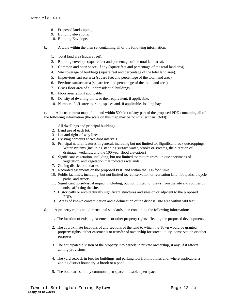- 8. Proposed landscaping.
- 9. Building elevations.
- 10. Building Envelope.
- b. A table within the plan set containing all of the following information:
	- 1. Total land area (square feet).
	- 2. Building envelope (square feet and percentage of the total land area).
	- 3. Common and open space, if any (square feet and percentage of the total land area).
	- 4. Site coverage of buildings (square feet and percentage of the total land area).
	- 5. Impervious surface area (square feet and percentage of the total land area).
	- 6. Pervious surface area (square feet and percentage of the total land area).
	- 7. Gross floor area of all nonresidential buildings.
	- 8. Floor area ratio if applicable
	- 9. Density of dwelling units, or their equivalent, if applicable.
	- 10. Number of off-street parking spaces and, if applicable, loading bays.

c. A locus-context map of all land within 500 feet of any part of the proposed PDD containing all of the following information (the scale on this map may be no smaller than 1:600):

- 1. All dwellings and principal buildings.
- 2. Land use of each lot.
- 3. Lot and right-of-way lines.
- 4. Existing contours at two-foot intervals.
- 5. Principal natural features in general, including but not limited to: Significant rock outcroppings, Water systems (including standing surface water, brooks or streams, the direction of drainage, wetlands, and the 100-year flood elevation.)
- 6. Significant vegetation, including, but not limited to: mature trees, unique specimens of vegetation, and vegetation that indicates wetlands.
- 7. Zoning district boundaries.
- 9. Recorded easements on the proposed PDD and within the 500-foot limit.
- 10. Public facilities, including, but not limited to: conservation or recreation land, footpaths, bicycle paths, and streets.
- 11. Significant noise/visual impact, including, but not limited to: views from the site and sources of noise affecting the site.
- 12. Historically or architecturally significant structures and sites on or adjacent to the proposed PDD.
- 13. Areas of known contamination and a delineation of the disposal site area within 500 feet.
- d. A property rights and dimensional standards plan containing the following information:
	- 1. The location of existing easements or other property rights affecting the proposed development.
	- 2. The approximate locations of any sections of the land to which the Town would be granted property rights, either easements or transfer of ownership for street, utility, conservation or other purposes.
	- 3. The anticipated division of the property into parcels in private ownership, if any, if it affects zoning provisions.
	- 4. The yard setback in feet for buildings and parking lots from lot lines and, where applicable, a zoning district boundary, a brook or a pond.
	- 5. The boundaries of any common open space or usable open space.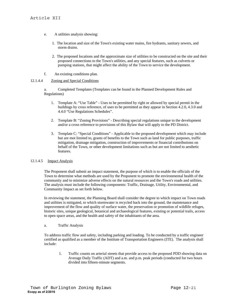- e. A utilities analysis showing:
	- 1. The location and size of the Town's existing water mains, fire hydrants, sanitary sewers, and storm drains.
	- 2. The proposed locations and the approximate size of utilities to be constructed on the site and their proposed connections to the Town's utilities, and any special features, such as culverts or pumping stations, that might affect the ability of the Town to service the development.
- f. An existing conditions plan.

# 12.1.4.4 Zoning and Special Conditions

a. Completed Templates (Templates can be found in the Planned Development Rules and Regulations)

- 1. Template A: "Use Table" Uses to be permitted by right or allowed by special permit in the buildings by cross reference, of uses to be permitted as they appear in Section 4.2.0, 4.3.0 and 4.4.0 "Use Regulations Schedules".
- 2. Template B: "Zoning Provisions" Describing special regulations unique to the development and/or a cross reference to provisions of this Bylaw that will apply to the PD District.
- 3. Template C: "Special Conditions" Applicable to the proposed development which may include but are mot limited to, grants of benefits to the Town such as land for public purposes, traffic mitigation, drainage mitigation, construction of improvements or financial contributions on behalf of the Town, or other development limitations such as but are not limited to aesthetic features.

# 12.1.4.5 Impact Analysis

The Proponent shall submit an impact statement, the purpose of which is to enable the officials of the Town to determine what methods are used by the Proponent to promote the environmental health of the community and to minimize adverse effects on the natural resources and the Town's roads and utilities. The analysis must include the following components: Traffic, Drainage, Utility, Environmental, and Community Impact as set forth below.

In reviewing the statement, the Planning Board shall consider the degree to which impact on Town roads and utilities is mitigated, to which stormwater is recycled back into the ground, the maintenance and improvement of the flow and quality of surface water, the preservation or promotion of wildlife refuges, historic sites, unique geological, botanical and archaeological features, existing or potential trails, access to open space areas, and the health and safety of the inhabitants of the area.

a. Traffic Analysis

To address traffic flow and safety, including parking and loading. To be conducted by a traffic engineer certified as qualified as a member of the Institute of Transportation Engineers (ITE). The analysis shall include:

 1. Traffic counts on arterial streets that provide access to the proposed PDD showing data on Average Daily Traffic (ADT) and a.m. and p.m. peak periods (conducted for two hours divided into fifteen-minute segments.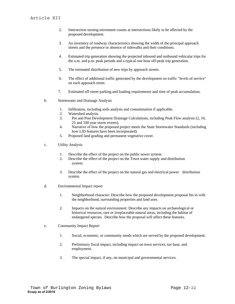- 2. Intersection turning movement counts at intersections likely to be affected by the proposed development.
- 3. An inventory of roadway characteristics showing the width of the principal approach streets and the presence or absence of sidewalks and their conditions.
- 4. Estimated trip generation showing the projected inbound and outbound vehicular trips for the a.m. and p.m. peak periods and a typical one hour off-peak trip generation.
- 5. The estimated distribution of new trips by approach streets.
- 6. The effect of additional traffic generated by the development on traffic "levels of service" on each approach street.
- 7. Estimated off-street parking and loading requirements and time of peak accumulation.
- b. Stormwater and Drainage Analysis
	- 1. Infiltration, including soils analysis and contamination if applicable.
	- 2. Watershed analysis.
	- 3. Pre and Post Development Drainage Calculations, including Peak Flow analysis (2, 10, 25 and 100 year storm events).
	- 4. Narrative of how the proposed project meets the State Stormwater Standards (including how LID features have been incorporated)
	- 5. Proposed land grading and permanent vegetative cover.
- c. Utility Analysis
	- 1. Describe the effect of the project on the public sewer system.
	- 2. Describe the effect of the project on the Town water supply and distribution system.
	- 3. Describe the effect of the project on the natural gas and electrical power distribution system.
- d. Environmental Impact report
	- 1. Neighborhood character: Describe how the proposed development proposal fits in with the neighborhood, surrounding properties and land uses.
	- 2. Impacts on the natural environment: Describe any impacts on archaeological or historical resources, rare or irreplaceable natural areas, including the habitat of endangered species. Describe how the proposal will affect these features.
- e. Community Impact Report
	- 1. Social, economic, or community needs which are served by the proposed development.
	- 2. Preliminary fiscal impact, including impact on town services, tax base, and employment.
	- 3. The special impact, if any, on municipal and governmental services.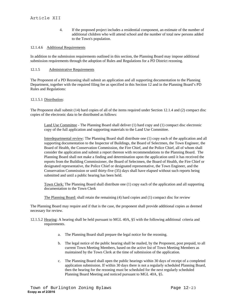# Article XII

4. If the proposed project includes a residential component, an estimate of the number of additional children who will attend school and the number of total new persons added to the Town's population.

## 12.1.4.6 Additional Requirements

In addition to the submission requirements outlined in this section, the Planning Board may impose additional submission requirements through the adoption of Rules and Regulations for a PD District rezoning.

## 12.1.5 Administrative Requirements

The Proponent of a PD Rezoning shall submit an application and all supporting documentation to the Planning Department, together with the required filing fee as specified in this Section 12 and in the Planning Board's PD Rules and Regulations:

### 12.1.5.1 Distribution:

The Proponent shall submit (14) hard copies of all of the items required under Section 12.1.4 and (2) compact disc copies of the electronic data to be distributed as follows:

Land Use Committee - The Planning Board shall deliver (1) hard copy and (1) compact disc electronic copy of the full application and supporting materials to the Land Use Committee.

Interdepartmental review: The Planning Board shall distribute one (1) copy each of the application and all supporting documentation to the Inspector of Buildings, the Board of Selectmen, the Town Engineer, the Board of Health, the Conservation Commission, the Fire Chief, and the Police Chief, all of whom shall consider the application and submit a report thereon with recommendations to the Planning Board. The Planning Board shall not make a finding and determination upon the application until it has received the reports from the Building Commissioner, the Board of Selectmen, the Board of Health, the Fire Chief or designated representative, the Police Chief or designated representative, the Town Engineer, and the Conservation Commission or until thirty-five (35) days shall have elapsed without such reports being submitted and until a public hearing has been held.

Town Clerk: The Planning Board shall distribute one (1) copy each of the application and all supporting documentation to the Town Clerk

The Planning Board: shall retain the remaining (4) hard copies and (1) compact disc for review

The Planning Board may require and if that is the case, the proponent shall provide additional copies as deemed necessary for review.

- 12.1.5.2 Hearing: A hearing shall be held pursuant to MGL 40A, §5 with the following additional criteria and requirements.
	- a. The Planning Board shall prepare the legal notice for the rezoning.
	- b. The legal notice of the public hearing shall be mailed, by the Proponent, post prepaid, to all current Town Meeting Members, based on the active list of Town Meeting Members as maintained by the Town Clerk at the time of submission of the application.
	- c. The Planning Board shall open the public hearings within 30 days of receipt of a completed application submission. If within 30 days there is not a regularly scheduled Planning Board, then the hearing for the rezoning must be scheduled for the next regularly scheduled Planning Board Meeting and noticed pursuant to MGL 40A, §5.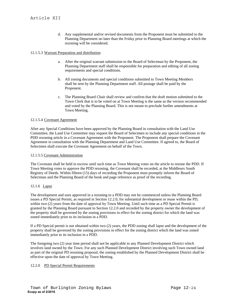d. Any supplemental and/or revised documents from the Proponent must be submitted to the Planning Department no later than the Friday prior to Planning Board meetings at which the rezoning will be considered.

## 12.1.5.3 Warrant Preparation and distribution

- a. After the original warrant submission to the Board of Selectman by the Proponent, the Planning Department staff shall be responsible for preparation and editing of all zoning requirements and special conditions.
- b. All zoning documents and special conditions submitted to Town Meeting Members shall be sent by the Planning Department staff. All postage shall be paid by the Proponent.
- c. The Planning Board Chair shall review and confirm that the draft motion submitted to the Town Clerk that is to be voted on at Town Meeting is the same as the version recommended and voted by the Planning Board. This is not meant to preclude further amendments at Town Meeting.

### 12.1.5.4 Covenant Agreement

After any Special Conditions have been approved by the Planning Board in consultation with the Land Use Committee, the Land Use Committee may request the Board of Selectmen to include any special conditions in the PDD rezoning article in a Covenant Agreement with the Proponent. The Proponent shall prepare the Covenant Agreement in consultation with the Planning Department and Land Use Committee. If agreed to, the Board of Selectmen shall execute the Covenant Agreement on behalf of the Town.

#### 12.1.5.5 Covenant Administration

The Covenant shall be held in escrow until such time as Town Meeting votes on the article to rezone the PDD. If Town Meeting votes to approve the PDD rezoning, the Covenant shall be recorded, at the Middlesex South Registry of Deeds. Within fifteen (15) days of recording the Proponent must promptly inform the Board of Selectman and the Planning Board of the book and page reference as proof of the recording.

#### 12.1.6 Lapse

The development and uses approved in a rezoning to a PDD may not be commenced unless the Planning Board issues a PD Special Permit, as required in Section 12.2.0, for substantial development or reuse within the PD, within two (2) years from the date of approval by Town Meeting. Until such time as a PD Special Permit is granted by the Planning Board pursuant to Section 12.2.0 and recorded by the property owner the development of the property shall be governed by the zoning provisions in effect for the zoning district for which the land was zoned immediately prior to its inclusion in a PDD.

If a PD Special permit is not obtained within two (2) years, the PDD zoning shall lapse and the development of the property shall be governed by the zoning provisions in effect for the zoning district which the land was zoned immediately prior to its inclusion in a PDD.

The foregoing two (2) year time period shall not be applicable to any Planned Development District which involves land owned by the Town. For any such Planned Development District involving such Town owned land as part of the original PD rezoning proposal, the zoning established by the Planned Development District shall be effective upon the date of approval by Town Meeting.

## 12.2.0 PD Special Permit Requirements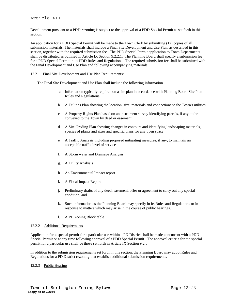# Article XII

Development pursuant to a PDD rezoning is subject to the approval of a PDD Special Permit as set forth in this section.

An application for a PDD Special Permit will be made to the Town Clerk by submitting (12) copies of all submission materials. The materials shall include a Final Site Development and Use Plan, as described in this section, together with the required submission fee. The PDD Special Permit application to Town Departments shall be distributed as outlined in Article IX Section 9.2.2.1. The Planning Board shall specify a submission fee for a PDD Special Permit in its PDD Rules and Regulations. The required submission fee shall be submitted with the Final Development and Use Plan and following accompanying materials:

#### 12.2.1 Final Site Development and Use Plan Requirements:

The Final Site Development and Use Plan shall include the following information.

- a. Information typically required on a site plan in accordance with Planning Board Site Plan Rules and Regulations.
- b. A Utilities Plan showing the location, size, materials and connections to the Town's utilities
- c. A Property Rights Plan based on an instrument survey identifying parcels, if any, to be conveyed to the Town by deed or easement
- d. A Site Grading Plan showing changes in contours and identifying landscaping materials, species of plants and sizes and specific plans for any open space
- e. A Traffic Analysis including proposed mitigating measures, if any, to maintain an acceptable traffic level of service
- f. A Storm water and Drainage Analysis
- g. A Utility Analysis
- h. An Environmental Impact report
- i. A Fiscal Impact Report
- j. Preliminary drafts of any deed, easement, offer or agreement to carry out any special condition, and
- k. Such information as the Planning Board may specify in its Rules and Regulations or in response to matters which may arise in the course of public hearings.
- l. A PD Zoning Block table

#### 12.2.2 Additional Requirements

Application for a special permit for a particular use within a PD District shall be made concurrent with a PDD Special Permit or at any time following approval of a PDD Special Permit. The approval criteria for the special permit for a particular use shall be those set forth in Article IX Section 9.2.0.

In addition to the submission requirements set forth in this section, the Planning Board may adopt Rules and Regulations for a PD District rezoning that establish additional submission requirements.

#### 12.2.3 Public Hearing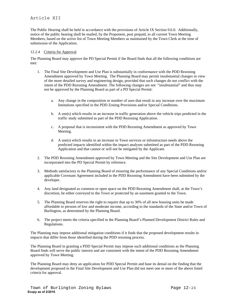# Article XII

The Public Hearing shall be held in accordance with the provisions of Article IX Section 9.6.0. Additionally, notice of the public hearing shall be mailed, by the Proponent, post prepaid, to all current Town Meeting Members, based on the active list of Town Meeting Members as maintained by the Town Clerk at the time of submission of the Application.

#### 12.2.4 Criteria for Approval

The Planning Board may approve the PD Special Permit if the Board finds that all the following conditions are met:

- 1. The Final Site Development and Use Plan is substantially in conformance with the PDD Rezoning Amendment approved by Town Meeting. The Planning Board may permit insubstantial changes in view of the more detailed survey and engineering design, provided that such changes do not conflict with the intent of the PDD Rezoning Amendment. The following changes are not "insubstantial" and thus may not be approved by the Planning Board as part of a PD Special Permit:
	- a. Any change in the composition or number of uses that result in any increase over the maximum limitations specified in the PDD Zoning Provisions and/or Special Conditions.
	- b. A use(s) which results in an increase in traffic generation above the vehicle trips predicted in the traffic study submitted as part of the PDD Rezoning Application.
	- c. A proposal that is inconsistent with the PDD Rezoning Amendment as approved by Town Meeting.
	- d. A use(s) which results in an increase in Town services or infrastructure needs above the predicted impacts identified within the impact analyses submitted as part of the PDD Rezoning Application and that cannot or will not be mitigated by the Applicant.
- 2. The PDD Rezoning Amendment approved by Town Meeting and the Site Development and Use Plan are incorporated into the PD Special Permit by reference.
- 3. Methods satisfactory to the Planning Board of ensuring the performance of any Special Conditions and/or applicable Covenant Agreement included in the PDD Rezoning Amendment have been submitted by the developer.
- 4. Any land designated as common or open space on the PDD Rezoning Amendment shall, at the Town's discretion, be either conveyed to the Town or protected by an easement granted to the Town.
- 5. The Planning Board reserves the right to require that up to 30% of all new housing units be made affordable to persons of low and moderate income, according to the standards of the State and/or Town of Burlington, as determined by the Planning Board.
- 6. The project meets the criteria specified in the Planning Board's Planned Development District Rules and Regulations.

The Planning may impose additional mitigation conditions if it finds that the proposed development results in impacts that differ from those identified during the PDD rezoning process.

The Planning Board in granting a PDD Special Permit may impose such additional conditions as the Planning Board finds will serve the public interest and are consistent with the intent of the PDD Rezoning Amendment approved by Town Meeting.

The Planning Board may deny an application for PDD Special Permit and base its denial on the finding that the development proposed in the Final Site Development and Use Plan did not meet one or more of the above listed criteria for approval.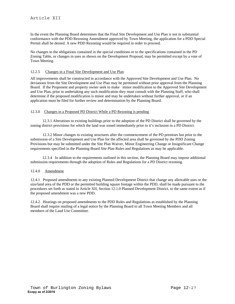In the event the Planning Board determines that the Final Site Development and Use Plan is not in substantial conformance with the PDD Rezoning Amendment approved by Town Meeting, the application for a PDD Special Permit shall be denied. A new PDD Rezoning would be required in order to proceed.

No changes to the obligations contained in the special conditions or to the specifications contained in the PD Zoning Table, or changes in uses as shown on the Development Proposal, may be permitted except by a vote of Town Meeting.

## 12.2.5 Changes in a Final Site Development and Use Plan

All improvements shall be constructed in accordance with the Approved Site Development and Use Plan. No deviations from the Site Development and Use Plan may be permitted without prior approval from the Planning Board. If the Proponent and property owner seek to make minor modification to the Approved Site Development and Use Plan, prior to undertaking any such modification they must consult with the Planning Staff, who shall determine if the proposed modification is minor and may be undertaken without further approval, or if an application must be filed for further review and determination by the Planning Board.

## 12.3.0 Changes in a Proposed PD District While a PD Rezoning is pending

12.3.1 Alterations to existing buildings prior to the adoption of the PD District shall be governed by the zoning district provisions for which the land was zoned immediately prior to it's inclusion in a PD District.

12.3.2 Minor changes to existing structures after the commencement of the PD premises but prior to the submission of a Site Development and Use Plan for the affected area shall be governed by the PDD Zoning Provisions but may be submitted under the Site Plan Waiver, Minor Engineering Change or Insignificant Change requirements specified in the Planning Board Site Plan Rules and Regulations as may be applicable.

12.3.4 In addition to the requirements outlined in this section, the Planning Board may impose additional submission requirements through the adoption of Rules and Regulations for a PD District rezoning.

## 12.4.0 Amendment

12.4.1 Proposed amendments to any existing Planned Development District that change any allowable uses or the size/land area of the PDD or the permitted building square footage within the PDD, shall be made pursuant to the procedures set forth as stated in Article XII, Section 12.1.0 Planned Development District, to the same extent as if the proposed amendment was a new PDD.

12.4.2 Hearings on proposed amendments to the PDD Rules and Regulations as established by the Planning Board shall require mailing of a legal notice by the Planning Board to all Town Meeting Members and all members of the Land Use Committee.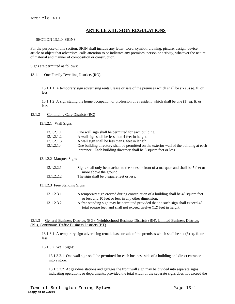# **ARTICLE XIII: SIGN REGULATIONS**

#### SECTION 13.1.0 SIGNS

For the purpose of this section, SIGN shall include any letter, word, symbol, drawing, picture, design, device, article or object that advertises, calls attention to or indicates any premises, person or activity, whatever the nature of material and manner of composition or construction.

Signs are permitted as follows:

#### 13.1.1 One Family Dwelling Districts (RO)

13.1.1.1 A temporary sign advertising rental, lease or sale of the premises which shall be six (6) sq. ft. or less.

13.1.1.2 A sign stating the home occupation or profession of a resident, which shall be one (1) sq. ft. or less.

#### 13.1.2 Continuing Care Districts (RC)

13.1.2.1 Wall Signs

| 13.1.2.1.1 | One wall sign shall be permitted for each building.                                    |
|------------|----------------------------------------------------------------------------------------|
| 13.1.2.1.2 | A wall sign shall be less than 4 feet in height.                                       |
| 13.1.2.1.3 | A wall sign shall be less than 6 feet in length                                        |
| 13.1.2.1.4 | One building directory shall be permitted on the exterior wall of the building at each |
|            | entrance. Each building directory shall be 5 square feet or less.                      |

#### 13.1.2.2 Marquee Signs

| 13.1.2.2.1 | Signs shall only be attached to the sides or front of a marquee and shall be 7 feet or |
|------------|----------------------------------------------------------------------------------------|
|            | more above the ground.                                                                 |
| 13.1.2.2.2 | The sign shall be 6 square feet or less.                                               |

13.1.2.3 Free Standing Signs

| 13.1.2.3.1 | A temporary sign erected during construction of a building shall be 48 square feet |
|------------|------------------------------------------------------------------------------------|
|            | or less and 10 feet or less in any other dimension.                                |
| 13.1.2.3.2 | A free standing sign may be permitted provided that no such sign shall exceed 48   |
|            | total square feet, and shall not exceed twelve (12) feet in height.                |

#### 13.1.3 General Business Districts (BG), Neighborhood Business Districts (BN), Limited Business Districts (BL), Continuous Traffic Business Districts (BT)

13.1.3.1 A temporary sign advertising rental, lease or sale of the premises which shall be six (6) sq. ft. or less.

13.1.3.2 Wall Signs:

13.1.3.2.1 One wall sign shall be permitted for each business side of a building and direct entrance into a store.

13.1.3.2.2 At gasoline stations and garages the front wall sign may be divided into separate signs indicating operations or departments, provided the total width of the separate signs does not exceed the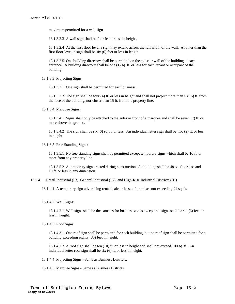maximum permitted for a wall sign.

13.1.3.2.3 A wall sign shall be four feet or less in height.

13.1.3.2.4 At the first floor level a sign may extend across the full width of the wall. At other than the first floor level, a sign shall be six (6) feet or less in length.

13.1.3.2.5 One building directory shall be permitted on the exterior wall of the building at each entrance. A building directory shall be one (1) sq. ft. or less for each tenant or occupant of the building.

13.1.3.3 Projecting Signs:

13.1.3.3.1 One sign shall be permitted for each business.

13.1.3.3.2 The sign shall be four (4) ft. or less in height and shall not project more than six (6) ft. from the face of the building, nor closer than 15 ft. from the property line.

13.1.3.4 Marquee Signs:

13.1.3.4.1 Signs shall only be attached to the sides or front of a marquee and shall be seven (7) ft. or more above the ground.

13.1.3.4.2 The sign shall be six (6) sq. ft. or less. An individual letter sign shall be two (2) ft. or less in height.

13.1.3.5 Free Standing Signs:

13.1.3.5.1 No free standing signs shall be permitted except temporary signs which shall be 10 ft. or more from any property line.

13.1.3.5.2 A temporary sign erected during construction of a building shall be 48 sq. ft. or less and 10 ft. or less in any dimension.

#### 13.1.4 Retail Industrial (IR), General Industrial (IG), and High-Rise Industrial Districts (IH)

13.1.4.1 A temporary sign advertising rental, sale or lease of premises not exceeding 24 sq. ft.

13.1.4.2 Wall Signs:

13.1.4.2.1 Wall signs shall be the same as for business zones except that signs shall be six (6) feet or less in height.

13.1.4.3 Roof Signs

13.1.4.3.1 One roof sign shall be permitted for each building, but no roof sign shall be permitted for a building exceeding eighty (80) feet in height.

13.1.4.3.2 A roof sign shall be ten (10) ft. or less in height and shall not exceed 100 sq. ft. An individual letter roof sign shall be six (6) ft. or less in height.

13.1.4.4 Projecting Signs - Same as Business Districts.

13.1.4.5 Marquee Signs - Same as Business Districts.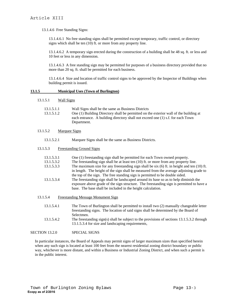13.1.4.6 Free Standing Signs:

13.1.4.6.1 No free standing signs shall be permitted except temporary, traffic control, or directory signs which shall be ten (10) ft. or more from any property line.

13.1.4.6.2 A temporary sign erected during the construction of a building shall be 48 sq. ft. or less and 10 feet or less in any dimension.

13.1.4.6.3 A free standing sign may be permitted for purposes of a business directory provided that no more than 20 sq. ft. shall be permitted for each business.

13.1.4.6.4 Size and location of traffic control signs to be approved by the Inspector of Buildings when building permit is issued.

#### **13.1.5 Municipal Uses (Town of Burlington)**

13.1.5.1 Wall Signs

| 13.1.5.1.1 | Wall Signs shall be the same as Business Districts                                    |
|------------|---------------------------------------------------------------------------------------|
| 13.1.5.1.2 | One (1) Building Directory shall be permitted on the exterior wall of the building at |
|            | each entrance. A building directory shall not exceed one (1) s.f. for each Town       |
|            | Department.                                                                           |

13.1.5.2 Marquee Signs

13.1.5.2.1 Marquee Signs shall be the same as Business Districts.

#### 13.1.5.3 Freestanding Ground Signs

| 13.1.5.3.1 | One (1) freestanding sign shall be permitted for each Town owned property.                     |
|------------|------------------------------------------------------------------------------------------------|
| 13.1.5.3.2 | The freestanding sign shall be at least ten $(10)$ ft. or more from any property line.         |
| 13.1.5.3.3 | The maximum size for any freestanding sign shall be six $(6)$ ft. in height and ten $(10)$ ft. |
|            | in length. The height of the sign shall be measured from the average adjoining grade to        |
|            | the top of the sign. The free standing sign is permitted to be double sided.                   |
| 13.1.5.3.4 | The freestanding sign shall be landscaped around its base so as to help diminish the           |
|            | exposure above grade of the sign structure. The freestanding sign is permitted to have a       |
|            | base. The base shall be included in the height calculation.                                    |

- 13.1.5.4 Freestanding Message Monument Sign
	- 13.1.5.4.1 The Town of Burlington shall be permitted to install two (2) manually changeable letter freestanding signs. The location of said signs shall be determined by the Board of Selectmen.
	- 13.1.5.4.2 The freestanding sign(s) shall be subject to the provisions of sections 13.1.5.3.2 through 13.1.5.3.4 for size and landscaping requirements,

## SECTION 13.2.0 SPECIAL SIGNS

In particular instances, the Board of Appeals may permit signs of larger maximum sizes than specified herein when any such sign is located at least 100 feet from the nearest residential zoning district boundary or public way, whichever is more distant, and within a Business or Industrial Zoning District, and when such a permit is in the public interest.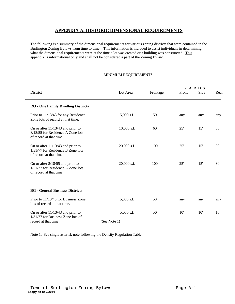# **APPENDIX A: HISTORIC DIMENSIONAL REQUIREMENTS**

The following is a summary of the dimensional requirements for various zoning districts that were contained in the Burlington Zoning Bylaws from time to time. This information is included to assist individuals in determining what the dimensional requirements were at the time a lot was created or a building was constructed. This appendix is informational only and shall not be considered a part of the Zoning Bylaw.

# MINIMUM REQUIREMENTS

| District                                                                                            | Lot Area                     | Frontage | Front | YARDS<br>Side | Rear |
|-----------------------------------------------------------------------------------------------------|------------------------------|----------|-------|---------------|------|
| <b>RO</b> - One Family Dwelling Districts                                                           |                              |          |       |               |      |
| Prior to 11/13/43 for any Residence<br>Zone lots of record at that time.                            | $5,000$ s.f.                 | 50'      | any   | any           | any  |
| On or after $11/13/43$ and prior to<br>8/18/55 for Residence A Zone lots<br>of record at that time. | 10,000 s.f.                  | 60'      | 25'   | 15'           | 30'  |
| On or after $11/13/43$ and prior to<br>1/31/77 for Residence B Zone lots<br>of record at that time. | 20,000 s.f.                  | 100'     | 25'   | 15'           | 30'  |
| On or after $8/18/55$ and prior to<br>1/31/77 for Residence A Zone lots<br>of record at that time.  | 20,000 s.f.                  | 100'     | 25'   | 15'           | 30'  |
|                                                                                                     |                              |          |       |               |      |
| <b>BG</b> - General Business Districts                                                              |                              |          |       |               |      |
| Prior to 11/13/43 for Business Zone<br>lots of record at that time.                                 | $5,000$ s.f.                 | 50'      | any   | any           | any  |
| On or after $11/13/43$ and prior to<br>1/31/77 for Business Zone lots of<br>record at that time.    | $5,000$ s.f.<br>(See Note 1) | 50'      | 10'   | 10'           | 10'  |

Note 1: See single asterisk note following the Density Regulation Table.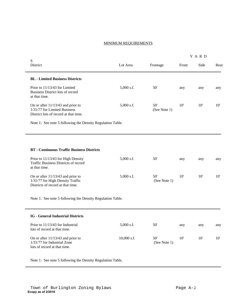## MINIMUM REQUIREMENTS

| S                                                                                                            |               |                     | Y A R D      |      |      |
|--------------------------------------------------------------------------------------------------------------|---------------|---------------------|--------------|------|------|
| District                                                                                                     | Lot Area      | Frontage            | Front        | Side | Rear |
| <b>BL</b> - Limited Business Districts                                                                       |               |                     |              |      |      |
| Prior to 11/13/43 for Limited<br>Business District lots of record<br>at that time.                           | $5,000$ s.f.  | 50'                 | any          | any  | any  |
| On or after $11/13/43$ and prior to<br>1/31/77 for Limited Business<br>District lots of record at that time. | $5,000$ s.f.  | 50'<br>(See Note 1) | $10^{\circ}$ | 10'  | 10'  |
| Note 1: See note 5 following the Density Regulation Table.                                                   |               |                     |              |      |      |
|                                                                                                              |               |                     |              |      |      |
| <b>BT</b> - Continuous Traffic Business Districts                                                            |               |                     |              |      |      |
| Prior to 11/13/43 for High Density<br>Traffic Business Districts of record<br>at that time.                  | $5,000$ s.f.  | 50'                 | any          | any  | any  |
| On or after 11/13/43 and prior to<br>1/31/77 for High Density Traffic<br>Districts of record at that time.   | $5,000$ s.f.  | 50'<br>(See Note 1) | 10'          | 10'  | 10'  |
| Note 1: See note 5 following the Density Regulation Table.                                                   |               |                     |              |      |      |
| <b>IG</b> - General Industrial Districts                                                                     |               |                     |              |      |      |
| Prior to 11/13/43 for Industrial<br>lots of record at that time.                                             | 5,000 s.f.    | 50'                 | any          | any  | any  |
| On or after $11/13/43$ and prior to<br>1/31/77 for Industrial Zone<br>lots of record at that time.           | $10,000$ s.f. | 50'<br>(See Note 1) | 10'          | 10'  | 10'  |

Note 1: See note 5 following the Density Regulation Table.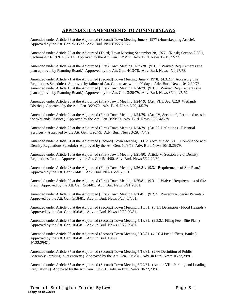# **APPENDIX B: AMENDMENTS TO ZONING BYLAWS**

Amended under Article 63 at the Adjourned (Second) Town Meeting June 8, 1977 (Housekeeping Article). Approved by the Att. Gen. 9/16/77. Adv. Burl. News 9/22,29/77.

Amended under Article 22 at the Adjourned (Third) Town Meeting September 28, 1977. (Kiosk) Section 2.38.1, Sections 4.2.6.19 & 4.3.2.13. Approved by the Att. Gen. 12/8/77. Adv. Burl. News 12/15,22/77.

Amended under Article 24 at the Adjourned (First) Town Meeting, 1/25/78. (9.3.1.1 Waived Requirements site plan approval by Planning Board.) Approved by the Att. Gen. 4/13/78. Adv. Burl. News 4/20,27/78.

Amended under Article 71 at the Adjourned (Second) Town Meeting, June 7, 1978. (4.3.2.14 Accessory Use Regulations Schedule.) Approved by failure of Att. Gen. to act within 90 days. Adv. Burl. News 10/12,19/78. Amended under Article 15 at the Adjourned (First) Town Meeting 1/24/79. (9.3.1.1 Waived Requirements site plan approval by Planning Board.) Approved by the Att. Gen. 3/20/79. Adv. Burl. News 3/29, 4/5/79.

Amended under Article 23 at the Adjourned (First) Town Meeting 1/24/79. (Art. VIII, Sec. 8.2.0 Wetlands District.) Approved by the Att. Gen. 3/20/79. Adv. Burl. News 3/29, 4/5/79.

Amended under Article 24 at the Adjourned (First) Town Meeting 1/24/79. (Art. IV, Sec. 4.4.0, Permitted uses in the Wetlands District.) Approved by the Att. Gen. 3/20/79. Adv. Burl. News 3/29, 4/5/79.

Amended under Article 25 at the Adjourned (First) Town Meeting 1/24/79. (Art. II, Definitions - Essential Services.) Approved by the Att. Gen. 3/20/79. Adv. Burl. News 3/29, 4/5/79.

Amended under Article 61 at the Adjourned (Second) Town Meeting 6/11/79 (Art. V, Sec. 5.1.8, Compliance with Density Regulations Schedule) Approved by the Att. Gen. 10/9/79, Adv. Burl. News 10/18,25/79.

Amended under Article 18 at the Adjourned (First) Town Meeting 1/21/80. Article V, Section 5.2.0, Density Regulations Table. Approved by the Att. Gen 5/14/80, Adv. Burl. News 5/22,29/80.

Amended under Article 28 at the Adjourned (First) Town Meeting 1/26/81. (9.3.1 Requirements of Site Plan.) Approved by the Att. Gen 5/14/81. Adv. Burl. News 5/21,28/81.

Amended under Article 29 at the Adjourned (First) Town Meeting 1/26/81. (9.3.1.1 Waived Requirements of Site Plan.) Approved by the Att. Gen. 5/14/81. Adv. Bur. News 5/21,28/81.

Amended under Article 30 at the Adjourned (First) Town Meeting 1/26/81. (9.2.2.1 Procedure-Special Permits.) Approved by the Att. Gen. 5/18/81. Adv. in Burl. News 5/28, 6/4/81.

Amended under Article 33 at the Adjourned (Second) Town Meeting 5/18/81. (8.1.1 Definition - Flood Hazards.) Approved by the Att. Gen. 10/6/81. Adv. in Burl. News 10/22,29/81.

Amended under Article 34 at the Adjourned (Second) Town Meeting 5/18/81. (9.3.2.1 Filing Fee - Site Plan.) Approved by the Att. Gen. 10/6/81. Adv. in Burl. News 10/22,29/81.

Amended under Article 36 at the Adjourned (Second) Town Meeting 5/18/81. (4.2.6.4 Post Offices, Banks.) Approved by the Att. Gen. 10/6/81. Adv. in Burl. News 10/22,29/81.

Amended under Article 37 at the Adjourned (Second) Town Meeting 5/18/81. (2.66 Definition of Public Assembly - striking in its entirety.) Approved by the Att. Gen. 10/6/81. Adv. in Burl. News 10/22,29/81.

Amended under Article 35 at the Adjourned (Second) Town Meeting 6/22/81. (Article VII - Parking and Loading Regulations.) Approved by the Att. Gen. 10/6/81. Adv. in Burl. News 10/22,29/81.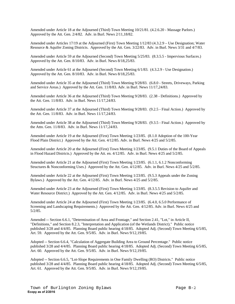Amended under Article 18 at the Adjourned (Third) Town Meeting 10/21/81. (4.2.6.20 - Massage Parlors.) Approved by the Att. Gen. 2/4/82. Adv. in Burl. News 2/11,18/82.

Amended under Articles 17/19 at the Adjourned (First) Town Meeting 1/12/83 (4.3.2.9 – Use Designation; Water Resource & Aquifer Zoning Districts. Approved by the Att. Gen. 3/22/83. Adv. in Burl. News 3/31 and 4/7/83.

Amended under Article 59 at the Adjourned (Second) Town Meeting 5/25/83. (8.3.5.5 - Impervious Surfaces.) Approved by the Att. Gen. 8/10/83. Adv. in Burl. News 8/18,25/83.

Amended under Article 61 at the Adjourned (Second) Town Meeting 6/1/83. (4.3.2.9 - Use Designation.) Approved by the Att. Gen. 8/10/83. Adv. in Burl. News 8/18,25/83.

Amended under Article 35 at the Adjourned (Third) Town Meeting 9/28/83. (6.8.0 - Streets, Driveways, Parking and Service Areas.) Approved by the Att. Gen. 11/8/83. Adv. in Burl. News 11/17,24/83.

Amended under Article 36 at the Adjourned (Third) Town Meeting 9/28/83. (2.38 - Definitions.) Approved by the Att. Gen. 11/8/83. Adv. in Burl. News 11/17,24/83.

Amended under Article 37 at the Adjourned (Third) Town Meeting 9/28/83. (9.2.5 - Final Action.) Approved by the Att. Gen. 11/8/83. Adv. in Burl. News 11/17,24/83.

Amended under Article 38 at the Adjourned (Third) Town Meeting 9/28/83. (9.3.5 - Final Action.) Approved by the Attn. Gen. 11/8/83. Adv. in Burl. News 11/17,24/83.

Amended under Article 19 at the Adjourned (First) Town Meeting 1/23/85. (8.1.0 Adoption of the 100-Year Flood Plain District.) Approved by the Att. Gen. 4/12/85. Adv. in Burl. News 4/25 and 5/2/85.

Amended under Article 20 at the Adjourned (First) Town Meeting 1/23/85. (9.5.1 Duties of the Board of Appeals in Flood Hazard Districts.) Approved by the Att. en. 4/12/85. Adv. in Burl. News 4/25 and 5/2/85.

Amended under Article 21 at the Adjourned (First) Town Meeting 1/23/85. (6.1.1, 6.1.2 Nonconforming Structures & Nonconforming Uses.) Approved by the Att. Gen. 4/12/85. Adv. in Burl. News 4/25 and 5/2/85.

Amended under Article 22 at the Adjourned (First) Town Meeting 1/23/85. (9.5.3 Appeals under the Zoning Bylaws.) Approved by the Att. Gen. 4/12/85. Adv. in Burl. News 4/25 and 5/2/85.

Amended under Article 23 at the Adjourned (First) Town Meeting 1/23/85. (8.3.5.5 Revision to Aquifer and Water Resource District.) Approved by the Att. Gen. 4/12/85. Adv. in Burl. News 4/25 and 5/2/85.

Amended under Article 24 at the Adjourned (First) Town Meeting 1/23/85. (6.4.0, 6.5.0 Performance of Screening and Landscaping Requirements.) Approved by the Att. Gen. 4/12/85. Adv. in Burl. News 4/25 and 5/2/85.

Amended -- Section 6.6.1, "Determination of Area and Frontage," and Section 2.41, "Lot," in Article II, "Definitions," and Section 8.2.3, "Interpretation and Application (of the Wetlands District)." Public notice published 3/28 and 4/4/85. Planning Board public hearing 4/18/85. Adopted Adj. (Second) Town Meeting 6/5/85, Art. 59. Approved by the Att. Gen. 9/5/85. Adv. in Burl. News 9/12,19/85.

Adopted -- Section 6.6.4, "Calculation of Aggregate Building Area to Ground Percentage." Public notice published 3/28 and 4/4/85. Planning Board public hearing 4/18/85. Adopted Adj. (Second) Town Meeting 6/5/85, Art. 60. Approved by the Att. Gen. 9/5/85. Adv. in Burl. News 9/12,19/85.

Adopted -- Section 6.6.5, "Lot-Slope Requirements in One Family Dwelling (RO) Districts." Public notice published 3/28 and 4/4/85. Planning Board public hearing 4/18/85. Adopted Adj. (Second) Town Meeting 6/5/85, Art. 61. Approved by the Att. Gen. 9/5/85. Adv. in Burl. News 9/12,19/85.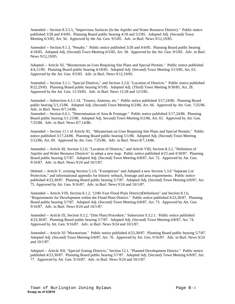Amended -- Section 8.3.5.5, "Impervious Surfaces (In the Aquifer and Water Resource District)." Public notice published 3/28 and 4/4/85. Planning Board public hearing 4/18 and 5/2/85. Adopted Adj. (Second) Town Meeting 6/3/85, Art. 56. Approved by the Att. Gen. 9/5/85. Adv. in Burl. News 9/12,19/85.

Amended -- Section 9.1.3, "Penalty." Public notice published 3/28 and 4/4/85. Planning Board public hearing 4/18/85. Adopted Adj. (Second) Town Meeting 6/5/85, Art. 58. Approved by the Att. Gen. 9/5/85. Adv. in Burl. News 9/12,19/85.

Adopted -- Article XI, "Moratorium on Uses Requiring Site Plans and Special Permits." Public notice published 4/4,11/85. Planning Board public hearing 4/18/85. Adopted Adj. (Second) Town Meeting 5/13/85, Art. 63. Approved by the Att. Gen. 9/5/85. Adv. in Burl. News 9/12,19/85.

Amended -- Section 3.1.1, "Special Districts," and Section 3.2.0, "Location of Districts." Public notice published 8/22,29/85. Planning Board public hearing 9/5/85. Adopted Adj. (Third) Town Meeting 9/30/85, Art. 28. Approved by the Att. Gen. 11/19/85. Adv. in Burl. News 11/28 and 12/5/85.

Amended -- Subsection 4.3.1.14, "Towers, Antenna, etc." Public notice published 3/17,24/86. Planning Board public hearing 5/1,15/86. Adopted Adj. (Second) Town Meeting 6/2/86, Art. 66. Approved by Att. Gen. 7/25/86. Adv. in Burl. News 8/7,14/86.

Amended -- Section 6.6.1, "Determination of Area & Frontage." Public notice published 3/17,24/86. Planning Board public hearing 5/1,15/86. Adopted Adj. Second) Town Meeting 6/2/86, Art. 65. Approved by Att. Gen. 7/25/86. Adv. in Burl. News 8/7,14/86.

Amended -- Section 11.1 of Article XI, "Moratorium on Uses Requiring Site Plans and Special Permits." Public notice published 3/17,24/86. Planning Board public hearing 5/1/86. Adopted Adj. (Second) Town Meeting 5/12/86, Art. 69. Approved by Att. Gen. 7/25/86. Adv. in Burl. News 8/7,14/86.

Amended -- Article III, Section 3.2.0, "Location of Districts," and Article VIII, Section 8.3.2, "Definition of Aquifer and Water Resource Districts" to adopt a new map. Public notice published 4/23 and 4/30/87. Planning Board public hearing 5/7/87. Adopted Adj. (Second) Town Meeting 6/8/87, Art. 72. Approved by Att. Gen. 9/16/87. Adv. in Burl. News 9/24 and 10/1/87.

Deleted -- Article V, existing Section 5.3.0, "Exemptions" and Adopted a new Section 5.3.0 "Separate Lot Protection," and informational appendix for historic setback, frontage and area requirements. Public notice published 4/23,30/87. Planning Board public hearing 5/7/87. Adopted Adj. (Second) Town Meeting 6/8/87, Art. 75. Approved by Att. Gen. 9/16/87. Adv. in Burl. News 9/24 and 10/1/87.

Amended -- Article VIII, Section 8.1.2, "(100-Year Flood Plain District)Definitions" and Section 8.1.6, "Requirements for Development within the Flood Plain District." Public notice published 4/23,30/87. Planning Board public hearing 5/7/87. Adopted Adj. (Second) Town Meeting 6/8/87, Art. 73. Approved by Att. Gen. 9/16/87. Adv. in Burl. News 9/24 and 10/1/87.

Amended -- Article IX, Section 9.3.2, "(Site Plan) Procedure," Subsection 9.3.2.1. Public notice published 4/23,30/87. Planning Board public hearing 5/7/87. Adopted Adj. (Second) Town Meeting 6/8/87, Art. 74. Approved by Att. Gen. 9/16/87. Adv. in Burl. News 9/24 and 10/1/87.

Amended -- Article XI "Moratorium." Public notice published 4/23,30/87. Planning Board public hearing 5/7/87. Adopted Adj. (Second) Town Meeting 6/8/87, Art. 76. Approved by Att. Gen. 9/16/87. Adv. in Burl. News 9/24 and 10/1/87.

Adopted -- Article XII, "Special Zoning Districts," Section 12.1, "Planned Development District." Public notice published 4/23,30/87. Planning Board public hearing 5/7/87. Adopted Adj. (Second) Town Meeting 6/8/87, Art. 77. Approved by Att. Gen. 9/16/87. Adv. in Burl. News 9/24 and 10/1/87.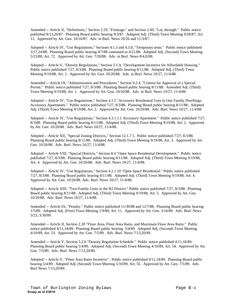Amended -- Article II, "Definitions," Section 2.29, "Frontage," and Section 2.49, "Lot, through." Public notice published 8/13,20/87. Planning Board public hearing 9/3/87. Adopted Adj. (Third) Town Meeting 9/28/87, Art. 12. Approved by Att. Gen. 10/16/87. Adv. in Burl. News 10/26 and 11/3/87.

Adopted -- Article IV, "Use Regulations," Sections 4.1.3 and 4.3.0, "Temporary tents." Public notice published 3/17,24/88. Planning Board public hearing 4/7/88 continued to 4/21/88. Adopted Adj. (Second) Town Meeting 5/23/88, Art. 72. Approved by Att. Gen. 7/28/88. Adv. in Burl. News 8/4,ll/88.

Adopted -- Article V, "Density Regulations," Section 5.1.9, "Development Incentive for Affordable Housing." Public notice published 7/27, 8/3/88. Planning Board public hearing 8/11/88. Adopted Adj. (Third) Town Meeting 9/19/88, Art. 1. Approved by Att. Gen. 10/20/88. Adv. in Burl. News 10/27, 11/4/88.

Amended -- Article IX, "Administration and Procedures," Section 9.2.4, "Criteria for Approval of a Special Permit." Public notice published 7/27, 8/3/88. Planning Board public hearing 8/11/88. Amended Adj. (Third) Town Meeting 9/19/88, Art. 1. Approved by Att. Gen. 10/20/88. Adv. in Burl. News 10/27, 11/4/88.

Adopted -- Article IV, "Use Regulations," Section 4.1.5 "Accessory Residential Uses in One Family Dwellings: Accessory Apartments." Public notice published 7/27, 8/3/88. Planning Board public hearing 8/11/88. Adopted Adj. (Third) Town Meeting 9/19/88, Art. 2. Approved by Att. Gen. 10/20/88. Adv. Burl. News 10/27, 11/4/88.

Adopted -- Article IV, "Use Regulations," Section 4.3.1.1.1 Accessory Apartment." Public notice published 7/27, 8/3/88. Planning Board public hearing 8/11/88. Adopted Adj. (Third) Town Meeting 9/19/88, Art. 2. Approved by Att. Gen. 10/20/88. Adv. Burl. News 10/27, 11/4/88.

Adopted -- Article XII, "Special Zoning Districts," Section 12.1.7 5. Public notice published 7/27, 8/3/88. Planning Board public hearing 8/11/88. Adopted Adj. (Third) Town Meeting 9/19/88, Art. 3. Approved by Att. Gen. 10/20/88. Adv. Burl. News 10/27, 11/4/88.

Adopted -- Article VIII, "Special Districts," Section 8.4 "Open Space Residential Development." Public notice published 7/27, 8/3/88. Planning Board public hearing 8/11/88. Adopted Adj. (Third) Town Meeting 9/19/88, Art. 4. Approved by Att. Gen. 10/20/88. Adv. Burl. News 10/27, 11/4/88.

Adopted -- Article IV, "Use Regulations," Section 4.2.1.10 "Open Space Residential." Public notice published 7/27, 8/3/88. Planning Board public hearing 8/11/88. Adopted Adj. (Third) Town Meeting 9/19/88, Art. 4. Approved by Att. Gen. 10/20/88. Adv. Burl. News 10/27, 11/4/88.

Adopted -- Article XIII, "Two-Family Units in the R2 District." Public notice published 7/27, 8/3/88. Planning Board public hearing 8/11/88. Adopted Adj. (Third) Town Meeting 9/19/88, Art. 5. Approved by Att. Gen. 10/20/88. Adv. Burl. News 10/27, 11/4/88.

Amended -- Article IX, "Penalty." Public notice published 11/30/88 and 12/7/88. Planning Board public hearing 1/5/89. Adopted Adj. (First) Town Meeting 1/9/89, Art. 11. Approved by Att. Gen. 3/16/89. Adv. Burl. News 3/23, 3/30/89.

Amended -- Article II, Section 2.28 "Floor Area, Floor Area Ratio, and Maximum Floor Area Ratio." Public notice published 4/11,18/89. Planning Board public hearing 5/4/89. Adopted Adj. (Second) Town Meeting 4/10/89, Art. 53. Approved by Att. Gen. 7/5/89. Adv. Burl. News 7/13,20/89.

Amended -- Article V, Section 5.2.0 "Density Regulation Schedule." Public notice published 4/11,18/89. Planning Board public hearing 5/4/89. Adopted Adj. (Second) Town Meeting 4/10/89, Art. 54. Approved by Att. Gen. 7/5/89. Adv. Burl. News 7/13,20/89.

Adopted -- Article V, "Floor Area Ratio Incentive". Public notice published 4/11,18/89. Planning Board public hearing 5/4/89. Adopted Adj. (Second) Town Meeting 5/10/89, Art. 55. Approved by Att. Gen. 7/5/89. Adv. Burl News 7/13,20/89.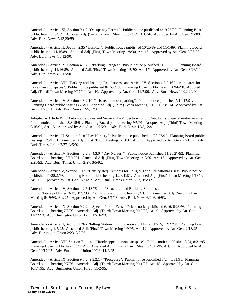Amended -- Article XI, Section 9.1.2 "Occupancy Permit". Public notice published 4/19,26/89. Planning Board public hearing 5/4/89. Adopted Adj. (Second) Town Meeting 5/22/89, Art. 56. Approved by Att. Gen. 7/5/89. Adv. Burl. News 7/13,20/89.

Amended -- Article II, Section 2.35 "Hospital". Public notice published 10/25/89 and 11/1/89. Planning Board public hearing 11/16/89. Adopted Adj. (First) Town Meeting 1/8/90, Art. 16. Approved by Att. Gen. 3/26/90. Adv. Burl. news 4/5,12/90.

Amended -- Article IV, Section 4.3.2.9 "Parking Garages". Public notice published 11/1,8/89. Planning Board public hearing 11/16/89. Adopted Adj. (First) Town Meeting 1/8/90, Art. 17. Approved by Att. Gen. 3/26/90. Adv. Burl. news 4/5,12/90.

Amended -- Article VII, "Parking and Loading Regulations" and Article IV, Section 4.3.2.16 "parking area for more than 200 spaces". Public notice published 8/16,24/90. Planning Board public hearing 09/6/90. Adopted Adj. (Third) Town Meeting 9/17/90, Art. 10. Approved by Att. Gen. 11/7/90. Adv. Burl. News 11/22,29/90.

Amended -- Article IV, Section 4.3.2.10 "offstreet outdoor parking". Public notice published 7/10,17/91. Planning Board public hearing 8/1/91. Adopted Adj. (Third) Town Meeting 9/16/91, Art. 14. Approved by Att. Gen. 11/26/91. Adv. Burl. News 12/5,12/91.

Adopted -- Article IV, "Automobile Sales and Service Uses", Section 4.2.5.9 "outdoor storage of motor vehicles." Public notice published 8/8,15/91. Planning Board public hearing 9/5/91. Adopted Adj. (Third) Town Meeting 9/16/91, Art. 15. Approved by Att. Gen. 11/26/91. Adv. Burl. News 12/5,12/91.

Amended -- Article II, Section 2.18 "Day Nursery". Public notice published 11/20,27/92. Planning Board public hearing 12/5/1991. Amended Adj. (First) Town Meeting 1/13/92, Art. 16. Approved by Att. Gen. 2/21/92. Adv. Burl. Times Union 2/27, 3/5/92.

Amended -- Article IV, Section 4.2.2.3, 4.3.0 "Day Nursery". Public notice published 11/20,27/92. Planning Board public hearing 12/5/1991. Amended Adj. (First) Town Meeting 1/13/92, Art. 16. Approved by Att. Gen. 2/21/92. Adv. Burl. Times Union 2/27, 3/5/92.

Amended -- Article V, Section 5.1.5 "Density Requirements for Religious and Educational Uses". Public notice published 11/20,27/92. Planning Board public hearing 12/5/1991. Amended Adj. (First) Town Meeting 1/13/92, Art. 16. Approved by Att. Gen. 2/21/92. Adv. Burl. Times Union 2/27, 3/5/92.

Amended -- Article IV, Section 4.2.6.18 "Sale of Structural and Building Supplies". Public Notice published 3/17, 3/24/93. Planning Board public hearing 4/1/93. Amended Adj. (Second) Town Meeting 5/19/93, Art. 25. Approved by Att. Gen. 6/1/93. Adv. Burl. News 6/9, 6/16/93.

Amended -- Article IX, Section 9.2.2 - "Special Permit Fees". Public notice published 6/16, 6/23/93. Planning Board public hearing 7/8/93. Amended Adj. (Third) Town Meeting 9/13/93, Art. 9. Approved by Att. Gen. 11/22/93. Adv. Burlington Union 12/9, 12/16/93.

Amended -- Article II, Section 2.26 - "Filling Station". Public notice published 12/15, 12/22/94. Planning Board public hearing 1/5/95. Amended Adj. (First) Town Meeting 1/9/95, Art. 12. Approved by Att. Gen. 2/13/95. Adv. Burlington Union 2/23, 3/2/95.

Amended -- Article VII, Section 7.1.1.4 - "Handicapped person car space". Public notice published 8/24, 8/31/95. Planning Board public hearing 9/7/95. Amended Adj. (Third) Town Meeting 9/11/95. Art. 14. Approved by Att. Gen. 10/17/95. Adv. Burlington Union 10/26, 11/2/95.

Amended -- Article IX, Section 9.3.2, 9.3.2.1 - "Procedure". Public notice published 8/24, 8/31/95. Planning Board public hearing 9/7/95. Amended Adj. (Third) Town Meeting 9/11/95. Art. 15. Approved by Att. Gen. 10/17/95. Adv. Burlington Union 10/26, 11/2/95.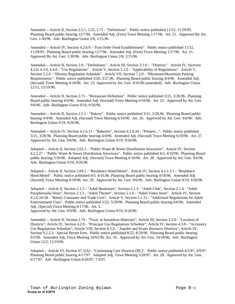Amended -- Article II, Section 2.5.1, 2.25, 2.71 - "Definitions". Public notice published 11/22, 11/29/95. Planning Board public hearing 12/7/96. Amended Adj. (First) Town Meeting 1/17/96. Art. 21. Approved By Att. Gen. 1/30/96. Adv. Burlington Union 2/8, 2/15,96.

Amended -- Article IV, Section 4.2.6.9 - "Fast Order Food Establishment". Public notice published 11/22, 11/29/95. Planning Board public hearing 12/7/96. Amended Adj. (First) Town Meeting 1/17/96. Art. 21. Approved By Att. Gen. 1/30/96. Adv. Burlington Union 2/8, 2/15/96.

Amended -- Article II, Section 2.0 - "Definitions". Article III, Section 3.1.0 - "Districts". Article IV, Sections 4.2.0, 4.3.0, 4.4.0 - "Use Regulations". Article V, Section 5.1.0 - "Applicability of Regulations". Article V, Section 5.2.0 - "Density Regulation Schedule". Article VII, Section 7.2.0 - "Minimum/Maximum Parking Requirements". Public notice published 3/20, 3/27,96. Planning Board public hearing 4/4/96. Amended Adj. (Second) Town Meeting 6/10/96. Art. 23. Approved by Att. Gen. 9/16/96 (amended). Adv. Burlington Union 12/12, 12/19/96.

Amended -- Article II, Section 2.71 - "Restaurant Definition". Public notice published 3/21, 3/28,96. Planning Board public hearing 4/4/96. Amended Adj. (Second) Town Meeting 6/10/96. Art. 25. Approved by Att. Gen. 9/6/96. Adv. Burlington Union 9/19, 9/26/96.

Amended -- Article II, Section 2.5.1 - "Bakery". Public notice published 3/21, 3/28,96. Planning Board public hearing 4/4/96. Amended Adj. (Second) Town Meeting 6/10/96. Art. 26. Approved by Att. Gen. 9/6/96. Adv. Burlington Union 9/19, 9/26/96.

Amended -- Article IV, Section 4.2.6.11 - "Bakeries", Section 4.2.6.24 - "Printers...". Public notice published 3/21, 3/28,96. Planning Board public hearing 4/4/96. Amended Adj. (Second) Town Meeting 6/10/96. Art. 27. Approved by Att. Gen. 9/6/96. Adv. Burlington Union 9/19, 9/26/96.

Adopted -- Article II, Section 2.65.1 - "Public Water & Sewer Distribution Structures". Article IV, Section 4.2.2.27 - "Public Water & Sewer Distribution Structures". Public notice published 4/3, 4/10/96. Planning Board public hearing 5/16/96. Adopted Adj. (Second) Town Meeting 6/10/96. Art. 28. Approved by Att. Gen. 9/6/96. Adv. Burlington Union 9/19, 9/26/96.

Adopted -- Article II, Section 2.69.1 - "Residence Hotel/Motel". Article IV, Section 4.2.1.3.1 - "Residence Hotel/Motel". Public notice published 4/3, 4/10,96. Planning Board public hearing 4/18/96. Amended Adj. (Second) Town Meeting 6/10/96. Art. 29. Approved by Att. Gen. 9/6/96. Adv. Burlington Union 9/19, 9/26/96.

Adopted -- Article II, Section 2.1.2 - "Adult Bookstore", Section 2.1.3 - "Adult Club", Section 2.1.4 - "Adult Paraphernalia Store", Section 2.1.5 - "Adult Theater", Section 2.1.6 - "Adult Video Store". Article IV, Section 4.2.6.24-28 - "Retail, Consumer and Trade Uses". Article V, Section 5.1.12 - "Additional Regulations for Adult Entertainment Uses". Public notice published 5/22, 5/29/96. Planning Board public hearing 6/6/96. Amended Adj. (Special) Town Meeting 6/17/96. Art. 5.

Approved by Att. Gen. 9/9/96. Adv. Burlington Union 9/19, 9/26/96.

Amended -- Article II, Section 2.79 - "Toxic or hazardous Materials"; Article III, Section 3.2.0 - "Location of Districts"; Article IV, Section 4.2.0 - "Principal Use Regulations Schedule"; Article IV, Section 4.3.0 - "Accessory Use Regulations Schedule"; Article VIII, Section 8.3.0 - "Aquifer and Water Resource Districts"; Article IX, Section 9.2.2.3 - Special Permit Fees. Public notice published 8/22, 8/29/96. Planning Board public hearing 9/5/96. Amended Adj. Town Meeting 10/02/96. Art. 16. Approved by Att. Gen. 10/18/96. Adv. Burlington Union 12/2, 12/19/96.

Adopted -- Article VI, Section 67.1(A) - "Continuing Care Districts (RC)". Public notice published 4/2/97, 4/9/97. Planning Board public hearing 4/17/97. Adopted Adj. Town Meeting 5/28/97. Art. 28. Approved by Att. Gen. 6/17/97. Adv. Burlington Union 6/26/97, 7/3/97.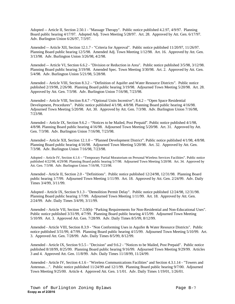Adopted -- Article II, Section 2.50.1 - "Massage Therapy". Public notice published 4.2.97, 4/9/97. Planning Board public hearing 4/17/97. Adopted Adj. Town Meeting 5/28/97. Art. 28. Approved by Att. Gen. 6/17/97. Adv. Burlington Union 6/26/97, 7/3/97.

Amended -- Article XII, Section 12.1.7 - "Criteria for Approval". Public notice published 11/20/97, 11/26/97. Planning Board public hearing 12/5/98. Amended Adj. Town Meeting 1/12/98. Art. 16. Approved by Att. Gen. 3/13/98. Adv. Burlington Union 3/26/98, 4/2/98.

Amended -- Article VI, Section 6.6.2 - "Division or Reduction in Area". Public notice published 3/5/98, 3/12/98. Planning Board public hearing 3/19/98. Amended Spec. Town Meeting 3/30/98. Art. 2. Approved by Att. Gen. 5/4/98. Adv. Burlington Union 5/21/98, 5/28/98.

Amended – Article VIII, Section 8.3.2 – "Definition of Aquifer and Water Resource Districts". Public notice published 2/19/98, 2/26/98. Planning Board public hearing 3/19/98. Adjourned Town Meeting 5/20/98. Art. 28. Approved by Att. Gen. 7/3/98. Adv. Burlington Union 7/16/98, 7/23/98.

Amended – Article VIII, Section 8.4.7 –"Optional Units Incentive"; 8.4.2 – "Open Space Residential Development, Procedures". Public notice published 4/1/98, 4/8/98. Planning Board public hearing 4/16/98. Adjourned Town Meeting 5/20/98. Art. 30. Approved by Att. Gen. 7/3/98. Adv. Burlington Union 7/16/98, 7/23/98.

Amended – Article IX, Section 9.6.2 – "Notices to be Mailed, Post Prepaid". Public notice published 4/1/98, 4/8/98. Planning Board public hearing 4/16/98. Adjourned Town Meeting 5/20/98. Art. 31. Approved by Att. Gen. 7/3/98. Adv. Burlington Union 7/16/98, 7/23/98.

Amended – Article XII, Section 12.1.0 – "Planned Development District". Public notice published 4/1/98, 4/8/98. Planning Board public hearing 4/16/98. Adjourned Town Meeting 5/20/98. Art. 32. Approved by Att. Gen. 7/3/98. Adv. Burlington Union 7/16/98, 7/23/98.

Adopted – Article IV, Section 4.1.6 – "Temporary Partial Moratorium on Personal Wireless Services Facilities". Public notice published 4/22/98, 4/29/98. Planning Board public hearing 5/7/98. Adjourned Town Meeting 5/20/98. Art. 34. Approved by Att. Gen. 7/3/98. Adv. Burlington Union 7/16/98, 7/23/98.

Amended - Article II, Section 2.0 - "Definitions". Public notice published 12/24/98, 12/31/98. Planning Board public hearing 1/7/99. Adjourned Town Meeting 1/11/99. Art. 18. Approved by Att. Gen. 2/24/99. Adv. Daily Times 3/4/99, 3/11/99.

Adopted - Article IX, Section 9.1.3 - "Demolition Permit Delay". Public notice published 12/24/98, 12/31/98. Planning Board public hearing 1/7/99. Adjourned Town Meeting 1/11/99. Art. 18. Approved by Att. Gen. 2/24/99. Adv. Daily Times 3/4/99, 3/11/99.

Amended - Article VII, Section 7.3.0(b)- "Parking Requirements for Non-Residential and Non-Educational Uses". Public notice published 3/31/99, 4/7/99. Planning Board public hearing 4/15/99. Adjourned Town Meeting 5/10/99. Art. 3. Approved Att. Gen. 7/28/99. Adv. Daily Times 8/5/99, 8/12/99.

Amended - Article VIII, Section 8.3.9 - "Non Conforming Uses in Aquifer & Water Resource Districts". Public notice published 3/31/99, 4/7/99. Planning Board public hearing 4/15/99. Adjourned Town Meeting 5/10/99. Art. 3. Approved Att. Gen. 7/28/99. Adv. Daily Times 8/5/99, 8/12/99.

Amended - Article IX, Section 9.5.5 - "Decision" and 9.6.2 - "Notices to be Mailed, Post Prepaid". Public notice published 8/18/99, 8/25/99. Planning Board public hearing 9/16/99. Adjourned Town Meeting 9/29/99. Articles 3 and 4. Approved Att. Gen. 11/8/99. Adv. Daily Times 11/18/99, 11/24/99.

Amended - Article IV, Section 4.1.6 - "Wireless Communications Facilities" and Section 4.3.1.14 - "Towers and Antennas…". Public notice published 11/24/99 and 12/1/99. Planning Board public hearing 9/7/00. Adjourned Town Meeting 9/25/00. Article 4. Approved Att. Gen. 1/1/01. Adv. Daily Times 1/19/01, 1/26/01.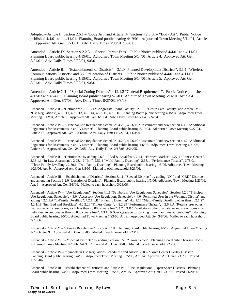Adopted – Article II, Section 2.6.1 – "Body Art" and Article IV, Section 4.2.6.30 – "Body Art". Public Notice published 4/4/01 and 4/11/01. Planning Board public hearing 4/19/01. Adjourned Town Meeting 5/14/01, Article 3. Approved Att. Gen. 8/21/01. Adv. Daily Times 8/30/01, 9/6/01.

Amended – Article IX, Section 9.2.2.3 – "Special Permit Fees". Public Notice published 4/4/01 and 4/11/01. Planning Board public hearing 4/19/01. Adjourned Town Meeting 5/14/01, Article 4. Approved Att. Gen. 8/21/01. Adv. Daily Times 8/30/01, 9/6/01.

Amended – Article III – "Establishments of Districts" – 3.1.0 "Planned Development Districts", 3.1.1 "Wireless Communications Districts" and 3.2.0 "Location of Districts". Public Notice published 4/4/01 and 4/11/01. Planning Board public hearing 4/19/01. Adjourned Town Meeting 5/14/01, Article 5. Approved Att. Gen. 8/21/01. Adv. Daily Times 8/30/01, 9/6/01.

Amended – Article XII – "Special Zoning Districts" – 12.1.2 "General Requirements". Public Notice published 4/17/03 and 4/24/03. Planning Board public hearing 5/1/03. Adjourned Town Meeting 5/14/01, Article 4. Approved Att. Gen. 8/7/03. Adv. Daily Times 8/27/03, 9/3/03.

Amended – Article II – "Definitions" – 2.16.1 "Congregate Living Facility", 2.33.1 "Group Care Facility" and Article IV – "Use Regulations", 4.2.1.11, 4.2.1.13, 42.1.14, 4.2.1.15, 4.2.1.16. Planning Board public hearing 4/15/04. Adjourned Town Meeting 5/12/04, Article 2. Approved Att. Gen. 6/9/04. Adv. Daily Times 6/17/04, 6/24/04.

Amended – Article IV – "Principal Use Regulations Schedule" 4.2.0, 4.2.6.10 "Restaurant" and new section 4.1.7 "Additional Regulations for Restaurants in an IG District". Planning Board public hearing 8/19/04. Adjourned Town Meeting 9/27/04, Article 13. Approved Att. Gen. 10/18/04. Adv. Daily Times 10/27/04, 11/3/04.

Amended – Article IV – "Principal Use Regulations Schedule" 4.2.0, 4.2.6.10 "Restaurant" and new section 4.1.7 "Additional Regulations for Restaurants in an IG District". Planning Board public hearing 1/6/05. Adjourned Town Meeting 1/31/05, Article 17. Approved Att. Gen. 2/10/05. Adv. Daily Times 2/17/05, 2/24/05.

Amended – Article II – "Definitions" by adding 2.6.0.1 "Bed & Breakfast", 2.241 "Farmers Market", 2.27.1 "Fitness Center", 2.38.1.1 "In-Law Apartment", 2.28.1.2 "Inn", 2.52.1 "Multi-Family Dwelling", 2.63.1 "Performance Theater", 2.78.0.1 "Three-Family Dwelling", 2.80.1 "Two-Family Dwelling". Planning Board public hearing 1/5/06. Adjourned Town Meeting 1/23/06, Art. 9. Approved Att. Gen 3/8/06. Mailed to each household 3/23/06.

Amended – Article III – "Establishment of Districts", Section 3.1.1. "Special Districts" by adding "CC" and "CBD" Districts and amending Section 3.2.0 "Location of Districts". Planning Board public hearing 1/5/06. Adjourned Town Meeting 1/23/06. Art. 9. Approved Att. Gen 3/8/06. Mailed to each household 3/23/06.

Amended – Article IV – "Use Regulations", Section 4.1.1 "Symbols in Use Regulations Schedules", Section 4.2.0 "Principal Use Regulations Schedule", 4.3.0 "Accessory Use Regulations Schedule", 4.4.0 "Permitted Uses in the Wetlands District" and adding 4.2.1.1.A "2-Family Dwelling", 4.2.1.1.B "3-Family Dwelling", 4.2.1.17 "Multi-Family Dwelling other than 4..2.1.2", 4.2.1.18 "Inn, Bed and Breakfast", 4.2.2.28 "Fitness Center", 4.2.2.29 "Performance Theater", 4.2.6.3.A "Retail stores other than above and showrooms, each less than 20,000 square feet", 4.2.6.3.B "Retail stores other than above and showrooms any individual tenant greater than 20,000 square feet", 4.3.1.19 "Garage space for parking more than three automobiles". Planning Board public hearing 1/5/06. Adjourned Town Meeting 1/23/06. Art.9. Approved Att. Gen 3/8/06. Mailed to each household 3/23/06.

Amended – Article V – "Density Regulations", Section 5.2.0. Planning Board public hearing 1/5/06. Adjourned Town Meeting 1/23/06. Art.9. Approved Att. Gen 3/8/06. Mailed to each household 3/23/06.

Amended – Article VIII – "Special Districts" by adding Section 8.5.0 "Town Center". Planning Board public hearing 1/5/06. Adjourned Town Meeting 1/23/06. Art.9. Approved Att. Gen 3/8/06. Mailed to each household 3/23/06.

Amended – Article IV – "Symbols in Use Regulations Schedules" and Article VIII – "Town Center Overlay District". Planning Board public hearing 5/4/06. Adjourned Town Meeting 9/25/06, Art. 14. Approved Att. Gen 10/31/06. Posted 11/20/06.

Amended – Article III – "Establishment of Districts" and Article IV – "Use Regulations – Open Space Districts" Planning Board public hearing 5/4/06. Adjourned Town Meeting 9/25/06, Art. 15. Approved Att. Gen 10/31/06. Posted 11/20/06.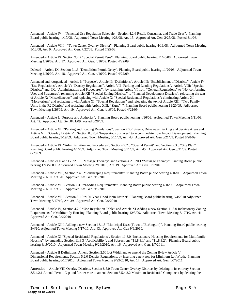Amended – Article IV – "Principal Use Regulation Schedule – Section 4.2.6 Retail, Consumer, and Trade Uses". Planning Board public hearing 1/17/08. Adjourned Town Meeting 1/28/08, Art. 15. Approved Att. Gen 2/25/08. Posted 3/1/08.

Amended – Article VIII – "Town Center Overlay District". Planning Board public hearing 4/19/08. Adjourned Town Meeting 5/12/08, Art. 9. Approved Att. Gen. 7/22/08. Posted 7/25/08.

Amended – Article IX, Section 9.2.2 "Special Permit Fees". Planning Board public hearing 11/20/08. Adjourned Town Meeting 1/26/09, Art. 17. Approved Att. Gen. 4/16/09. Posted 4/22/09.

Deleted – Article IX, Section 9.1.3 "Demolition Permit Delay". Planning Board public hearing 11/20/08. Adjourned Town Meeting 1/26/09, Art. 18. Approved Att. Gen. 4/16/09. Posted 4/22/09.

Amended and reorganized - Article I: "Purpose", Article II: "Definitions", Article III: "Establishment of Districts", Article IV: "Use Regulations", Article V: "Density Regulations", Article VII "Parking and Loading Regulations", Article VIII: "Special Districts" and IX: "Administration and Procedures"; by renaming Article VI from "General Regulations" to "Nonconforming Uses and Structures", renaming Article XII "Special Zoning Districts" to "Planned Development Districts"; relocating the text of Article X: "Miscellaneous" and replacing with Article X: "Special Residential Regulations"; eliminating Article XI: "Moratorium" and replacing it with Article XI: "Special Regulations" and relocating the text of Article XIII: "Two Family Units in the R2 District" and replacing with Article XIII: "Signs". ". Planning Board public hearing 11/20/09. Adjourned Town Meeting 1/26/09, Art. 19. Approved Att. Gen. 4/16/09. Posted 4/22/09.

Amended – Article I: "Purpose and Authority". Planning Board public hearing 4/16/09. Adjourned Town Meeting 5/11/09, Art. 42. Approved Att. Gen.8/21/09. Posted 8/28/09.

Amended – Article VII "Parking and Loading Regulations", Section 7.5.2 Streets, Driveways, Parking and Service Areas and Article VIII "Overlay Districts", Section 8.3.8.4 "Impervious Surfaces" to accommodate Low Impact Development. Planning Board public hearing 3/19/09. Adjourned Town Meeting 5/11/09, Art. 43. Approved Att. Gen.8/21/09. Posted 8/28/09.

Amended – Article IX: "Administration and Procedures", Sections 9.2.0 "Special Permit" and Section 9.3.0 "Site Plan". Planning Board public hearing 4/16/09. Adjourned Town Meeting 5/11/09, Art. 45. Approved Att. Gen.8/21/09. Posted 8/28/09.

Amended – Articles II and IV "2.50.1 Massage Therapy" and Section 4.2.6.20.1 "Massage Therapy" Planning Board public hearing 12/3/2009. Adjourned Town Meeting 2/1/2010, Art. 19. Approved Att. Gen. 9/92010

Amended – Article VII , Section 7.4.0 "Landscaping Requirements" :Planning Board public hearing 4/16/09. Adjourned Town Meeting 2/1/10, Art. 20. Approved Att. Gen. 9/9/2010

Amended – Article VII: Section 7.3.0 "Loading Requirements" Planning Board public hearing 4/16/09. Adjourned Town Meeting 2/1/10, Art. 21. Approved Att. Gen. 9/9/2010

Amended – Article VIII, Section 8.1.0 "100-Year Flood Plain District": Planning Board public hearing 3/4/2010 Adjourned Town Meeting 5/17/10, Art. 39. Approved Att. Gen. 9/9/2010

Amended – Article IV, Section 4.2.0 "Use Regulation Table" and Article XI Adding a new Section 11.8.0 Inclusionary Zoning Requirements for Multifamily Housing. Planning Board public hearing 12/3/09. Adjourned Town Meeting 5/17/10, Art. 41. Approved Att. Gen. 9/9/2010

Amended – Article XIII, Adding a new Section 13.1.5 "Municipal Uses (Town of Burlington)", Planning Board public hearing 3/4/10. Adjourned Town Meeting 5/17/10, Art. 43. Approved Att. Gen 9/9/2010.

Amended – Article XI "Special Residential Regulations", Section 11.8.0 "Inclusionary Housing Requirements for Multifamily Housing", by amending Section 11.8.3 "Applicability", and Subsections "11.8.3.1" and "11.8.3.2". Planning Board public hearing 8/19/2010. Adjourned Town Meeting 9/29/2010, Art. 16. Approved Att. Gen. 1/7/2011.

Amended – Article II Definitions, Amend Section 2.50 Lot Width and to amend the Zoning Bylaw Article V Dimensional Requirements, Section 5.2.0 Density Regulations, by inserting a new row for Minimum Lot Width. Planning Board public hearing 6/17/2010. Adjourned Town Meeting 9/29/2010, Art. 17. Approved Att. Gen. 1/7/2011.

Amended – Article VIII Overlay Districts, Section 8.5.0 Town Center Overlay Districts by deleting in its entirety Section 8.5.4.2.1 Annual Permit Cap and further vote to amend Section 8.5.4.2.2 Maximum Residential Component by deleting the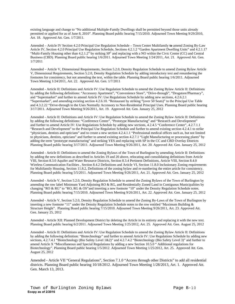existing language and change to "No additional Multiple-Family Dwellings shall be permitted beyond those units already permitted or applied for as of June 8, 2010". Planning Board public hearing 7/15/2010. Adjourned Town Meeting 9/29/2010, Art. 18. Approved Att. Gen. 1/7/2011.

Amended – Article IV Section 4.2.0 Principal Use Regulation Schedule – Town Center Multifamily **to** amend Zoning By-Law Article IV, Section 4.2.0 Principal Use Regulation Schedule, Sections 4.2.1.2 "Garden Apartment Dwelling Units" and 4.2.1.17 "Multi-Family Housing other than 4.2.1.2" by striking SP<sup>1</sup> and replacing with a NO within the Civic Center (CC) and Central Business (CBD). Planning Board public hearing 1/6/2011. Adjourned Town Meeting 1/24/2011, Art. 21. Approved Att. Gen. 1/7/2011

Amended – Article V, Dimensional Requirements, Section 5.2.0, Density Regulation Schedule to amend Zoning Bylaw Article V, Dimensional Requirements, Section 5.2.0, Density Regulation Schedule by adding introductory text and renumbering the footnotes for consistency, but not amending the text, within the table. Planning Board public hearing 1/6/2011. Adjourned Town Meeting 1/24/2011, Art. 22. Approved Att. Gen. 1/7/2011

Amended - Article II: Definitions and Article IV: Use Regulation Schedule to amend the Zoning Bylaw Article II: Definitions by adding the following definitions: "Accessory Apartment", "Convenience Store", "Drive-through", "Drugstore/Pharmacy", and "Supermarket" and further to amend Article IV: Use Regulations Schedule by adding new sections, 4.2.6.2.1 "Supermarket", and amending existing section 4.2.6.10. "Restaurant by striking "(over 50 Seats)" to the Principal Use Table and 4.3.2.22 "Drive-through to the Uses Normally Accessory to Non-Residential Principal Uses. Planning Board public hearing 3/17/2011. Adjourned Town Meeting 9/26/2011, Art. 19. Approved Att. Gen. January 25, 2012

Amended - Article II: Definitions and Article IV: Use Regulation Schedule to amend the Zoning Bylaw Article II: Definitions by adding the following definitions: "Conference Center", "Prototype Manufacturing" and "Research and Development" and further to amend Article IV: Use Regulations Schedule by adding new sections, 4.2.4.5 "Conference Center", 4.2.7.1.1 "Research and Development" to the Principal Use Regulation Schedule and further to amend existing section 4.2.4.1 to strike "physicians, dentists and opticians" and to create a new section 4.2.4.1.1 "Professional medical offices such as, but not limited to physicians, dentists, opticians" and further to amend existing section 4.2.7.1 "Light Manufacturing or processing plants" by adding the term "prototype manufacturing" and striking YES and replacing with SP in the CC and CBD Overlay Districts Planning Board public hearing 3/17/2011. Adjourned Town Meeting 9/26/2011, Art. 20. Approved Att. Gen. January 25, 2012

Amended - Article II: Definitions to amend the Zoning Bylaws of the Town of Burlington by amending Article II: Definitions by adding the new definitions as described in Articles 19 and 20 above, relocating and consolidating definitions from Article VIII, Section 8.3.0 Aquifer and Water Resource Districts, Section 8.3.4 Pertinent Definitions, Article VIII, Section 8.4.0 Wireless Communication Facilities , Section 8.4.2 Definitions and Article VI, Section 11.8.0 Inclusionary Zoning requirements for Multifamily Housing, Section 11.8.2, Definitions of the zoning bylaw and re-numbering the entire article for consistency. Planning Board public hearing 5/5/2011. Adjourned Town Meeting 9/26/2011, Art. 21. Approved Att. Gen. January 25, 2012

Amended - Article V, Section 5.2.0, Density Regulation Schedule to amend the Zoning Bylaws of the Town of Burlington by amending the row label Minimum Yard Adjoining RO & RG, and Residentially Zoned Land in Contiguous Municipalities by changing "RO & RG" to "RO, RG & OS" and inserting a new footnote "10" under the Density Regulation Schedule notes. Planning Board public hearing 7/15/2010. Adjourned Town Meeting 9/26/2011, Art. 22. Approved Att. Gen. January 25, 2012

Amended - Article V, Section 5.2.0, Density Regulation Schedule to amend the Zoning By-Laws of the Town of Burlington by inserting a new footnote "11" under the Density Regulation Schedule notes to the row entitled "Maximum Building & Structure Height". Planning Board public hearing 7/15/2010. Adjourned Town Meeting 9/26/2011, Art. 23. Approved Att. Gen. January 25, 2012

Amended - Article XII: Planned Development District by deleting the Article in its entirety and replacing it with the new text. Planning Board public hearing 6/2/2011. Adjourned Town Meeting 1/25/2012, Art. 25. Approved Att. Gen. August 25, 2012

Amended - Article II: Definitions and Article IV: Use Regulation Schedule to amend the Zoning Bylaw Article II: Definitions by adding the following definition: "Biotechnology" and further to amend Article IV: Use Regulations Schedule by adding new sections, 4.2.7.4.1 "Biotechnology (Bio Safety Level 1&2)" and 4.2.7.4.2 "Biotechnology (Bio Safety Level 3)" and further to amend Article X "Miscellaneous and Special Regulations by adding a new Section 10.5.0 " Additional regulations for Biotechnology". Planning Board public hearing 1/5/2012. Adjourned Town Meeting 1/25/2012, Art. 25. Approved Att. Gen. August 25, 2012

Amended - Article VII "General Regulations", Section 7.1.0 "Access through other Districts" to add all residential districts. Planning Board public hearing 10/18/2012. Adjourned Town Meeting 1/28/2013, Art. 1. Approved Att. Gen. March 13, 2013.